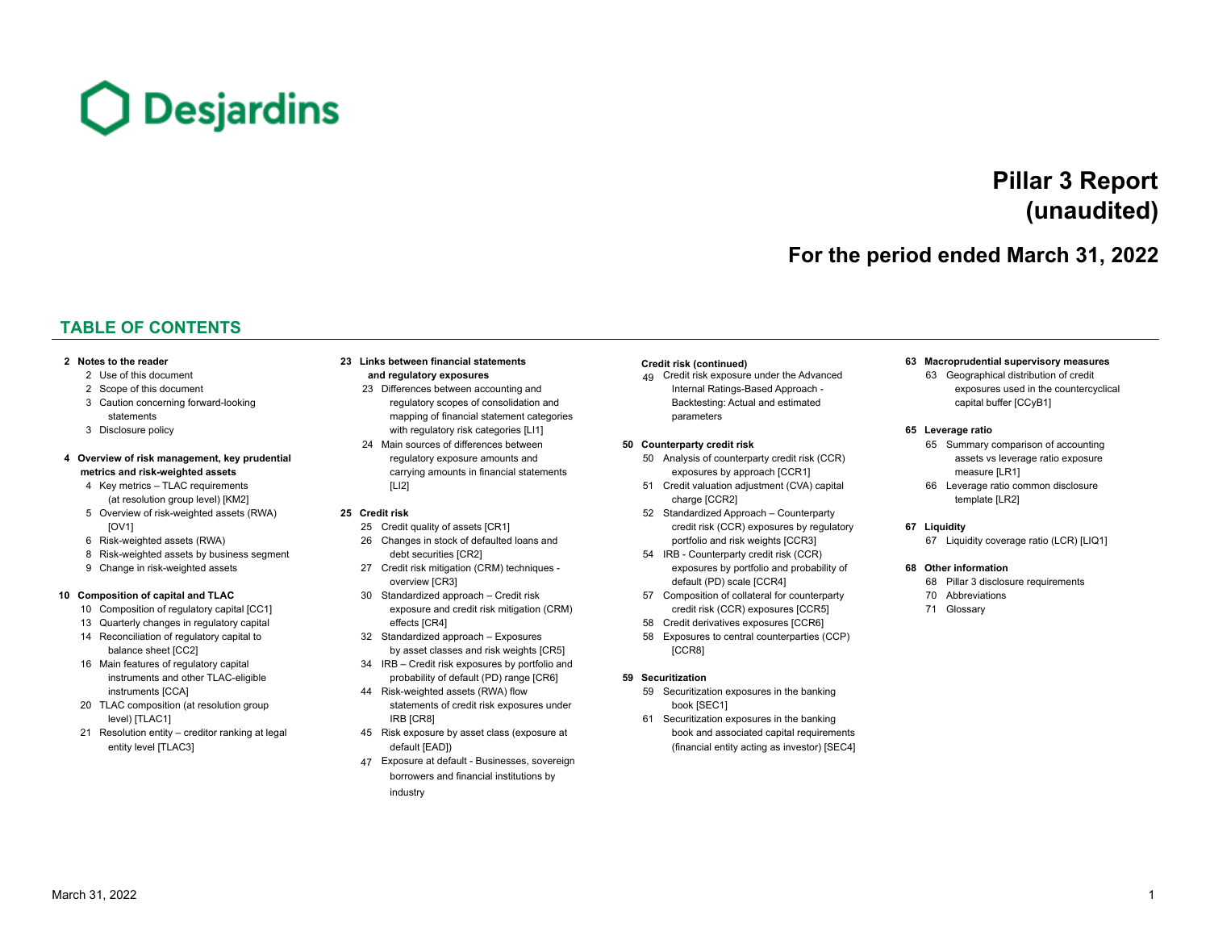

# **Pillar 3 Report (unaudited)**

# **For the period ended March 31, 2022**

# **TABLE OF CONTENTS**

- 
- 
- 
- 

# **[4](#page-3-0)** [Overview of risk management, key prudential](#page-3-0) exposure amounts and and a strategies of counterparty credit risk (CCR) assets vs leverage ratio exposure [regulatory exposure amounts and](#page-23-0) [50](#page-49-0) Analysis of counterparty credit r

- 
- [5](#page-4-0) [Overview of risk-weighted assets \(RWA\)](#page-4-0) **[25](#page-24-0) [Credit risk](#page-24-0)** [52](#page-51-0) [Standardized Approach Counterparty](#page-51-0)
- 
- [8](#page-7-0) [Risk-weighted assets by business segment](#page-7-0) [debt securities \[CR2\]](#page-25-0) [54](#page-53-0) [IRB Counterparty credit risk \(CCR\)](#page-53-0)
- 

- 
- 
- 
- [16](#page-15-0) [Main features of regulatory capital](#page-15-0) [34](#page-33-0) [IRB Credit risk exposures by portfolio](#page-33-0) and
- 
- 
- 
- [3](#page-2-0) [Caution concerning forward-looking](#page-2-0) external consults of [regulatory scopes of consolidation](#page-22-0) and [Backtesting: Actual and estimated](#page-48-0) [capital buffer \[CCyB1\]](#page-62-0) [statements](#page-2-0) mapping of financial statement categories [parameters](#page-48-0) parameters [3](#page-2-0) [Disclosure policy](#page-2-0) [with regulatory risk](#page-22-0) [categories \[LI1\]](#page-22-0) **[65](#page-64-0) [Leverage ratio](#page-64-0)** [24](#page-23-0) [Main sources of differences between](#page-23-0) **[50](#page-49-0) [Counterparty credit risk](#page-49-0)** [65](#page-64-0) [Summary comparison of accounting](#page-64-0)
	-

- 
- 
- [9](#page-8-0) [Change in risk-weighted assets](#page-8-0) [27](#page-26-0) [Credit risk mitigation \(CRM\) techniques -](#page-26-0) [exposures by portfolio and probability of](#page-53-0) [overview \[CR3\]](#page-26-0) overview [CR3] and the contract of the contract of the [default \(PD\) scale \[CCR4\]](#page-53-0)
- **[10](#page-9-0) [Composition of capital and TLAC](#page-9-0)** [30](#page-29-0) [Standardized approach Credit risk](#page-29-0) [57](#page-56-0) [Composition of collateral for counterparty](#page-56-0) [10](#page-9-0) [Composition of regulatory capital](#page-9-0) [CC1] [exposure and credit risk mitigation \(CRM\)](#page-29-0) [credit risk \(CCR\) exposures \[CCR5\]](#page-56-0) [13](#page-12-0) [Quarterly changes in regulatory capital](#page-12-0) [effects \[CR4\]](#page-29-0) [58](#page-57-0) [Credit derivatives exposures \[CCR6\]](#page-57-0)
	- [balance sheet \[CC2\]](#page-13-0) [by asset classes and risk weights \[CR5\]](#page-31-0) [\[CCR8\]](#page-57-0) balance sheet [CC2]
	- [instruments and other TLAC-eligible](#page-15-0) [probability of default \(PD\) range](#page-33-0) [CR6] **[59](#page-58-0) [Securitization](#page-58-0)**
	- [20](#page-19-0) [TLAC composition \(at resolution group](#page-19-0) [statements of credit risk exposures under](#page-43-0) [book \[SEC1\]](#page-58-0) [level\) \[TLAC1\]](#page-19-0) **[IRB \[CR8\]](#page-43-0)** IRB [CR8] **IRB [CR8]** [61](#page-60-0) [Securitization exposures in the banking](#page-60-0)
		-
		- [47](#page-46-0) [Exposure at default Businesses, sovereign](#page-46-0) [borrowers and financial institutions by](#page-46-0) [industry](#page-46-0)

[2](#page-1-0) [Use of this document](#page-1-0) **2 and regulatory exposures 19 [Credit risk exposure under the Advanced](#page-48-0)** [63](#page-62-0) [Geographical distribution of credit](#page-62-0) [2](#page-1-0) [Scope of this document](#page-1-0) [23](#page-22-0) [Differences between accounting](#page-22-0) and [Internal Ratings-Based Approach -](#page-48-0) [exposures used in the countercyclical](#page-62-0)

- **metrics and risk-weighted assets [carrying amounts in financial statements](#page-23-0)** exposures [by approach \[CCR1\]](#page-49-0) [measure \[LR1\]](#page-64-0)
- [4](#page-3-0) [Key metrics TLAC requirements](#page-3-0) TLAC is a metric of the state of the state of the state of the state of the state of the state of the state of the state of the state of the state of the state of the state of the state of [\(at resolution group level\) \[KM2\]](#page-3-0) [charge \[CCR2\]](#page-50-0) charge [CCR2] charge [CCR2] [template \[LR2\]](#page-65-0)
- [\[OV1\]](#page-4-0) [25](#page-24-0) [Credit quality of assets \[CR1\]](#page-24-0) [credit risk \(CCR\) exposures by regula](#page-51-0)tory **[67](#page-66-0) [Liquidity](#page-66-0)** [6](#page-5-0) [Risk-weighted assets \(RWA\)](#page-5-0) [26](#page-25-0) [Changes in stock of defaulted loans](#page-25-0) and [portfolio and risk weights](#page-51-0) [CCR3] [67](#page-66-0) [Liquidity coverage ratio \(LCR\) \[LIQ1\]](#page-66-0)
	-
	-
	-
- [14](#page-13-0) [Reconciliation of regulatory capital](#page-13-0) to [32](#page-31-0) [Standardized approach Exposures](#page-31-0) [58](#page-57-0) [Exposures to central counterparties \(CCP\)](#page-57-0)

- [instruments \[CCA\]](#page-15-0) **14 Solution COV** [44](#page-43-0) [Risk-weighted assets \(RWA\) flow](#page-43-0) [59](#page-58-0) [Securitization exposures in the banking](#page-58-0)
- [21](#page-20-0) [Resolution entity creditor ranking at](#page-20-0) legal [45](#page-44-0) [Risk exposure by asset class \(exposure at](#page-44-0) [book and associated capital requirements](#page-60-0) [entity level \[TLAC3\]](#page-20-0) entity level [TLAC3] entity level [TLAC3] channels are the [default \[EAD\]\)](#page-44-0) entity acting as investor) [SEC4]

#### **[2](#page-1-0) [Notes to the reader](#page-1-0) [23](#page-22-0) [Links between financial statements](#page-22-0) [Credit risk](#page-24-0) (continued) [63](#page-62-0) [Macroprudential supervisory measures](#page-62-0)**

- 
- 

#### **[68](#page-67-0) Other [information](#page-67-0)**

- [68](#page-67-0) Pillar 3 disclosure [requirements](#page-67-0)
- 70 Abbreviations
- [71](#page-69-0) [Glossary](#page-69-0)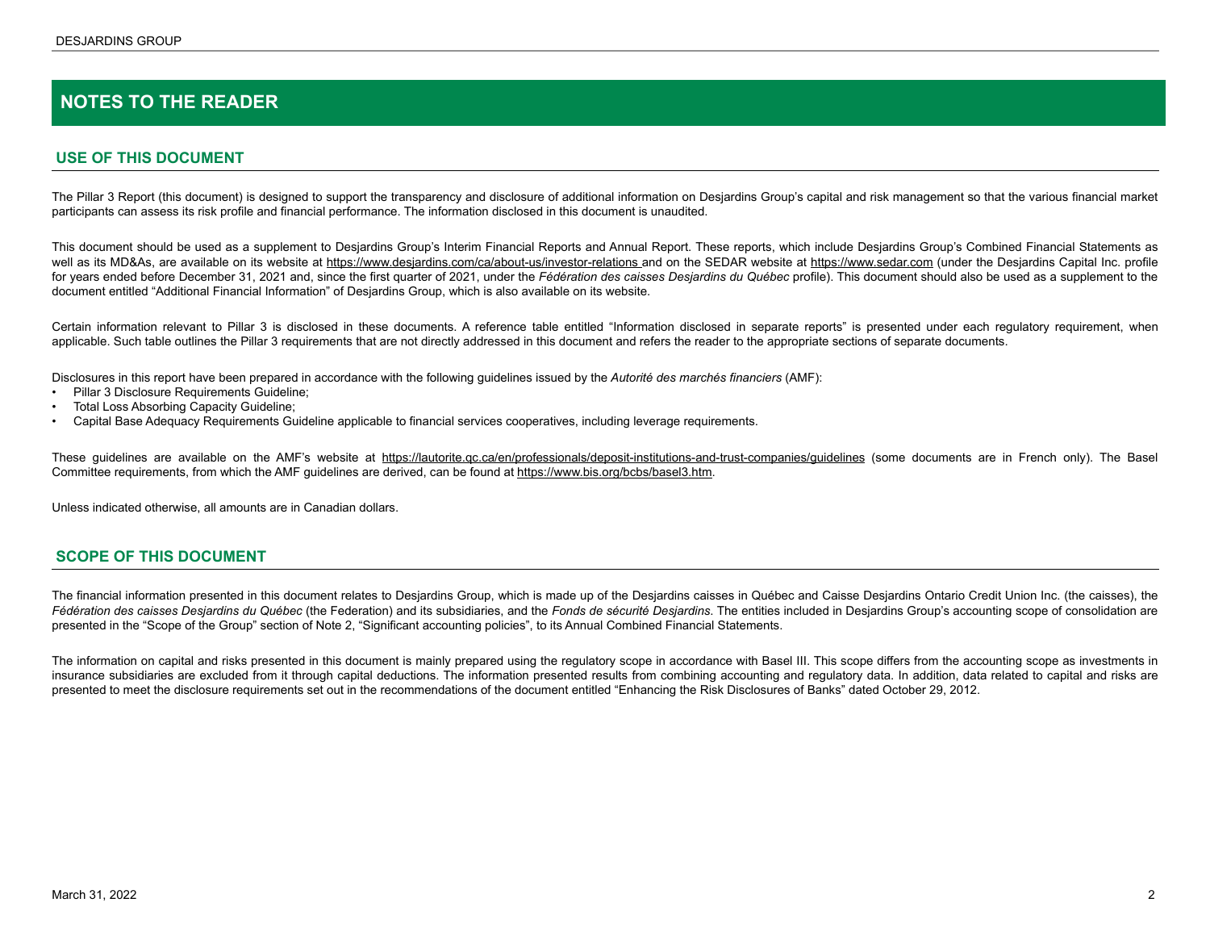# <span id="page-1-0"></span>**NOTES TO THE READER**

### **USE OF THIS DOCUMENT**

The Pillar 3 Report (this document) is designed to support the transparency and disclosure of additional information on Desjardins Group's capital and risk management so that the various financial market participants can assess its risk profile and financial performance. The information disclosed in this document is unaudited.

This document should be used as a supplement to Desjardins Group's Interim Financial Reports and Annual Report. These reports, which include Desjardins Group's Combined Financial Statements as well as its MD&As, are available on its website at https://www.desjardins.com/ca/about-us/investor-relations and on the SEDAR website at https://www.sedar.com (under the Desjardins Capital Inc. profile for years ended before December 31, 2021 and, since the first quarter of 2021, under the *Fédération des caisses Desjardins du Québec* profile). This document should also be used as a supplement to the document entitled "Additional Financial Information" of Desjardins Group, which is also available on its website.

Certain information relevant to Pillar 3 is disclosed in these documents. A reference table entitled "Information disclosed in separate reports" is presented under each regulatory requirement, when applicable. Such table outlines the Pillar 3 requirements that are not directly addressed in this document and refers the reader to the appropriate sections of separate documents.

Disclosures in this report have been prepared in accordance with the following guidelines issued by the *Autorité des marchés financiers* (AMF):

- Pillar 3 Disclosure Requirements Guideline;
- Total Loss Absorbing Capacity Guideline;
- Capital Base Adequacy Requirements Guideline applicable to financial services cooperatives, including leverage requirements.

These guidelines are available on the AMF's website at https://lautorite.qc.ca/en/professionals/deposit-institutions-and-trust-companies/guidelines (some documents are in French only). The Basel Committee requirements, from which the AMF guidelines are derived, can be found at https://www.bis.org/bcbs/basel3.htm.

Unless indicated otherwise, all amounts are in Canadian dollars.

#### **SCOPE OF THIS DOCUMENT**

The financial information presented in this document relates to Desjardins Group, which is made up of the Desjardins caisses in Québec and Caisse Desjardins Ontario Credit Union Inc. (the caisses), the *Fédération des caisses Desjardins du Québec* (the Federation) and its subsidiaries, and the *Fonds de sécurité Desjardins*. The entities included in Desjardins Group's accounting scope of consolidation are presented in the "Scope of the Group" section of Note 2, "Significant accounting policies", to its Annual Combined Financial Statements.

The information on capital and risks presented in this document is mainly prepared using the regulatory scope in accordance with Basel III. This scope differs from the accounting scope as investments in insurance subsidiaries are excluded from it through capital deductions. The information presented results from combining accounting and regulatory data. In addition, data related to capital and risks are presented to meet the disclosure requirements set out in the recommendations of the document entitled "Enhancing the Risk Disclosures of Banks" dated October 29, 2012.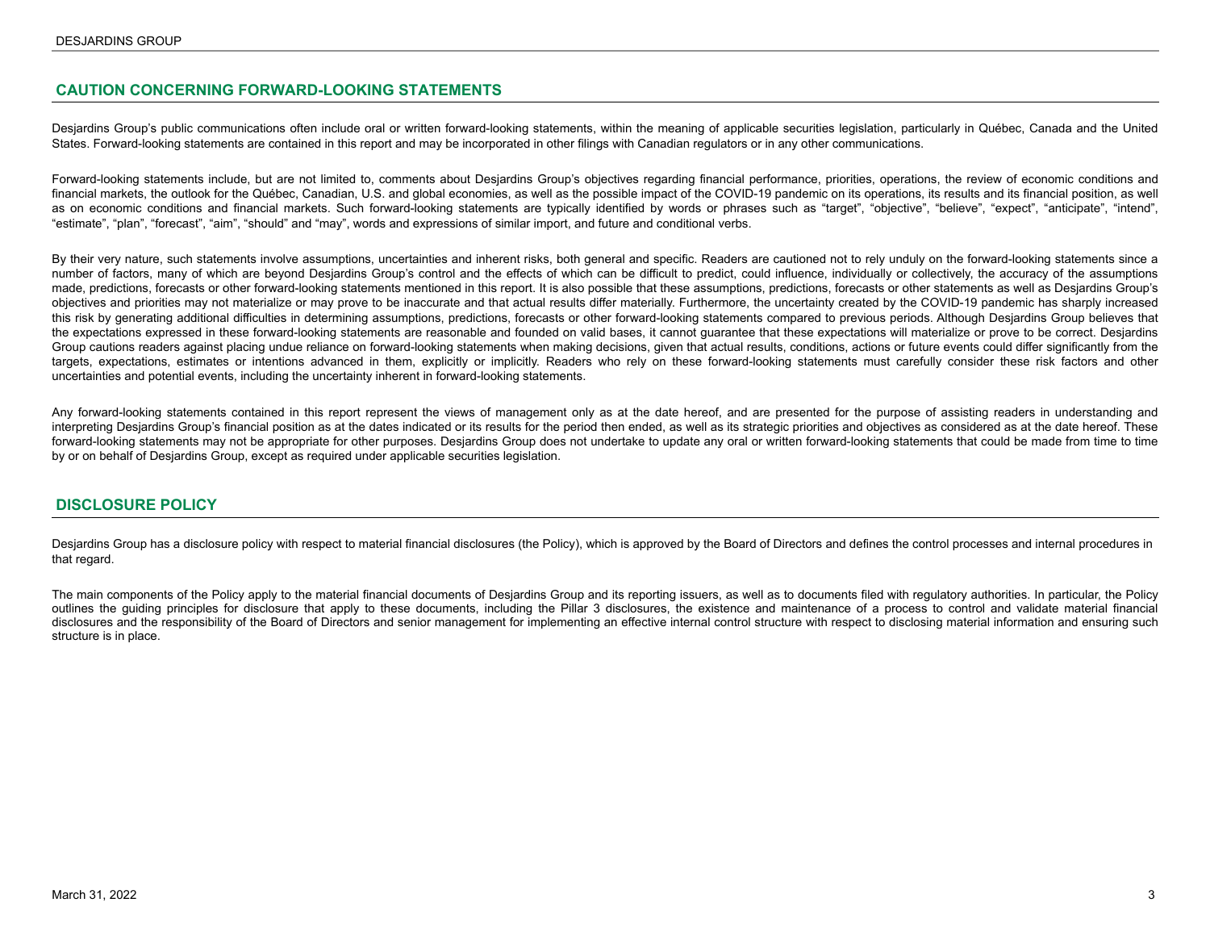### <span id="page-2-0"></span>**CAUTION CONCERNING FORWARD-LOOKING STATEMENTS**

Desjardins Group's public communications often include oral or written forward-looking statements, within the meaning of applicable securities legislation, particularly in Québec, Canada and the United States. Forward-looking statements are contained in this report and may be incorporated in other filings with Canadian regulators or in any other communications.

Forward-looking statements include, but are not limited to, comments about Desjardins Group's objectives regarding financial performance, priorities, operations, the review of economic conditions and financial markets, the outlook for the Québec, Canadian, U.S. and global economies, as well as the possible impact of the COVID-19 pandemic on its operations, its results and its financial position, as well as on economic conditions and financial markets. Such forward-looking statements are typically identified by words or phrases such as "target", "objective", "believe", "expect", "anticipate", "intend", "estimate", "plan", "forecast", "aim", "should" and "may", words and expressions of similar import, and future and conditional verbs.

By their very nature, such statements involve assumptions, uncertainties and inherent risks, both general and specific. Readers are cautioned not to rely unduly on the forward-looking statements since a number of factors, many of which are beyond Desjardins Group's control and the effects of which can be difficult to predict, could influence, individually or collectively, the accuracy of the assumptions made, predictions, forecasts or other forward-looking statements mentioned in this report. It is also possible that these assumptions, predictions, forecasts or other statements as well as Desjardins Group's objectives and priorities may not materialize or may prove to be inaccurate and that actual results differ materially. Furthermore, the uncertainty created by the COVID-19 pandemic has sharply increased this risk by generating additional difficulties in determining assumptions, predictions, forecasts or other forward-looking statements compared to previous periods. Although Desjardins Group believes that the expectations expressed in these forward-looking statements are reasonable and founded on valid bases, it cannot guarantee that these expectations will materialize or prove to be correct. Desjardins Group cautions readers against placing undue reliance on forward-looking statements when making decisions, given that actual results, conditions, actions or future events could differ significantly from the targets, expectations, estimates or intentions advanced in them, explicitly or implicitly. Readers who rely on these forward-looking statements must carefully consider these risk factors and other uncertainties and potential events, including the uncertainty inherent in forward-looking statements.

Any forward-looking statements contained in this report represent the views of management only as at the date hereof, and are presented for the purpose of assisting readers in understanding and interpreting Desjardins Group's financial position as at the dates indicated or its results for the period then ended, as well as its strategic priorities and objectives as considered as at the date hereof. These forward-looking statements may not be appropriate for other purposes. Desjardins Group does not undertake to update any oral or written forward-looking statements that could be made from time to time by or on behalf of Desjardins Group, except as required under applicable securities legislation.

#### **DISCLOSURE POLICY**

Desjardins Group has a disclosure policy with respect to material financial disclosures (the Policy), which is approved by the Board of Directors and defines the control processes and internal procedures in that regard.

The main components of the Policy apply to the material financial documents of Desjardins Group and its reporting issuers, as well as to documents filed with regulatory authorities. In particular, the Policy outlines the guiding principles for disclosure that apply to these documents, including the Pillar 3 disclosures, the existence and maintenance of a process to control and validate material financial disclosures and the responsibility of the Board of Directors and senior management for implementing an effective internal control structure with respect to disclosing material information and ensuring such structure is in place.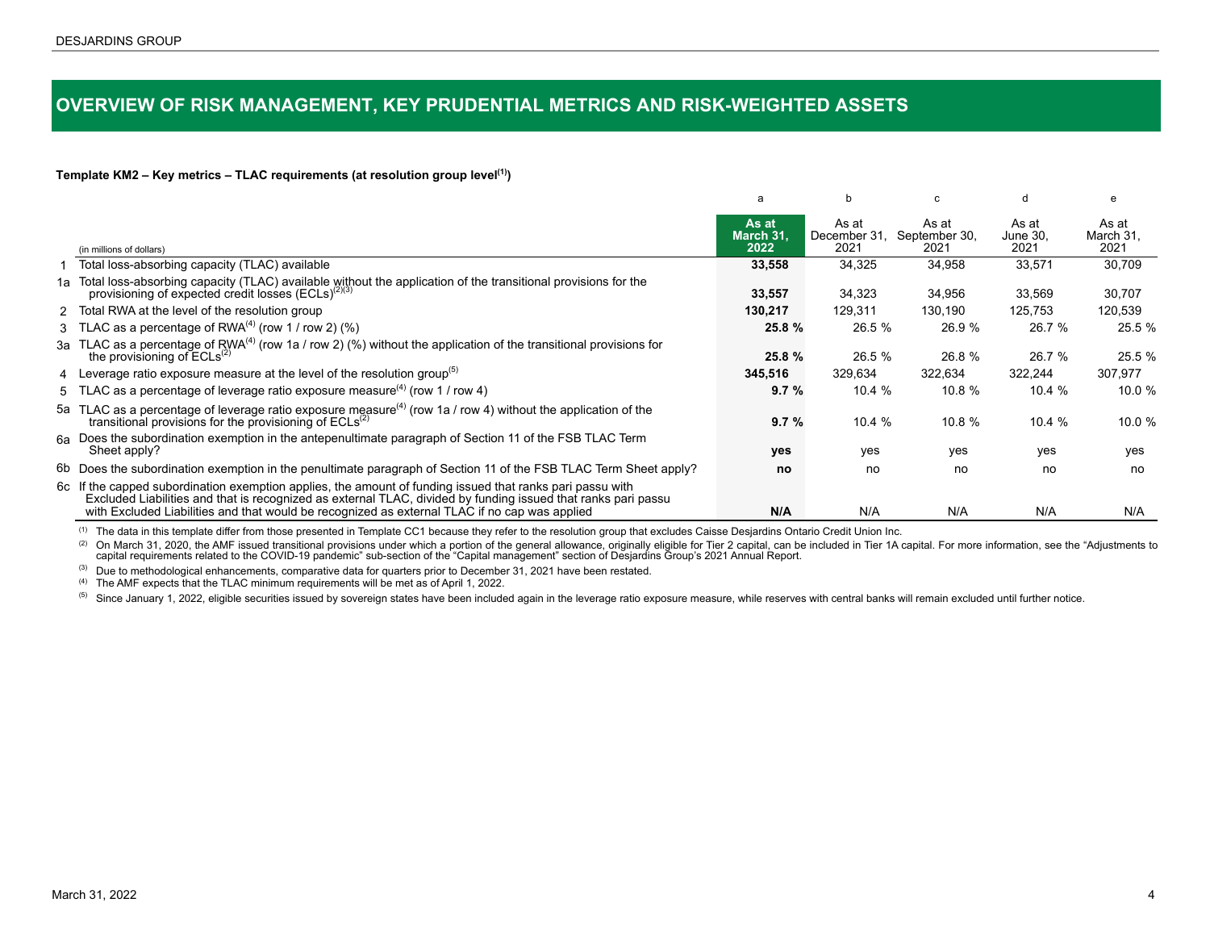# <span id="page-3-0"></span>**OVERVIEW OF RISK MANAGEMENT, KEY PRUDENTIAL METRICS AND RISK-WEIGHTED ASSETS**

#### **Template KM2 – Key metrics – TLAC requirements (at resolution group level(1))**

|                                                                                                                                                                                                                                                                                                                             | a                          | b                             | C.                             | d                         | e                          |
|-----------------------------------------------------------------------------------------------------------------------------------------------------------------------------------------------------------------------------------------------------------------------------------------------------------------------------|----------------------------|-------------------------------|--------------------------------|---------------------------|----------------------------|
| (in millions of dollars)                                                                                                                                                                                                                                                                                                    | As at<br>March 31.<br>2022 | As at<br>December 31.<br>2021 | As at<br>September 30,<br>2021 | As at<br>June 30.<br>2021 | As at<br>March 31,<br>2021 |
| Total loss-absorbing capacity (TLAC) available                                                                                                                                                                                                                                                                              | 33,558                     | 34,325                        | 34,958                         | 33,571                    | 30,709                     |
| 1a Total loss-absorbing capacity (TLAC) available without the application of the transitional provisions for the provisioning of expected credit losses ( $ECLS$ ) <sup>(2)(3)</sup>                                                                                                                                        | 33,557                     | 34,323                        | 34,956                         | 33,569                    | 30,707                     |
| 2 Total RWA at the level of the resolution group                                                                                                                                                                                                                                                                            | 130,217                    | 129,311                       | 130,190                        | 125,753                   | 120,539                    |
| 3 TLAC as a percentage of RWA $^{(4)}$ (row 1 / row 2) $(\%)$                                                                                                                                                                                                                                                               | 25.8 %                     | 26.5 %                        | 26.9 %                         | 26.7 %                    | 25.5 %                     |
| 3a TLAC as a percentage of RWA <sup>(4)</sup> (row 1a / row 2) (%) without the application of the transitional provisions for<br>the provisioning of $ECLs^{(2)}$                                                                                                                                                           | 25.8 %                     | 26.5 %                        | 26.8 %                         | 26.7 %                    | 25.5 %                     |
| 4 Leverage ratio exposure measure at the level of the resolution group <sup>(5)</sup>                                                                                                                                                                                                                                       | 345,516                    | 329,634                       | 322,634                        | 322,244                   | 307,977                    |
| 5 TLAC as a percentage of leverage ratio exposure measure <sup>(4)</sup> (row 1 / row 4)                                                                                                                                                                                                                                    | 9.7%                       | 10.4 $%$                      | 10.8 $%$                       | 10.4 $%$                  | 10.0 %                     |
| 5a TLAC as a percentage of leverage ratio exposure measure <sup>(4)</sup> (row 1a / row 4) without the application of the<br>transitional provisions for the provisioning of ECLs <sup>(2)</sup>                                                                                                                            | 9.7%                       | 10.4%                         | 10.8 $%$                       | 10.4 $%$                  | 10.0 $%$                   |
| 6a Does the subordination exemption in the antepenultimate paragraph of Section 11 of the FSB TLAC Term<br>Sheet apply?                                                                                                                                                                                                     | yes                        | yes                           | yes                            | yes                       | yes                        |
| 6b Does the subordination exemption in the penultimate paragraph of Section 11 of the FSB TLAC Term Sheet apply?                                                                                                                                                                                                            | no                         | no                            | no                             | no                        | no                         |
| 6c If the capped subordination exemption applies, the amount of funding issued that ranks pari passu with<br>Excluded Liabilities and that is recognized as external TLAC, divided by funding issued that ranks pari passu<br>with Excluded Liabilities and that would be recognized as external TLAC if no cap was applied | N/A                        | N/A                           | N/A                            | N/A                       | N/A                        |

(1) The data in this template differ from those presented in Template CC1 because they refer to the resolution group that excludes Caisse Desjardins Ontario Credit Union Inc.

(2) On March 31, 2020, the AMF issued transitional provisions under which a portion of the general allowance, originally eligible for Tier 2 capital, can be included in Tier 1A capital. For more information, see the "Adjus capital requirements related to the COVID-19 pandemic" sub-section of the "Capital management" section of Desjardins Group's 2021 Annual Report.

 $<sup>(3)</sup>$  Due to methodological enhancements, comparative data for quarters prior to December 31, 2021 have been restated.</sup>

(4) The AMF expects that the TLAC minimum requirements will be met as of April 1, 2022.

<sup>(5)</sup> Since January 1, 2022, eligible securities issued by sovereign states have been included again in the leverage ratio exposure measure, while reserves with central banks will remain excluded until further notice.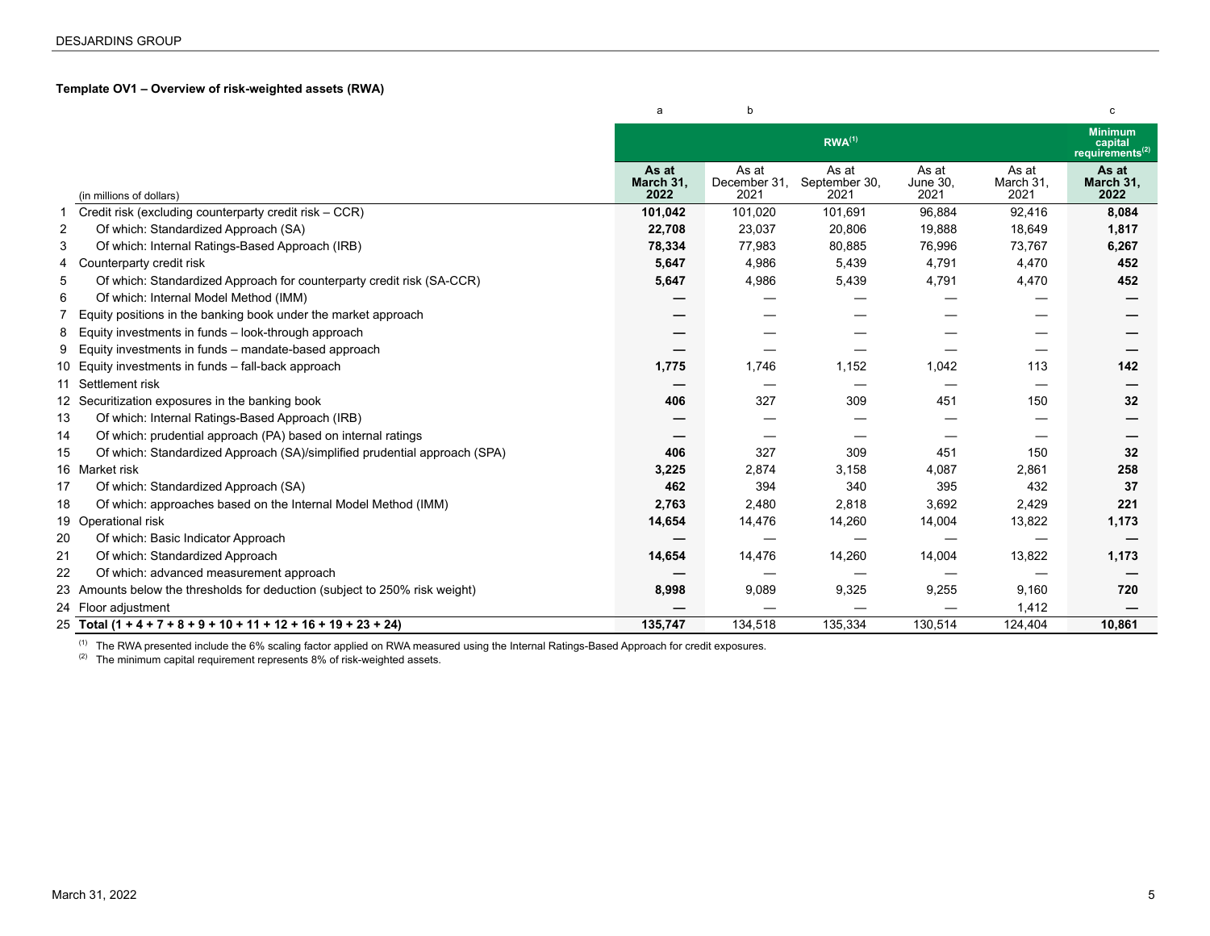### <span id="page-4-0"></span>**Template OV1 – Overview of risk-weighted assets (RWA)**

|                                                                                 | a                          | b                             |                                |                                  |                            | с                                                        |
|---------------------------------------------------------------------------------|----------------------------|-------------------------------|--------------------------------|----------------------------------|----------------------------|----------------------------------------------------------|
|                                                                                 |                            |                               | $RWA^{(1)}$                    |                                  |                            | <b>Minimum</b><br>capital<br>requirements <sup>(2)</sup> |
| (in millions of dollars)                                                        | As at<br>March 31,<br>2022 | As at<br>December 31,<br>2021 | As at<br>September 30,<br>2021 | As at<br><b>June 30,</b><br>2021 | As at<br>March 31,<br>2021 | As at<br>March 31,<br>2022                               |
| Credit risk (excluding counterparty credit risk – CCR)                          | 101,042                    | 101,020                       | 101,691                        | 96,884                           | 92,416                     | 8,084                                                    |
| 2<br>Of which: Standardized Approach (SA)                                       | 22,708                     | 23,037                        | 20,806                         | 19,888                           | 18,649                     | 1,817                                                    |
| 3<br>Of which: Internal Ratings-Based Approach (IRB)                            | 78,334                     | 77,983                        | 80,885                         | 76,996                           | 73,767                     | 6,267                                                    |
| Counterparty credit risk<br>4                                                   | 5,647                      | 4,986                         | 5,439                          | 4,791                            | 4,470                      | 452                                                      |
| 5<br>Of which: Standardized Approach for counterparty credit risk (SA-CCR)      | 5,647                      | 4,986                         | 5,439                          | 4,791                            | 4,470                      | 452                                                      |
| Of which: Internal Model Method (IMM)<br>6                                      |                            |                               |                                |                                  |                            |                                                          |
| Equity positions in the banking book under the market approach                  |                            |                               |                                |                                  |                            |                                                          |
| Equity investments in funds - look-through approach<br>8                        |                            |                               |                                |                                  |                            |                                                          |
| Equity investments in funds - mandate-based approach<br>9                       |                            |                               |                                |                                  |                            |                                                          |
| 10 Equity investments in funds - fall-back approach                             | 1,775                      | 1,746                         | 1,152                          | 1,042                            | 113                        | 142                                                      |
| 11<br>Settlement risk                                                           |                            |                               |                                |                                  |                            |                                                          |
| 12 Securitization exposures in the banking book                                 | 406                        | 327                           | 309                            | 451                              | 150                        | 32                                                       |
| 13<br>Of which: Internal Ratings-Based Approach (IRB)                           |                            |                               |                                |                                  |                            |                                                          |
| Of which: prudential approach (PA) based on internal ratings<br>14              |                            |                               |                                |                                  |                            |                                                          |
| Of which: Standardized Approach (SA)/simplified prudential approach (SPA)<br>15 | 406                        | 327                           | 309                            | 451                              | 150                        | 32                                                       |
| 16 Market risk                                                                  | 3,225                      | 2,874                         | 3,158                          | 4,087                            | 2,861                      | 258                                                      |
| 17<br>Of which: Standardized Approach (SA)                                      | 462                        | 394                           | 340                            | 395                              | 432                        | 37                                                       |
| 18<br>Of which: approaches based on the Internal Model Method (IMM)             | 2,763                      | 2,480                         | 2,818                          | 3,692                            | 2,429                      | 221                                                      |
| 19 Operational risk                                                             | 14,654                     | 14,476                        | 14,260                         | 14,004                           | 13,822                     | 1,173                                                    |
| 20<br>Of which: Basic Indicator Approach                                        |                            |                               |                                |                                  |                            |                                                          |
| 21<br>Of which: Standardized Approach                                           | 14,654                     | 14,476                        | 14,260                         | 14,004                           | 13,822                     | 1,173                                                    |
| 22<br>Of which: advanced measurement approach                                   |                            |                               |                                |                                  |                            |                                                          |
| 23 Amounts below the thresholds for deduction (subject to 250% risk weight)     | 8,998                      | 9,089                         | 9,325                          | 9,255                            | 9,160                      | 720                                                      |
| 24 Floor adjustment                                                             |                            |                               |                                |                                  | 1,412                      |                                                          |
| 25 Total $(1 + 4 + 7 + 8 + 9 + 10 + 11 + 12 + 16 + 19 + 23 + 24)$               | 135,747                    | 134,518                       | 135,334                        | 130,514                          | 124,404                    | 10,861                                                   |

 $^{(1)}$  The RWA presented include the 6% scaling factor applied on RWA measured using the Internal Ratings-Based Approach for credit exposures.

 $(2)$  The minimum capital requirement represents 8% of risk-weighted assets.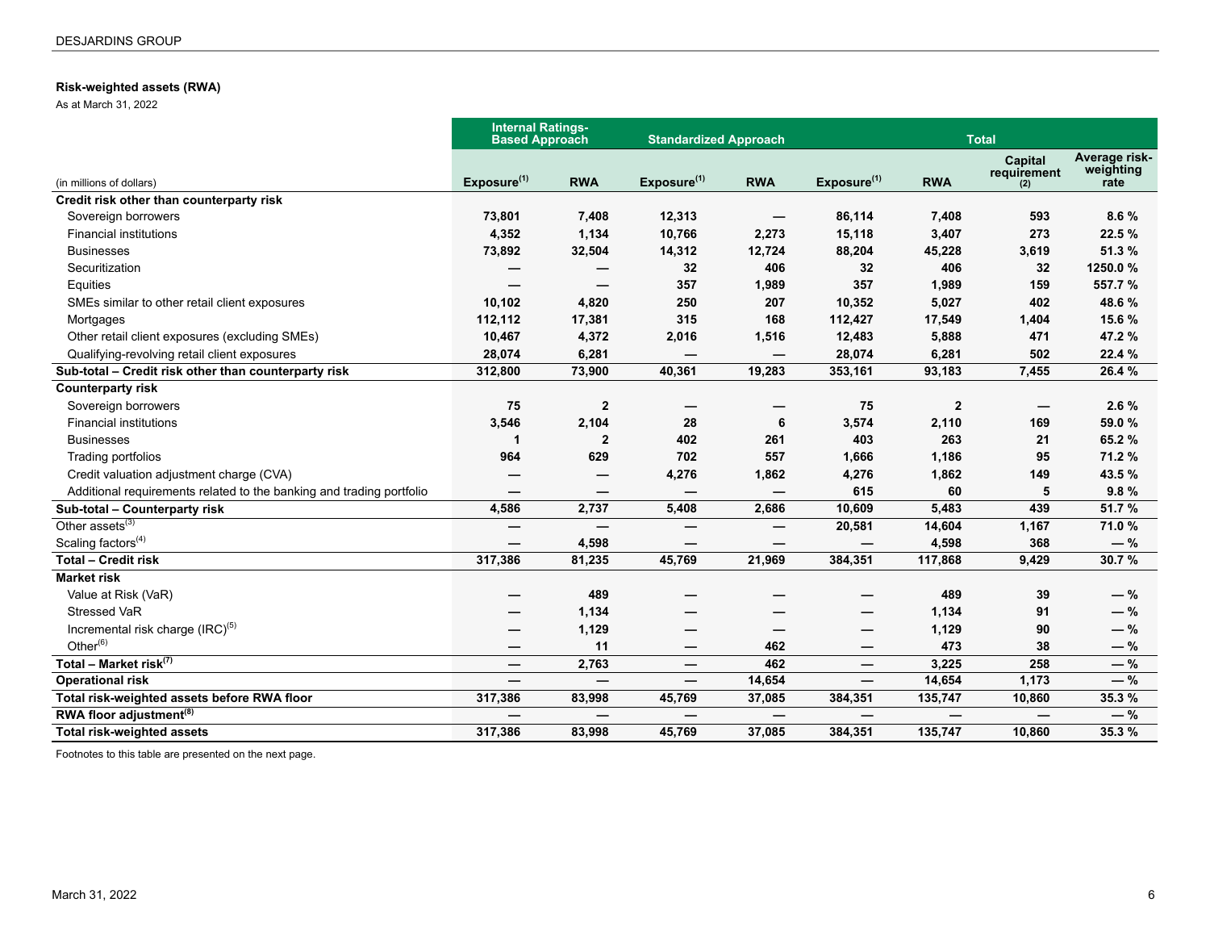### <span id="page-5-0"></span>**Risk-weighted assets (RWA)**

As at March 31, 2022

|                                                                      | <b>Internal Ratings-</b><br><b>Based Approach</b> |              | <b>Standardized Approach</b>    |            |                          |              | <b>Total</b>                    |                                    |
|----------------------------------------------------------------------|---------------------------------------------------|--------------|---------------------------------|------------|--------------------------|--------------|---------------------------------|------------------------------------|
| (in millions of dollars)                                             | Exposure $(1)$                                    | <b>RWA</b>   | Exposure <sup>(1)</sup>         | <b>RWA</b> | Exposure $(1)$           | <b>RWA</b>   | Capital<br>requirement<br>(2)   | Average risk-<br>weighting<br>rate |
| Credit risk other than counterparty risk                             |                                                   |              |                                 |            |                          |              |                                 |                                    |
| Sovereign borrowers                                                  | 73,801                                            | 7,408        | 12,313                          |            | 86,114                   | 7,408        | 593                             | 8.6%                               |
| <b>Financial institutions</b>                                        | 4,352                                             | 1,134        | 10,766                          | 2,273      | 15,118                   | 3,407        | 273                             | 22.5 %                             |
| <b>Businesses</b>                                                    | 73,892                                            | 32,504       | 14,312                          | 12,724     | 88,204                   | 45,228       | 3,619                           | 51.3 %                             |
| Securitization                                                       |                                                   |              | 32                              | 406        | 32                       | 406          | 32                              | 1250.0%                            |
| Equities                                                             |                                                   |              | 357                             | 1,989      | 357                      | 1,989        | 159                             | 557.7 %                            |
| SMEs similar to other retail client exposures                        | 10,102                                            | 4,820        | 250                             | 207        | 10,352                   | 5,027        | 402                             | 48.6%                              |
| Mortgages                                                            | 112,112                                           | 17,381       | 315                             | 168        | 112,427                  | 17,549       | 1,404                           | 15.6 %                             |
| Other retail client exposures (excluding SMEs)                       | 10,467                                            | 4,372        | 2,016                           | 1,516      | 12,483                   | 5,888        | 471                             | 47.2%                              |
| Qualifying-revolving retail client exposures                         | 28,074                                            | 6,281        | $\overline{\phantom{0}}$        | —          | 28,074                   | 6,281        | 502                             | 22.4 %                             |
| Sub-total - Credit risk other than counterparty risk                 | 312,800                                           | 73,900       | 40,361                          | 19,283     | 353,161                  | 93,183       | 7,455                           | 26.4 %                             |
| <b>Counterparty risk</b>                                             |                                                   |              |                                 |            |                          |              |                                 |                                    |
| Sovereign borrowers                                                  | 75                                                | $\mathbf{2}$ |                                 |            | 75                       | $\mathbf{2}$ | $\overbrace{\phantom{1232211}}$ | 2.6%                               |
| <b>Financial institutions</b>                                        | 3,546                                             | 2,104        | 28                              | 6          | 3,574                    | 2,110        | 169                             | 59.0 %                             |
| <b>Businesses</b>                                                    | 1                                                 | 2            | 402                             | 261        | 403                      | 263          | 21                              | 65.2%                              |
| Trading portfolios                                                   | 964                                               | 629          | 702                             | 557        | 1,666                    | 1,186        | 95                              | 71.2 %                             |
| Credit valuation adjustment charge (CVA)                             |                                                   |              | 4,276                           | 1,862      | 4,276                    | 1,862        | 149                             | 43.5%                              |
| Additional requirements related to the banking and trading portfolio |                                                   |              |                                 | —          | 615                      | 60           | 5                               | 9.8%                               |
| Sub-total - Counterparty risk                                        | 4,586                                             | 2,737        | 5,408                           | 2,686      | 10,609                   | 5,483        | 439                             | 51.7 %                             |
| Other $\overline{assets}^{(3)}$                                      |                                                   |              |                                 | –          | 20,581                   | 14,604       | 1,167                           | 71.0%                              |
| Scaling factors $(4)$                                                |                                                   | 4,598        |                                 |            |                          | 4,598        | 368                             | $-$ %                              |
| <b>Total - Credit risk</b>                                           | 317,386                                           | 81,235       | 45,769                          | 21,969     | 384,351                  | 117,868      | 9,429                           | 30.7%                              |
| <b>Market risk</b>                                                   |                                                   |              |                                 |            |                          |              |                                 |                                    |
| Value at Risk (VaR)                                                  |                                                   | 489          |                                 |            |                          | 489          | 39                              | $-$ %                              |
| Stressed VaR                                                         |                                                   | 1,134        |                                 |            | –                        | 1,134        | 91                              | $-$ %                              |
| Incremental risk charge (IRC) <sup>(5)</sup>                         |                                                   | 1,129        |                                 |            | —                        | 1,129        | 90                              | $-$ %                              |
| Other $(6)$                                                          |                                                   | 11           | $\hspace{0.1mm}-\hspace{0.1mm}$ | 462        | —                        | 473          | 38                              | $-$ %                              |
| Total – Market risk $(7)$                                            |                                                   | 2,763        |                                 | 462        | —                        | 3,225        | 258                             | $-$ %                              |
| <b>Operational risk</b>                                              |                                                   | —            | $\overline{\phantom{0}}$        | 14,654     | $\overline{\phantom{0}}$ | 14,654       | 1,173                           | $-$ %                              |
| Total risk-weighted assets before RWA floor                          | 317,386                                           | 83,998       | 45,769                          | 37,085     | 384,351                  | 135,747      | 10,860                          | 35.3 %                             |
| RWA floor adjustment <sup>(8)</sup>                                  |                                                   |              | —                               | —          | —                        | —            | —                               | —%                                 |
| <b>Total risk-weighted assets</b>                                    | 317,386                                           | 83,998       | 45,769                          | 37,085     | 384,351                  | 135,747      | 10.860                          | 35.3 %                             |

Footnotes to this table are presented on the next page.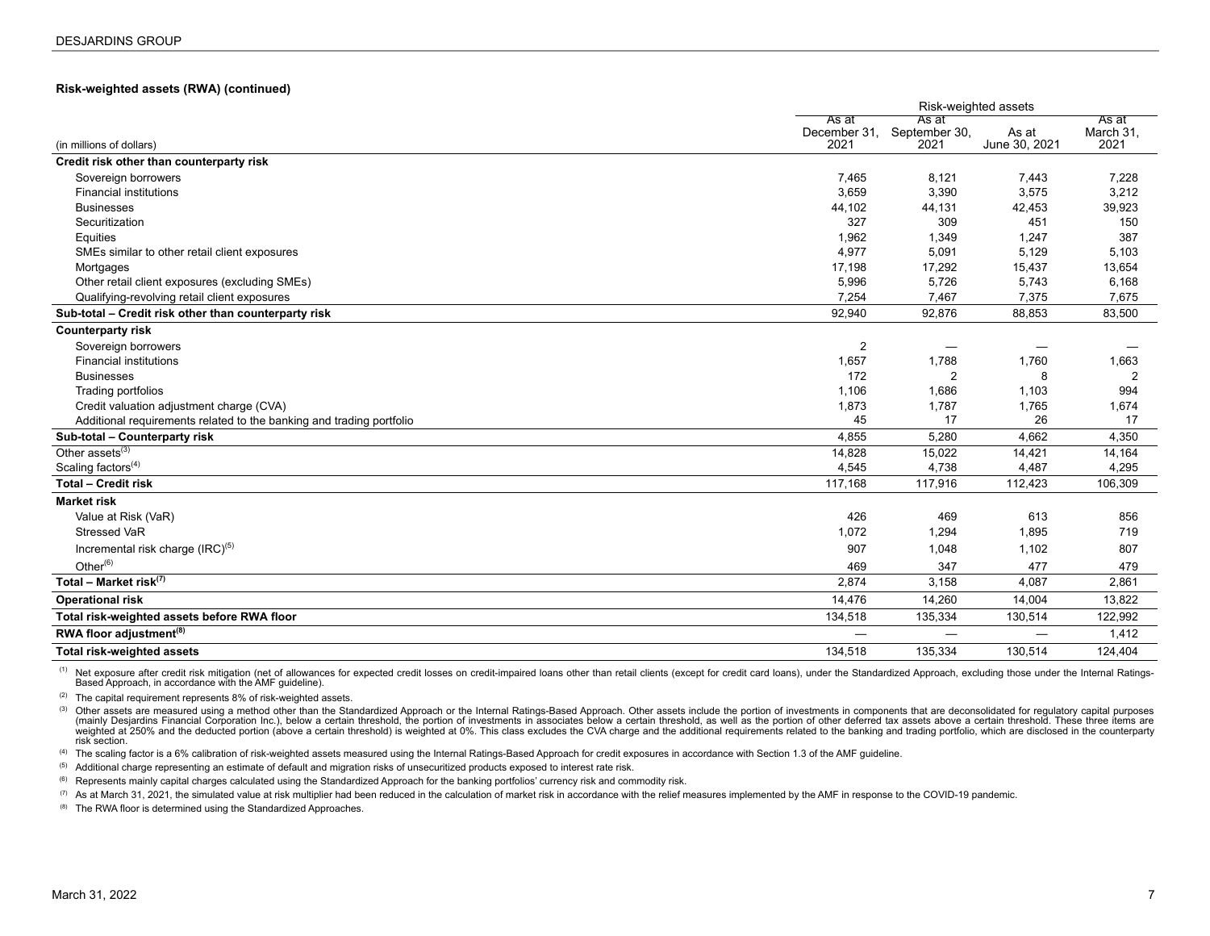#### **Risk-weighted assets (RWA) (continued)**

|                                                                      |                               | Risk-weighted assets           |                        |                            |  |  |  |
|----------------------------------------------------------------------|-------------------------------|--------------------------------|------------------------|----------------------------|--|--|--|
| (in millions of dollars)                                             | As at<br>December 31,<br>2021 | As at<br>September 30,<br>2021 | As at<br>June 30, 2021 | As at<br>March 31,<br>2021 |  |  |  |
| Credit risk other than counterparty risk                             |                               |                                |                        |                            |  |  |  |
| Sovereign borrowers                                                  | 7,465                         | 8,121                          | 7,443                  | 7,228                      |  |  |  |
| <b>Financial institutions</b>                                        | 3,659                         | 3,390                          | 3,575                  | 3,212                      |  |  |  |
| <b>Businesses</b>                                                    | 44,102                        | 44,131                         | 42,453                 | 39,923                     |  |  |  |
| Securitization                                                       | 327                           | 309                            | 451                    | 150                        |  |  |  |
| Equities                                                             | 1,962                         | 1,349                          | 1,247                  | 387                        |  |  |  |
| SMEs similar to other retail client exposures                        | 4,977                         | 5,091                          | 5,129                  | 5,103                      |  |  |  |
| Mortgages                                                            | 17,198                        | 17,292                         | 15,437                 | 13,654                     |  |  |  |
| Other retail client exposures (excluding SMEs)                       | 5,996                         | 5,726                          | 5,743                  | 6,168                      |  |  |  |
| Qualifying-revolving retail client exposures                         | 7,254                         | 7,467                          | 7,375                  | 7,675                      |  |  |  |
| Sub-total - Credit risk other than counterparty risk                 | 92,940                        | 92,876                         | 88,853                 | 83,500                     |  |  |  |
| <b>Counterparty risk</b>                                             |                               |                                |                        |                            |  |  |  |
| Sovereign borrowers                                                  | $\overline{2}$                |                                |                        |                            |  |  |  |
| <b>Financial institutions</b>                                        | 1,657                         | 1,788                          | 1,760                  | 1,663                      |  |  |  |
| <b>Businesses</b>                                                    | 172                           | $\overline{2}$                 | 8                      | $\overline{2}$             |  |  |  |
| Trading portfolios                                                   | 1,106                         | 1,686                          | 1,103                  | 994                        |  |  |  |
| Credit valuation adjustment charge (CVA)                             | 1,873                         | 1,787                          | 1,765                  | 1,674                      |  |  |  |
| Additional requirements related to the banking and trading portfolio | 45                            | 17                             | 26                     | 17                         |  |  |  |
| Sub-total - Counterparty risk                                        | 4,855                         | 5,280                          | 4,662                  | 4,350                      |  |  |  |
| Other assets <sup>(3)</sup>                                          | 14,828                        | 15,022                         | 14,421                 | 14,164                     |  |  |  |
| Scaling factors <sup>(4)</sup>                                       | 4,545                         | 4,738                          | 4,487                  | 4,295                      |  |  |  |
| <b>Total - Credit risk</b>                                           | 117,168                       | 117,916                        | 112,423                | 106,309                    |  |  |  |
| <b>Market risk</b>                                                   |                               |                                |                        |                            |  |  |  |
| Value at Risk (VaR)                                                  | 426                           | 469                            | 613                    | 856                        |  |  |  |
| <b>Stressed VaR</b>                                                  | 1,072                         | 1,294                          | 1,895                  | 719                        |  |  |  |
| Incremental risk charge (IRC) <sup>(5)</sup>                         | 907                           | 1,048                          | 1,102                  | 807                        |  |  |  |
| Other $^{(6)}$                                                       | 469                           | 347                            | 477                    | 479                        |  |  |  |
| Total - Market risk $(7)$                                            | 2,874                         | 3,158                          | 4,087                  | 2,861                      |  |  |  |
| <b>Operational risk</b>                                              | 14,476                        | 14,260                         | 14,004                 | 13,822                     |  |  |  |
| Total risk-weighted assets before RWA floor                          | 134,518                       | 135,334                        | 130,514                | 122,992                    |  |  |  |
| RWA floor adjustment <sup>(8)</sup>                                  |                               | $\overline{\phantom{0}}$       | —                      | 1,412                      |  |  |  |
| <b>Total risk-weighted assets</b>                                    | 134,518                       | 135,334                        | 130,514                | 124,404                    |  |  |  |

<sup>(1)</sup> Net exposure after credit risk mitigation (net of allowances for expected credit losses on credit-impaired loans other than retail clients (except for credit card loans), under the Standardized Approach, excluding th Based Approach, in accordance with the AMF guideline).

(2) The capital requirement represents 8% of risk-weighted assets.

(3) Other assets are measured using a method other than the Standardized Approach or the Internal Ratings-Based Approach. Other assets include the portion of investments in components that are deconsolidated for regulatory (mainly Desjardins Financial Corporation Inc.), below a certain threshold, the portion of investments in associates below a certain threshold, as well as the portion of other deferred tax assets above a certain threshold. risk section.

(4) The scaling factor is a 6% calibration of risk-weighted assets measured using the Internal Ratings-Based Approach for credit exposures in accordance with Section 1.3 of the AMF guideline.

(5) Additional charge representing an estimate of default and migration risks of unsecuritized products exposed to interest rate risk.

<sup>(6)</sup> Represents mainly capital charges calculated using the Standardized Approach for the banking portfolios' currency risk and commodity risk.

(7) As at March 31, 2021, the simulated value at risk multiplier had been reduced in the calculation of market risk in accordance with the relief measures implemented by the AMF in response to the COVID-19 pandemic.

(8) The RWA floor is determined using the Standardized Approaches.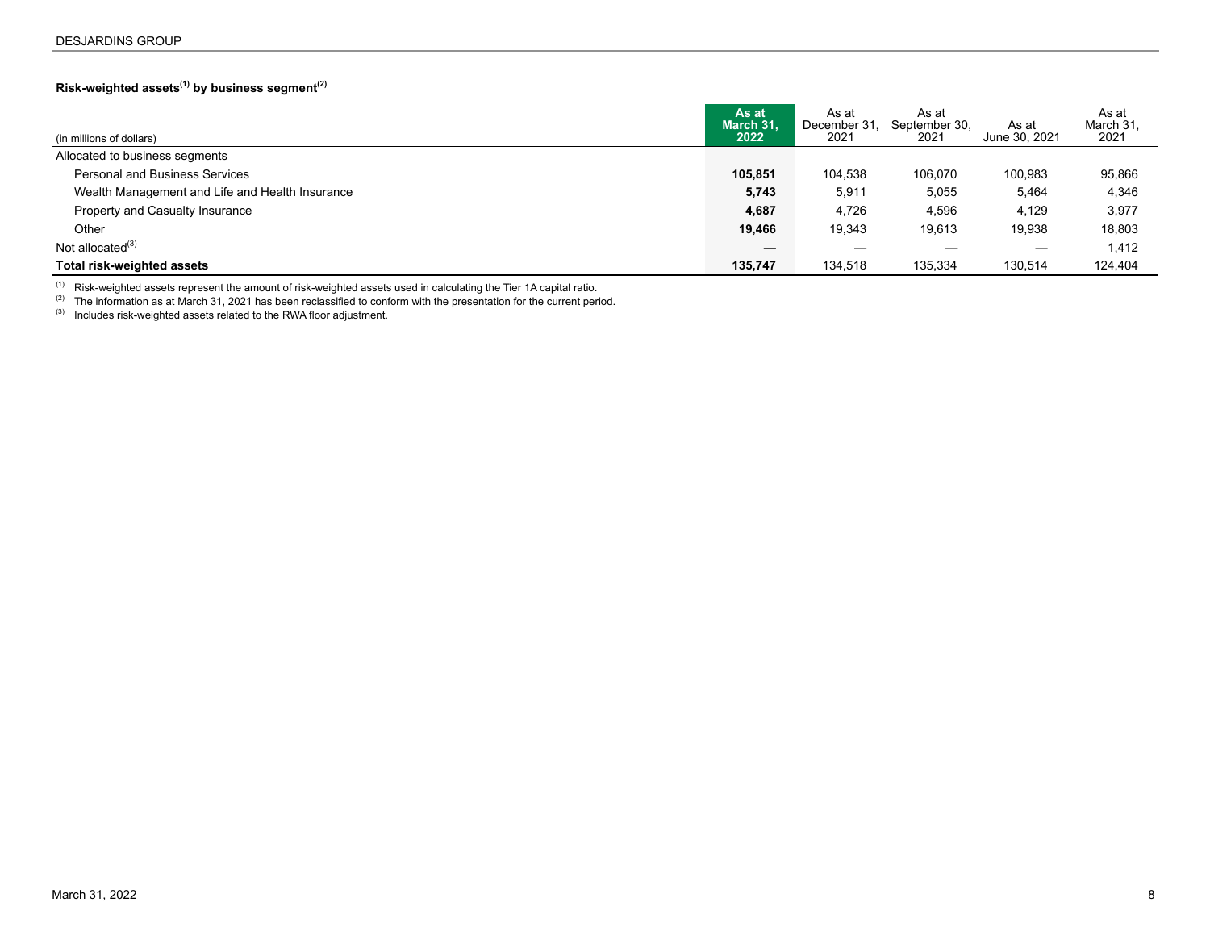## <span id="page-7-0"></span>**Risk-weighted assets(1) by business segment(2)**

| (in millions of dollars)                        | As at<br>March 31.<br>2022 | As at<br>December 31.<br>2021 | As at<br>September 30,<br>2021 | As at<br>June 30, 2021 | As at<br>March 31,<br>2021 |
|-------------------------------------------------|----------------------------|-------------------------------|--------------------------------|------------------------|----------------------------|
| Allocated to business segments                  |                            |                               |                                |                        |                            |
| <b>Personal and Business Services</b>           | 105,851                    | 104.538                       | 106.070                        | 100.983                | 95,866                     |
| Wealth Management and Life and Health Insurance | 5,743                      | 5,911                         | 5,055                          | 5,464                  | 4,346                      |
| Property and Casualty Insurance                 | 4,687                      | 4,726                         | 4,596                          | 4.129                  | 3,977                      |
| Other                                           | 19,466                     | 19.343                        | 19.613                         | 19,938                 | 18,803                     |
| Not allocated <sup>(3)</sup>                    |                            |                               |                                |                        | 1,412                      |
| Total risk-weighted assets                      | 135,747                    | 134.518                       | 135.334                        | 130.514                | 124.404                    |

 $(1)$  Risk-weighted assets represent the amount of risk-weighted assets used in calculating the Tier 1A capital ratio.

 $(2)$  The information as at March 31, 2021 has been reclassified to conform with the presentation for the current period.

(3) Includes risk-weighted assets related to the RWA floor adjustment.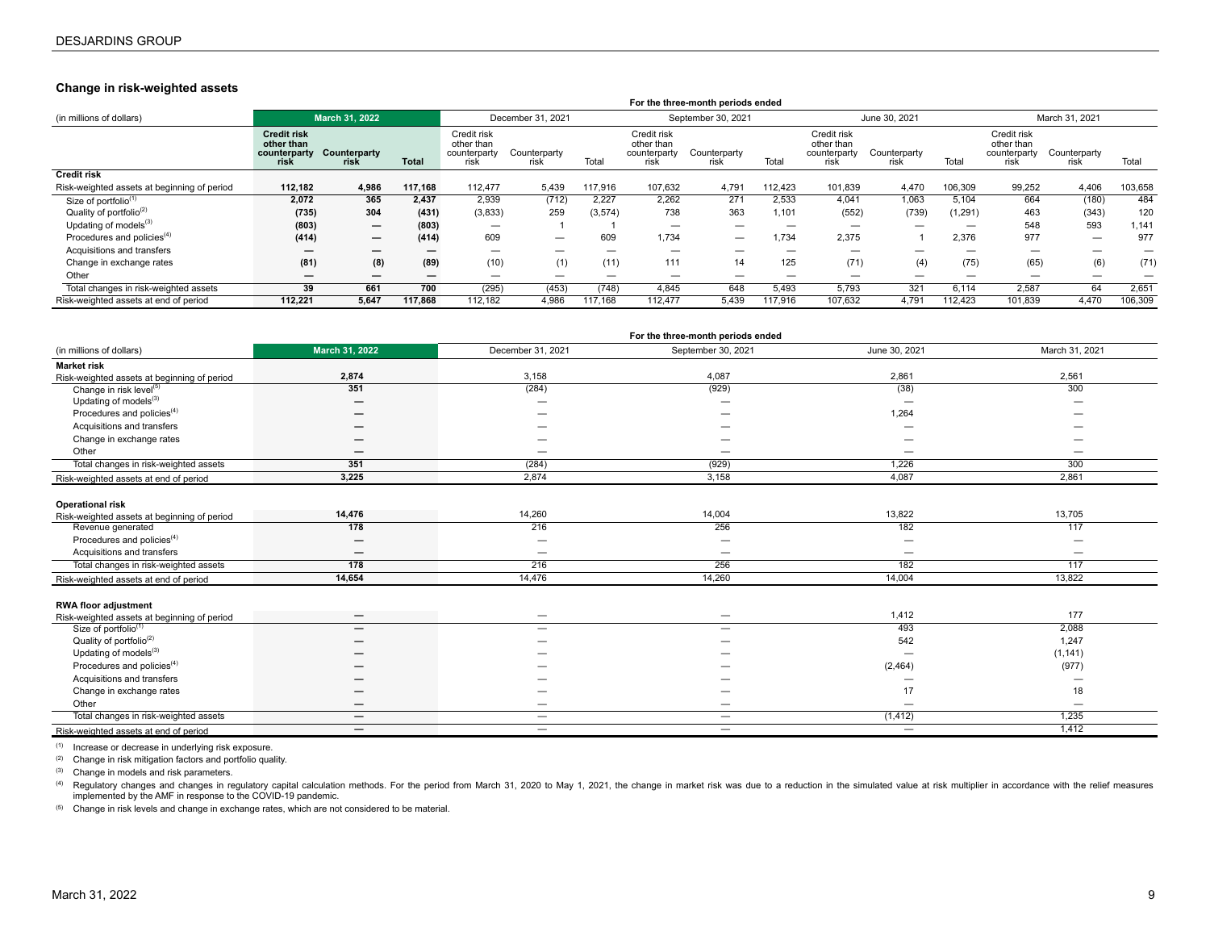#### <span id="page-8-0"></span>**Change in risk-weighted assets**

|                                             |                                                   |                          |              |                                                   |                          |                          |                                                   | For the three-month periods ended |                          |                                                   |                      |                |                                                   |                          |         |
|---------------------------------------------|---------------------------------------------------|--------------------------|--------------|---------------------------------------------------|--------------------------|--------------------------|---------------------------------------------------|-----------------------------------|--------------------------|---------------------------------------------------|----------------------|----------------|---------------------------------------------------|--------------------------|---------|
| (in millions of dollars)                    |                                                   | <b>March 31, 2022</b>    |              |                                                   | December 31, 2021        |                          | September 30, 2021                                |                                   | June 30, 2021            |                                                   |                      | March 31, 2021 |                                                   |                          |         |
|                                             | Credit risk<br>other than<br>counterparty<br>risk | Counterparty<br>risk     | <b>Total</b> | Credit risk<br>other than<br>counterparty<br>risk | Counterparty<br>risk     | Total                    | Credit risk<br>other than<br>counterparty<br>risk | Counterparty<br>risk              | Total                    | Credit risk<br>other than<br>counterparty<br>risk | Counterparty<br>rısk | Total          | Credit risk<br>other than<br>counterparty<br>risk | Counterparty<br>risk     | Total   |
| <b>Credit risk</b>                          |                                                   |                          |              |                                                   |                          |                          |                                                   |                                   |                          |                                                   |                      |                |                                                   |                          |         |
| Risk-weighted assets at beginning of period | 112,182                                           | 4,986                    | 117,168      | 112,477                                           | 5,439                    | 117.916                  | 107,632                                           | 4,791                             | 12,423                   | 101,839                                           | 4,470                | 106,309        | 99,252                                            | 4,406                    | 103,658 |
| Size of portfolio <sup>(1)</sup>            | 2.072                                             | 365                      | 2.437        | 2.939                                             | (712)                    | 2.227                    | 2,262                                             | 271                               | 2.533                    | 4.041                                             | 1,063                | 5.104          | 664                                               | (180)                    | 484     |
| Quality of portfolio <sup>(2)</sup>         | (735)                                             | 304                      | (431)        | (3,833)                                           | 259                      | (3,574)                  | 738                                               | 363                               | 1,101                    | (552)                                             | (739)                | (1, 291)       | 463                                               | (343)                    | 120     |
| Updating of models <sup>(3)</sup>           | (803)                                             |                          | (803)        |                                                   |                          |                          | -                                                 | $\overline{\phantom{0}}$          |                          | –                                                 | -                    | -              | 548                                               | 593                      | 1,141   |
| Procedures and policies <sup>(4)</sup>      | (414)                                             | $\overline{\phantom{0}}$ | (414)        | 609                                               | $\overline{\phantom{0}}$ | 609                      | 1,734                                             |                                   | 1.734                    | 2,375                                             |                      | 2,376          | 977                                               | $\overline{\phantom{0}}$ | 977     |
| Acquisitions and transfers                  | $\overline{\phantom{0}}$                          | $\overline{\phantom{0}}$ | –            |                                                   | $\overline{\phantom{0}}$ | $\overline{\phantom{0}}$ | $\overline{\phantom{0}}$                          | $\overline{\phantom{m}}$          | $\overline{\phantom{0}}$ | —                                                 | -                    |                | $\overline{\phantom{0}}$                          |                          |         |
| Change in exchange rates                    | (81)                                              | (8)                      | (89)         | (10)                                              | (1)                      | (11)                     | 111                                               | 14                                | 125                      | (71)                                              | (4)                  | (75)           | (65)                                              | (6)                      | (71)    |
| Other                                       | $\overline{\phantom{0}}$                          |                          |              | –                                                 |                          | _                        |                                                   |                                   | —                        | –                                                 | -                    |                |                                                   |                          |         |
| Total changes in risk-weighted assets       | 39                                                | 661                      | 700          | (295)                                             | (453)                    | (748)                    | 4,845                                             | 648                               | 5,493                    | 5,793                                             | 321                  | 6,114          | 2,587                                             | 64                       | 2,651   |
| Risk-weighted assets at end of period       | 112.221                                           | 5.647                    | 117,868      | 112,182                                           | 4.986                    | 117,168                  | 112.477                                           | 5,439                             | 117,916                  | 107,632                                           | 4,791                | 112,423        | 101,839                                           | 4,470                    | 106,309 |

|                                             |                                 |                                | For the three-month periods ended |               |                        |
|---------------------------------------------|---------------------------------|--------------------------------|-----------------------------------|---------------|------------------------|
| (in millions of dollars)                    | March 31, 2022                  | December 31, 2021              | September 30, 2021                | June 30, 2021 | March 31, 2021         |
| <b>Market risk</b>                          |                                 |                                |                                   |               |                        |
| Risk-weighted assets at beginning of period | 2,874                           | 3,158                          | 4,087                             | 2,861         | 2,561                  |
| Change in risk level <sup>(5)</sup>         | 351                             | (284)                          | (929)                             | (38)          | 300                    |
| Updating of models $^{(3)}$                 |                                 |                                |                                   | -             |                        |
| Procedures and policies <sup>(4)</sup>      |                                 |                                |                                   | 1,264         |                        |
| Acquisitions and transfers                  |                                 |                                |                                   |               |                        |
| Change in exchange rates                    |                                 |                                |                                   |               |                        |
| Other                                       |                                 | -                              |                                   |               |                        |
| Total changes in risk-weighted assets       | 351                             | (284)                          | (929)                             | 1,226         | 300                    |
| Risk-weighted assets at end of period       | 3,225                           | 2,874                          | 3,158                             | 4,087         | 2,861                  |
|                                             |                                 |                                |                                   |               |                        |
| <b>Operational risk</b>                     |                                 |                                |                                   |               |                        |
| Risk-weighted assets at beginning of period | 14,476                          | 14,260                         | 14,004                            | 13,822        | 13,705                 |
| Revenue generated                           | 178                             | 216                            | 256                               | 182           | 117                    |
| Procedures and policies <sup>(4)</sup>      | -                               |                                |                                   |               |                        |
| Acquisitions and transfers                  |                                 |                                | $\overline{\phantom{0}}$          |               | -                      |
| Total changes in risk-weighted assets       | 178                             | 216                            | 256                               | 182           | 117                    |
| Risk-weighted assets at end of period       | 14,654                          | 14,476                         | 14,260                            | 14,004        | 13,822                 |
|                                             |                                 |                                |                                   |               |                        |
| <b>RWA floor adjustment</b>                 |                                 |                                |                                   |               |                        |
| Risk-weighted assets at beginning of period | $\hspace{0.1mm}-\hspace{0.1mm}$ | $\qquad \qquad \longleftarrow$ | $\overline{\phantom{m}}$          | 1,412         | 177                    |
| Size of portfolio <sup>(1)</sup>            |                                 | —                              | $\overline{\phantom{m}}$          | 493           | 2,088                  |
| Quality of portfolio <sup>(2)</sup>         |                                 |                                |                                   | 542           | 1,247                  |
| Updating of models <sup>(3)</sup>           |                                 |                                |                                   |               | (1, 141)               |
| Procedures and policies <sup>(4)</sup>      |                                 |                                |                                   | (2,464)       | (977)                  |
| Acquisitions and transfers                  |                                 |                                |                                   |               | $\qquad \qquad \qquad$ |
| Change in exchange rates                    |                                 |                                |                                   | 17            | 18                     |
| Other                                       |                                 | -                              | -                                 | —             | $\qquad \qquad \qquad$ |
| Total changes in risk-weighted assets       | $\overline{\phantom{m}}$        | $\qquad \qquad \longleftarrow$ | $\overline{\phantom{m}}$          | (1, 412)      | 1,235                  |
| Risk-weighted assets at end of period       | —                               |                                | -                                 |               | 1,412                  |

(1) Increase or decrease in underlying risk exposure.

(2) Change in risk mitigation factors and portfolio quality.

(3) Change in models and risk parameters.

<sup>(4)</sup> Regulatory changes and changes in regulatory capital calculation methods. For the period from March 31, 2020 to May 1, 2021, the change in market risk was due to a reduction in the simulated value at risk multiplier

(5) Change in risk levels and change in exchange rates, which are not considered to be material.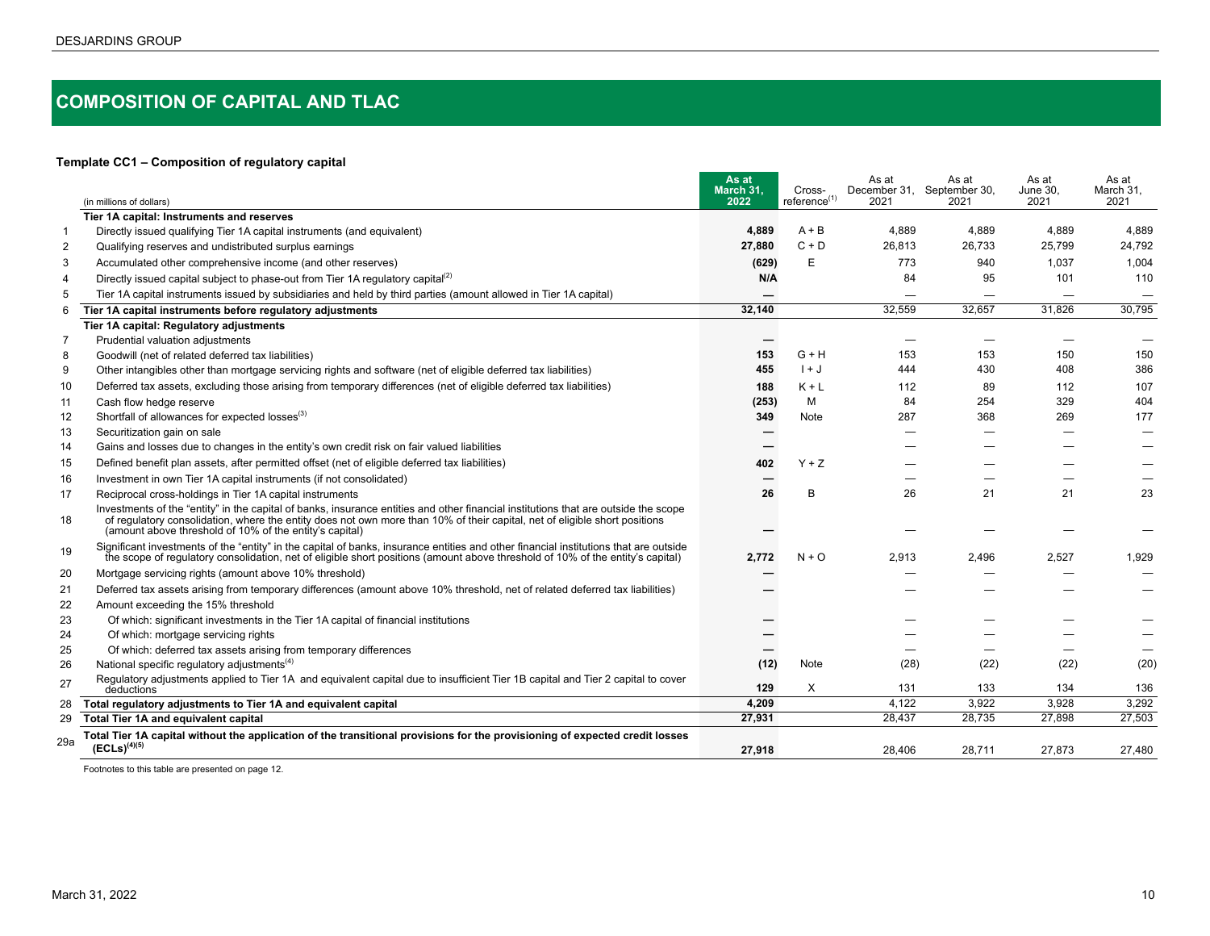# <span id="page-9-0"></span>**COMPOSITION OF CAPITAL AND TLAC**

#### **Template CC1 – Composition of regulatory capital**

|                | (in millions of dollars)                                                                                                                                                                                                                                                                                                     | As at<br>March 31.<br>2022 | Cross-<br>reference <sup>(1)</sup> | As at<br>2021 | As at<br>December 31, September 30,<br>2021 | As at<br>June 30.<br>2021 | As at<br>March 31.<br>2021 |
|----------------|------------------------------------------------------------------------------------------------------------------------------------------------------------------------------------------------------------------------------------------------------------------------------------------------------------------------------|----------------------------|------------------------------------|---------------|---------------------------------------------|---------------------------|----------------------------|
|                | Tier 1A capital: Instruments and reserves                                                                                                                                                                                                                                                                                    |                            |                                    |               |                                             |                           |                            |
| -1             | Directly issued qualifying Tier 1A capital instruments (and equivalent)                                                                                                                                                                                                                                                      | 4.889                      | $A + B$                            | 4.889         | 4,889                                       | 4.889                     | 4,889                      |
| $\overline{2}$ | Qualifying reserves and undistributed surplus earnings                                                                                                                                                                                                                                                                       | 27,880                     | $C + D$                            | 26,813        | 26,733                                      | 25,799                    | 24,792                     |
| 3              | Accumulated other comprehensive income (and other reserves)                                                                                                                                                                                                                                                                  | (629)                      | E                                  | 773           | 940                                         | 1.037                     | 1.004                      |
| $\overline{4}$ | Directly issued capital subject to phase-out from Tier 1A regulatory capital <sup>(2)</sup>                                                                                                                                                                                                                                  | N/A                        |                                    | 84            | 95                                          | 101                       | 110                        |
| .5             | Tier 1A capital instruments issued by subsidiaries and held by third parties (amount allowed in Tier 1A capital)                                                                                                                                                                                                             |                            |                                    |               |                                             |                           |                            |
| 6              | Tier 1A capital instruments before regulatory adjustments                                                                                                                                                                                                                                                                    | 32,140                     |                                    | 32,559        | 32,657                                      | 31.826                    | 30,795                     |
|                | Tier 1A capital: Regulatory adjustments                                                                                                                                                                                                                                                                                      |                            |                                    |               |                                             |                           |                            |
| 7              | Prudential valuation adjustments                                                                                                                                                                                                                                                                                             |                            |                                    |               |                                             |                           |                            |
| 8              | Goodwill (net of related deferred tax liabilities)                                                                                                                                                                                                                                                                           | 153                        | G + H                              | 153           | 153                                         | 150                       | 150                        |
| 9              | Other intangibles other than mortgage servicing rights and software (net of eligible deferred tax liabilities)                                                                                                                                                                                                               | 455                        | $1 + J$                            | 444           | 430                                         | 408                       | 386                        |
| 10             | Deferred tax assets, excluding those arising from temporary differences (net of eligible deferred tax liabilities)                                                                                                                                                                                                           | 188                        | $K + L$                            | 112           | 89                                          | 112                       | 107                        |
| 11             | Cash flow hedge reserve                                                                                                                                                                                                                                                                                                      | (253)                      | M                                  | 84            | 254                                         | 329                       | 404                        |
| 12             | Shortfall of allowances for expected losses <sup>(3)</sup>                                                                                                                                                                                                                                                                   | 349                        | Note                               | 287           | 368                                         | 269                       | 177                        |
| 13             | Securitization gain on sale                                                                                                                                                                                                                                                                                                  |                            |                                    |               | $\overline{\phantom{0}}$                    |                           |                            |
| 14             | Gains and losses due to changes in the entity's own credit risk on fair valued liabilities                                                                                                                                                                                                                                   |                            |                                    |               |                                             |                           |                            |
| 15             | Defined benefit plan assets, after permitted offset (net of eligible deferred tax liabilities)                                                                                                                                                                                                                               | 402                        | $Y + Z$                            |               |                                             |                           |                            |
| 16             | Investment in own Tier 1A capital instruments (if not consolidated)                                                                                                                                                                                                                                                          |                            |                                    |               |                                             |                           |                            |
| 17             | Reciprocal cross-holdings in Tier 1A capital instruments                                                                                                                                                                                                                                                                     | 26                         | B                                  | 26            | 21                                          | 21                        | 23                         |
| 18             | Investments of the "entity" in the capital of banks, insurance entities and other financial institutions that are outside the scope<br>of requlatory consolidation, where the entity does not own more than 10% of their capital, net of eligible short positions<br>(amount above threshold of 10% of the entity's capital) |                            |                                    |               |                                             |                           |                            |
| 19             | Significant investments of the "entity" in the capital of banks, insurance entities and other financial institutions that are outside<br>the scope of regulatory consolidation, net of eligible short positions (amount above threshold of 10% of the entity's capital)                                                      | 2,772                      | $N + O$                            | 2.913         | 2.496                                       | 2,527                     | 1,929                      |
| 20             | Mortgage servicing rights (amount above 10% threshold)                                                                                                                                                                                                                                                                       |                            |                                    |               |                                             |                           |                            |
| 21             | Deferred tax assets arising from temporary differences (amount above 10% threshold, net of related deferred tax liabilities)                                                                                                                                                                                                 |                            |                                    |               |                                             |                           |                            |
| 22             | Amount exceeding the 15% threshold                                                                                                                                                                                                                                                                                           |                            |                                    |               |                                             |                           |                            |
| 23             | Of which: significant investments in the Tier 1A capital of financial institutions                                                                                                                                                                                                                                           |                            |                                    |               |                                             |                           |                            |
| 24             | Of which: mortgage servicing rights                                                                                                                                                                                                                                                                                          |                            |                                    |               |                                             |                           |                            |
| 25             | Of which: deferred tax assets arising from temporary differences                                                                                                                                                                                                                                                             |                            |                                    |               |                                             |                           |                            |
| 26             | National specific regulatory adjustments <sup>(4)</sup>                                                                                                                                                                                                                                                                      | (12)                       | Note                               | (28)          | (22)                                        | (22)                      | (20)                       |
| 27             | Regulatory adjustments applied to Tier 1A and equivalent capital due to insufficient Tier 1B capital and Tier 2 capital to cover<br>deductions                                                                                                                                                                               | 129                        | X                                  | 131           | 133                                         | 134                       | 136                        |
| 28             | Total regulatory adjustments to Tier 1A and equivalent capital                                                                                                                                                                                                                                                               | 4.209                      |                                    | 4,122         | 3.922                                       | 3,928                     | 3,292                      |
| 29             | Total Tier 1A and equivalent capital                                                                                                                                                                                                                                                                                         | 27,931                     |                                    | 28,437        | 28,735                                      | 27,898                    | 27,503                     |
| 29a            | Total Tier 1A capital without the application of the transitional provisions for the provisioning of expected credit losses<br>$(ECLs)^{(4)(5)}$                                                                                                                                                                             | 27.918                     |                                    | 28.406        | 28,711                                      | 27.873                    | 27.480                     |

Footnotes to this table are presented on page 12.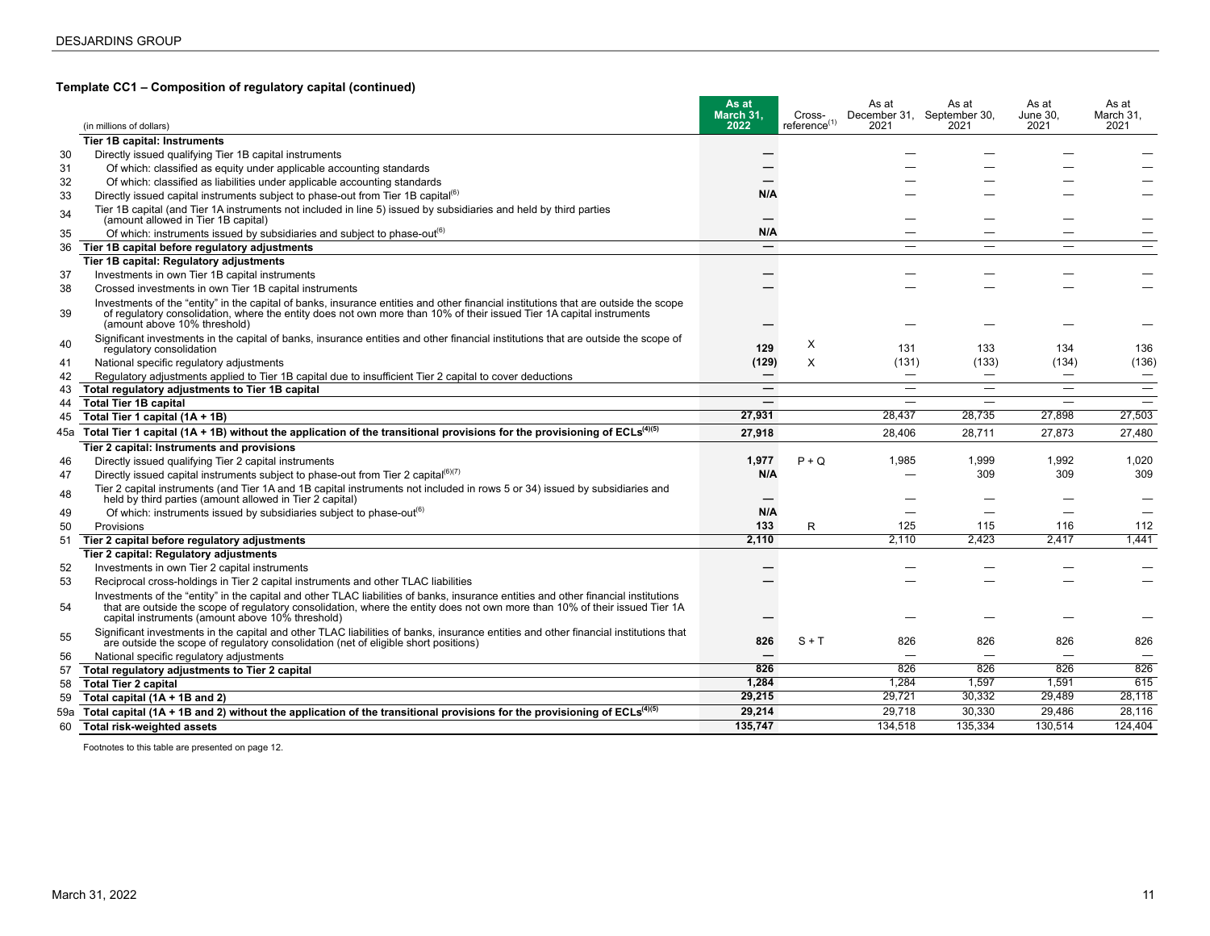#### **Template CC1 – Composition of regulatory capital (continued)**

|     |                                                                                                                                                                                                                                                                                                                        | As at<br>March 31.       | Cross-<br>reference <sup>(1)</sup> | As at                    | As at<br>December 31, September 30, | As at<br>June 30. | As at<br>March 31. |
|-----|------------------------------------------------------------------------------------------------------------------------------------------------------------------------------------------------------------------------------------------------------------------------------------------------------------------------|--------------------------|------------------------------------|--------------------------|-------------------------------------|-------------------|--------------------|
|     | (in millions of dollars)                                                                                                                                                                                                                                                                                               | 2022                     |                                    | 2021                     | 2021                                | 2021              | 2021               |
|     | <b>Tier 1B capital: Instruments</b>                                                                                                                                                                                                                                                                                    |                          |                                    |                          |                                     |                   |                    |
| 30  | Directly issued qualifying Tier 1B capital instruments                                                                                                                                                                                                                                                                 |                          |                                    |                          |                                     |                   |                    |
| 31  | Of which: classified as equity under applicable accounting standards                                                                                                                                                                                                                                                   |                          |                                    |                          |                                     |                   |                    |
| 32  | Of which: classified as liabilities under applicable accounting standards                                                                                                                                                                                                                                              |                          |                                    |                          |                                     |                   |                    |
| 33  | Directly issued capital instruments subject to phase-out from Tier 1B capital <sup>(6)</sup>                                                                                                                                                                                                                           | N/A                      |                                    |                          |                                     |                   |                    |
| 34  | Tier 1B capital (and Tier 1A instruments not included in line 5) issued by subsidiaries and held by third parties<br>(amount allowed in Tier 1B capital)                                                                                                                                                               |                          |                                    |                          |                                     |                   |                    |
| 35  | Of which: instruments issued by subsidiaries and subject to phase-out <sup>(6)</sup>                                                                                                                                                                                                                                   | N/A                      |                                    | —                        |                                     |                   |                    |
| 36  | Tier 1B capital before regulatory adjustments                                                                                                                                                                                                                                                                          | $\hspace{0.05cm}$        |                                    | –                        | -                                   | -                 |                    |
|     | Tier 1B capital: Regulatory adjustments                                                                                                                                                                                                                                                                                |                          |                                    |                          |                                     |                   |                    |
| 37  | Investments in own Tier 1B capital instruments                                                                                                                                                                                                                                                                         |                          |                                    |                          |                                     |                   |                    |
| 38  | Crossed investments in own Tier 1B capital instruments                                                                                                                                                                                                                                                                 |                          |                                    |                          |                                     |                   |                    |
| 39  | Investments of the "entity" in the capital of banks, insurance entities and other financial institutions that are outside the scope<br>of regulatory consolidation, where the entity does not own more than 10% of their issued Tier 1A capital instruments<br>(amount above 10% threshold)                            |                          |                                    |                          |                                     |                   |                    |
| 40  | Significant investments in the capital of banks, insurance entities and other financial institutions that are outside the scope of                                                                                                                                                                                     |                          | X                                  |                          |                                     |                   |                    |
|     | regulatory consolidation                                                                                                                                                                                                                                                                                               | 129                      |                                    | 131                      | 133                                 | 134               | 136                |
| -41 | National specific regulatory adjustments                                                                                                                                                                                                                                                                               | (129)                    | X                                  | (131)                    | (133)                               | (134)             | (136)              |
| 42  | Regulatory adjustments applied to Tier 1B capital due to insufficient Tier 2 capital to cover deductions                                                                                                                                                                                                               | $\hspace{0.05cm}$        |                                    | $\overline{\phantom{0}}$ | $\overbrace{\phantom{12322111}}$    | —                 |                    |
| 43  | Total regulatory adjustments to Tier 1B capital                                                                                                                                                                                                                                                                        |                          |                                    | –                        |                                     |                   |                    |
| 44  | <b>Total Tier 1B capital</b>                                                                                                                                                                                                                                                                                           |                          |                                    |                          |                                     |                   |                    |
| 45  | Total Tier 1 capital (1A + 1B)                                                                                                                                                                                                                                                                                         | 27,931                   |                                    | 28.437                   | 28,735                              | 27.898            | 27,503             |
|     | 45a Total Tier 1 capital (1A + 1B) without the application of the transitional provisions for the provisioning of ECLs <sup>(4)(5)</sup>                                                                                                                                                                               | 27,918                   |                                    | 28,406                   | 28,711                              | 27.873            | 27.480             |
|     | Tier 2 capital: Instruments and provisions                                                                                                                                                                                                                                                                             |                          |                                    |                          |                                     |                   |                    |
| 46  | Directly issued qualifying Tier 2 capital instruments                                                                                                                                                                                                                                                                  | 1,977                    | $P + Q$                            | 1.985                    | 1,999                               | 1,992             | 1,020              |
| 47  | Directly issued capital instruments subject to phase-out from Tier 2 capital $^{(6)(7)}$                                                                                                                                                                                                                               | N/A                      |                                    |                          | 309                                 | 309               | 309                |
| 48  | Tier 2 capital instruments (and Tier 1A and 1B capital instruments not included in rows 5 or 34) issued by subsidiaries and<br>held by third parties (amount allowed in Tier 2 capital)                                                                                                                                |                          |                                    |                          |                                     |                   |                    |
| 49  | Of which: instruments issued by subsidiaries subject to phase-out <sup>(6)</sup>                                                                                                                                                                                                                                       | N/A                      |                                    |                          |                                     |                   |                    |
| 50  | Provisions                                                                                                                                                                                                                                                                                                             | 133                      | R                                  | 125                      | 115                                 | 116               | 112                |
| 51  | Tier 2 capital before regulatory adjustments                                                                                                                                                                                                                                                                           | 2.110                    |                                    | 2.110                    | 2.423                               | 2,417             | 1.441              |
|     | Tier 2 capital: Regulatory adjustments                                                                                                                                                                                                                                                                                 |                          |                                    |                          |                                     |                   |                    |
| 52  | Investments in own Tier 2 capital instruments                                                                                                                                                                                                                                                                          |                          |                                    |                          |                                     |                   |                    |
| 53  | Reciprocal cross-holdings in Tier 2 capital instruments and other TLAC liabilities                                                                                                                                                                                                                                     |                          |                                    |                          |                                     |                   |                    |
| 54  | Investments of the "entity" in the capital and other TLAC liabilities of banks, insurance entities and other financial institutions<br>that are outside the scope of regulatory consolidation, where the entity does not own more than 10% of their issued Tier 1A<br>capital instruments (amount above 10% threshold) |                          |                                    |                          |                                     |                   |                    |
| 55  | Significant investments in the capital and other TLAC liabilities of banks, insurance entities and other financial institutions that<br>are outside the scope of regulatory consolidation (net of eligible short positions)                                                                                            | 826                      | $S + T$                            | 826                      | 826                                 | 826               | 826                |
| 56  | National specific regulatory adjustments                                                                                                                                                                                                                                                                               | $\overline{\phantom{0}}$ |                                    |                          | ÷                                   | ÷                 |                    |
| 57  | Total regulatory adjustments to Tier 2 capital                                                                                                                                                                                                                                                                         | 826                      |                                    | 826                      | 826                                 | 826               | 826                |
| 58  | <b>Total Tier 2 capital</b>                                                                                                                                                                                                                                                                                            | 1,284                    |                                    | 1,284                    | 1,597                               | 1,591             | 615                |
| 59  | Total capital (1A + 1B and 2)                                                                                                                                                                                                                                                                                          | 29,215                   |                                    | 29,721                   | 30.332                              | 29.489            | 28,118             |
| 59a | Total capital (1A + 1B and 2) without the application of the transitional provisions for the provisioning of $ECLs^{(4)(5)}$                                                                                                                                                                                           | 29,214                   |                                    | 29,718                   | 30,330                              | 29.486            | 28.116             |
| 60  | Total risk-weighted assets                                                                                                                                                                                                                                                                                             | 135.747                  |                                    | 134.518                  | 135.334                             | 130.514           | 124.404            |

Footnotes to this table are presented on page 12.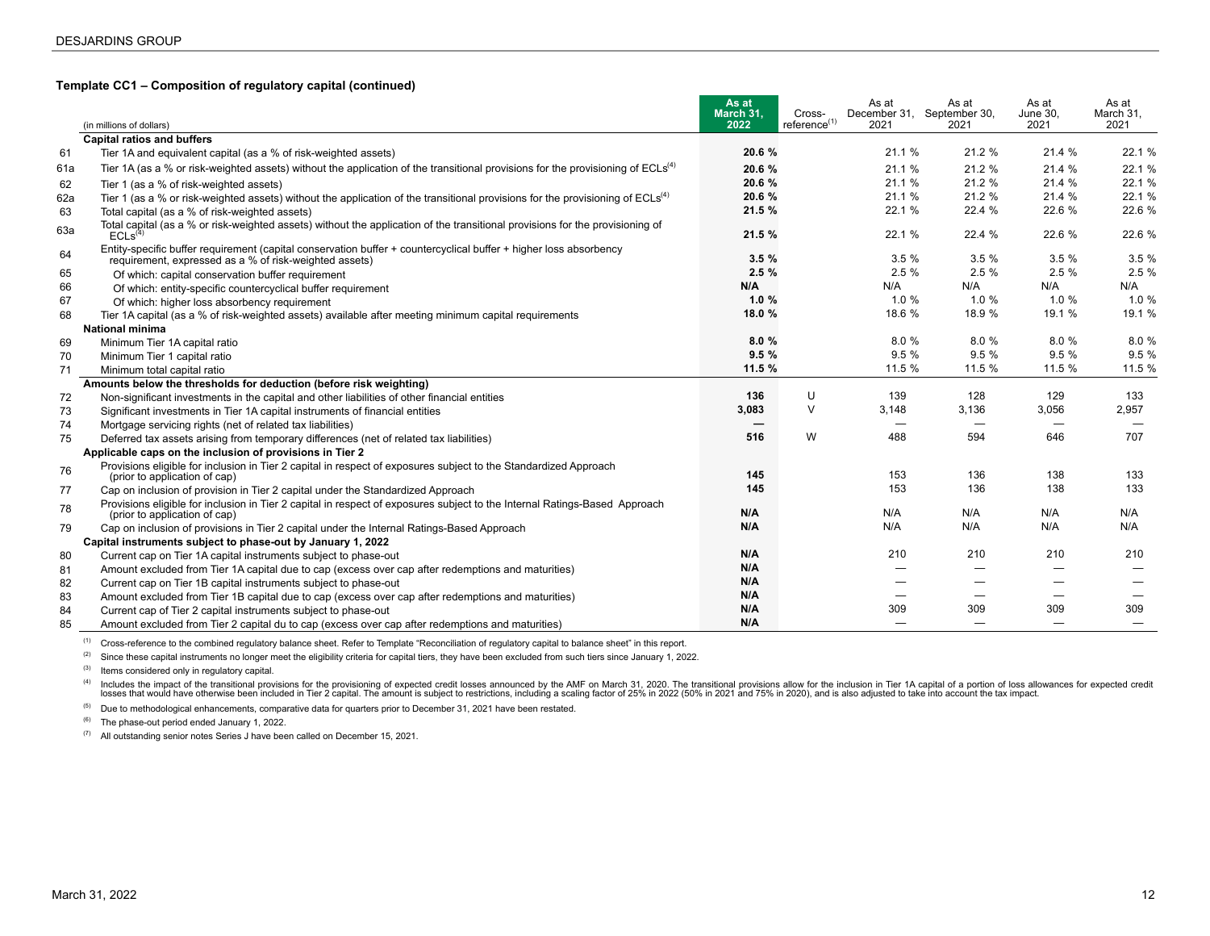#### **Template CC1 – Composition of regulatory capital (continued)**

|     |                                                                                                                                                                             | As at<br>March 31. | Cross-                   | As at<br>December 31, September 30, | As at                    | As at<br>June 30, | As at<br>March 31, |
|-----|-----------------------------------------------------------------------------------------------------------------------------------------------------------------------------|--------------------|--------------------------|-------------------------------------|--------------------------|-------------------|--------------------|
|     | (in millions of dollars)                                                                                                                                                    | 2022               | reference <sup>(1)</sup> | 2021                                | 2021                     | 2021              | 2021               |
|     | <b>Capital ratios and buffers</b>                                                                                                                                           |                    |                          |                                     |                          |                   |                    |
| 61  | Tier 1A and equivalent capital (as a % of risk-weighted assets)                                                                                                             | 20.6 %             |                          | 21.1%                               | 21.2 %                   | 21.4 %            | 22.1 %             |
| 61a | Tier 1A (as a % or risk-weighted assets) without the application of the transitional provisions for the provisioning of $ECLs(4)$                                           | 20.6%              |                          | 21.1 %                              | 21.2 %                   | 21.4 %            | 22.1 %             |
| 62  | Tier 1 (as a % of risk-weighted assets)                                                                                                                                     | 20.6%              |                          | 21.1 %                              | 21.2 %                   | 21.4 %            | 22.1 %             |
| 62a | Tier 1 (as a % or risk-weighted assets) without the application of the transitional provisions for the provisioning of $ECLs(4)$                                            | 20.6%              |                          | 21.1 %                              | 21.2 %                   | 21.4 %            | 22.1 %             |
| 63  | Total capital (as a % of risk-weighted assets)                                                                                                                              | 21.5 %             |                          | 22.1 %                              | 22.4 %                   | 22.6 %            | 22.6 %             |
| 63a | Total capital (as a % or risk-weighted assets) without the application of the transitional provisions for the provisioning of<br>ECLs <sup>(4)</sup>                        | 21.5 %             |                          | 22.1 %                              | 22.4 %                   | 22.6 %            | 22.6 %             |
| 64  | Entity-specific buffer requirement (capital conservation buffer + countercyclical buffer + higher loss absorbency<br>requirement, expressed as a % of risk-weighted assets) | 3.5%               |                          | 3.5%                                | 3.5%                     | 3.5%              | 3.5 %              |
| 65  | Of which: capital conservation buffer requirement                                                                                                                           | 2.5%               |                          | 2.5%                                | 2.5%                     | 2.5%              | 2.5%               |
| 66  | Of which: entity-specific countercyclical buffer requirement                                                                                                                | N/A                |                          | N/A                                 | N/A                      | N/A               | N/A                |
| 67  | Of which: higher loss absorbency requirement                                                                                                                                | 1.0%               |                          | 1.0%                                | 1.0%                     | 1.0%              | 1.0%               |
| 68  | Tier 1A capital (as a % of risk-weighted assets) available after meeting minimum capital requirements                                                                       | 18.0 %             |                          | 18.6 %                              | 18.9 %                   | 19.1 %            | 19.1 %             |
|     | <b>National minima</b>                                                                                                                                                      |                    |                          |                                     |                          |                   |                    |
| 69  | Minimum Tier 1A capital ratio                                                                                                                                               | 8.0%               |                          | 8.0%                                | 8.0%                     | 8.0%              | 8.0%               |
| 70  | Minimum Tier 1 capital ratio                                                                                                                                                | 9.5%               |                          | 9.5 %                               | 9.5%                     | 9.5%              | 9.5%               |
| 71  | Minimum total capital ratio                                                                                                                                                 | 11.5 %             |                          | 11.5 %                              | 11.5 %                   | 11.5 %            | 11.5 %             |
|     | Amounts below the thresholds for deduction (before risk weighting)                                                                                                          |                    |                          |                                     |                          |                   |                    |
| 72  | Non-significant investments in the capital and other liabilities of other financial entities                                                                                | 136                | U                        | 139                                 | 128                      | 129               | 133                |
| 73  | Significant investments in Tier 1A capital instruments of financial entities                                                                                                | 3,083              | $\vee$                   | 3,148                               | 3,136                    | 3,056             | 2,957              |
| 74  | Mortgage servicing rights (net of related tax liabilities)                                                                                                                  | —                  |                          |                                     |                          |                   |                    |
| 75  | Deferred tax assets arising from temporary differences (net of related tax liabilities)                                                                                     | 516                | W                        | 488                                 | 594                      | 646               | 707                |
|     | Applicable caps on the inclusion of provisions in Tier 2                                                                                                                    |                    |                          |                                     |                          |                   |                    |
| 76  | Provisions eligible for inclusion in Tier 2 capital in respect of exposures subject to the Standardized Approach<br>(prior to application of cap)                           | 145                |                          | 153                                 | 136                      | 138               | 133                |
| 77  | Cap on inclusion of provision in Tier 2 capital under the Standardized Approach                                                                                             | 145                |                          | 153                                 | 136                      | 138               | 133                |
| 78  | Provisions eligible for inclusion in Tier 2 capital in respect of exposures subject to the Internal Ratings-Based Approach<br>(prior to application of cap)                 | N/A                |                          | N/A                                 | N/A                      | N/A               | N/A                |
| 79  | Cap on inclusion of provisions in Tier 2 capital under the Internal Ratings-Based Approach                                                                                  | N/A                |                          | N/A                                 | N/A                      | N/A               | N/A                |
|     | Capital instruments subject to phase-out by January 1, 2022                                                                                                                 |                    |                          |                                     |                          |                   |                    |
| 80  | Current cap on Tier 1A capital instruments subject to phase-out                                                                                                             | N/A                |                          | 210                                 | 210                      | 210               | 210                |
| 81  | Amount excluded from Tier 1A capital due to cap (excess over cap after redemptions and maturities)                                                                          | N/A                |                          |                                     | —                        |                   |                    |
| 82  | Current cap on Tier 1B capital instruments subject to phase-out                                                                                                             | N/A                |                          |                                     |                          |                   |                    |
| 83  | Amount excluded from Tier 1B capital due to cap (excess over cap after redemptions and maturities)                                                                          | N/A                |                          |                                     |                          |                   |                    |
| 84  | Current cap of Tier 2 capital instruments subject to phase-out                                                                                                              | N/A                |                          | 309                                 | 309                      | 309               | 309                |
| 85  | Amount excluded from Tier 2 capital du to cap (excess over cap after redemptions and maturities)                                                                            | N/A                |                          |                                     | $\overline{\phantom{0}}$ |                   |                    |

<sup>(1)</sup> Cross-reference to the combined regulatory balance sheet. Refer to Template "Reconciliation of regulatory capital to balance sheet" in this report.

<sup>(2)</sup> Since these capital instruments no longer meet the eligibility criteria for capital tiers, they have been excluded from such tiers since January 1, 2022.

(3) Items considered only in regulatory capital.

<sup>(4)</sup> Includes the impact of the transitional provisions for the provisioning of expected credit losses announced by the AMF on March 31, 2020. The transitional provisions allow for the inclusion in Tier 1A capital of a po

<sup>(5)</sup> Due to methodological enhancements, comparative data for quarters prior to December 31, 2021 have been restated.

(6) The phase-out period ended January 1, 2022.

 $(7)$  All outstanding senior notes Series J have been called on December 15, 2021.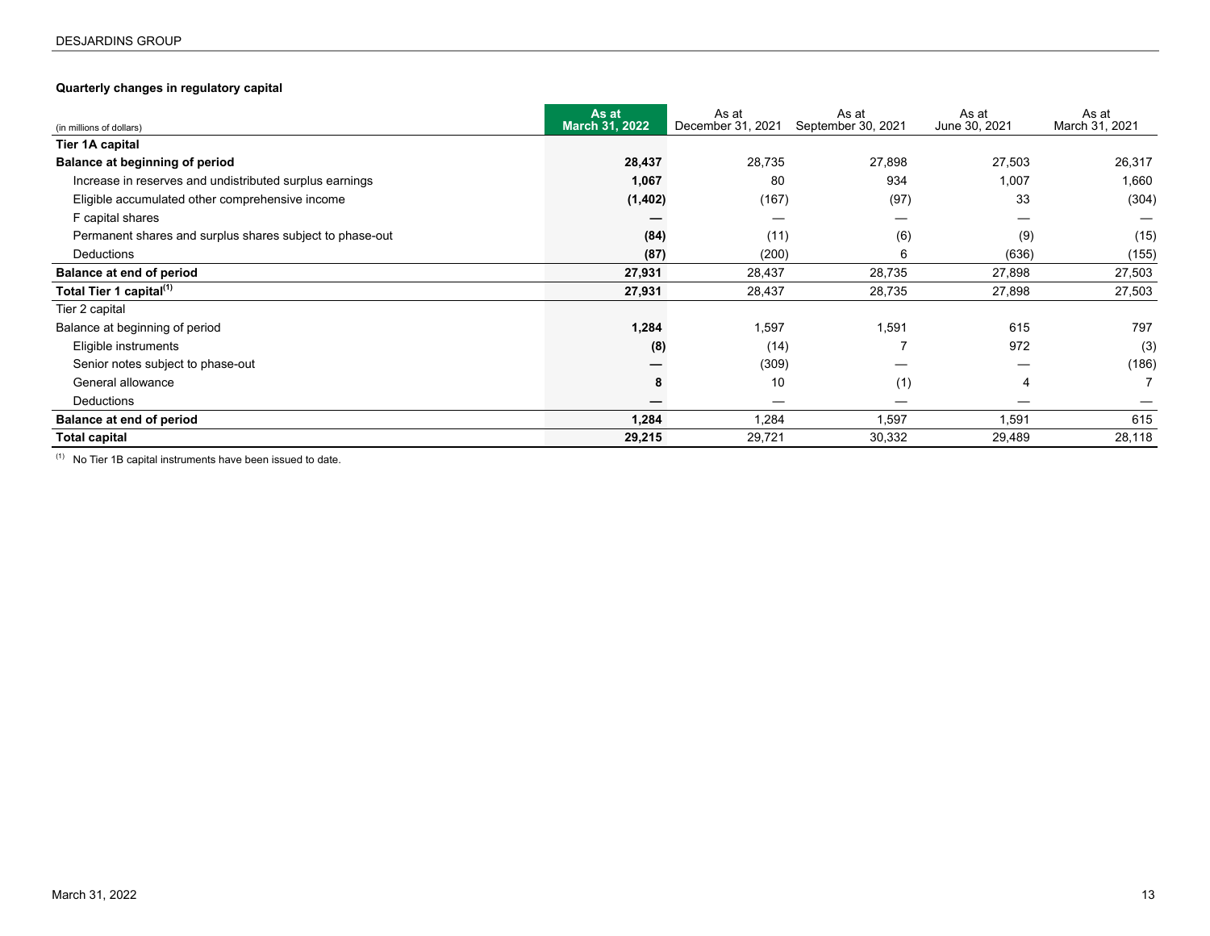### <span id="page-12-0"></span>**Quarterly changes in regulatory capital**

| (in millions of dollars)                                 | As at<br>March 31, 2022 | As at<br>December 31, 2021 | As at<br>September 30, 2021 | As at<br>June 30, 2021 | As at<br>March 31, 2021 |
|----------------------------------------------------------|-------------------------|----------------------------|-----------------------------|------------------------|-------------------------|
| Tier 1A capital                                          |                         |                            |                             |                        |                         |
| Balance at beginning of period                           | 28,437                  | 28,735                     | 27,898                      | 27,503                 | 26,317                  |
| Increase in reserves and undistributed surplus earnings  | 1,067                   | 80                         | 934                         | 1,007                  | 1,660                   |
| Eligible accumulated other comprehensive income          | (1,402)                 | (167)                      | (97)                        | 33                     | (304)                   |
| F capital shares                                         |                         |                            | $\hspace{0.05cm}$           | –                      |                         |
| Permanent shares and surplus shares subject to phase-out | (84)                    | (11)                       | (6)                         | (9)                    | (15)                    |
| Deductions                                               | (87)                    | (200)                      | 6                           | (636)                  | (155)                   |
| <b>Balance at end of period</b>                          | 27,931                  | 28,437                     | 28,735                      | 27,898                 | 27,503                  |
| Total Tier 1 capital <sup>(1)</sup>                      | 27,931                  | 28,437                     | 28,735                      | 27,898                 | 27,503                  |
| Tier 2 capital                                           |                         |                            |                             |                        |                         |
| Balance at beginning of period                           | 1,284                   | 1,597                      | 1,591                       | 615                    | 797                     |
| Eligible instruments                                     | (8)                     | (14)                       |                             | 972                    | (3)                     |
| Senior notes subject to phase-out                        |                         | (309)                      |                             |                        | (186)                   |
| General allowance                                        | 8                       | 10                         | (1)                         | 4                      |                         |
| Deductions                                               |                         |                            | $\hspace{0.05cm}$           | –                      |                         |
| <b>Balance at end of period</b>                          | 1,284                   | 1,284                      | 1,597                       | 1,591                  | 615                     |
| <b>Total capital</b>                                     | 29,215                  | 29,721                     | 30,332                      | 29,489                 | 28,118                  |

 $(1)$  No Tier 1B capital instruments have been issued to date.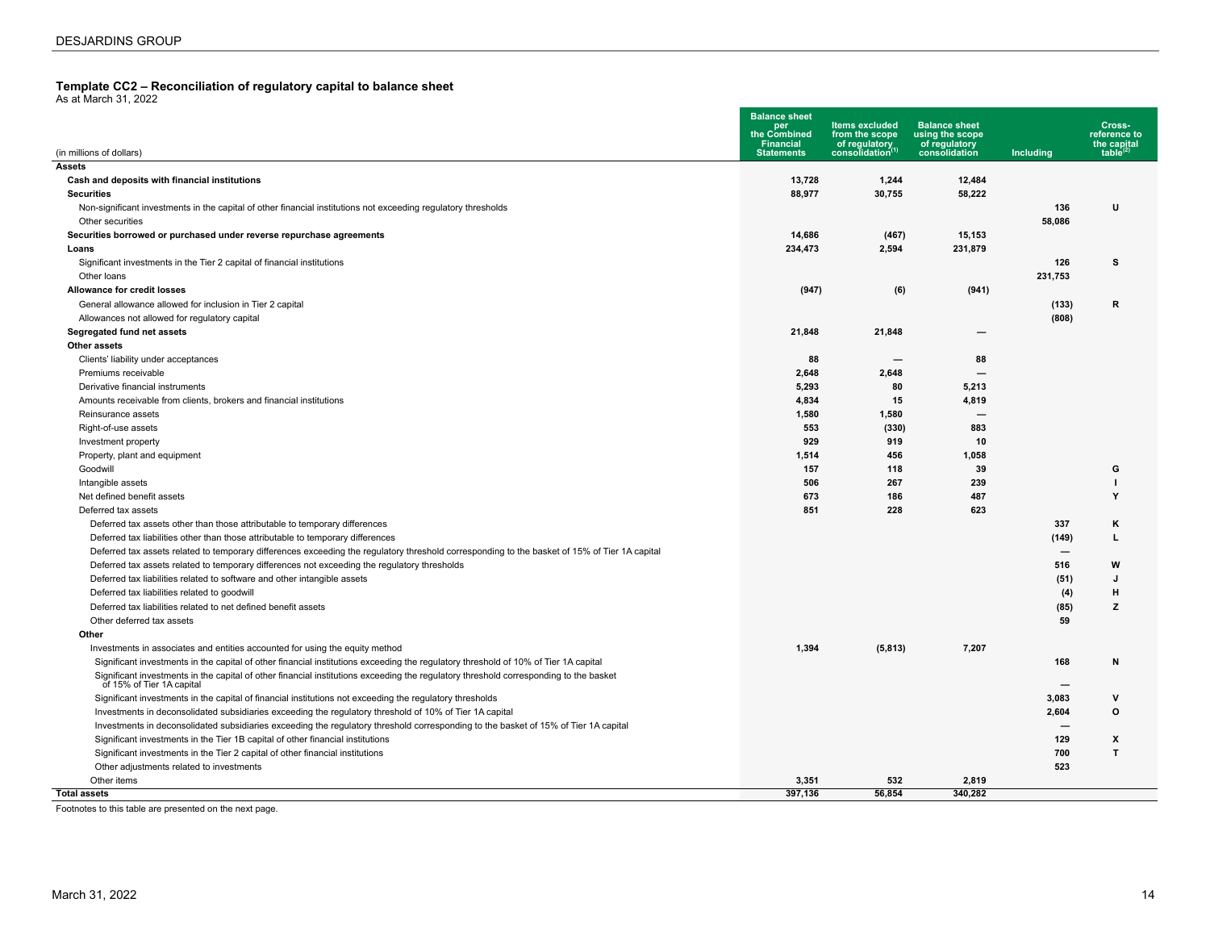# <span id="page-13-0"></span>**Template CC2 – Reconciliation of regulatory capital to balance sheet** As at March 31, 2022

| (in millions of dollars)                                                                                                                                           | <b>Balance sheet</b><br>per<br>the Combined<br><b>Financial</b><br><b>Statements</b> | <b>Items excluded</b><br>from the scope<br>of regulatory<br>consolidation(1) | <b>Balance sheet</b><br>using the scope<br>of regulatory<br>consolidation | Including | Cross-<br>reference to<br>the capital<br>table $^{(2)}$ |
|--------------------------------------------------------------------------------------------------------------------------------------------------------------------|--------------------------------------------------------------------------------------|------------------------------------------------------------------------------|---------------------------------------------------------------------------|-----------|---------------------------------------------------------|
| Assets                                                                                                                                                             |                                                                                      |                                                                              |                                                                           |           |                                                         |
| Cash and deposits with financial institutions                                                                                                                      | 13,728                                                                               | 1,244                                                                        | 12,484                                                                    |           |                                                         |
| <b>Securities</b>                                                                                                                                                  | 88.977                                                                               | 30,755                                                                       | 58,222                                                                    |           |                                                         |
| Non-significant investments in the capital of other financial institutions not exceeding regulatory thresholds                                                     |                                                                                      |                                                                              |                                                                           | 136       | U                                                       |
| Other securities                                                                                                                                                   |                                                                                      |                                                                              |                                                                           | 58,086    |                                                         |
| Securities borrowed or purchased under reverse repurchase agreements                                                                                               | 14,686                                                                               | (467)                                                                        | 15,153                                                                    |           |                                                         |
| Loans                                                                                                                                                              | 234,473                                                                              | 2,594                                                                        | 231,879                                                                   |           |                                                         |
| Significant investments in the Tier 2 capital of financial institutions                                                                                            |                                                                                      |                                                                              |                                                                           | 126       | s                                                       |
| Other loans                                                                                                                                                        |                                                                                      |                                                                              |                                                                           | 231,753   |                                                         |
| <b>Allowance for credit losses</b>                                                                                                                                 | (947)                                                                                | (6)                                                                          | (941)                                                                     |           |                                                         |
| General allowance allowed for inclusion in Tier 2 capital                                                                                                          |                                                                                      |                                                                              |                                                                           | (133)     | $\mathbf R$                                             |
| Allowances not allowed for regulatory capital                                                                                                                      |                                                                                      |                                                                              |                                                                           | (808)     |                                                         |
| Segregated fund net assets                                                                                                                                         | 21,848                                                                               | 21,848                                                                       |                                                                           |           |                                                         |
| Other assets                                                                                                                                                       |                                                                                      |                                                                              |                                                                           |           |                                                         |
| Clients' liability under acceptances                                                                                                                               | 88                                                                                   |                                                                              | 88                                                                        |           |                                                         |
| Premiums receivable                                                                                                                                                | 2,648                                                                                | 2,648                                                                        | $\overline{\phantom{0}}$                                                  |           |                                                         |
| Derivative financial instruments                                                                                                                                   | 5,293                                                                                | 80                                                                           | 5,213                                                                     |           |                                                         |
| Amounts receivable from clients, brokers and financial institutions                                                                                                | 4,834                                                                                | 15                                                                           | 4,819                                                                     |           |                                                         |
| Reinsurance assets                                                                                                                                                 | 1,580                                                                                | 1,580                                                                        | $\overline{\phantom{0}}$                                                  |           |                                                         |
| Right-of-use assets                                                                                                                                                | 553                                                                                  | (330)                                                                        | 883                                                                       |           |                                                         |
| Investment property                                                                                                                                                | 929                                                                                  | 919                                                                          | 10                                                                        |           |                                                         |
| Property, plant and equipment                                                                                                                                      | 1,514                                                                                | 456                                                                          | 1,058                                                                     |           |                                                         |
| Goodwill                                                                                                                                                           | 157                                                                                  | 118                                                                          | 39                                                                        |           | G                                                       |
| Intangible assets                                                                                                                                                  | 506                                                                                  | 267                                                                          | 239                                                                       |           |                                                         |
| Net defined benefit assets                                                                                                                                         | 673                                                                                  | 186                                                                          | 487                                                                       |           | Y                                                       |
| Deferred tax assets                                                                                                                                                | 851                                                                                  | 228                                                                          | 623                                                                       |           |                                                         |
| Deferred tax assets other than those attributable to temporary differences                                                                                         |                                                                                      |                                                                              |                                                                           | 337       | ĸ                                                       |
| Deferred tax liabilities other than those attributable to temporary differences                                                                                    |                                                                                      |                                                                              |                                                                           | (149)     | L                                                       |
| Deferred tax assets related to temporary differences exceeding the regulatory threshold corresponding to the basket of 15% of Tier 1A capital                      |                                                                                      |                                                                              |                                                                           |           |                                                         |
| Deferred tax assets related to temporary differences not exceeding the regulatory thresholds                                                                       |                                                                                      |                                                                              |                                                                           | 516       | W                                                       |
| Deferred tax liabilities related to software and other intangible assets                                                                                           |                                                                                      |                                                                              |                                                                           | (51)      | J                                                       |
| Deferred tax liabilities related to goodwill                                                                                                                       |                                                                                      |                                                                              |                                                                           | (4)       | $\mathbf{H}$                                            |
| Deferred tax liabilities related to net defined benefit assets                                                                                                     |                                                                                      |                                                                              |                                                                           | (85)      | z                                                       |
| Other deferred tax assets                                                                                                                                          |                                                                                      |                                                                              |                                                                           | 59        |                                                         |
| Other                                                                                                                                                              |                                                                                      |                                                                              |                                                                           |           |                                                         |
| Investments in associates and entities accounted for using the equity method                                                                                       | 1,394                                                                                | (5,813)                                                                      | 7,207                                                                     |           |                                                         |
| Significant investments in the capital of other financial institutions exceeding the regulatory threshold of 10% of Tier 1A capital                                |                                                                                      |                                                                              |                                                                           | 168       | N                                                       |
| Significant investments in the capital of other financial institutions exceeding the regulatory threshold corresponding to the basket<br>of 15% of Tier 1A capital |                                                                                      |                                                                              |                                                                           |           |                                                         |
| Significant investments in the capital of financial institutions not exceeding the regulatory thresholds                                                           |                                                                                      |                                                                              |                                                                           | 3.083     | $\mathbf v$                                             |
| Investments in deconsolidated subsidiaries exceeding the regulatory threshold of 10% of Tier 1A capital                                                            |                                                                                      |                                                                              |                                                                           | 2,604     | $\circ$                                                 |
| Investments in deconsolidated subsidiaries exceeding the regulatory threshold corresponding to the basket of 15% of Tier 1A capital                                |                                                                                      |                                                                              |                                                                           |           |                                                         |
| Significant investments in the Tier 1B capital of other financial institutions                                                                                     |                                                                                      |                                                                              |                                                                           | 129       | X                                                       |
| Significant investments in the Tier 2 capital of other financial institutions                                                                                      |                                                                                      |                                                                              |                                                                           | 700       | $\mathsf{T}$                                            |
| Other adjustments related to investments                                                                                                                           |                                                                                      |                                                                              |                                                                           | 523       |                                                         |
| Other items                                                                                                                                                        | 3,351                                                                                | 532                                                                          | 2.819                                                                     |           |                                                         |
| <b>Total assets</b>                                                                                                                                                | 397.136                                                                              | 56.854                                                                       | 340.282                                                                   |           |                                                         |

Footnotes to this table are presented on the next page.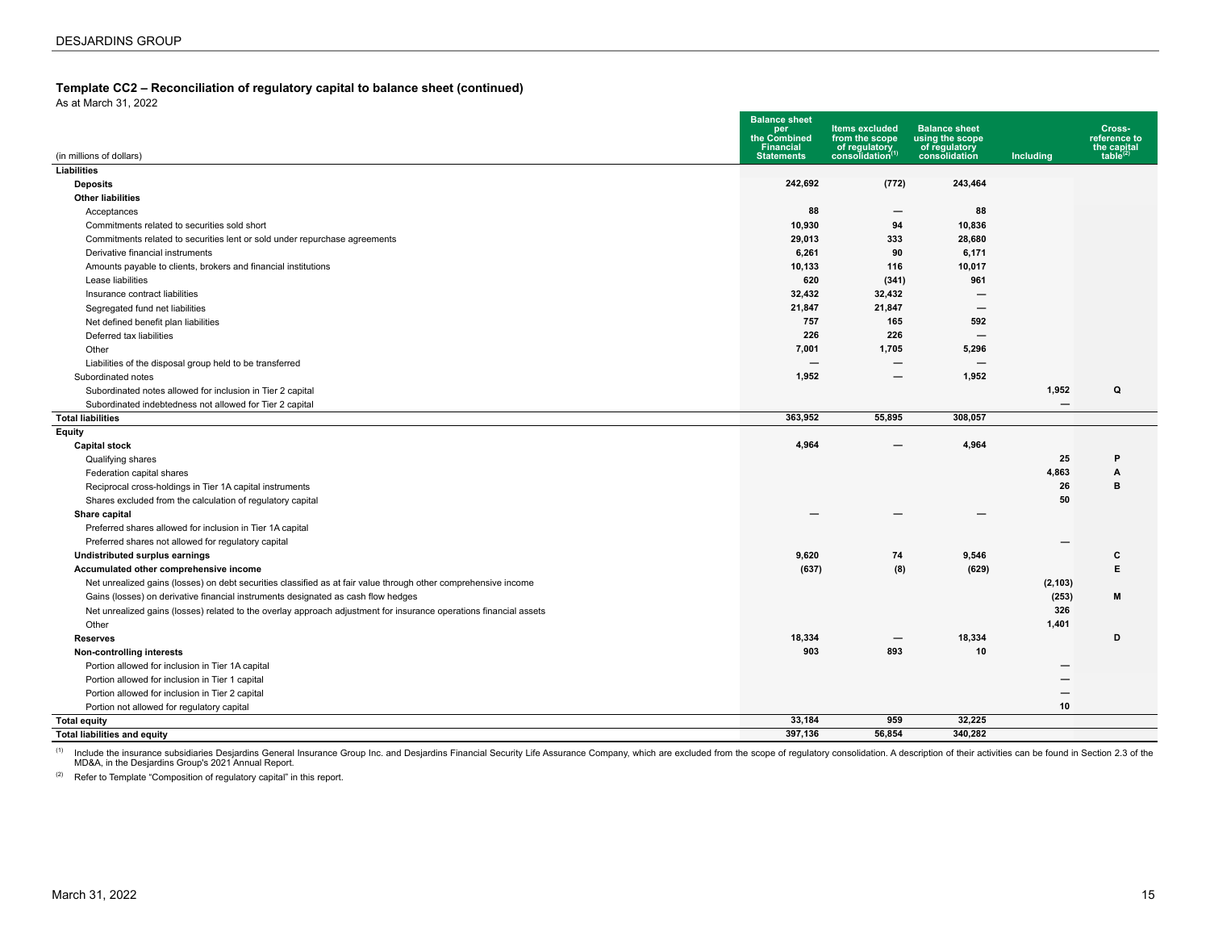#### **Template CC2 – Reconciliation of regulatory capital to balance sheet (continued)**

As at March 31, 2022

|                                                                                                                    | <b>Balance sheet</b><br>per<br>the Combined | <b>Items excluded</b>                               | <b>Balance sheet</b>                              |                          | Cross-                                        |
|--------------------------------------------------------------------------------------------------------------------|---------------------------------------------|-----------------------------------------------------|---------------------------------------------------|--------------------------|-----------------------------------------------|
| (in millions of dollars)                                                                                           | <b>Financial</b><br><b>Statements</b>       | from the scope<br>of regulatory<br>consolidation(1) | using the scope<br>of regulatory<br>consolidation | Including                | reference to<br>the capital<br>table $^{(2)}$ |
| Liabilities                                                                                                        |                                             |                                                     |                                                   |                          |                                               |
| <b>Deposits</b>                                                                                                    | 242,692                                     | (772)                                               | 243,464                                           |                          |                                               |
| <b>Other liabilities</b>                                                                                           |                                             |                                                     |                                                   |                          |                                               |
| Acceptances                                                                                                        | 88                                          | —                                                   | 88                                                |                          |                                               |
| Commitments related to securities sold short                                                                       | 10,930                                      | 94                                                  | 10,836                                            |                          |                                               |
| Commitments related to securities lent or sold under repurchase agreements                                         | 29,013                                      | 333                                                 | 28,680                                            |                          |                                               |
| Derivative financial instruments                                                                                   | 6,261                                       | 90                                                  | 6,171                                             |                          |                                               |
| Amounts payable to clients, brokers and financial institutions                                                     | 10,133                                      | 116                                                 | 10,017                                            |                          |                                               |
| Lease liabilities                                                                                                  | 620                                         | (341)                                               | 961                                               |                          |                                               |
| Insurance contract liabilities                                                                                     | 32,432                                      | 32,432                                              | -                                                 |                          |                                               |
| Segregated fund net liabilities                                                                                    | 21,847                                      | 21,847                                              | $\overline{\phantom{0}}$                          |                          |                                               |
| Net defined benefit plan liabilities                                                                               | 757                                         | 165                                                 | 592                                               |                          |                                               |
| Deferred tax liabilities                                                                                           | 226                                         | 226                                                 | $\overline{\phantom{0}}$                          |                          |                                               |
| Other                                                                                                              | 7,001                                       | 1,705                                               | 5,296                                             |                          |                                               |
| Liabilities of the disposal group held to be transferred                                                           | $\overline{\phantom{0}}$                    | $\overline{\phantom{0}}$                            | $\overline{\phantom{0}}$                          |                          |                                               |
| Subordinated notes                                                                                                 | 1,952                                       | —                                                   | 1,952                                             |                          |                                               |
| Subordinated notes allowed for inclusion in Tier 2 capital                                                         |                                             |                                                     |                                                   | 1,952                    | Q                                             |
| Subordinated indebtedness not allowed for Tier 2 capital                                                           |                                             |                                                     |                                                   | $\overline{\phantom{m}}$ |                                               |
| <b>Total liabilities</b>                                                                                           | 363,952                                     | 55,895                                              | 308.057                                           |                          |                                               |
| Equity                                                                                                             |                                             |                                                     |                                                   |                          |                                               |
| <b>Capital stock</b>                                                                                               | 4,964                                       |                                                     | 4,964                                             |                          |                                               |
| Qualifying shares                                                                                                  |                                             |                                                     |                                                   | 25                       | P                                             |
| Federation capital shares                                                                                          |                                             |                                                     |                                                   | 4,863                    | Α                                             |
| Reciprocal cross-holdings in Tier 1A capital instruments                                                           |                                             |                                                     |                                                   | 26                       | B                                             |
| Shares excluded from the calculation of regulatory capital                                                         |                                             |                                                     |                                                   | 50                       |                                               |
| Share capital                                                                                                      |                                             |                                                     |                                                   |                          |                                               |
| Preferred shares allowed for inclusion in Tier 1A capital                                                          |                                             |                                                     |                                                   |                          |                                               |
| Preferred shares not allowed for regulatory capital                                                                |                                             |                                                     |                                                   |                          |                                               |
| Undistributed surplus earnings                                                                                     | 9,620                                       | 74                                                  | 9,546                                             |                          | c                                             |
| Accumulated other comprehensive income                                                                             | (637)                                       | (8)                                                 | (629)                                             |                          | E.                                            |
| Net unrealized gains (losses) on debt securities classified as at fair value through other comprehensive income    |                                             |                                                     |                                                   | (2, 103)                 |                                               |
| Gains (losses) on derivative financial instruments designated as cash flow hedges                                  |                                             |                                                     |                                                   | (253)                    | M                                             |
| Net unrealized gains (losses) related to the overlay approach adjustment for insurance operations financial assets |                                             |                                                     |                                                   | 326                      |                                               |
| Other                                                                                                              |                                             |                                                     |                                                   | 1,401                    |                                               |
| <b>Reserves</b>                                                                                                    | 18,334                                      | —                                                   | 18,334                                            |                          | D                                             |
| Non-controlling interests                                                                                          | 903                                         | 893                                                 | 10                                                |                          |                                               |
| Portion allowed for inclusion in Tier 1A capital                                                                   |                                             |                                                     |                                                   |                          |                                               |
| Portion allowed for inclusion in Tier 1 capital                                                                    |                                             |                                                     |                                                   |                          |                                               |
| Portion allowed for inclusion in Tier 2 capital                                                                    |                                             |                                                     |                                                   |                          |                                               |
| Portion not allowed for regulatory capital                                                                         |                                             |                                                     |                                                   | 10                       |                                               |
| <b>Total equity</b>                                                                                                | 33,184                                      | 959                                                 | 32,225                                            |                          |                                               |
| <b>Total liabilities and equity</b>                                                                                | 397,136                                     | 56.854                                              | 340.282                                           |                          |                                               |

<sup>(1)</sup> Include the insurance subsidiaries Desjardins General Insurance Group Inc. and Desjardins Financial Security Life Assurance Company, which are excluded from the scope of regulatory consolidation. A description of the

(2) Refer to Template "Composition of regulatory capital" in this report.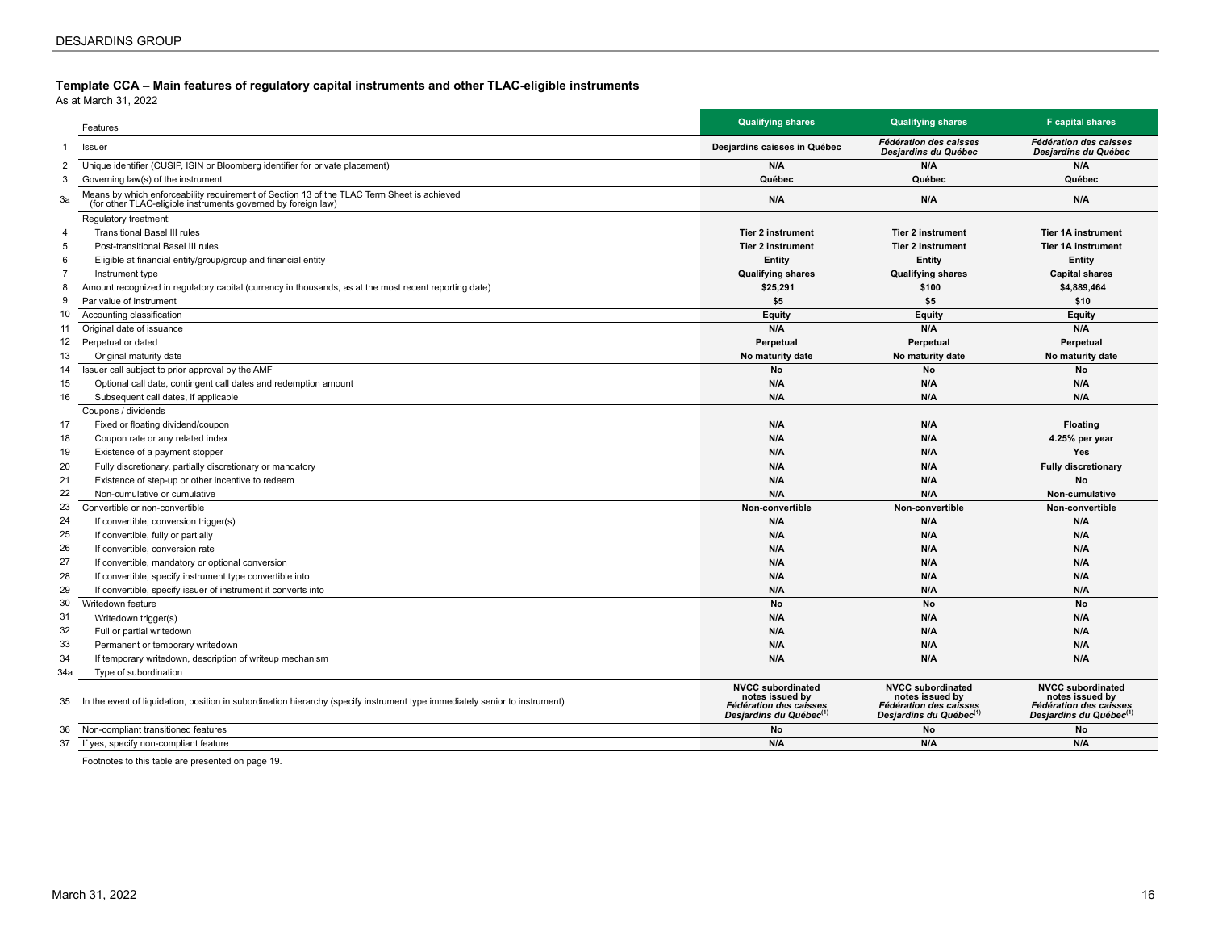#### <span id="page-15-0"></span>**Template CCA – Main features of regulatory capital instruments and other TLAC-eligible instruments**

As at March 31, 2022

|                | Features                                                                                                                                                    | <b>Qualifying shares</b>                                                                                    | <b>Qualifying shares</b>                                                                                     | <b>F</b> capital shares                                                                                      |
|----------------|-------------------------------------------------------------------------------------------------------------------------------------------------------------|-------------------------------------------------------------------------------------------------------------|--------------------------------------------------------------------------------------------------------------|--------------------------------------------------------------------------------------------------------------|
| $\mathbf{1}$   | Issuer                                                                                                                                                      | Desjardins caisses in Québec                                                                                | Fédération des caisses<br>Desjardins du Québec                                                               | Fédération des caisses<br>Desjardins du Québec                                                               |
| 2              | Unique identifier (CUSIP, ISIN or Bloomberg identifier for private placement)                                                                               | N/A                                                                                                         | N/A                                                                                                          | N/A                                                                                                          |
| 3              | Governing law(s) of the instrument                                                                                                                          | Québec                                                                                                      | Québec                                                                                                       | Québec                                                                                                       |
| 3a             | Means by which enforceability requirement of Section 13 of the TLAC Term Sheet is achieved<br>(for other TLAC-eligible instruments governed by foreign law) | N/A                                                                                                         | N/A                                                                                                          | N/A                                                                                                          |
|                | Regulatory treatment:                                                                                                                                       |                                                                                                             |                                                                                                              |                                                                                                              |
| $\overline{4}$ | <b>Transitional Basel III rules</b>                                                                                                                         | <b>Tier 2 instrument</b>                                                                                    | <b>Tier 2 instrument</b>                                                                                     | <b>Tier 1A instrument</b>                                                                                    |
| 5              | Post-transitional Basel III rules                                                                                                                           | <b>Tier 2 instrument</b>                                                                                    | <b>Tier 2 instrument</b>                                                                                     | <b>Tier 1A instrument</b>                                                                                    |
| 6              | Eligible at financial entity/group/group and financial entity                                                                                               | Entity                                                                                                      | Entity                                                                                                       | Entity                                                                                                       |
| $\overline{7}$ | Instrument type                                                                                                                                             | <b>Qualifying shares</b>                                                                                    | <b>Qualifying shares</b>                                                                                     | <b>Capital shares</b>                                                                                        |
| 8              | Amount recognized in regulatory capital (currency in thousands, as at the most recent reporting date)                                                       | \$25.291                                                                                                    | \$100                                                                                                        | \$4.889.464                                                                                                  |
| 9              | Par value of instrument                                                                                                                                     | \$5                                                                                                         | \$5                                                                                                          | \$10                                                                                                         |
| 10             | Accounting classification                                                                                                                                   | Equity                                                                                                      | Equity                                                                                                       | Equity                                                                                                       |
| 11             | Original date of issuance                                                                                                                                   | N/A                                                                                                         | N/A                                                                                                          | N/A                                                                                                          |
| 12             | Perpetual or dated                                                                                                                                          | Perpetual                                                                                                   | Perpetual                                                                                                    | Perpetual                                                                                                    |
| 13             | Original maturity date                                                                                                                                      | No maturity date                                                                                            | No maturity date                                                                                             | No maturity date                                                                                             |
| 14             | Issuer call subject to prior approval by the AMF                                                                                                            | No                                                                                                          | <b>No</b>                                                                                                    | No                                                                                                           |
| 15             | Optional call date, contingent call dates and redemption amount                                                                                             | N/A                                                                                                         | N/A                                                                                                          | N/A                                                                                                          |
| 16             | Subsequent call dates, if applicable                                                                                                                        | N/A                                                                                                         | N/A                                                                                                          | N/A                                                                                                          |
|                | Coupons / dividends                                                                                                                                         |                                                                                                             |                                                                                                              |                                                                                                              |
| 17             | Fixed or floating dividend/coupon                                                                                                                           | N/A                                                                                                         | N/A                                                                                                          | <b>Floating</b>                                                                                              |
| 18             | Coupon rate or any related index                                                                                                                            | N/A                                                                                                         | N/A                                                                                                          | 4.25% per year                                                                                               |
| 19             | Existence of a payment stopper                                                                                                                              | N/A                                                                                                         | N/A                                                                                                          | <b>Yes</b>                                                                                                   |
| 20             | Fully discretionary, partially discretionary or mandatory                                                                                                   | N/A                                                                                                         | N/A                                                                                                          | <b>Fully discretionary</b>                                                                                   |
| 21             | Existence of step-up or other incentive to redeem                                                                                                           | N/A                                                                                                         | N/A                                                                                                          | No                                                                                                           |
| 22             | Non-cumulative or cumulative                                                                                                                                | N/A                                                                                                         | N/A                                                                                                          | Non-cumulative                                                                                               |
| 23             | Convertible or non-convertible                                                                                                                              | Non-convertible                                                                                             | Non-convertible                                                                                              | Non-convertible                                                                                              |
| 24             | If convertible, conversion trigger(s)                                                                                                                       | N/A                                                                                                         | N/A                                                                                                          | N/A                                                                                                          |
| 25             | If convertible, fully or partially                                                                                                                          | N/A                                                                                                         | N/A                                                                                                          | N/A                                                                                                          |
|                |                                                                                                                                                             | N/A                                                                                                         | N/A                                                                                                          | N/A                                                                                                          |
| 26<br>27       | If convertible, conversion rate                                                                                                                             |                                                                                                             |                                                                                                              |                                                                                                              |
|                | If convertible, mandatory or optional conversion                                                                                                            | N/A                                                                                                         | N/A                                                                                                          | N/A<br>N/A                                                                                                   |
| 28             | If convertible, specify instrument type convertible into                                                                                                    | N/A                                                                                                         | N/A                                                                                                          |                                                                                                              |
| 29             | If convertible, specify issuer of instrument it converts into                                                                                               | N/A                                                                                                         | N/A                                                                                                          | N/A                                                                                                          |
| 30             | Writedown feature                                                                                                                                           | No                                                                                                          | No                                                                                                           | No                                                                                                           |
| 31             | Writedown trigger(s)                                                                                                                                        | N/A                                                                                                         | N/A                                                                                                          | N/A                                                                                                          |
| 32             | Full or partial writedown                                                                                                                                   | N/A                                                                                                         | N/A                                                                                                          | N/A                                                                                                          |
| 33             | Permanent or temporary writedown                                                                                                                            | N/A                                                                                                         | N/A                                                                                                          | N/A                                                                                                          |
| 34             | If temporary writedown, description of writeup mechanism                                                                                                    | N/A                                                                                                         | N/A                                                                                                          | N/A                                                                                                          |
| 34a            | Type of subordination                                                                                                                                       |                                                                                                             |                                                                                                              |                                                                                                              |
| 35             | In the event of liquidation, position in subordination hierarchy (specify instrument type immediately senior to instrument)                                 | <b>NVCC subordinated</b><br>notes issued by<br>Fédération des caisses<br>Desjardins du Québec <sup>(1</sup> | <b>NVCC subordinated</b><br>notes issued by<br>Fédération des caisses<br>Desjardins du Québec <sup>(1)</sup> | <b>NVCC subordinated</b><br>notes issued by<br>Fédération des caisses<br>Desjardins du Québec <sup>(1)</sup> |
| 36             | Non-compliant transitioned features                                                                                                                         | No                                                                                                          | No                                                                                                           | No                                                                                                           |
| 37             | If yes, specify non-compliant feature                                                                                                                       | N/A                                                                                                         | N/A                                                                                                          | N/A                                                                                                          |

Footnotes to this table are presented on page 19.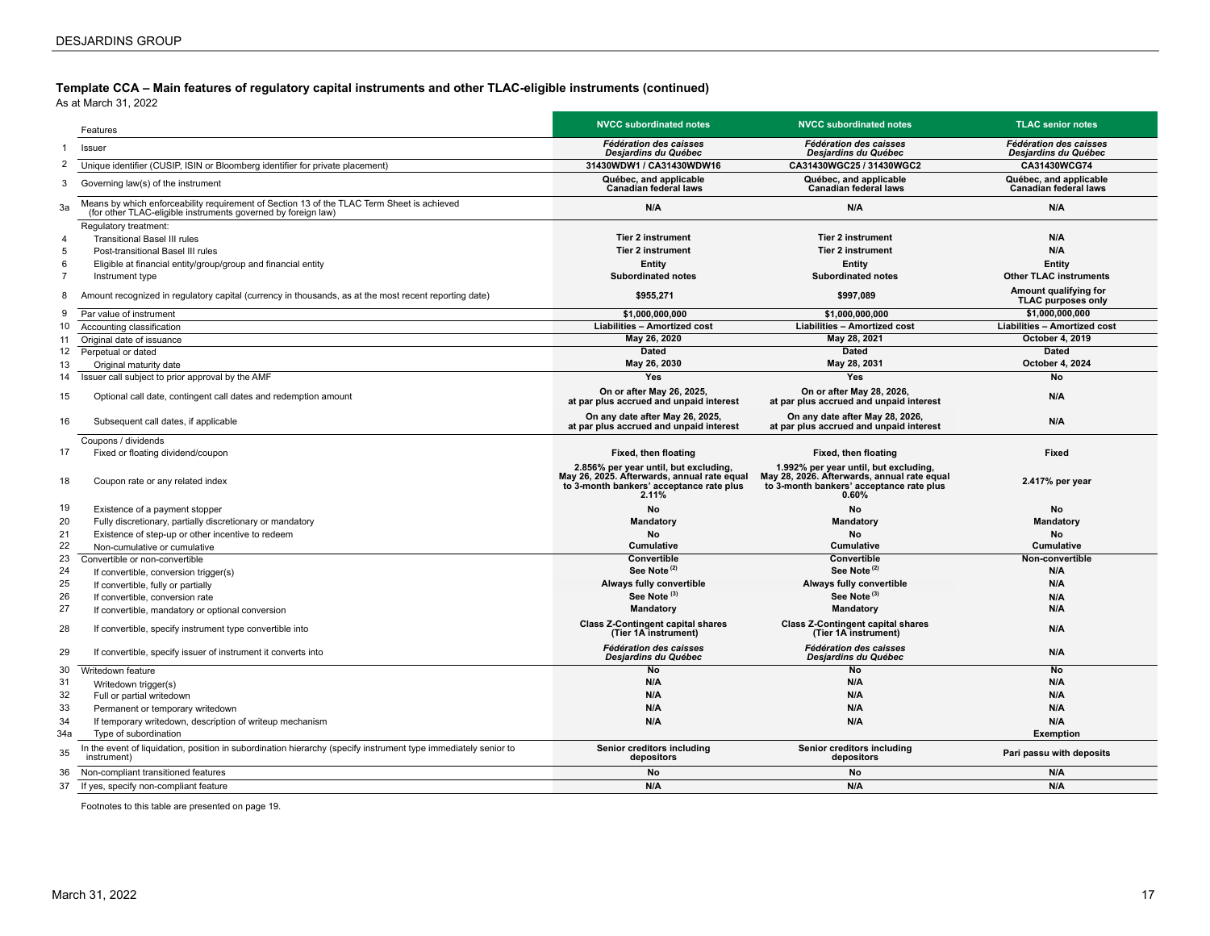**Template CCA – Main features of regulatory capital instruments and other TLAC-eligible instruments (continued)**

As at March 31, 2022 300

|                | Features                                                                                                                                                    | <b>NVCC subordinated notes</b>                                                                                                            | <b>NVCC subordinated notes</b>                                                                                                               | <b>TLAC senior notes</b>                              |
|----------------|-------------------------------------------------------------------------------------------------------------------------------------------------------------|-------------------------------------------------------------------------------------------------------------------------------------------|----------------------------------------------------------------------------------------------------------------------------------------------|-------------------------------------------------------|
|                | Issuer                                                                                                                                                      | <b>Fédération des caisses</b><br>Desjardins du Québec                                                                                     | <b>Fédération des caisses</b><br>Desjardins du Québec                                                                                        | <b>Fédération des caisses</b><br>Desjardins du Québec |
| 2              | Unique identifier (CUSIP, ISIN or Bloomberg identifier for private placement)                                                                               | 31430WDW1 / CA31430WDW16                                                                                                                  | CA31430WGC25 / 31430WGC2                                                                                                                     | CA31430WCG74                                          |
| 3              | Governing law(s) of the instrument                                                                                                                          | Québec, and applicable<br><b>Canadian federal laws</b>                                                                                    | Québec, and applicable<br><b>Canadian federal laws</b>                                                                                       | Québec, and applicable<br>Canadian federal laws       |
| 3a             | Means by which enforceability requirement of Section 13 of the TLAC Term Sheet is achieved<br>(for other TLAC-eligible instruments governed by foreign law) | N/A                                                                                                                                       | N/A                                                                                                                                          | N/A                                                   |
| 4              | Regulatory treatment:<br><b>Transitional Basel III rules</b>                                                                                                | <b>Tier 2 instrument</b>                                                                                                                  | <b>Tier 2 instrument</b>                                                                                                                     | N/A                                                   |
| 5              | Post-transitional Basel III rules                                                                                                                           | <b>Tier 2 instrument</b>                                                                                                                  | <b>Tier 2 instrument</b>                                                                                                                     | N/A                                                   |
| 6              | Eligible at financial entity/group/group and financial entity                                                                                               | Entity                                                                                                                                    | <b>Entity</b>                                                                                                                                | Entity                                                |
| $\overline{7}$ | Instrument type                                                                                                                                             | <b>Subordinated notes</b>                                                                                                                 | <b>Subordinated notes</b>                                                                                                                    | <b>Other TLAC instruments</b>                         |
| 8              | Amount recognized in regulatory capital (currency in thousands, as at the most recent reporting date)                                                       | \$955.271                                                                                                                                 | \$997,089                                                                                                                                    | Amount qualifying for<br><b>TLAC purposes only</b>    |
| 9              | Par value of instrument                                                                                                                                     | \$1,000,000,000                                                                                                                           | \$1,000,000,000                                                                                                                              | \$1,000,000,000                                       |
| 10             | Accounting classification                                                                                                                                   | Liabilities - Amortized cost                                                                                                              | Liabilities - Amortized cost                                                                                                                 | <b>Liabilities - Amortized cost</b>                   |
| 11             | Original date of issuance                                                                                                                                   | May 26, 2020                                                                                                                              | May 28, 2021                                                                                                                                 | <b>October 4, 2019</b>                                |
| 12             | Perpetual or dated                                                                                                                                          | <b>Dated</b>                                                                                                                              | <b>Dated</b>                                                                                                                                 | <b>Dated</b>                                          |
| 13             | Original maturity date                                                                                                                                      | May 26, 2030                                                                                                                              | May 28, 2031                                                                                                                                 | October 4, 2024                                       |
| 14             | Issuer call subject to prior approval by the AMF                                                                                                            | Yes                                                                                                                                       | Yes                                                                                                                                          | <b>No</b>                                             |
| 15             | Optional call date, contingent call dates and redemption amount                                                                                             | On or after May 26, 2025,<br>at par plus accrued and unpaid interest                                                                      | On or after May 28, 2026,<br>at par plus accrued and unpaid interest                                                                         | N/A                                                   |
| 16             | Subsequent call dates, if applicable                                                                                                                        | On any date after May 26, 2025,<br>at par plus accrued and unpaid interest                                                                | On any date after May 28, 2026,<br>at par plus accrued and unpaid interest                                                                   | N/A                                                   |
|                | Coupons / dividends                                                                                                                                         |                                                                                                                                           |                                                                                                                                              |                                                       |
| 17             | Fixed or floating dividend/coupon                                                                                                                           | Fixed, then floating                                                                                                                      | Fixed, then floating                                                                                                                         | Fixed                                                 |
| 18             | Coupon rate or any related index                                                                                                                            | 2.856% per year until, but excluding,<br>May 26, 2025. Afterwards, annual rate equal<br>to 3-month bankers' acceptance rate plus<br>2.11% | 1.992% per year until, but excluding,<br>May 28, 2026. Afterwards, annual rate equal<br>to 3-month bankers' acceptance rate plus<br>$0.60\%$ | 2.417% per year                                       |
| 19             | Existence of a payment stopper                                                                                                                              | No                                                                                                                                        | No                                                                                                                                           | No                                                    |
| 20             | Fully discretionary, partially discretionary or mandatory                                                                                                   | Mandatory                                                                                                                                 | Mandatory                                                                                                                                    | Mandatory                                             |
| 21             | Existence of step-up or other incentive to redeem                                                                                                           | <b>No</b>                                                                                                                                 | No                                                                                                                                           | No                                                    |
| 22             | Non-cumulative or cumulative                                                                                                                                | <b>Cumulative</b>                                                                                                                         | <b>Cumulative</b>                                                                                                                            | <b>Cumulative</b>                                     |
| 23             | Convertible or non-convertible                                                                                                                              | Convertible                                                                                                                               | <b>Convertible</b>                                                                                                                           | Non-convertible                                       |
| 24             | If convertible, conversion trigger(s)                                                                                                                       | See Note <sup>(2)</sup>                                                                                                                   | See Note <sup>(2)</sup>                                                                                                                      | N/A                                                   |
| 25             | If convertible, fully or partially                                                                                                                          | Always fully convertible                                                                                                                  | Always fully convertible                                                                                                                     | N/A                                                   |
| 26             | If convertible, conversion rate                                                                                                                             | See Note <sup>(3)</sup>                                                                                                                   | See Note <sup>(3)</sup>                                                                                                                      | N/A                                                   |
| 27             | If convertible, mandatory or optional conversion                                                                                                            | Mandatory                                                                                                                                 | Mandatory                                                                                                                                    | N/A                                                   |
| 28             | If convertible, specify instrument type convertible into                                                                                                    | <b>Class Z-Contingent capital shares</b><br>(Tier 1A instrument)                                                                          | <b>Class Z-Contingent capital shares</b><br>(Tier 1A instrument)                                                                             | N/A                                                   |
| 29             | If convertible, specify issuer of instrument it converts into                                                                                               | Fédération des caisses<br>Desjardins du Québec                                                                                            | Fédération des caisses<br>Desjardins du Québec                                                                                               | N/A                                                   |
| 30             | Writedown feature                                                                                                                                           | <b>No</b>                                                                                                                                 | <b>No</b>                                                                                                                                    | <b>No</b>                                             |
| 31             | Writedown trigger(s)                                                                                                                                        | N/A                                                                                                                                       | N/A                                                                                                                                          | N/A                                                   |
| 32             | Full or partial writedown                                                                                                                                   | N/A                                                                                                                                       | N/A                                                                                                                                          | N/A                                                   |
| 33             | Permanent or temporary writedown                                                                                                                            | N/A                                                                                                                                       | N/A                                                                                                                                          | N/A                                                   |
| 34             | If temporary writedown, description of writeup mechanism                                                                                                    | N/A                                                                                                                                       | N/A                                                                                                                                          | N/A                                                   |
| 34a            | Type of subordination                                                                                                                                       |                                                                                                                                           |                                                                                                                                              | <b>Exemption</b>                                      |
| 35             | In the event of liquidation, position in subordination hierarchy (specify instrument type immediately senior to<br>instrument)                              | Senior creditors including<br>depositors                                                                                                  | Senior creditors including<br>depositors                                                                                                     | Pari passu with deposits                              |
| 36             | Non-compliant transitioned features                                                                                                                         | No                                                                                                                                        | No                                                                                                                                           | N/A                                                   |
| 37             | If yes, specify non-compliant feature                                                                                                                       | N/A                                                                                                                                       | N/A                                                                                                                                          | N/A                                                   |

Footnotes to this table are presented on page 19.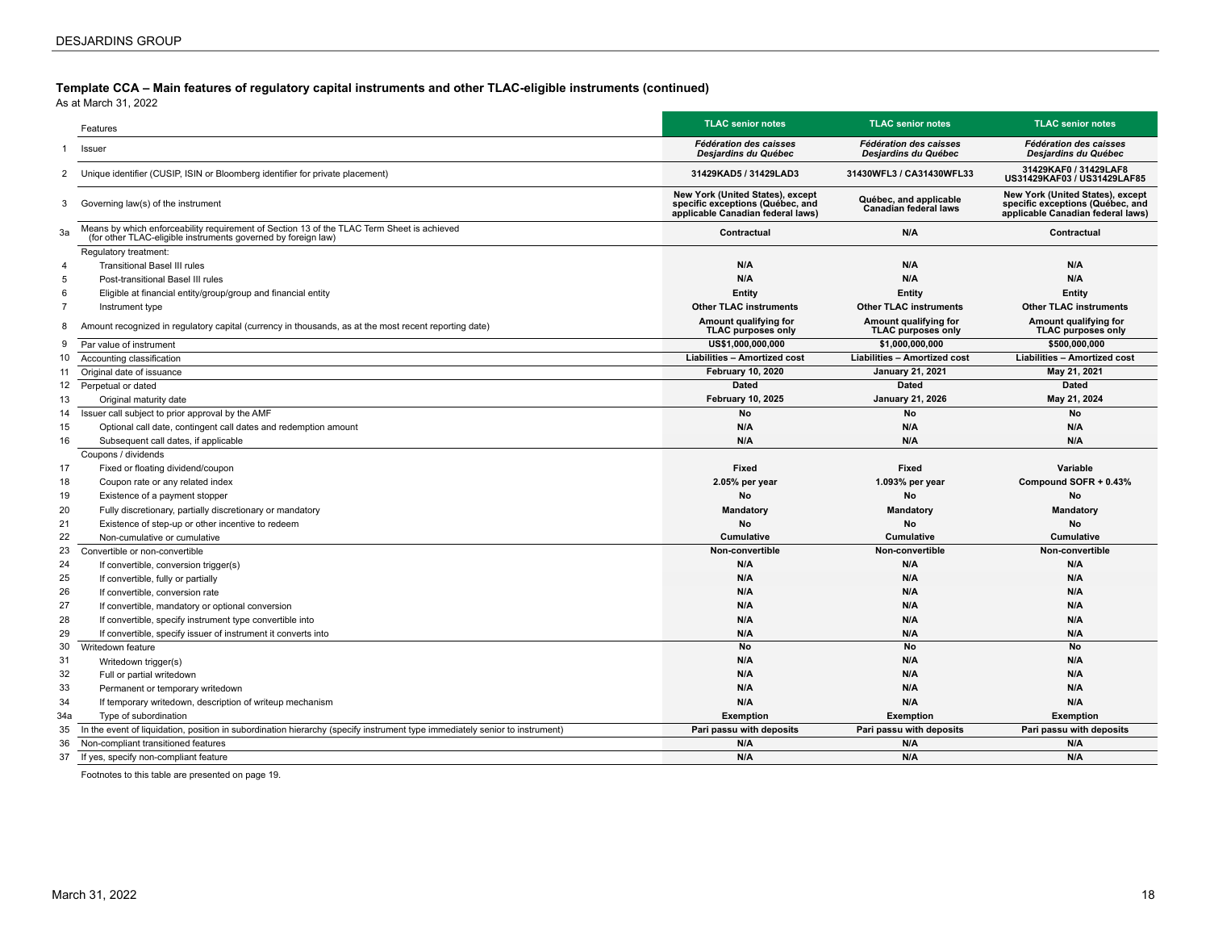#### **Template CCA – Main features of regulatory capital instruments and other TLAC-eligible instruments (continued)**

As at March 31, 2022

| Fédération des caisses<br><b>Fédération des caisses</b><br><b>Fédération des caisses</b><br>Issuer<br>1<br>Desjardins du Québec<br>Desjardins du Québec<br>Desjardins du Québec<br>31429KAF0 / 31429LAF8<br>Unique identifier (CUSIP, ISIN or Bloomberg identifier for private placement)<br>31429KAD5 / 31429LAD3<br>31430WFL3 / CA31430WFL33<br>2<br>US31429KAF03 / US31429LAF85<br>New York (United States), except<br>New York (United States), except<br>Québec, and applicable<br>Governing law(s) of the instrument<br>specific exceptions (Québec, and<br>specific exceptions (Québec, and<br>3<br><b>Canadian federal laws</b><br>applicable Canadian federal laws)<br>applicable Canadian federal laws)<br>Means by which enforceability requirement of Section 13 of the TLAC Term Sheet is achieved<br>3a<br>N/A<br>Contractual<br>Contractual<br>(for other TLAC-eligible instruments governed by foreign law)<br>Regulatory treatment:<br>N/A<br>N/A<br>N/A<br><b>Transitional Basel III rules</b><br>4<br>N/A<br>N/A<br>N/A<br>5<br>Post-transitional Basel III rules<br>6<br>Eligible at financial entity/group/group and financial entity<br>Entity<br>Entity<br>Entity<br>$\overline{7}$<br><b>Other TLAC instruments</b><br><b>Other TLAC instruments</b><br>Instrument type<br><b>Other TLAC instruments</b><br>Amount qualifying for<br>Amount qualifying for<br>Amount qualifying for<br>Amount recognized in regulatory capital (currency in thousands, as at the most recent reporting date)<br>8<br><b>TLAC purposes only</b><br><b>TLAC purposes only</b><br><b>TLAC purposes only</b><br>US\$1.000.000.000<br>\$500.000.000<br>\$1.000.000.000<br>Par value of instrument<br>9<br><b>Liabilities - Amortized cost</b><br>Accounting classification<br><b>Liabilities - Amortized cost</b><br><b>Liabilities - Amortized cost</b><br>10<br><b>February 10, 2020</b><br><b>January 21, 2021</b><br>May 21, 2021<br>Original date of issuance<br>11<br><b>Dated</b><br><b>Dated</b><br>12<br>Perpetual or dated<br><b>Dated</b><br><b>February 10, 2025</b><br>May 21, 2024<br>13<br><b>January 21, 2026</b><br>Original maturity date<br>Issuer call subject to prior approval by the AMF<br>No<br>No<br>No<br>14<br>N/A<br>N/A<br>N/A<br>15<br>Optional call date, contingent call dates and redemption amount<br>16<br>N/A<br>N/A<br>N/A<br>Subsequent call dates, if applicable<br>Coupons / dividends<br>17<br>Fixed or floating dividend/coupon<br>Fixed<br>Fixed<br><b>Variable</b><br>Compound SOFR + 0.43%<br>18<br>Coupon rate or any related index<br>2.05% per year<br>1.093% per year<br>19<br>No<br>No<br><b>No</b><br>Existence of a payment stopper<br>20<br>Fully discretionary, partially discretionary or mandatory<br>Mandatory<br>Mandatory<br>Mandatory<br>21<br>No<br>No<br>No<br>Existence of step-up or other incentive to redeem<br>22<br><b>Cumulative</b><br>Cumulative<br><b>Cumulative</b><br>Non-cumulative or cumulative<br>23<br>Non-convertible<br>Non-convertible<br>Non-convertible<br>Convertible or non-convertible<br>N/A<br>24<br>N/A<br>N/A<br>If convertible, conversion trigger(s)<br>25<br>N/A<br>N/A<br>N/A<br>If convertible, fully or partially<br>N/A<br>N/A<br>N/A<br>26<br>If convertible, conversion rate<br>27<br>N/A<br>N/A<br>N/A<br>If convertible, mandatory or optional conversion<br>28<br>N/A<br>N/A<br>N/A<br>If convertible, specify instrument type convertible into<br>29<br>N/A<br>N/A<br>N/A<br>If convertible, specify issuer of instrument it converts into<br>No<br><b>No</b><br>30<br>No<br>Writedown feature<br>31<br>N/A<br>N/A<br>N/A<br>Writedown trigger(s)<br>32<br>N/A<br>N/A<br>N/A<br>Full or partial writedown<br>33<br>N/A<br>N/A<br>N/A<br>Permanent or temporary writedown<br>N/A<br>N/A<br>34<br>N/A<br>If temporary writedown, description of writeup mechanism<br>34a<br>Type of subordination<br><b>Exemption</b><br><b>Exemption</b><br><b>Exemption</b><br>In the event of liquidation, position in subordination hierarchy (specify instrument type immediately senior to instrument)<br>Pari passu with deposits<br>Pari passu with deposits<br>Pari passu with deposits<br>35<br>N/A<br>N/A<br>N/A<br>36<br>Non-compliant transitioned features |    | Features                              | <b>TLAC senior notes</b> | <b>TLAC senior notes</b> | <b>TLAC senior notes</b> |
|--------------------------------------------------------------------------------------------------------------------------------------------------------------------------------------------------------------------------------------------------------------------------------------------------------------------------------------------------------------------------------------------------------------------------------------------------------------------------------------------------------------------------------------------------------------------------------------------------------------------------------------------------------------------------------------------------------------------------------------------------------------------------------------------------------------------------------------------------------------------------------------------------------------------------------------------------------------------------------------------------------------------------------------------------------------------------------------------------------------------------------------------------------------------------------------------------------------------------------------------------------------------------------------------------------------------------------------------------------------------------------------------------------------------------------------------------------------------------------------------------------------------------------------------------------------------------------------------------------------------------------------------------------------------------------------------------------------------------------------------------------------------------------------------------------------------------------------------------------------------------------------------------------------------------------------------------------------------------------------------------------------------------------------------------------------------------------------------------------------------------------------------------------------------------------------------------------------------------------------------------------------------------------------------------------------------------------------------------------------------------------------------------------------------------------------------------------------------------------------------------------------------------------------------------------------------------------------------------------------------------------------------------------------------------------------------------------------------------------------------------------------------------------------------------------------------------------------------------------------------------------------------------------------------------------------------------------------------------------------------------------------------------------------------------------------------------------------------------------------------------------------------------------------------------------------------------------------------------------------------------------------------------------------------------------------------------------------------------------------------------------------------------------------------------------------------------------------------------------------------------------------------------------------------------------------------------------------------------------------------------------------------------------------------------------------------------------------------------------------------------------------------------------------------------------------------------------------------------------------------------------------------------------------------------------------------------------------------------------------------------------------------------------------------------------------------------------------------------------------------------------------------------------------------------------------------------------------------------------------------------------------------|----|---------------------------------------|--------------------------|--------------------------|--------------------------|
|                                                                                                                                                                                                                                                                                                                                                                                                                                                                                                                                                                                                                                                                                                                                                                                                                                                                                                                                                                                                                                                                                                                                                                                                                                                                                                                                                                                                                                                                                                                                                                                                                                                                                                                                                                                                                                                                                                                                                                                                                                                                                                                                                                                                                                                                                                                                                                                                                                                                                                                                                                                                                                                                                                                                                                                                                                                                                                                                                                                                                                                                                                                                                                                                                                                                                                                                                                                                                                                                                                                                                                                                                                                                                                                                                                                                                                                                                                                                                                                                                                                                                                                                                                                                                                                                    |    |                                       |                          |                          |                          |
|                                                                                                                                                                                                                                                                                                                                                                                                                                                                                                                                                                                                                                                                                                                                                                                                                                                                                                                                                                                                                                                                                                                                                                                                                                                                                                                                                                                                                                                                                                                                                                                                                                                                                                                                                                                                                                                                                                                                                                                                                                                                                                                                                                                                                                                                                                                                                                                                                                                                                                                                                                                                                                                                                                                                                                                                                                                                                                                                                                                                                                                                                                                                                                                                                                                                                                                                                                                                                                                                                                                                                                                                                                                                                                                                                                                                                                                                                                                                                                                                                                                                                                                                                                                                                                                                    |    |                                       |                          |                          |                          |
|                                                                                                                                                                                                                                                                                                                                                                                                                                                                                                                                                                                                                                                                                                                                                                                                                                                                                                                                                                                                                                                                                                                                                                                                                                                                                                                                                                                                                                                                                                                                                                                                                                                                                                                                                                                                                                                                                                                                                                                                                                                                                                                                                                                                                                                                                                                                                                                                                                                                                                                                                                                                                                                                                                                                                                                                                                                                                                                                                                                                                                                                                                                                                                                                                                                                                                                                                                                                                                                                                                                                                                                                                                                                                                                                                                                                                                                                                                                                                                                                                                                                                                                                                                                                                                                                    |    |                                       |                          |                          |                          |
|                                                                                                                                                                                                                                                                                                                                                                                                                                                                                                                                                                                                                                                                                                                                                                                                                                                                                                                                                                                                                                                                                                                                                                                                                                                                                                                                                                                                                                                                                                                                                                                                                                                                                                                                                                                                                                                                                                                                                                                                                                                                                                                                                                                                                                                                                                                                                                                                                                                                                                                                                                                                                                                                                                                                                                                                                                                                                                                                                                                                                                                                                                                                                                                                                                                                                                                                                                                                                                                                                                                                                                                                                                                                                                                                                                                                                                                                                                                                                                                                                                                                                                                                                                                                                                                                    |    |                                       |                          |                          |                          |
|                                                                                                                                                                                                                                                                                                                                                                                                                                                                                                                                                                                                                                                                                                                                                                                                                                                                                                                                                                                                                                                                                                                                                                                                                                                                                                                                                                                                                                                                                                                                                                                                                                                                                                                                                                                                                                                                                                                                                                                                                                                                                                                                                                                                                                                                                                                                                                                                                                                                                                                                                                                                                                                                                                                                                                                                                                                                                                                                                                                                                                                                                                                                                                                                                                                                                                                                                                                                                                                                                                                                                                                                                                                                                                                                                                                                                                                                                                                                                                                                                                                                                                                                                                                                                                                                    |    |                                       |                          |                          |                          |
|                                                                                                                                                                                                                                                                                                                                                                                                                                                                                                                                                                                                                                                                                                                                                                                                                                                                                                                                                                                                                                                                                                                                                                                                                                                                                                                                                                                                                                                                                                                                                                                                                                                                                                                                                                                                                                                                                                                                                                                                                                                                                                                                                                                                                                                                                                                                                                                                                                                                                                                                                                                                                                                                                                                                                                                                                                                                                                                                                                                                                                                                                                                                                                                                                                                                                                                                                                                                                                                                                                                                                                                                                                                                                                                                                                                                                                                                                                                                                                                                                                                                                                                                                                                                                                                                    |    |                                       |                          |                          |                          |
|                                                                                                                                                                                                                                                                                                                                                                                                                                                                                                                                                                                                                                                                                                                                                                                                                                                                                                                                                                                                                                                                                                                                                                                                                                                                                                                                                                                                                                                                                                                                                                                                                                                                                                                                                                                                                                                                                                                                                                                                                                                                                                                                                                                                                                                                                                                                                                                                                                                                                                                                                                                                                                                                                                                                                                                                                                                                                                                                                                                                                                                                                                                                                                                                                                                                                                                                                                                                                                                                                                                                                                                                                                                                                                                                                                                                                                                                                                                                                                                                                                                                                                                                                                                                                                                                    |    |                                       |                          |                          |                          |
|                                                                                                                                                                                                                                                                                                                                                                                                                                                                                                                                                                                                                                                                                                                                                                                                                                                                                                                                                                                                                                                                                                                                                                                                                                                                                                                                                                                                                                                                                                                                                                                                                                                                                                                                                                                                                                                                                                                                                                                                                                                                                                                                                                                                                                                                                                                                                                                                                                                                                                                                                                                                                                                                                                                                                                                                                                                                                                                                                                                                                                                                                                                                                                                                                                                                                                                                                                                                                                                                                                                                                                                                                                                                                                                                                                                                                                                                                                                                                                                                                                                                                                                                                                                                                                                                    |    |                                       |                          |                          |                          |
|                                                                                                                                                                                                                                                                                                                                                                                                                                                                                                                                                                                                                                                                                                                                                                                                                                                                                                                                                                                                                                                                                                                                                                                                                                                                                                                                                                                                                                                                                                                                                                                                                                                                                                                                                                                                                                                                                                                                                                                                                                                                                                                                                                                                                                                                                                                                                                                                                                                                                                                                                                                                                                                                                                                                                                                                                                                                                                                                                                                                                                                                                                                                                                                                                                                                                                                                                                                                                                                                                                                                                                                                                                                                                                                                                                                                                                                                                                                                                                                                                                                                                                                                                                                                                                                                    |    |                                       |                          |                          |                          |
|                                                                                                                                                                                                                                                                                                                                                                                                                                                                                                                                                                                                                                                                                                                                                                                                                                                                                                                                                                                                                                                                                                                                                                                                                                                                                                                                                                                                                                                                                                                                                                                                                                                                                                                                                                                                                                                                                                                                                                                                                                                                                                                                                                                                                                                                                                                                                                                                                                                                                                                                                                                                                                                                                                                                                                                                                                                                                                                                                                                                                                                                                                                                                                                                                                                                                                                                                                                                                                                                                                                                                                                                                                                                                                                                                                                                                                                                                                                                                                                                                                                                                                                                                                                                                                                                    |    |                                       |                          |                          |                          |
|                                                                                                                                                                                                                                                                                                                                                                                                                                                                                                                                                                                                                                                                                                                                                                                                                                                                                                                                                                                                                                                                                                                                                                                                                                                                                                                                                                                                                                                                                                                                                                                                                                                                                                                                                                                                                                                                                                                                                                                                                                                                                                                                                                                                                                                                                                                                                                                                                                                                                                                                                                                                                                                                                                                                                                                                                                                                                                                                                                                                                                                                                                                                                                                                                                                                                                                                                                                                                                                                                                                                                                                                                                                                                                                                                                                                                                                                                                                                                                                                                                                                                                                                                                                                                                                                    |    |                                       |                          |                          |                          |
|                                                                                                                                                                                                                                                                                                                                                                                                                                                                                                                                                                                                                                                                                                                                                                                                                                                                                                                                                                                                                                                                                                                                                                                                                                                                                                                                                                                                                                                                                                                                                                                                                                                                                                                                                                                                                                                                                                                                                                                                                                                                                                                                                                                                                                                                                                                                                                                                                                                                                                                                                                                                                                                                                                                                                                                                                                                                                                                                                                                                                                                                                                                                                                                                                                                                                                                                                                                                                                                                                                                                                                                                                                                                                                                                                                                                                                                                                                                                                                                                                                                                                                                                                                                                                                                                    |    |                                       |                          |                          |                          |
|                                                                                                                                                                                                                                                                                                                                                                                                                                                                                                                                                                                                                                                                                                                                                                                                                                                                                                                                                                                                                                                                                                                                                                                                                                                                                                                                                                                                                                                                                                                                                                                                                                                                                                                                                                                                                                                                                                                                                                                                                                                                                                                                                                                                                                                                                                                                                                                                                                                                                                                                                                                                                                                                                                                                                                                                                                                                                                                                                                                                                                                                                                                                                                                                                                                                                                                                                                                                                                                                                                                                                                                                                                                                                                                                                                                                                                                                                                                                                                                                                                                                                                                                                                                                                                                                    |    |                                       |                          |                          |                          |
|                                                                                                                                                                                                                                                                                                                                                                                                                                                                                                                                                                                                                                                                                                                                                                                                                                                                                                                                                                                                                                                                                                                                                                                                                                                                                                                                                                                                                                                                                                                                                                                                                                                                                                                                                                                                                                                                                                                                                                                                                                                                                                                                                                                                                                                                                                                                                                                                                                                                                                                                                                                                                                                                                                                                                                                                                                                                                                                                                                                                                                                                                                                                                                                                                                                                                                                                                                                                                                                                                                                                                                                                                                                                                                                                                                                                                                                                                                                                                                                                                                                                                                                                                                                                                                                                    |    |                                       |                          |                          |                          |
|                                                                                                                                                                                                                                                                                                                                                                                                                                                                                                                                                                                                                                                                                                                                                                                                                                                                                                                                                                                                                                                                                                                                                                                                                                                                                                                                                                                                                                                                                                                                                                                                                                                                                                                                                                                                                                                                                                                                                                                                                                                                                                                                                                                                                                                                                                                                                                                                                                                                                                                                                                                                                                                                                                                                                                                                                                                                                                                                                                                                                                                                                                                                                                                                                                                                                                                                                                                                                                                                                                                                                                                                                                                                                                                                                                                                                                                                                                                                                                                                                                                                                                                                                                                                                                                                    |    |                                       |                          |                          |                          |
|                                                                                                                                                                                                                                                                                                                                                                                                                                                                                                                                                                                                                                                                                                                                                                                                                                                                                                                                                                                                                                                                                                                                                                                                                                                                                                                                                                                                                                                                                                                                                                                                                                                                                                                                                                                                                                                                                                                                                                                                                                                                                                                                                                                                                                                                                                                                                                                                                                                                                                                                                                                                                                                                                                                                                                                                                                                                                                                                                                                                                                                                                                                                                                                                                                                                                                                                                                                                                                                                                                                                                                                                                                                                                                                                                                                                                                                                                                                                                                                                                                                                                                                                                                                                                                                                    |    |                                       |                          |                          |                          |
|                                                                                                                                                                                                                                                                                                                                                                                                                                                                                                                                                                                                                                                                                                                                                                                                                                                                                                                                                                                                                                                                                                                                                                                                                                                                                                                                                                                                                                                                                                                                                                                                                                                                                                                                                                                                                                                                                                                                                                                                                                                                                                                                                                                                                                                                                                                                                                                                                                                                                                                                                                                                                                                                                                                                                                                                                                                                                                                                                                                                                                                                                                                                                                                                                                                                                                                                                                                                                                                                                                                                                                                                                                                                                                                                                                                                                                                                                                                                                                                                                                                                                                                                                                                                                                                                    |    |                                       |                          |                          |                          |
|                                                                                                                                                                                                                                                                                                                                                                                                                                                                                                                                                                                                                                                                                                                                                                                                                                                                                                                                                                                                                                                                                                                                                                                                                                                                                                                                                                                                                                                                                                                                                                                                                                                                                                                                                                                                                                                                                                                                                                                                                                                                                                                                                                                                                                                                                                                                                                                                                                                                                                                                                                                                                                                                                                                                                                                                                                                                                                                                                                                                                                                                                                                                                                                                                                                                                                                                                                                                                                                                                                                                                                                                                                                                                                                                                                                                                                                                                                                                                                                                                                                                                                                                                                                                                                                                    |    |                                       |                          |                          |                          |
|                                                                                                                                                                                                                                                                                                                                                                                                                                                                                                                                                                                                                                                                                                                                                                                                                                                                                                                                                                                                                                                                                                                                                                                                                                                                                                                                                                                                                                                                                                                                                                                                                                                                                                                                                                                                                                                                                                                                                                                                                                                                                                                                                                                                                                                                                                                                                                                                                                                                                                                                                                                                                                                                                                                                                                                                                                                                                                                                                                                                                                                                                                                                                                                                                                                                                                                                                                                                                                                                                                                                                                                                                                                                                                                                                                                                                                                                                                                                                                                                                                                                                                                                                                                                                                                                    |    |                                       |                          |                          |                          |
|                                                                                                                                                                                                                                                                                                                                                                                                                                                                                                                                                                                                                                                                                                                                                                                                                                                                                                                                                                                                                                                                                                                                                                                                                                                                                                                                                                                                                                                                                                                                                                                                                                                                                                                                                                                                                                                                                                                                                                                                                                                                                                                                                                                                                                                                                                                                                                                                                                                                                                                                                                                                                                                                                                                                                                                                                                                                                                                                                                                                                                                                                                                                                                                                                                                                                                                                                                                                                                                                                                                                                                                                                                                                                                                                                                                                                                                                                                                                                                                                                                                                                                                                                                                                                                                                    |    |                                       |                          |                          |                          |
|                                                                                                                                                                                                                                                                                                                                                                                                                                                                                                                                                                                                                                                                                                                                                                                                                                                                                                                                                                                                                                                                                                                                                                                                                                                                                                                                                                                                                                                                                                                                                                                                                                                                                                                                                                                                                                                                                                                                                                                                                                                                                                                                                                                                                                                                                                                                                                                                                                                                                                                                                                                                                                                                                                                                                                                                                                                                                                                                                                                                                                                                                                                                                                                                                                                                                                                                                                                                                                                                                                                                                                                                                                                                                                                                                                                                                                                                                                                                                                                                                                                                                                                                                                                                                                                                    |    |                                       |                          |                          |                          |
|                                                                                                                                                                                                                                                                                                                                                                                                                                                                                                                                                                                                                                                                                                                                                                                                                                                                                                                                                                                                                                                                                                                                                                                                                                                                                                                                                                                                                                                                                                                                                                                                                                                                                                                                                                                                                                                                                                                                                                                                                                                                                                                                                                                                                                                                                                                                                                                                                                                                                                                                                                                                                                                                                                                                                                                                                                                                                                                                                                                                                                                                                                                                                                                                                                                                                                                                                                                                                                                                                                                                                                                                                                                                                                                                                                                                                                                                                                                                                                                                                                                                                                                                                                                                                                                                    |    |                                       |                          |                          |                          |
|                                                                                                                                                                                                                                                                                                                                                                                                                                                                                                                                                                                                                                                                                                                                                                                                                                                                                                                                                                                                                                                                                                                                                                                                                                                                                                                                                                                                                                                                                                                                                                                                                                                                                                                                                                                                                                                                                                                                                                                                                                                                                                                                                                                                                                                                                                                                                                                                                                                                                                                                                                                                                                                                                                                                                                                                                                                                                                                                                                                                                                                                                                                                                                                                                                                                                                                                                                                                                                                                                                                                                                                                                                                                                                                                                                                                                                                                                                                                                                                                                                                                                                                                                                                                                                                                    |    |                                       |                          |                          |                          |
|                                                                                                                                                                                                                                                                                                                                                                                                                                                                                                                                                                                                                                                                                                                                                                                                                                                                                                                                                                                                                                                                                                                                                                                                                                                                                                                                                                                                                                                                                                                                                                                                                                                                                                                                                                                                                                                                                                                                                                                                                                                                                                                                                                                                                                                                                                                                                                                                                                                                                                                                                                                                                                                                                                                                                                                                                                                                                                                                                                                                                                                                                                                                                                                                                                                                                                                                                                                                                                                                                                                                                                                                                                                                                                                                                                                                                                                                                                                                                                                                                                                                                                                                                                                                                                                                    |    |                                       |                          |                          |                          |
|                                                                                                                                                                                                                                                                                                                                                                                                                                                                                                                                                                                                                                                                                                                                                                                                                                                                                                                                                                                                                                                                                                                                                                                                                                                                                                                                                                                                                                                                                                                                                                                                                                                                                                                                                                                                                                                                                                                                                                                                                                                                                                                                                                                                                                                                                                                                                                                                                                                                                                                                                                                                                                                                                                                                                                                                                                                                                                                                                                                                                                                                                                                                                                                                                                                                                                                                                                                                                                                                                                                                                                                                                                                                                                                                                                                                                                                                                                                                                                                                                                                                                                                                                                                                                                                                    |    |                                       |                          |                          |                          |
|                                                                                                                                                                                                                                                                                                                                                                                                                                                                                                                                                                                                                                                                                                                                                                                                                                                                                                                                                                                                                                                                                                                                                                                                                                                                                                                                                                                                                                                                                                                                                                                                                                                                                                                                                                                                                                                                                                                                                                                                                                                                                                                                                                                                                                                                                                                                                                                                                                                                                                                                                                                                                                                                                                                                                                                                                                                                                                                                                                                                                                                                                                                                                                                                                                                                                                                                                                                                                                                                                                                                                                                                                                                                                                                                                                                                                                                                                                                                                                                                                                                                                                                                                                                                                                                                    |    |                                       |                          |                          |                          |
|                                                                                                                                                                                                                                                                                                                                                                                                                                                                                                                                                                                                                                                                                                                                                                                                                                                                                                                                                                                                                                                                                                                                                                                                                                                                                                                                                                                                                                                                                                                                                                                                                                                                                                                                                                                                                                                                                                                                                                                                                                                                                                                                                                                                                                                                                                                                                                                                                                                                                                                                                                                                                                                                                                                                                                                                                                                                                                                                                                                                                                                                                                                                                                                                                                                                                                                                                                                                                                                                                                                                                                                                                                                                                                                                                                                                                                                                                                                                                                                                                                                                                                                                                                                                                                                                    |    |                                       |                          |                          |                          |
|                                                                                                                                                                                                                                                                                                                                                                                                                                                                                                                                                                                                                                                                                                                                                                                                                                                                                                                                                                                                                                                                                                                                                                                                                                                                                                                                                                                                                                                                                                                                                                                                                                                                                                                                                                                                                                                                                                                                                                                                                                                                                                                                                                                                                                                                                                                                                                                                                                                                                                                                                                                                                                                                                                                                                                                                                                                                                                                                                                                                                                                                                                                                                                                                                                                                                                                                                                                                                                                                                                                                                                                                                                                                                                                                                                                                                                                                                                                                                                                                                                                                                                                                                                                                                                                                    |    |                                       |                          |                          |                          |
|                                                                                                                                                                                                                                                                                                                                                                                                                                                                                                                                                                                                                                                                                                                                                                                                                                                                                                                                                                                                                                                                                                                                                                                                                                                                                                                                                                                                                                                                                                                                                                                                                                                                                                                                                                                                                                                                                                                                                                                                                                                                                                                                                                                                                                                                                                                                                                                                                                                                                                                                                                                                                                                                                                                                                                                                                                                                                                                                                                                                                                                                                                                                                                                                                                                                                                                                                                                                                                                                                                                                                                                                                                                                                                                                                                                                                                                                                                                                                                                                                                                                                                                                                                                                                                                                    |    |                                       |                          |                          |                          |
|                                                                                                                                                                                                                                                                                                                                                                                                                                                                                                                                                                                                                                                                                                                                                                                                                                                                                                                                                                                                                                                                                                                                                                                                                                                                                                                                                                                                                                                                                                                                                                                                                                                                                                                                                                                                                                                                                                                                                                                                                                                                                                                                                                                                                                                                                                                                                                                                                                                                                                                                                                                                                                                                                                                                                                                                                                                                                                                                                                                                                                                                                                                                                                                                                                                                                                                                                                                                                                                                                                                                                                                                                                                                                                                                                                                                                                                                                                                                                                                                                                                                                                                                                                                                                                                                    |    |                                       |                          |                          |                          |
|                                                                                                                                                                                                                                                                                                                                                                                                                                                                                                                                                                                                                                                                                                                                                                                                                                                                                                                                                                                                                                                                                                                                                                                                                                                                                                                                                                                                                                                                                                                                                                                                                                                                                                                                                                                                                                                                                                                                                                                                                                                                                                                                                                                                                                                                                                                                                                                                                                                                                                                                                                                                                                                                                                                                                                                                                                                                                                                                                                                                                                                                                                                                                                                                                                                                                                                                                                                                                                                                                                                                                                                                                                                                                                                                                                                                                                                                                                                                                                                                                                                                                                                                                                                                                                                                    |    |                                       |                          |                          |                          |
|                                                                                                                                                                                                                                                                                                                                                                                                                                                                                                                                                                                                                                                                                                                                                                                                                                                                                                                                                                                                                                                                                                                                                                                                                                                                                                                                                                                                                                                                                                                                                                                                                                                                                                                                                                                                                                                                                                                                                                                                                                                                                                                                                                                                                                                                                                                                                                                                                                                                                                                                                                                                                                                                                                                                                                                                                                                                                                                                                                                                                                                                                                                                                                                                                                                                                                                                                                                                                                                                                                                                                                                                                                                                                                                                                                                                                                                                                                                                                                                                                                                                                                                                                                                                                                                                    |    |                                       |                          |                          |                          |
|                                                                                                                                                                                                                                                                                                                                                                                                                                                                                                                                                                                                                                                                                                                                                                                                                                                                                                                                                                                                                                                                                                                                                                                                                                                                                                                                                                                                                                                                                                                                                                                                                                                                                                                                                                                                                                                                                                                                                                                                                                                                                                                                                                                                                                                                                                                                                                                                                                                                                                                                                                                                                                                                                                                                                                                                                                                                                                                                                                                                                                                                                                                                                                                                                                                                                                                                                                                                                                                                                                                                                                                                                                                                                                                                                                                                                                                                                                                                                                                                                                                                                                                                                                                                                                                                    |    |                                       |                          |                          |                          |
|                                                                                                                                                                                                                                                                                                                                                                                                                                                                                                                                                                                                                                                                                                                                                                                                                                                                                                                                                                                                                                                                                                                                                                                                                                                                                                                                                                                                                                                                                                                                                                                                                                                                                                                                                                                                                                                                                                                                                                                                                                                                                                                                                                                                                                                                                                                                                                                                                                                                                                                                                                                                                                                                                                                                                                                                                                                                                                                                                                                                                                                                                                                                                                                                                                                                                                                                                                                                                                                                                                                                                                                                                                                                                                                                                                                                                                                                                                                                                                                                                                                                                                                                                                                                                                                                    |    |                                       |                          |                          |                          |
|                                                                                                                                                                                                                                                                                                                                                                                                                                                                                                                                                                                                                                                                                                                                                                                                                                                                                                                                                                                                                                                                                                                                                                                                                                                                                                                                                                                                                                                                                                                                                                                                                                                                                                                                                                                                                                                                                                                                                                                                                                                                                                                                                                                                                                                                                                                                                                                                                                                                                                                                                                                                                                                                                                                                                                                                                                                                                                                                                                                                                                                                                                                                                                                                                                                                                                                                                                                                                                                                                                                                                                                                                                                                                                                                                                                                                                                                                                                                                                                                                                                                                                                                                                                                                                                                    |    |                                       |                          |                          |                          |
|                                                                                                                                                                                                                                                                                                                                                                                                                                                                                                                                                                                                                                                                                                                                                                                                                                                                                                                                                                                                                                                                                                                                                                                                                                                                                                                                                                                                                                                                                                                                                                                                                                                                                                                                                                                                                                                                                                                                                                                                                                                                                                                                                                                                                                                                                                                                                                                                                                                                                                                                                                                                                                                                                                                                                                                                                                                                                                                                                                                                                                                                                                                                                                                                                                                                                                                                                                                                                                                                                                                                                                                                                                                                                                                                                                                                                                                                                                                                                                                                                                                                                                                                                                                                                                                                    |    |                                       |                          |                          |                          |
|                                                                                                                                                                                                                                                                                                                                                                                                                                                                                                                                                                                                                                                                                                                                                                                                                                                                                                                                                                                                                                                                                                                                                                                                                                                                                                                                                                                                                                                                                                                                                                                                                                                                                                                                                                                                                                                                                                                                                                                                                                                                                                                                                                                                                                                                                                                                                                                                                                                                                                                                                                                                                                                                                                                                                                                                                                                                                                                                                                                                                                                                                                                                                                                                                                                                                                                                                                                                                                                                                                                                                                                                                                                                                                                                                                                                                                                                                                                                                                                                                                                                                                                                                                                                                                                                    |    |                                       |                          |                          |                          |
|                                                                                                                                                                                                                                                                                                                                                                                                                                                                                                                                                                                                                                                                                                                                                                                                                                                                                                                                                                                                                                                                                                                                                                                                                                                                                                                                                                                                                                                                                                                                                                                                                                                                                                                                                                                                                                                                                                                                                                                                                                                                                                                                                                                                                                                                                                                                                                                                                                                                                                                                                                                                                                                                                                                                                                                                                                                                                                                                                                                                                                                                                                                                                                                                                                                                                                                                                                                                                                                                                                                                                                                                                                                                                                                                                                                                                                                                                                                                                                                                                                                                                                                                                                                                                                                                    |    |                                       |                          |                          |                          |
|                                                                                                                                                                                                                                                                                                                                                                                                                                                                                                                                                                                                                                                                                                                                                                                                                                                                                                                                                                                                                                                                                                                                                                                                                                                                                                                                                                                                                                                                                                                                                                                                                                                                                                                                                                                                                                                                                                                                                                                                                                                                                                                                                                                                                                                                                                                                                                                                                                                                                                                                                                                                                                                                                                                                                                                                                                                                                                                                                                                                                                                                                                                                                                                                                                                                                                                                                                                                                                                                                                                                                                                                                                                                                                                                                                                                                                                                                                                                                                                                                                                                                                                                                                                                                                                                    |    |                                       |                          |                          |                          |
|                                                                                                                                                                                                                                                                                                                                                                                                                                                                                                                                                                                                                                                                                                                                                                                                                                                                                                                                                                                                                                                                                                                                                                                                                                                                                                                                                                                                                                                                                                                                                                                                                                                                                                                                                                                                                                                                                                                                                                                                                                                                                                                                                                                                                                                                                                                                                                                                                                                                                                                                                                                                                                                                                                                                                                                                                                                                                                                                                                                                                                                                                                                                                                                                                                                                                                                                                                                                                                                                                                                                                                                                                                                                                                                                                                                                                                                                                                                                                                                                                                                                                                                                                                                                                                                                    |    |                                       |                          |                          |                          |
|                                                                                                                                                                                                                                                                                                                                                                                                                                                                                                                                                                                                                                                                                                                                                                                                                                                                                                                                                                                                                                                                                                                                                                                                                                                                                                                                                                                                                                                                                                                                                                                                                                                                                                                                                                                                                                                                                                                                                                                                                                                                                                                                                                                                                                                                                                                                                                                                                                                                                                                                                                                                                                                                                                                                                                                                                                                                                                                                                                                                                                                                                                                                                                                                                                                                                                                                                                                                                                                                                                                                                                                                                                                                                                                                                                                                                                                                                                                                                                                                                                                                                                                                                                                                                                                                    | 37 | If yes, specify non-compliant feature | N/A                      | N/A                      | N/A                      |

Footnotes to this table are presented on page 19.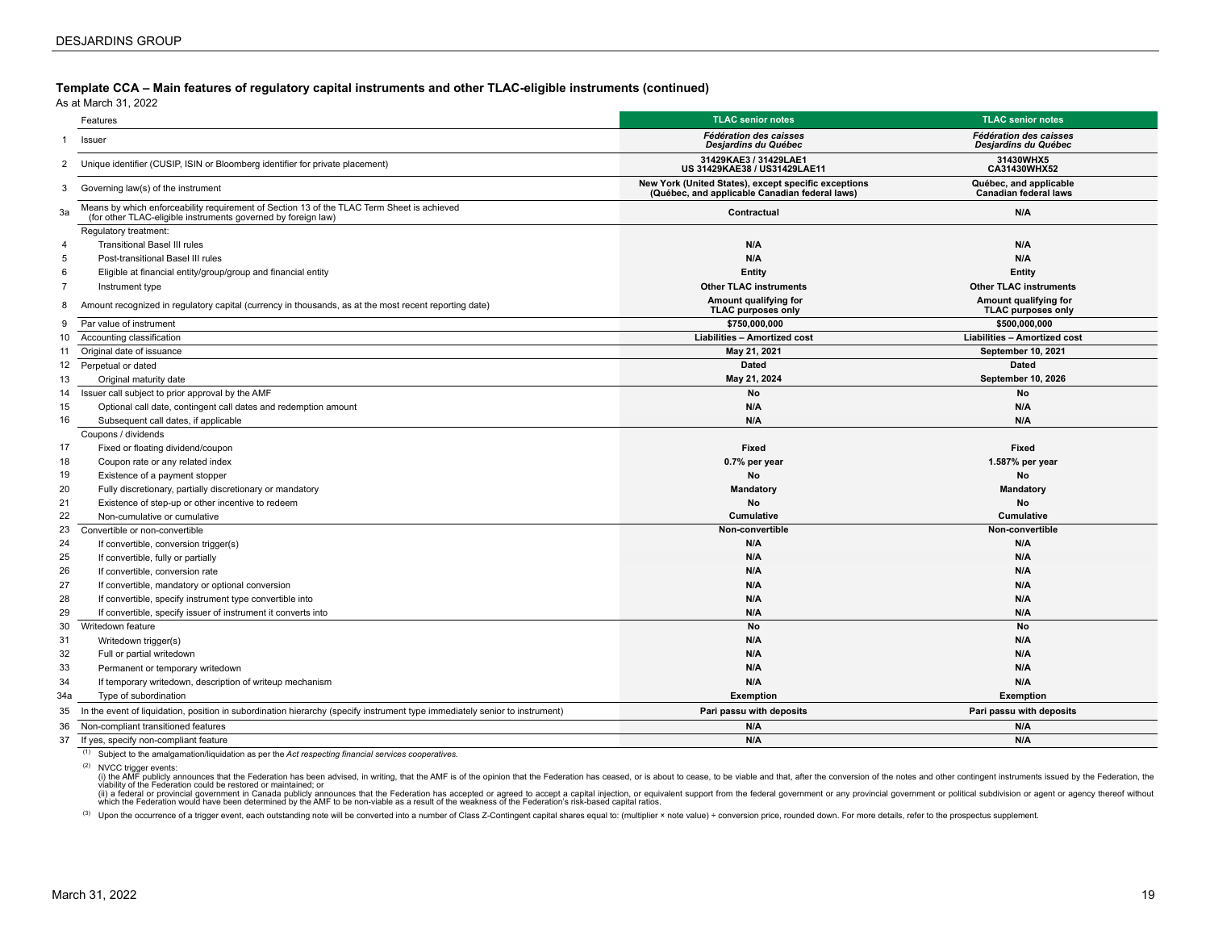**Template CCA – Main features of regulatory capital instruments and other TLAC-eligible instruments (continued)**

As at March 31, 2022

|                | Features                                                                                                                                                    | <b>TLAC senior notes</b>                                                                               | <b>TLAC</b> senior notes                               |
|----------------|-------------------------------------------------------------------------------------------------------------------------------------------------------------|--------------------------------------------------------------------------------------------------------|--------------------------------------------------------|
| 1              | Issuer                                                                                                                                                      | <b>Fédération des caisses</b><br>Desjardins du Québec                                                  | <b>Fédération des caisses</b><br>Desjardins du Québec  |
| 2              | Unique identifier (CUSIP, ISIN or Bloomberg identifier for private placement)                                                                               | 31429KAE3 / 31429LAE1<br>US 31429KAE38 / US31429LAE11                                                  | 31430WHX5<br>CA31430WHX52                              |
| 3              | Governing law(s) of the instrument                                                                                                                          | New York (United States), except specific exceptions<br>(Québec, and applicable Canadian federal laws) | Québec, and applicable<br><b>Canadian federal laws</b> |
| 3a             | Means by which enforceability requirement of Section 13 of the TLAC Term Sheet is achieved<br>(for other TLAC-eligible instruments governed by foreign law) | Contractual                                                                                            | N/A                                                    |
|                | Regulatory treatment:                                                                                                                                       |                                                                                                        |                                                        |
| $\overline{4}$ | <b>Transitional Basel III rules</b>                                                                                                                         | N/A                                                                                                    | N/A                                                    |
| 5              | Post-transitional Basel III rules                                                                                                                           | N/A                                                                                                    | N/A                                                    |
| 6              | Eligible at financial entity/group/group and financial entity                                                                                               | Entity                                                                                                 | Entity                                                 |
| $\overline{7}$ | Instrument type                                                                                                                                             | <b>Other TLAC instruments</b>                                                                          | <b>Other TLAC instruments</b>                          |
| 8              | Amount recognized in regulatory capital (currency in thousands, as at the most recent reporting date)                                                       | Amount qualifying for<br><b>TLAC purposes only</b>                                                     | Amount qualifying for<br><b>TLAC purposes only</b>     |
| 9              | Par value of instrument                                                                                                                                     | \$750,000.000                                                                                          | \$500,000,000                                          |
| 10             | Accounting classification                                                                                                                                   | Liabilities - Amortized cost                                                                           | <b>Liabilities - Amortized cost</b>                    |
| 11             | Original date of issuance                                                                                                                                   | May 21, 2021                                                                                           | September 10, 2021                                     |
| 12             | Perpetual or dated                                                                                                                                          | <b>Dated</b>                                                                                           | <b>Dated</b>                                           |
| 13             | Original maturity date                                                                                                                                      | May 21, 2024                                                                                           | September 10, 2026                                     |
| 14             | Issuer call subject to prior approval by the AMF                                                                                                            | No                                                                                                     | No                                                     |
| 15             | Optional call date, contingent call dates and redemption amount                                                                                             | N/A                                                                                                    | N/A                                                    |
| 16             | Subsequent call dates, if applicable                                                                                                                        | N/A                                                                                                    | N/A                                                    |
|                | Coupons / dividends                                                                                                                                         |                                                                                                        |                                                        |
| 17             | Fixed or floating dividend/coupon                                                                                                                           | Fixed                                                                                                  | Fixed                                                  |
| 18             | Coupon rate or any related index                                                                                                                            | 0.7% per year                                                                                          | 1.587% per year                                        |
| 19             | Existence of a payment stopper                                                                                                                              | No                                                                                                     | No                                                     |
| 20             | Fully discretionary, partially discretionary or mandatory                                                                                                   | <b>Mandatory</b>                                                                                       | Mandatory                                              |
| 21             | Existence of step-up or other incentive to redeem                                                                                                           | No                                                                                                     | No                                                     |
| 22             | Non-cumulative or cumulative                                                                                                                                | <b>Cumulative</b>                                                                                      | Cumulative                                             |
| 23             | Convertible or non-convertible                                                                                                                              | Non-convertible                                                                                        | Non-convertible                                        |
| 24             | If convertible, conversion trigger(s)                                                                                                                       | N/A                                                                                                    | N/A                                                    |
| 25             | If convertible, fully or partially                                                                                                                          | N/A                                                                                                    | N/A                                                    |
| 26             | If convertible, conversion rate                                                                                                                             | N/A                                                                                                    | N/A                                                    |
| 27             | If convertible, mandatory or optional conversion                                                                                                            | N/A                                                                                                    | N/A                                                    |
| 28             | If convertible, specify instrument type convertible into                                                                                                    | N/A                                                                                                    | N/A                                                    |
| 29             | If convertible, specify issuer of instrument it converts into                                                                                               | N/A                                                                                                    | N/A                                                    |
| 30             | Writedown feature                                                                                                                                           | No                                                                                                     | No                                                     |
| 31             | Writedown trigger(s)                                                                                                                                        | N/A                                                                                                    | N/A                                                    |
| 32             | Full or partial writedown                                                                                                                                   | N/A                                                                                                    | N/A                                                    |
| 33             | Permanent or temporary writedown                                                                                                                            | N/A                                                                                                    | N/A                                                    |
| 34             | If temporary writedown, description of writeup mechanism                                                                                                    | N/A                                                                                                    | N/A                                                    |
| 34a            | Type of subordination                                                                                                                                       | <b>Exemption</b>                                                                                       | <b>Exemption</b>                                       |
| 35             | In the event of liquidation, position in subordination hierarchy (specify instrument type immediately senior to instrument)                                 | Pari passu with deposits                                                                               | Pari passu with deposits                               |
| 36             | Non-compliant transitioned features                                                                                                                         | N/A                                                                                                    | N/A                                                    |
| 37             | If yes, specify non-compliant feature                                                                                                                       | N/A                                                                                                    | N/A                                                    |

(1) Subject to the amalgamation/liquidation as per the *Act respecting financial services cooperatives*.

(2) NVCC trigger events:<br>(i) the AMF publicly announces that the Federation has been advised, in writing, that the AMF is of the opinion that the Federation has ceased, or is about to cease, to be viable and that, after th viability of the Federation could be restored or maintained; or

(ii) a federal or provincial government in Canada publicly announces that the Federation has accepted or agreed to accept a capital injection, or equivalent support from the federal government or any provincial government

(3) Upon the occurrence of a trigger event, each outstanding note will be converted into a number of Class Z-Contingent capital shares equal to: (multiplier x note value) + conversion price, rounded down. For more details,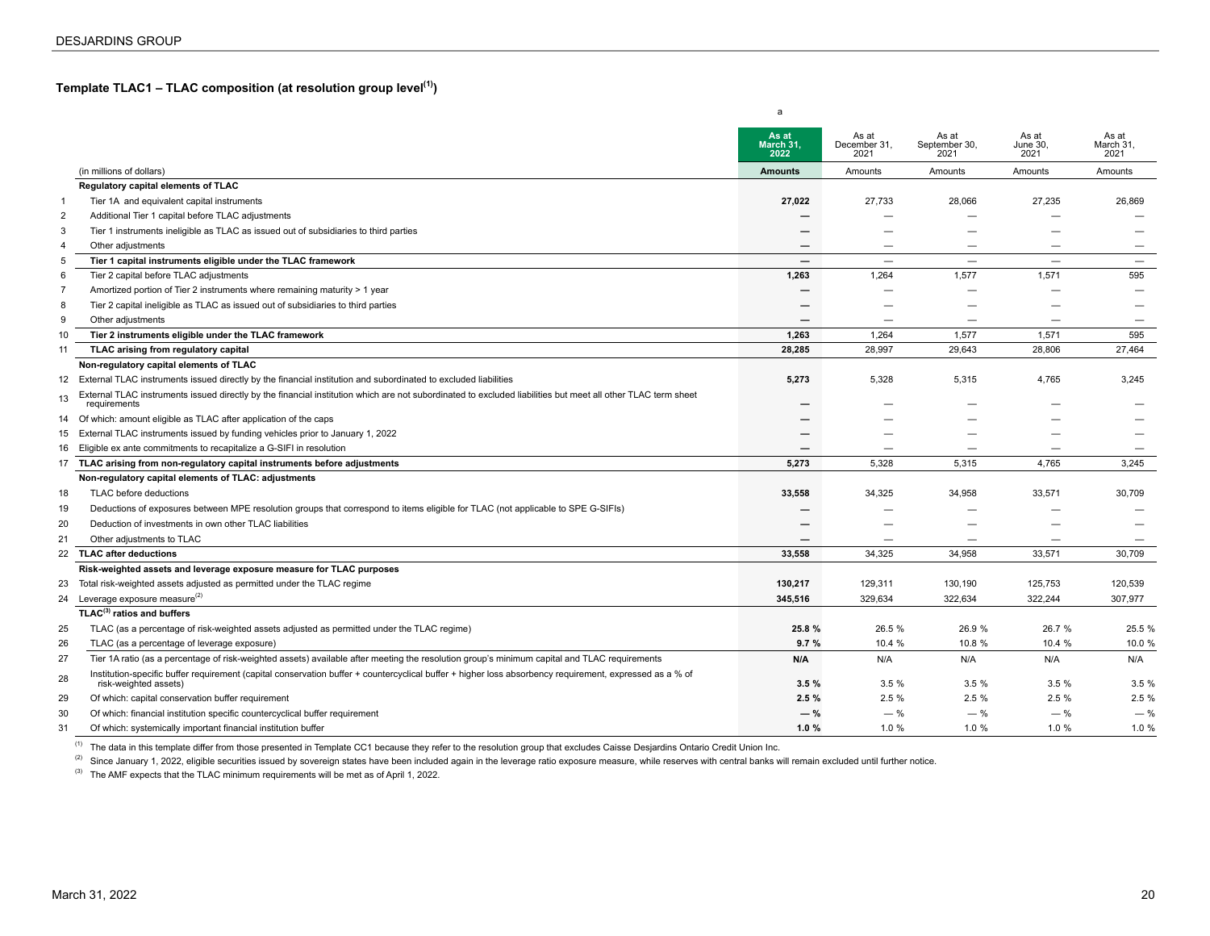<span id="page-19-0"></span>**Template TLAC1 – TLAC composition (at resolution group level(1))**

|                |                                                                                                                                                                                  | As at<br>March 31,<br>2022 | As at<br>December 31,<br>2021 | As at<br>September 30,<br>2021 | As at<br>June 30,<br>2021 | As at<br>March 31,<br>2021 |
|----------------|----------------------------------------------------------------------------------------------------------------------------------------------------------------------------------|----------------------------|-------------------------------|--------------------------------|---------------------------|----------------------------|
|                | (in millions of dollars)                                                                                                                                                         | <b>Amounts</b>             | Amounts                       | Amounts                        | Amounts                   | Amounts                    |
|                | Regulatory capital elements of TLAC                                                                                                                                              |                            |                               |                                |                           |                            |
| $\mathbf{1}$   | Tier 1A and equivalent capital instruments                                                                                                                                       | 27,022                     | 27,733                        | 28,066                         | 27,235                    | 26,869                     |
| $\overline{2}$ | Additional Tier 1 capital before TLAC adjustments                                                                                                                                |                            |                               |                                |                           |                            |
| 3              | Tier 1 instruments ineligible as TLAC as issued out of subsidiaries to third parties                                                                                             |                            |                               |                                | -                         |                            |
| $\overline{4}$ | Other adjustments                                                                                                                                                                |                            |                               |                                |                           |                            |
| 5              | Tier 1 capital instruments eligible under the TLAC framework                                                                                                                     | $\overline{\phantom{0}}$   | $\overline{\phantom{0}}$      |                                |                           | $\overline{\phantom{m}}$   |
| 6              | Tier 2 capital before TLAC adjustments                                                                                                                                           | 1,263                      | 1,264                         | 1,577                          | 1,571                     | 595                        |
| 7              | Amortized portion of Tier 2 instruments where remaining maturity > 1 year                                                                                                        |                            |                               | -                              | -                         |                            |
| 8              | Tier 2 capital ineligible as TLAC as issued out of subsidiaries to third parties                                                                                                 |                            |                               |                                |                           |                            |
| 9              | Other adjustments                                                                                                                                                                |                            |                               |                                | $\overline{\phantom{0}}$  | $\overline{\phantom{m}}$   |
| 10             | Tier 2 instruments eligible under the TLAC framework                                                                                                                             | 1,263                      | 1,264                         | 1,577                          | 1,571                     | 595                        |
| 11             | TLAC arising from regulatory capital                                                                                                                                             | 28,285                     | 28,997                        | 29,643                         | 28,806                    | 27,464                     |
|                | Non-regulatory capital elements of TLAC                                                                                                                                          |                            |                               |                                |                           |                            |
| 12             | External TLAC instruments issued directly by the financial institution and subordinated to excluded liabilities                                                                  | 5,273                      | 5,328                         | 5,315                          | 4,765                     | 3,245                      |
| 13             | External TLAC instruments issued directly by the financial institution which are not subordinated to excluded liabilities but meet all other TLAC term sheet<br>requirements     |                            |                               |                                |                           |                            |
|                | 14 Of which: amount eligible as TLAC after application of the caps                                                                                                               |                            |                               |                                |                           |                            |
|                | 15 External TLAC instruments issued by funding vehicles prior to January 1, 2022                                                                                                 |                            |                               |                                |                           |                            |
| 16             | Eligible ex ante commitments to recapitalize a G-SIFI in resolution                                                                                                              |                            |                               |                                |                           |                            |
| 17             | TLAC arising from non-regulatory capital instruments before adjustments                                                                                                          | 5,273                      | 5,328                         | 5,315                          | 4,765                     | 3,245                      |
|                | Non-regulatory capital elements of TLAC: adjustments                                                                                                                             |                            |                               |                                |                           |                            |
| 18             | TLAC before deductions                                                                                                                                                           | 33,558                     | 34,325                        | 34,958                         | 33,571                    | 30,709                     |
| 19             | Deductions of exposures between MPE resolution groups that correspond to items eligible for TLAC (not applicable to SPE G-SIFIs)                                                 |                            |                               |                                |                           |                            |
| 20             | Deduction of investments in own other TLAC liabilities                                                                                                                           |                            |                               |                                |                           |                            |
| 21             | Other adjustments to TLAC                                                                                                                                                        |                            |                               |                                |                           |                            |
| 22             | <b>TLAC after deductions</b>                                                                                                                                                     | 33.558                     | 34,325                        | 34,958                         | 33,571                    | 30.709                     |
|                | Risk-weighted assets and leverage exposure measure for TLAC purposes                                                                                                             |                            |                               |                                |                           |                            |
| 23             | Total risk-weighted assets adjusted as permitted under the TLAC regime                                                                                                           | 130,217                    | 129,311                       | 130,190                        | 125,753                   | 120,539                    |
|                | 24 Leverage exposure measure <sup>(2)</sup>                                                                                                                                      | 345,516                    | 329,634                       | 322,634                        | 322,244                   | 307,977                    |
|                | $TLAC^{(3)}$ ratios and buffers                                                                                                                                                  |                            |                               |                                |                           |                            |
| 25             | TLAC (as a percentage of risk-weighted assets adjusted as permitted under the TLAC regime)                                                                                       | 25.8 %                     | 26.5 %                        | 26.9 %                         | 26.7 %                    | 25.5 %                     |
| 26             | TLAC (as a percentage of leverage exposure)                                                                                                                                      | 9.7%                       | 10.4 %                        | 10.8 %                         | 10.4 %                    | 10.0 %                     |
| 27             | Tier 1A ratio (as a percentage of risk-weighted assets) available after meeting the resolution group's minimum capital and TLAC requirements                                     | N/A                        | N/A                           | N/A                            | N/A                       | N/A                        |
| 28             | Institution-specific buffer requirement (capital conservation buffer + countercyclical buffer + higher loss absorbency requirement, expressed as a % of<br>risk-weighted assets) | 3.5%                       | 3.5%                          | 3.5%                           | 3.5%                      | 3.5%                       |
| 29             | Of which: capital conservation buffer requirement                                                                                                                                | 2.5%                       | 2.5%                          | 2.5%                           | 2.5%                      | 2.5 %                      |
| 30             | Of which: financial institution specific countercyclical buffer requirement                                                                                                      | $-$ %                      | $-$ %                         | $-$ %                          | $-$ %                     | $-$ %                      |
| 31             | Of which: systemically important financial institution buffer                                                                                                                    | 1.0%                       | 1.0%                          | 1.0%                           | 1.0%                      | 1.0%                       |

a

<sup>(1)</sup> The data in this template differ from those presented in Template CC1 because they refer to the resolution group that excludes Caisse Desjardins Ontario Credit Union Inc.

<sup>(2)</sup> Since January 1, 2022, eligible securities issued by sovereign states have been included again in the leverage ratio exposure measure, while reserves with central banks will remain excluded until further notice.

(3) The AMF expects that the TLAC minimum requirements will be met as of April 1, 2022.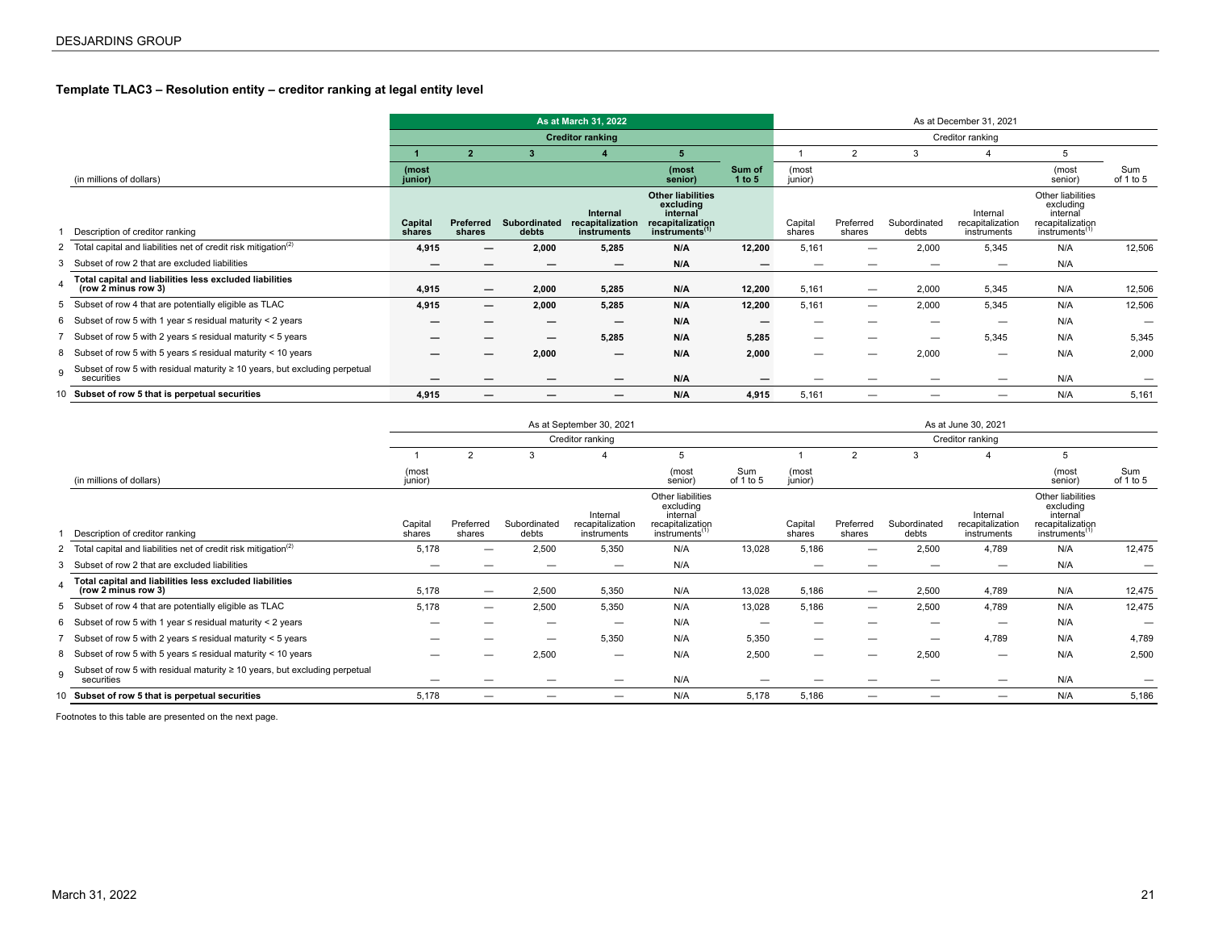### <span id="page-20-0"></span>**Template TLAC3 – Resolution entity – creditor ranking at legal entity level**

|              |                                                                                               |                   | As at March 31, 2022     |                              |                                             |                                                                                                     |                  |                   |                          |                       | As at December 31, 2021                     |                                                                                              |                  |
|--------------|-----------------------------------------------------------------------------------------------|-------------------|--------------------------|------------------------------|---------------------------------------------|-----------------------------------------------------------------------------------------------------|------------------|-------------------|--------------------------|-----------------------|---------------------------------------------|----------------------------------------------------------------------------------------------|------------------|
|              |                                                                                               |                   |                          |                              | <b>Creditor ranking</b>                     |                                                                                                     | Creditor ranking |                   |                          |                       |                                             |                                                                                              |                  |
|              |                                                                                               |                   | $\overline{2}$           | 3                            |                                             | 5 <sup>5</sup>                                                                                      |                  |                   | 2                        | 3                     | 4                                           | 5                                                                                            |                  |
|              | (in millions of dollars)                                                                      | (most<br>junior)  |                          |                              |                                             | (most<br>senior)                                                                                    | Sum of<br>1 to 5 | (most<br>junior)  |                          |                       |                                             | (most<br>senior)                                                                             | Sum<br>of 1 to 5 |
|              | Description of creditor ranking                                                               | Capital<br>shares | Preferred<br>shares      | <b>Subordinated</b><br>debts | Internal<br>recapitalization<br>instruments | <b>Other liabilities</b><br>excluding<br>internal<br>recapitalization<br>instruments <sup>(1)</sup> |                  | Capital<br>shares | Preferred<br>shares      | Subordinated<br>debts | Internal<br>recapitalization<br>instruments | Other liabilities<br>excluding<br>internal<br>recapitalization<br>instruments <sup>(1)</sup> |                  |
|              | 2 Total capital and liabilities net of credit risk mitigation <sup>(2)</sup>                  | 4,915             | —                        | 2,000                        | 5,285                                       | N/A                                                                                                 | 12,200           | 5,161             | $\overline{\phantom{0}}$ | 2,000                 | 5,345                                       | N/A                                                                                          | 12,506           |
| 3            | Subset of row 2 that are excluded liabilities                                                 | –                 |                          |                              |                                             | N/A                                                                                                 |                  |                   |                          |                       | $\overline{\phantom{0}}$                    | N/A                                                                                          |                  |
|              | Total capital and liabilities less excluded liabilities<br>(row 2 minus row 3)                | 4,915             | —                        | 2,000                        | 5,285                                       | N/A                                                                                                 | 12,200           | 5,161             | $\overline{\phantom{m}}$ | 2,000                 | 5,345                                       | N/A                                                                                          | 12,506           |
| 5            | Subset of row 4 that are potentially eligible as TLAC                                         | 4,915             | $\overline{\phantom{0}}$ | 2,000                        | 5,285                                       | N/A                                                                                                 | 12,200           | 5,161             | $\overline{\phantom{a}}$ | 2,000                 | 5,345                                       | N/A                                                                                          | 12,506           |
|              | 6 Subset of row 5 with 1 year $\le$ residual maturity < 2 years                               | –                 |                          |                              | -                                           | N/A                                                                                                 |                  | –                 |                          |                       | –                                           | N/A                                                                                          |                  |
|              | Subset of row 5 with 2 years $\le$ residual maturity $<$ 5 years                              |                   |                          | –                            | 5,285                                       | N/A                                                                                                 | 5,285            | —                 |                          | -                     | 5,345                                       | N/A                                                                                          | 5,345            |
|              | 8 Subset of row 5 with 5 years $\le$ residual maturity $<$ 10 years                           |                   |                          | 2,000                        | $\overline{\phantom{m}}$                    | N/A                                                                                                 | 2,000            | —                 | _                        | 2,000                 | $\overline{\phantom{0}}$                    | N/A                                                                                          | 2,000            |
| $\mathbf{g}$ | Subset of row 5 with residual maturity $\geq 10$ years, but excluding perpetual<br>securities |                   |                          |                              |                                             | N/A                                                                                                 |                  |                   |                          |                       |                                             | N/A                                                                                          |                  |
|              | 10 Subset of row 5 that is perpetual securities                                               | 4,915             | —                        |                              |                                             | N/A                                                                                                 | 4,915            | 5,161             | —                        |                       | $\overline{\phantom{0}}$                    | N/A                                                                                          | 5,161            |

|     |                                                                                               |                   | As at September 30, 2021 |                       |                                             |                                                                                              |                  |                   |                                           | As at June 30, 2021      |                                             |                                                                                              |                  |  |  |  |
|-----|-----------------------------------------------------------------------------------------------|-------------------|--------------------------|-----------------------|---------------------------------------------|----------------------------------------------------------------------------------------------|------------------|-------------------|-------------------------------------------|--------------------------|---------------------------------------------|----------------------------------------------------------------------------------------------|------------------|--|--|--|
|     |                                                                                               |                   | Creditor ranking         |                       |                                             |                                                                                              |                  |                   |                                           |                          | Creditor ranking                            |                                                                                              |                  |  |  |  |
|     |                                                                                               |                   | $\overline{2}$           | 3                     |                                             | 5                                                                                            |                  |                   | $\overline{2}$                            |                          |                                             | 5                                                                                            |                  |  |  |  |
|     | (in millions of dollars)                                                                      | (most<br>junior)  |                          |                       |                                             | (most<br>senior)                                                                             | Sum<br>of 1 to 5 | (most<br>junior)  |                                           |                          |                                             | (most<br>senior)                                                                             | Sum<br>of 1 to 5 |  |  |  |
|     | Description of creditor ranking                                                               | Capital<br>shares | Preferred<br>shares      | Subordinated<br>debts | Internal<br>recapitalization<br>instruments | Other liabilities<br>excluding<br>internal<br>recapitalization<br>instruments <sup>(1)</sup> |                  | Capital<br>shares | Preferred<br>shares                       | Subordinated<br>debts    | Internal<br>recapitalization<br>instruments | Other liabilities<br>excluding<br>internal<br>recapitalization<br>instruments <sup>(1)</sup> |                  |  |  |  |
|     | Total capital and liabilities net of credit risk mitigation <sup>(2)</sup>                    | 5,178             | —                        | 2,500                 | 5,350                                       | N/A                                                                                          | 13,028           | 5,186             | $\overline{\phantom{0}}$                  | 2,500                    | 4,789                                       | N/A                                                                                          | 12,475           |  |  |  |
| 3   | Subset of row 2 that are excluded liabilities                                                 |                   |                          |                       |                                             | N/A                                                                                          |                  |                   |                                           |                          |                                             | N/A                                                                                          |                  |  |  |  |
|     | Total capital and liabilities less excluded liabilities<br>(row 2 minus row 3)                | 5,178             | —                        | 2,500                 | 5,350                                       | N/A                                                                                          | 13,028           | 5,186             | $\overline{\phantom{0}}$                  | 2,500                    | 4,789                                       | N/A                                                                                          | 12,475           |  |  |  |
|     | 5 Subset of row 4 that are potentially eligible as TLAC                                       | 5,178             | $\overline{\phantom{0}}$ | 2,500                 | 5,350                                       | N/A                                                                                          | 13,028           | 5,186             |                                           | 2,500                    | 4,789                                       | N/A                                                                                          | 12,475           |  |  |  |
|     | 6 Subset of row 5 with 1 year $\le$ residual maturity $\le$ 2 years                           |                   |                          | -                     | $\overline{\phantom{0}}$                    | N/A                                                                                          | -                |                   |                                           |                          | _                                           | N/A                                                                                          |                  |  |  |  |
|     | Subset of row 5 with 2 years $\le$ residual maturity $\le$ 5 years                            |                   |                          | -                     | 5,350                                       | N/A                                                                                          | 5,350            | -                 |                                           | $\overline{\phantom{0}}$ | 4,789                                       | N/A                                                                                          | 4,789            |  |  |  |
|     | 8 Subset of row 5 with 5 years $\le$ residual maturity < 10 years                             |                   |                          | 2,500                 | $\overline{\phantom{0}}$                    | N/A                                                                                          | 2,500            |                   |                                           | 2,500                    | $\overline{\phantom{0}}$                    | N/A                                                                                          | 2,500            |  |  |  |
| 9   | Subset of row 5 with residual maturity $\geq 10$ years, but excluding perpetual<br>securities | -                 |                          | –                     | -                                           | N/A                                                                                          | –                |                   |                                           | $\overline{\phantom{0}}$ | $\overline{\phantom{m}}$                    | N/A                                                                                          |                  |  |  |  |
| 10. | Subset of row 5 that is perpetual securities                                                  | 5,178             | —                        |                       | $\qquad \qquad \longleftarrow$              | N/A                                                                                          | 5,178            | 5,186             | $\qquad \qquad \overline{\qquad \qquad }$ |                          | $\qquad \qquad \longleftarrow$              | N/A                                                                                          | 5,186            |  |  |  |
|     |                                                                                               |                   |                          |                       |                                             |                                                                                              |                  |                   |                                           |                          |                                             |                                                                                              |                  |  |  |  |

Footnotes to this table are presented on the next page.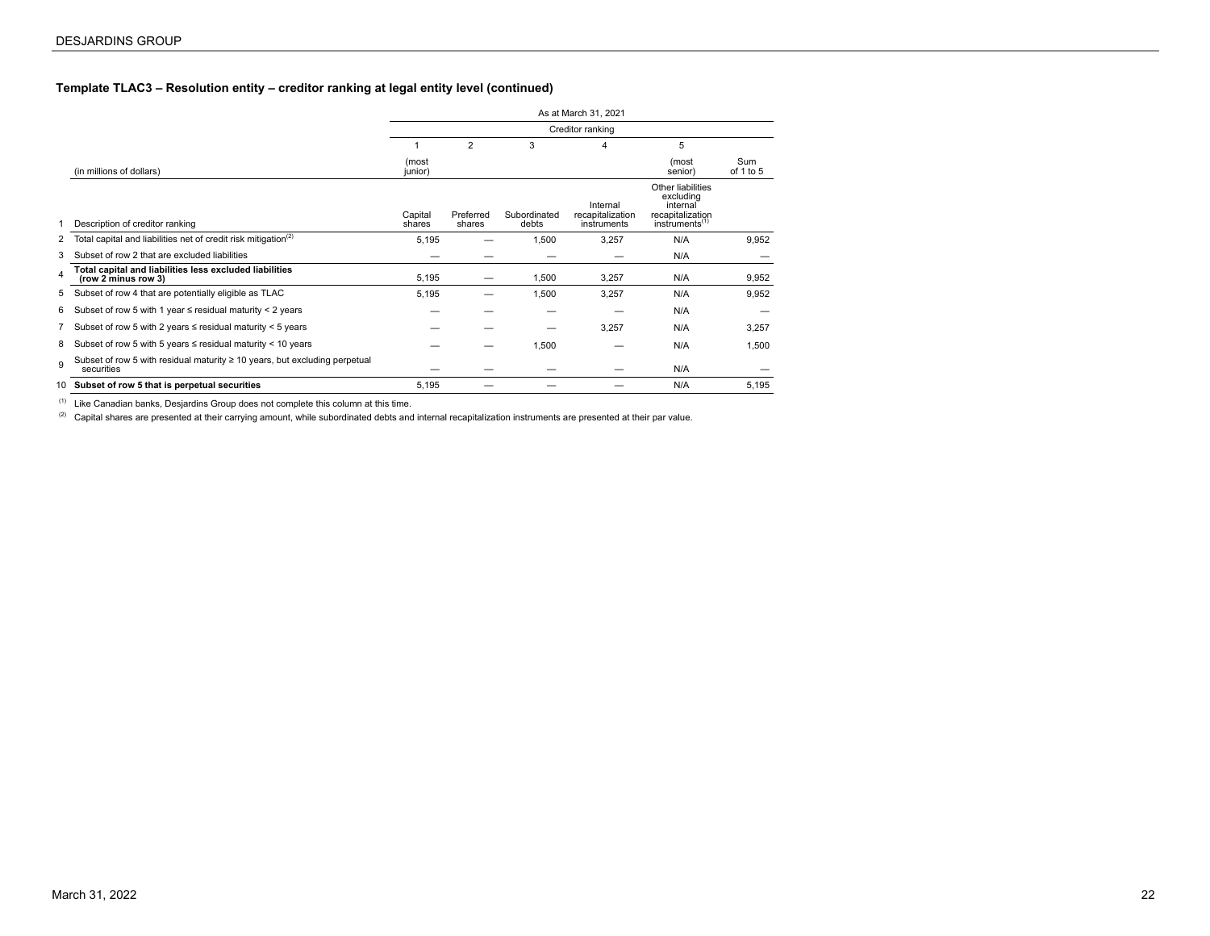#### **Template TLAC3 – Resolution entity – creditor ranking at legal entity level (continued)**

|    |                                                                                               |                   |                     |                       | As at March 31, 2021                        |                                                                                              |                  |
|----|-----------------------------------------------------------------------------------------------|-------------------|---------------------|-----------------------|---------------------------------------------|----------------------------------------------------------------------------------------------|------------------|
|    |                                                                                               |                   |                     |                       | Creditor ranking                            |                                                                                              |                  |
|    |                                                                                               |                   | $\overline{2}$      | 3                     | 4                                           | 5                                                                                            |                  |
|    | (in millions of dollars)                                                                      | (most<br>junior)  |                     |                       |                                             | (most<br>senior)                                                                             | Sum<br>of 1 to 5 |
|    | Description of creditor ranking                                                               | Capital<br>shares | Preferred<br>shares | Subordinated<br>debts | Internal<br>recapitalization<br>instruments | Other liabilities<br>excluding<br>internal<br>recapitalization<br>instruments <sup>(1)</sup> |                  |
| 2  | Total capital and liabilities net of credit risk mitigation <sup>(2)</sup>                    | 5,195             |                     | 1,500                 | 3,257                                       | N/A                                                                                          | 9,952            |
| 3  | Subset of row 2 that are excluded liabilities                                                 |                   |                     |                       |                                             | N/A                                                                                          |                  |
| 4  | Total capital and liabilities less excluded liabilities<br>(row 2 minus row 3)                | 5,195             |                     | 1,500                 | 3,257                                       | N/A                                                                                          | 9,952            |
| 5  | Subset of row 4 that are potentially eligible as TLAC                                         | 5,195             |                     | 1,500                 | 3,257                                       | N/A                                                                                          | 9,952            |
|    | 6 Subset of row 5 with 1 year $\le$ residual maturity $\le$ 2 years                           |                   |                     |                       |                                             | N/A                                                                                          |                  |
|    | Subset of row 5 with 2 years $\le$ residual maturity $\le$ 5 years                            |                   |                     |                       | 3,257                                       | N/A                                                                                          | 3,257            |
| 8  | Subset of row 5 with 5 years $\le$ residual maturity < 10 years                               |                   |                     | 1,500                 |                                             | N/A                                                                                          | 1,500            |
| 9  | Subset of row 5 with residual maturity $\geq 10$ years, but excluding perpetual<br>securities |                   |                     |                       |                                             | N/A                                                                                          |                  |
| 10 | Subset of row 5 that is perpetual securities                                                  | 5,195             |                     |                       |                                             | N/A                                                                                          | 5,195            |

 $(1)$  Like Canadian banks, Desjardins Group does not complete this column at this time.

<sup>(2)</sup> Capital shares are presented at their carrying amount, while subordinated debts and internal recapitalization instruments are presented at their par value.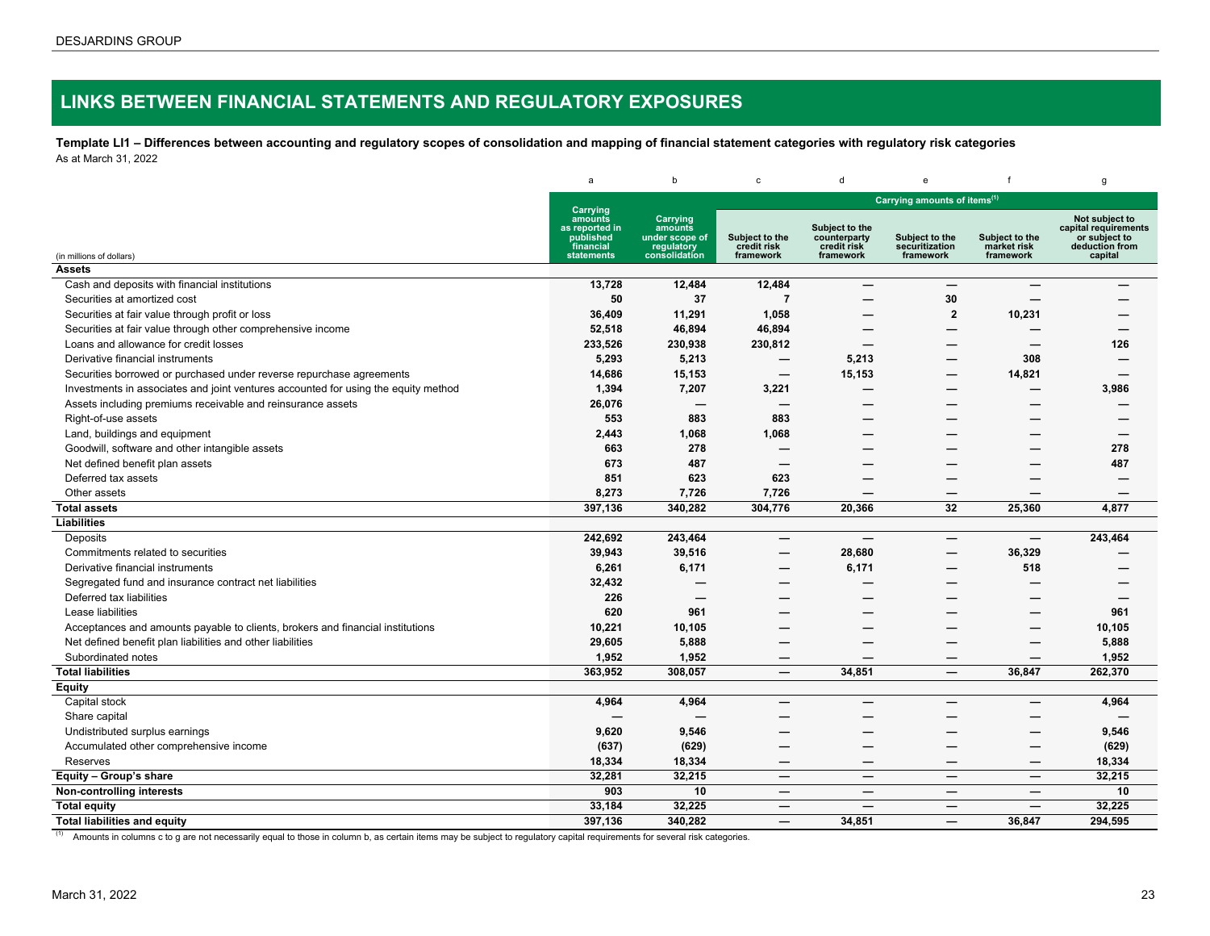# <span id="page-22-0"></span>**LINKS BETWEEN FINANCIAL STATEMENTS AND REGULATORY EXPOSURES**

**Template LI1 – Differences between accounting and regulatory scopes of consolidation and mapping of financial statement categories with regulatory risk categories** As at March 31, 2022

|                                                                                    | a                                                                             | b                                                                    | $\mathbf c$                                | d                                                          | $\mathbf{e}% _{t}\left( t\right)$             |                                            | g                                                                                    |
|------------------------------------------------------------------------------------|-------------------------------------------------------------------------------|----------------------------------------------------------------------|--------------------------------------------|------------------------------------------------------------|-----------------------------------------------|--------------------------------------------|--------------------------------------------------------------------------------------|
|                                                                                    |                                                                               |                                                                      |                                            |                                                            | Carrying amounts of items <sup>(1)</sup>      |                                            |                                                                                      |
| (in millions of dollars)                                                           | Carrying<br>amounts<br>as reported in<br>published<br>financial<br>statements | Carrying<br>amounts<br>under scope of<br>regulatory<br>consolidation | Subject to the<br>credit risk<br>framework | Subject to the<br>counterparty<br>credit risk<br>framework | Subject to the<br>securitization<br>framework | Subject to the<br>market risk<br>framework | Not subject to<br>capital requirements<br>or subject to<br>deduction from<br>capital |
| <b>Assets</b>                                                                      |                                                                               |                                                                      |                                            |                                                            |                                               |                                            |                                                                                      |
| Cash and deposits with financial institutions                                      | 13,728                                                                        | 12,484                                                               | 12,484                                     |                                                            | $\overline{\phantom{0}}$                      |                                            |                                                                                      |
| Securities at amortized cost                                                       | 50                                                                            | 37                                                                   | $\overline{7}$                             |                                                            | 30                                            |                                            |                                                                                      |
| Securities at fair value through profit or loss                                    | 36,409                                                                        | 11,291                                                               | 1,058                                      |                                                            | $\overline{2}$                                | 10,231                                     |                                                                                      |
| Securities at fair value through other comprehensive income                        | 52,518                                                                        | 46,894                                                               | 46,894                                     |                                                            |                                               |                                            |                                                                                      |
| Loans and allowance for credit losses                                              | 233,526                                                                       | 230,938                                                              | 230,812                                    |                                                            |                                               | —                                          | 126                                                                                  |
| Derivative financial instruments                                                   | 5,293                                                                         | 5,213                                                                |                                            | 5,213                                                      |                                               | 308                                        |                                                                                      |
| Securities borrowed or purchased under reverse repurchase agreements               | 14,686                                                                        | 15,153                                                               |                                            | 15,153                                                     |                                               | 14,821                                     | —                                                                                    |
| Investments in associates and joint ventures accounted for using the equity method | 1,394                                                                         | 7,207                                                                | 3,221                                      |                                                            | —                                             |                                            | 3,986                                                                                |
| Assets including premiums receivable and reinsurance assets                        | 26,076                                                                        |                                                                      |                                            |                                                            |                                               |                                            |                                                                                      |
| Right-of-use assets                                                                | 553                                                                           | 883                                                                  | 883                                        |                                                            |                                               |                                            |                                                                                      |
| Land, buildings and equipment                                                      | 2,443                                                                         | 1,068                                                                | 1,068                                      |                                                            |                                               |                                            |                                                                                      |
| Goodwill, software and other intangible assets                                     | 663                                                                           | 278                                                                  |                                            |                                                            |                                               |                                            | 278                                                                                  |
| Net defined benefit plan assets                                                    | 673                                                                           | 487                                                                  |                                            |                                                            |                                               |                                            | 487                                                                                  |
| Deferred tax assets                                                                | 851                                                                           | 623                                                                  | 623                                        |                                                            |                                               |                                            |                                                                                      |
| Other assets                                                                       | 8,273                                                                         | 7,726                                                                | 7,726                                      |                                                            | —                                             | –                                          |                                                                                      |
| <b>Total assets</b>                                                                | 397,136                                                                       | 340,282                                                              | 304,776                                    | 20,366                                                     | 32                                            | 25,360                                     | 4,877                                                                                |
| Liabilities                                                                        |                                                                               |                                                                      |                                            |                                                            |                                               |                                            |                                                                                      |
| Deposits                                                                           | 242,692                                                                       | 243,464                                                              | $\overline{\phantom{0}}$                   |                                                            | —                                             |                                            | 243,464                                                                              |
| Commitments related to securities                                                  | 39,943                                                                        | 39,516                                                               | —                                          | 28,680                                                     | —                                             | 36,329                                     |                                                                                      |
| Derivative financial instruments                                                   | 6,261                                                                         | 6,171                                                                |                                            | 6,171                                                      |                                               | 518                                        |                                                                                      |
| Segregated fund and insurance contract net liabilities                             | 32,432                                                                        |                                                                      | —<br>——                                    |                                                            |                                               |                                            |                                                                                      |
| Deferred tax liabilities                                                           | 226                                                                           | -                                                                    | —                                          |                                                            |                                               |                                            | –                                                                                    |
| Lease liabilities                                                                  | 620                                                                           | 961                                                                  |                                            |                                                            |                                               | --                                         | 961                                                                                  |
| Acceptances and amounts payable to clients, brokers and financial institutions     | 10,221                                                                        | 10,105                                                               |                                            |                                                            |                                               |                                            | 10,105                                                                               |
| Net defined benefit plan liabilities and other liabilities                         | 29,605                                                                        | 5,888                                                                | <u>.</u>                                   |                                                            |                                               | $\overline{\phantom{0}}$                   | 5,888                                                                                |
| Subordinated notes                                                                 | 1,952                                                                         | 1,952                                                                | —                                          |                                                            |                                               | —                                          | 1,952                                                                                |
| <b>Total liabilities</b>                                                           | 363,952                                                                       | 308,057                                                              |                                            | 34,851                                                     |                                               | 36,847                                     | 262,370                                                                              |
| <b>Equity</b>                                                                      |                                                                               |                                                                      |                                            |                                                            |                                               |                                            |                                                                                      |
| Capital stock                                                                      | 4,964                                                                         | 4,964                                                                | —                                          |                                                            |                                               |                                            | 4,964                                                                                |
| Share capital                                                                      |                                                                               |                                                                      |                                            |                                                            |                                               |                                            |                                                                                      |
| Undistributed surplus earnings                                                     | 9,620                                                                         | 9,546                                                                |                                            |                                                            |                                               |                                            | 9,546                                                                                |
| Accumulated other comprehensive income                                             | (637)                                                                         | (629)                                                                | <u>.</u>                                   |                                                            |                                               | <u>.</u>                                   | (629)                                                                                |
| <b>Reserves</b>                                                                    | 18,334                                                                        | 18,334                                                               |                                            |                                                            |                                               | —                                          | 18,334                                                                               |
| Equity - Group's share                                                             | 32,281                                                                        | 32,215                                                               | –                                          |                                                            | –                                             |                                            | 32,215                                                                               |
| Non-controlling interests                                                          | 903                                                                           | 10                                                                   | $\overline{\phantom{0}}$                   |                                                            | —                                             |                                            | 10                                                                                   |
| <b>Total equity</b>                                                                | 33,184                                                                        | 32,225                                                               | $\hspace{0.1mm}-\hspace{0.1mm}$            |                                                            | —                                             | $\overline{\phantom{m}}$                   | 32,225                                                                               |
| <b>Total liabilities and equity</b>                                                | 397,136                                                                       | 340,282                                                              | —                                          | 34.851                                                     | —                                             | 36,847                                     | 294.595                                                                              |

(1) Amounts in columns c to g are not necessarily equal to those in column b, as certain items may be subject to regulatory capital requirements for several risk categories.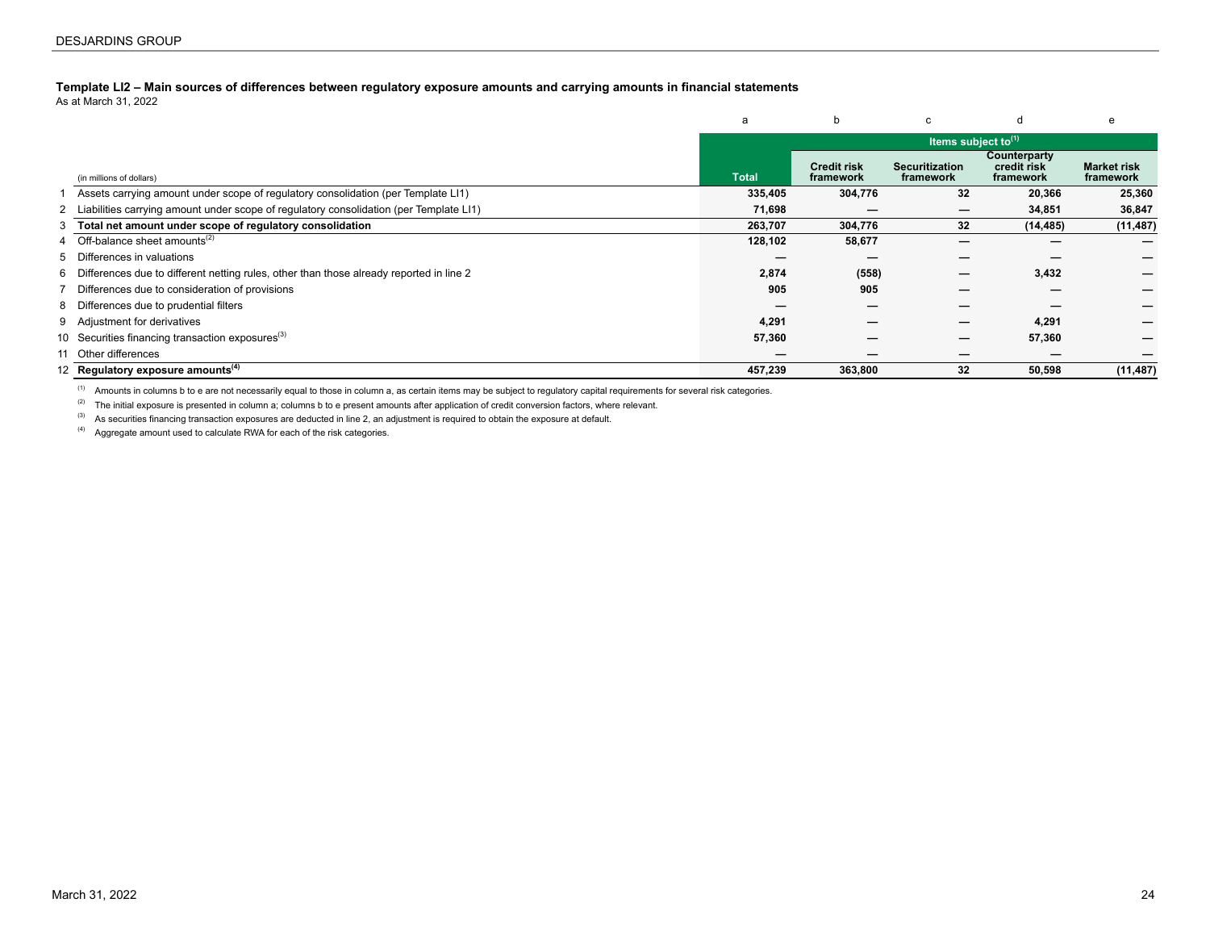#### <span id="page-23-0"></span>**Template LI2 – Main sources of differences between regulatory exposure amounts and carrying amounts in financial statements**

As at March 31, 2022

|    |                                                                                           | a            |                                 | c                                  |                                          | e                               |
|----|-------------------------------------------------------------------------------------------|--------------|---------------------------------|------------------------------------|------------------------------------------|---------------------------------|
|    |                                                                                           |              |                                 | Items subject to $(1)$             |                                          |                                 |
|    | (in millions of dollars)                                                                  | <b>Total</b> | <b>Credit risk</b><br>framework | <b>Securitization</b><br>framework | Counterparty<br>credit risk<br>framework | <b>Market risk</b><br>framework |
|    | Assets carrying amount under scope of regulatory consolidation (per Template LI1)         | 335,405      | 304,776                         | 32                                 | 20,366                                   | 25,360                          |
|    | 2 Liabilities carrying amount under scope of regulatory consolidation (per Template LI1)  | 71,698       |                                 |                                    | 34,851                                   | 36,847                          |
|    | 3 Total net amount under scope of regulatory consolidation                                | 263.707      | 304,776                         | 32                                 | (14, 485)                                | (11, 487)                       |
| 4  | Off-balance sheet amounts <sup>(2)</sup>                                                  | 128,102      | 58,677                          | –                                  |                                          |                                 |
|    | 5 Differences in valuations                                                               |              |                                 |                                    |                                          |                                 |
|    | 6 Differences due to different netting rules, other than those already reported in line 2 | 2,874        | (558)                           |                                    | 3,432                                    |                                 |
|    | Differences due to consideration of provisions                                            | 905          | 905                             |                                    |                                          |                                 |
|    | 8 Differences due to prudential filters                                                   |              |                                 | _                                  |                                          |                                 |
|    | 9 Adjustment for derivatives                                                              | 4,291        |                                 | –                                  | 4,291                                    |                                 |
|    | 10 Securities financing transaction exposures <sup>(3)</sup>                              | 57,360       |                                 | –                                  | 57,360                                   |                                 |
| 11 | Other differences                                                                         |              |                                 |                                    |                                          |                                 |
|    | 12 Regulatory exposure amounts <sup>(4)</sup>                                             | 457,239      | 363,800                         | 32                                 | 50,598                                   | (11, 487)                       |

<sup>(1)</sup> Amounts in columns b to e are not necessarily equal to those in column a, as certain items may be subject to regulatory capital requirements for several risk categories.

(2) The initial exposure is presented in column a; columns b to e present amounts after application of credit conversion factors, where relevant.

(3) As securities financing transaction exposures are deducted in line 2, an adjustment is required to obtain the exposure at default.

 $(4)$  Aggregate amount used to calculate RWA for each of the risk categories.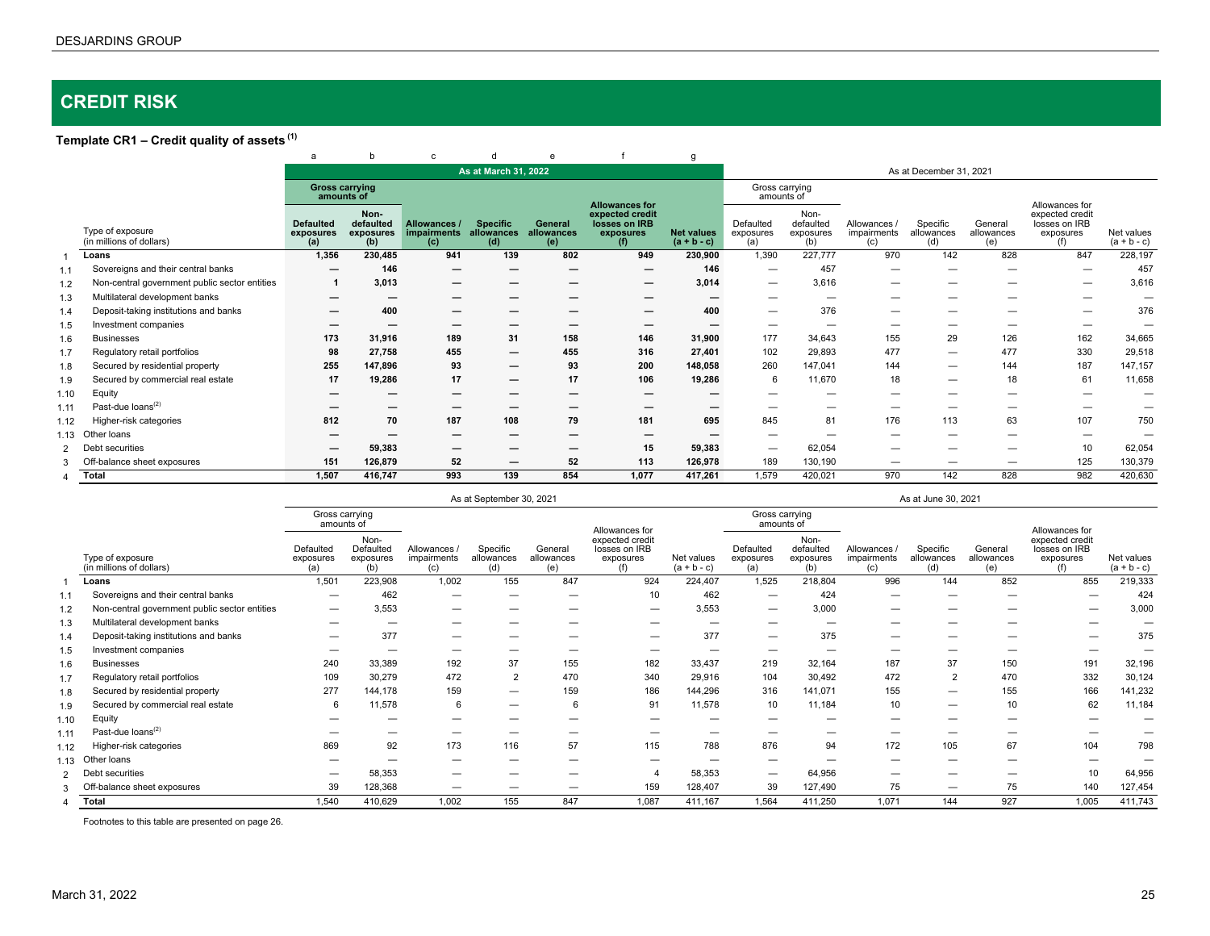# <span id="page-24-0"></span>**CREDIT RISK**

## **Template CR1 – Credit quality of assets (1)**

|                |                                               | a                                    | b                                     | $\mathbf{c}$                       | d                                    | e                            |                                                                               | g                                  |                               |                                       |                                  |                               |                              |                                                                        |                             |
|----------------|-----------------------------------------------|--------------------------------------|---------------------------------------|------------------------------------|--------------------------------------|------------------------------|-------------------------------------------------------------------------------|------------------------------------|-------------------------------|---------------------------------------|----------------------------------|-------------------------------|------------------------------|------------------------------------------------------------------------|-----------------------------|
|                |                                               |                                      |                                       |                                    | As at March 31, 2022                 |                              |                                                                               |                                    |                               |                                       |                                  | As at December 31, 2021       |                              |                                                                        |                             |
|                |                                               | <b>Gross carrying</b><br>amounts of  |                                       |                                    |                                      |                              |                                                                               |                                    | Gross carrying<br>amounts of  |                                       |                                  |                               |                              |                                                                        |                             |
|                | Type of exposure<br>(in millions of dollars)  | <b>Defaulted</b><br>exposures<br>(a) | Non-<br>defaulted<br>exposures<br>(b) | Allowances /<br>impairments<br>(c) | <b>Specific</b><br>allowances<br>(d) | General<br>allowances<br>(e) | <b>Allowances for</b><br>expected credit<br>losses on IRB<br>exposures<br>(f) | <b>Net values</b><br>$(a + b - c)$ | Defaulted<br>exposures<br>(a) | Non-<br>defaulted<br>exposures<br>(b) | Allowances<br>impairments<br>(c) | Specific<br>allowances<br>(d) | General<br>allowances<br>(e) | Allowances for<br>expected credit<br>losses on IRB<br>exposures<br>(f) | Net values<br>$(a + b - c)$ |
|                | Loans                                         | 1,356                                | 230,485                               | 941                                | 139                                  | 802                          | 949                                                                           | 230,900                            | 1,390                         | 227,777                               | 970                              | 142                           | 828                          | 847                                                                    | 228,197                     |
| 1.1            | Sovereigns and their central banks            | –                                    | 146                                   | $\overline{\phantom{m}}$           | –                                    | -                            | $\overline{\phantom{0}}$                                                      | 146                                | $\overline{\phantom{m}}$      | 457                                   | —                                |                               |                              |                                                                        | 457                         |
| 1.2            | Non-central government public sector entities |                                      | 3,013                                 | $\overline{\phantom{m}}$           | –                                    |                              | -                                                                             | 3,014                              | $\overline{\phantom{m}}$      | 3,616                                 |                                  |                               |                              | $\overline{\phantom{0}}$                                               | 3,616                       |
| 1.3            | Multilateral development banks                | –                                    | -                                     |                                    | –                                    |                              |                                                                               | $\overline{\phantom{0}}$           | $\overline{\phantom{a}}$      | $\sim$                                | -                                |                               |                              | -                                                                      | —                           |
| 1.4            | Deposit-taking institutions and banks         |                                      | 400                                   |                                    |                                      |                              |                                                                               | 400                                | -                             | 376                                   |                                  |                               |                              |                                                                        | 376                         |
| 1.5            | Investment companies                          |                                      |                                       |                                    |                                      |                              |                                                                               |                                    |                               |                                       |                                  |                               |                              |                                                                        |                             |
| 1.6            | <b>Businesses</b>                             | 173                                  | 31,916                                | 189                                | 31                                   | 158                          | 146                                                                           | 31,900                             | 177                           | 34.643                                | 155                              | 29                            | 126                          | 162                                                                    | 34,665                      |
| 1.7            | Regulatory retail portfolios                  | 98                                   | 27,758                                | 455                                | –                                    | 455                          | 316                                                                           | 27,401                             | 102                           | 29,893                                | 477                              |                               | 477                          | 330                                                                    | 29,518                      |
| 1.8            | Secured by residential property               | 255                                  | 147,896                               | 93                                 | –                                    | 93                           | 200                                                                           | 148,058                            | 260                           | 147,041                               | 144                              |                               | 144                          | 187                                                                    | 147,157                     |
| 1.9            | Secured by commercial real estate             | 17                                   | 19,286                                | 17                                 | —                                    | 17                           | 106                                                                           | 19,286                             | 6                             | 11,670                                | 18                               | -                             | 18                           | 61                                                                     | 11,658                      |
| 1.10           | Equity                                        |                                      |                                       |                                    | –                                    |                              |                                                                               |                                    |                               |                                       |                                  |                               |                              | -                                                                      | —                           |
| 1.11           | Past-due loans <sup>(2)</sup>                 |                                      |                                       |                                    |                                      |                              |                                                                               |                                    |                               |                                       |                                  |                               |                              | -                                                                      | $\overline{\phantom{0}}$    |
| 1.12           | Higher-risk categories                        | 812                                  | 70                                    | 187                                | 108                                  | 79                           | 181                                                                           | 695                                | 845                           | 81                                    | 176                              | 113                           | 63                           | 107                                                                    | 750                         |
| 1.13           | Other loans                                   |                                      |                                       |                                    |                                      |                              |                                                                               |                                    |                               |                                       |                                  |                               |                              | -                                                                      |                             |
| $\overline{2}$ | Debt securities                               |                                      | 59,383                                |                                    | –                                    |                              | 15                                                                            | 59,383                             | $\overline{\phantom{m}}$      | 62,054                                | _                                |                               | --                           | 10                                                                     | 62,054                      |
| 3              | Off-<br>balance sheet exposures               | 151                                  | 126,879                               | 52                                 | —                                    | 52                           | 113                                                                           | 126,978                            | 189                           | 130,190                               |                                  |                               |                              | 125                                                                    | 130,379                     |
| 4              | Total                                         | 1,507                                | 416.747                               | 993                                | 139                                  | 854                          | 1,077                                                                         | 417,261                            | 1,579                         | 420,021                               | 970                              | 142                           | 828                          | 982                                                                    | 420,630                     |

As at September 30, 2021 As at June 30, 2021 As at June 30, 2021

|                |                                               | Gross carrying<br>amounts of  |                                       |                                  |                               |                              | Allowances for                                       |                             | Gross carrying<br>amounts of  |                                       |                                  |                               |                              | Allowances for                                       |                             |
|----------------|-----------------------------------------------|-------------------------------|---------------------------------------|----------------------------------|-------------------------------|------------------------------|------------------------------------------------------|-----------------------------|-------------------------------|---------------------------------------|----------------------------------|-------------------------------|------------------------------|------------------------------------------------------|-----------------------------|
|                | Type of exposure<br>(in millions of dollars)  | Defaulted<br>exposures<br>(a) | Non-<br>Defaulted<br>exposures<br>(b) | Allowances<br>impairments<br>(c) | Specific<br>allowances<br>(d) | General<br>allowances<br>(e) | expected credit<br>losses on IRB<br>exposures<br>(f) | Net values<br>$(a + b - c)$ | Defaulted<br>exposures<br>(a) | Non-<br>defaulted<br>exposures<br>(b) | Allowances<br>impairments<br>(c) | Specific<br>allowances<br>(d) | General<br>allowances<br>(e) | expected credit<br>losses on IRB<br>exposures<br>(f) | Net values<br>$(a + b - c)$ |
|                | Loans                                         | 1,501                         | 223,908                               | 1,002                            | 155                           | 847                          | 924                                                  | 224.407                     | 1,525                         | 218,804                               | 996                              | 144                           | 852                          | 855                                                  | 219,333                     |
|                | Sovereigns and their central banks            |                               | 462                                   |                                  |                               |                              | 10                                                   | 462                         | $\overline{\phantom{m}}$      | 424                                   |                                  |                               |                              | -                                                    | 424                         |
| 1.2            | Non-central government public sector entities | $\overline{\phantom{m}}$      | 3,553                                 |                                  |                               |                              | $\overline{\phantom{0}}$                             | 3,553                       |                               | 3,000                                 |                                  |                               |                              | $\overline{\phantom{0}}$                             | 3,000                       |
| 1.3            | Multilateral development banks                | -                             |                                       |                                  |                               |                              | -                                                    | -                           | -                             |                                       |                                  |                               |                              |                                                      |                             |
| 1.4            | Deposit-taking institutions and banks         |                               | 377                                   | –                                |                               | -                            |                                                      | 377                         | $\overline{\phantom{m}}$      | 375                                   |                                  |                               |                              |                                                      | 375                         |
| 1.5            | Investment companies                          |                               |                                       |                                  |                               |                              |                                                      |                             |                               |                                       |                                  |                               |                              |                                                      |                             |
| 1.6            | <b>Businesses</b>                             | 240                           | 33,389                                | 192                              | 37                            | 155                          | 182                                                  | 33,437                      | 219                           | 32,164                                | 187                              | 37                            | 150                          | 191                                                  | 32,196                      |
| 1.7            | Regulatory retail portfolios                  | 109                           | 30,279                                | 472                              | $\overline{2}$                | 470                          | 340                                                  | 29,916                      | 104                           | 30,492                                | 472                              | $\overline{2}$                | 470                          | 332                                                  | 30,124                      |
| 1.8            | Secured by residential property               | 277                           | 144,178                               | 159                              | –                             | 159                          | 186                                                  | 144,296                     | 316                           | 141,071                               | 155                              | -                             | 155                          | 166                                                  | 141,232                     |
| 1.9            | Secured by commercial real estate             | 6                             | 11,578                                | 6                                | –                             | 6                            | 91                                                   | 11,578                      | 10                            | 11,184                                | 10                               | –                             | 10                           | 62                                                   | 11,184                      |
| 1.10           | Equity                                        |                               |                                       |                                  |                               |                              |                                                      |                             | -                             |                                       |                                  |                               |                              |                                                      |                             |
| 1.11           | Past-due loans <sup>(2)</sup>                 |                               |                                       |                                  |                               |                              |                                                      |                             |                               |                                       |                                  |                               |                              |                                                      |                             |
| 1.12           | Higher-risk categories                        | 869                           | 92                                    | 173                              | 116                           | 57                           | 115                                                  | 788                         | 876                           | 94                                    | 172                              | 105                           | 67                           | 104                                                  | 798                         |
| 1.13           | Other loans                                   |                               |                                       |                                  |                               |                              | -                                                    |                             | -                             |                                       |                                  |                               |                              |                                                      |                             |
| $\overline{2}$ | Det<br>t securities                           | $\overline{\phantom{a}}$      | 58,353                                | –                                | -                             | -                            | $\overline{4}$                                       | 58,353                      | $\overline{\phantom{m}}$      | 64,956                                | -                                | –                             | —                            | 10                                                   | 64,956                      |
|                | Off-<br>balance sheet exposures               | 39                            | 128,368                               | –                                | _                             | _                            | 159                                                  | 128,407                     | 39                            | 127,490                               | 75                               | -                             | 75                           | 140                                                  | 127,454                     |
|                | Total                                         | 1,540                         | 410,629                               | 1,002                            | 155                           | 847                          | 1,087                                                | 411,167                     | 1,564                         | 411,250                               | 1,071                            | 144                           | 927                          | 1,005                                                | 411,743                     |

Footnotes to this table are presented on page 26.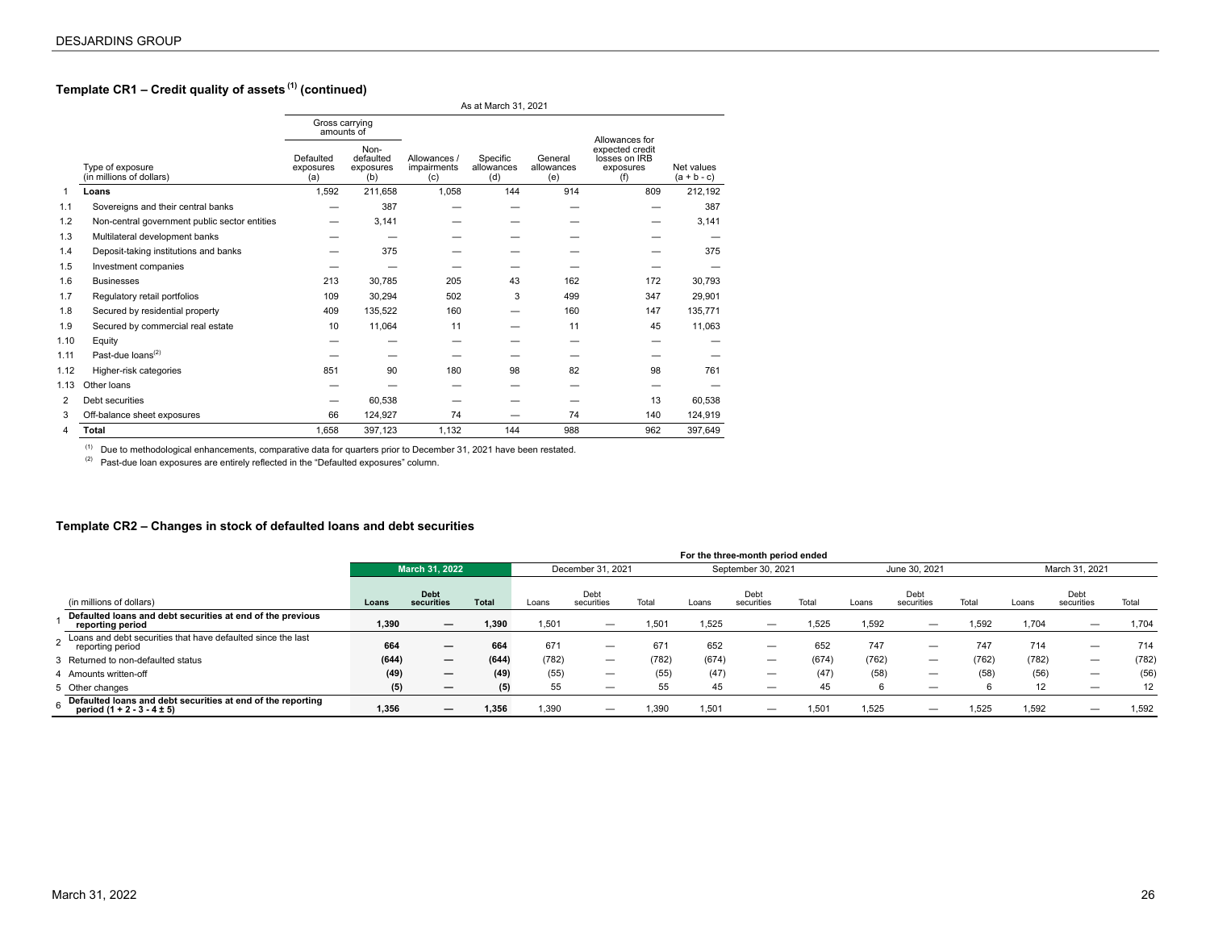## <span id="page-25-0"></span>**Template CR1 – Credit quality of assets (1) (continued)**

|                |                                               |                               |                                       |                                    | As at March 31, 2021          |                              |                                                      |                             |
|----------------|-----------------------------------------------|-------------------------------|---------------------------------------|------------------------------------|-------------------------------|------------------------------|------------------------------------------------------|-----------------------------|
|                |                                               | Gross carrying<br>amounts of  |                                       |                                    |                               |                              | Allowances for                                       |                             |
|                | Type of exposure<br>(in millions of dollars)  | Defaulted<br>exposures<br>(a) | Non-<br>defaulted<br>exposures<br>(b) | Allowances /<br>impairments<br>(c) | Specific<br>allowances<br>(d) | General<br>allowances<br>(e) | expected credit<br>losses on IRB<br>exposures<br>(f) | Net values<br>$(a + b - c)$ |
| 1              | Loans                                         | 1,592                         | 211,658                               | 1.058                              | 144                           | 914                          | 809                                                  | 212,192                     |
| 1.1            | Sovereigns and their central banks            |                               | 387                                   |                                    |                               |                              |                                                      | 387                         |
| 1.2            | Non-central government public sector entities |                               | 3,141                                 |                                    |                               |                              |                                                      | 3,141                       |
| 1.3            | Multilateral development banks                |                               |                                       |                                    |                               |                              |                                                      |                             |
| 1.4            | Deposit-taking institutions and banks         |                               | 375                                   |                                    |                               |                              |                                                      | 375                         |
| 1.5            | Investment companies                          |                               |                                       |                                    |                               |                              |                                                      |                             |
| 1.6            | <b>Businesses</b>                             | 213                           | 30,785                                | 205                                | 43                            | 162                          | 172                                                  | 30,793                      |
| 1.7            | Regulatory retail portfolios                  | 109                           | 30,294                                | 502                                | 3                             | 499                          | 347                                                  | 29,901                      |
| 1.8            | Secured by residential property               | 409                           | 135.522                               | 160                                |                               | 160                          | 147                                                  | 135,771                     |
| 1.9            | Secured by commercial real estate             | 10                            | 11,064                                | 11                                 |                               | 11                           | 45                                                   | 11,063                      |
| 1.10           | Equity                                        |                               |                                       |                                    |                               |                              |                                                      |                             |
| 1.11           | Past-due loans <sup>(2)</sup>                 |                               |                                       |                                    |                               |                              |                                                      |                             |
| 1.12           | Higher-risk categories                        | 851                           | 90                                    | 180                                | 98                            | 82                           | 98                                                   | 761                         |
| 1.13           | Other loans                                   |                               |                                       |                                    |                               |                              |                                                      |                             |
| $\overline{2}$ | Debt securities                               |                               | 60.538                                |                                    |                               |                              | 13                                                   | 60.538                      |
| 3              | Off-balance sheet exposures                   | 66                            | 124,927                               | 74                                 |                               | 74                           | 140                                                  | 124,919                     |
| 4              | <b>Total</b>                                  | 1.658                         | 397,123                               | 1,132                              | 144                           | 988                          | 962                                                  | 397,649                     |

 $(1)$  Due to methodological enhancements, comparative data for quarters prior to December 31, 2021 have been restated.

(2) Past-due loan exposures are entirely reflected in the "Defaulted exposures" column.

#### **Template CR2 – Changes in stock of defaulted loans and debt securities**

|    |                                                                                               |       | For the three-month period ended |              |       |                          |       |       |                          |       |       |                          |       |       |                          |       |
|----|-----------------------------------------------------------------------------------------------|-------|----------------------------------|--------------|-------|--------------------------|-------|-------|--------------------------|-------|-------|--------------------------|-------|-------|--------------------------|-------|
|    |                                                                                               |       | March 31, 2022                   |              |       | December 31, 2021        |       |       | September 30, 2021       |       |       | June 30, 2021            |       |       | March 31, 2021           |       |
|    | (in millions of dollars)                                                                      | Loans | <b>Debt</b><br>securities        | <b>Total</b> | Loans | Debt<br>securities       | Total | Loans | Debt<br>securities       | Total | Loans | Debt<br>securities       | Total | Loans | Debt<br>securities       | Total |
|    | Defaulted loans and debt securities at end of the previous<br>reporting period                | 1,390 | $\overline{\phantom{0}}$         | 1.390        | 1,501 |                          | .501  | 1,525 | $\overline{\phantom{0}}$ | 1.525 | 1,592 | —                        | 1.592 | 1,704 |                          | 1,704 |
|    | Loans and debt securities that have defaulted since the last<br>reporting period              | 664   | $\overline{\phantom{a}}$         | 664          | 671   | $\overline{\phantom{m}}$ | 671   | 652   | $\overline{\phantom{m}}$ | 652   | 747   | $\overline{\phantom{0}}$ | 747   | 714   | $\overline{\phantom{m}}$ | 714   |
|    | Returned to non-defaulted status                                                              | (644) | $\overline{\phantom{m}}$         | (644)        | (782) | $\overline{\phantom{m}}$ | (782) | (674) | $\overline{\phantom{0}}$ | (674) | (762) | $\qquad \qquad \qquad$   | (762) | (782) | $\overline{\phantom{m}}$ | (782) |
|    | Amounts written-off                                                                           | (49)  | $\qquad \qquad \qquad$           | (49)         | (55)  | $\overline{\phantom{0}}$ | (55)  | (47)  | $\overline{\phantom{0}}$ | (47)  | (58)  |                          | (58)  | (56)  | $\overline{\phantom{m}}$ | (56)  |
|    | 5 Other changes                                                                               | (5)   |                                  | (5)          | 55    | -                        | 55    | 45    | $\overline{\phantom{0}}$ | 45    |       | —                        |       | 12    | $\overline{\phantom{0}}$ | 12    |
| 6. | Defaulted loans and debt securities at end of the reporting<br>period $(1 + 2 - 3 - 4 \pm 5)$ | 1,356 | $\overline{\phantom{0}}$         | .356         | 1,390 |                          | ,390  | 1,501 | $\overline{\phantom{0}}$ | 1,501 | 1,525 | _                        | 1.525 | 1,592 | $\overline{\phantom{0}}$ | 1,592 |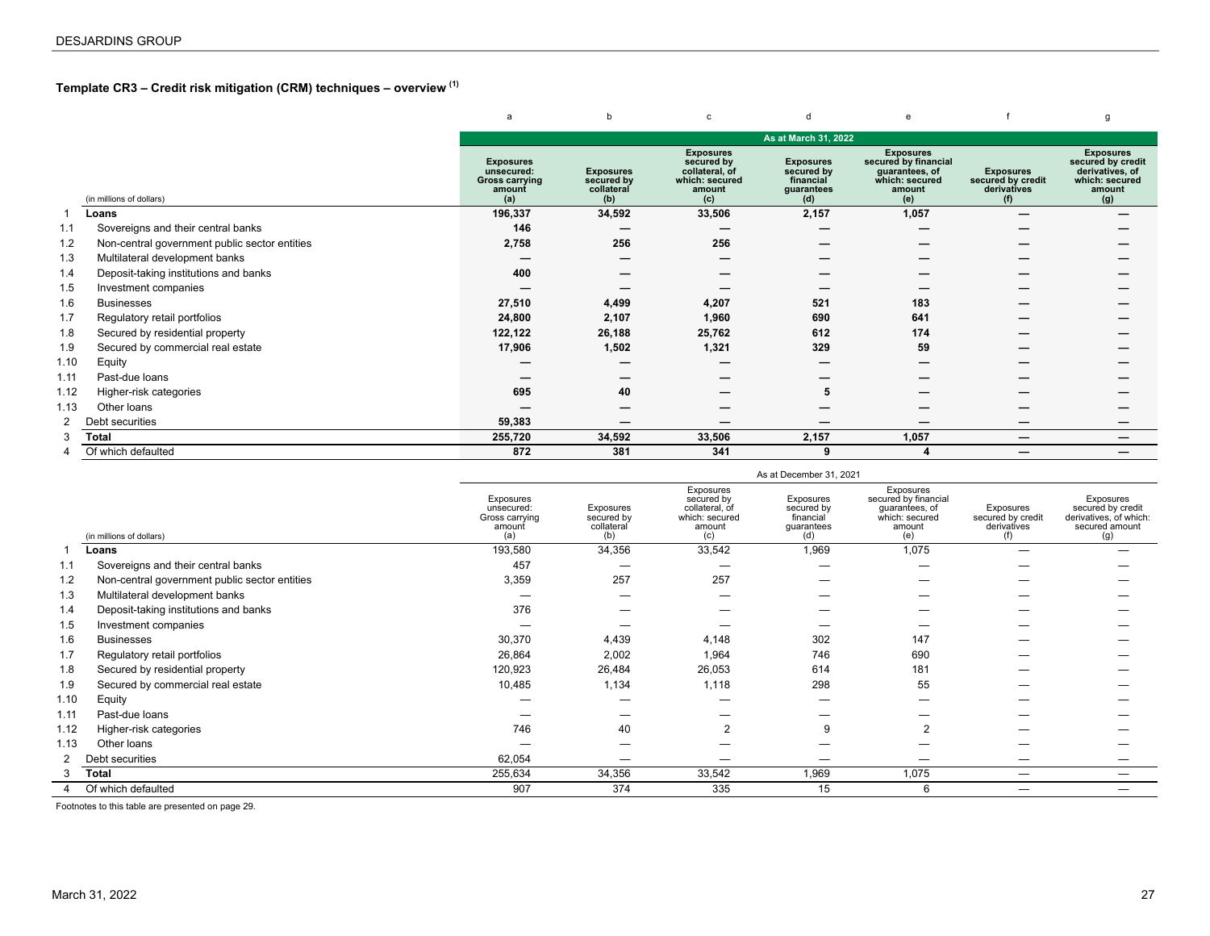# <span id="page-26-0"></span>**Template CR3 – Credit risk mitigation (CRM) techniques – overview (1)**

|                |                                               | a                                                                        | b                                                   | c                                                                                   | d                                                                | e                                                                                             |                                                             | q                                                                                           |
|----------------|-----------------------------------------------|--------------------------------------------------------------------------|-----------------------------------------------------|-------------------------------------------------------------------------------------|------------------------------------------------------------------|-----------------------------------------------------------------------------------------------|-------------------------------------------------------------|---------------------------------------------------------------------------------------------|
|                |                                               |                                                                          |                                                     |                                                                                     | As at March 31, 2022                                             |                                                                                               |                                                             |                                                                                             |
|                | (in millions of dollars)                      | <b>Exposures</b><br>unsecured:<br><b>Gross carrying</b><br>amount<br>(a) | <b>Exposures</b><br>secured by<br>collateral<br>(b) | <b>Exposures</b><br>secured by<br>collateral, of<br>which: secured<br>amount<br>(c) | <b>Exposures</b><br>secured by<br>financial<br>guarantees<br>(d) | <b>Exposures</b><br>secured by financial<br>guarantees, of<br>which: secured<br>amount<br>(e) | <b>Exposures</b><br>secured by credit<br>derivatives<br>(f) | <b>Exposures</b><br>secured by credit<br>derivatives, of<br>which: secured<br>amount<br>(g) |
|                | Loans                                         | 196,337                                                                  | 34,592                                              | 33,506                                                                              | 2,157                                                            | 1,057                                                                                         |                                                             |                                                                                             |
| 1.1            | Sovereigns and their central banks            | 146                                                                      |                                                     |                                                                                     |                                                                  |                                                                                               |                                                             |                                                                                             |
| 1.2            | Non-central government public sector entities | 2,758                                                                    | 256                                                 | 256                                                                                 |                                                                  |                                                                                               |                                                             |                                                                                             |
| 1.3            | Multilateral development banks                |                                                                          |                                                     |                                                                                     |                                                                  |                                                                                               |                                                             |                                                                                             |
| 1.4            | Deposit-taking institutions and banks         | 400                                                                      |                                                     |                                                                                     |                                                                  |                                                                                               |                                                             |                                                                                             |
| 1.5            | Investment companies                          |                                                                          |                                                     |                                                                                     |                                                                  |                                                                                               |                                                             |                                                                                             |
| 1.6            | <b>Businesses</b>                             | 27,510                                                                   | 4,499                                               | 4,207                                                                               | 521                                                              | 183                                                                                           |                                                             |                                                                                             |
| 1.7            | Regulatory retail portfolios                  | 24,800                                                                   | 2,107                                               | 1,960                                                                               | 690                                                              | 641                                                                                           |                                                             |                                                                                             |
| 1.8            | Secured by residential property               | 122,122                                                                  | 26,188                                              | 25,762                                                                              | 612                                                              | 174                                                                                           |                                                             |                                                                                             |
| 1.9            | Secured by commercial real estate             | 17,906                                                                   | 1,502                                               | 1,321                                                                               | 329                                                              | 59                                                                                            |                                                             |                                                                                             |
| 1.10           | Equity                                        |                                                                          |                                                     |                                                                                     |                                                                  |                                                                                               |                                                             |                                                                                             |
| 1.11           | Past-due loans                                |                                                                          |                                                     |                                                                                     |                                                                  |                                                                                               |                                                             |                                                                                             |
| 1.12           | Higher-risk categories                        | 695                                                                      | 40                                                  |                                                                                     | 5                                                                |                                                                                               |                                                             |                                                                                             |
| 1.13           | Other loans                                   |                                                                          |                                                     |                                                                                     |                                                                  |                                                                                               |                                                             |                                                                                             |
| $\overline{2}$ | Debt securities                               | 59,383                                                                   |                                                     |                                                                                     |                                                                  |                                                                                               |                                                             |                                                                                             |
| 3              | Total                                         | 255,720                                                                  | 34,592                                              | 33,506                                                                              | 2,157                                                            | 1,057                                                                                         |                                                             |                                                                                             |
| 4              | Of which defaulted                            | 872                                                                      | 381                                                 | 341                                                                                 | 9                                                                |                                                                                               | $\overline{\phantom{m}}$                                    | –                                                                                           |

|      |                                               |                                                            |                                              |                                                                              | As at December 31, 2021                                   |                                                                                        |                                               |                                                                                   |
|------|-----------------------------------------------|------------------------------------------------------------|----------------------------------------------|------------------------------------------------------------------------------|-----------------------------------------------------------|----------------------------------------------------------------------------------------|-----------------------------------------------|-----------------------------------------------------------------------------------|
|      | (in millions of dollars)                      | Exposures<br>unsecured:<br>Gross carrying<br>amount<br>(a) | Exposures<br>secured by<br>collateral<br>(b) | Exposures<br>secured by<br>collateral, of<br>which: secured<br>amount<br>(c) | Exposures<br>secured by<br>financial<br>quarantees<br>(d) | Exposures<br>secured by financial<br>quarantees, of<br>which: secured<br>amount<br>(e) | Exposures<br>secured by credit<br>derivatives | Exposures<br>secured by credit<br>derivatives, of which:<br>secured amount<br>(g) |
|      | Loans                                         | 193,580                                                    | 34,356                                       | 33,542                                                                       | 1,969                                                     | 1,075                                                                                  |                                               |                                                                                   |
| 1.1  | Sovereigns and their central banks            | 457                                                        |                                              |                                                                              |                                                           |                                                                                        |                                               |                                                                                   |
| 1.2  | Non-central government public sector entities | 3,359                                                      | 257                                          | 257                                                                          |                                                           |                                                                                        |                                               |                                                                                   |
| 1.3  | Multilateral development banks                |                                                            |                                              |                                                                              |                                                           |                                                                                        |                                               |                                                                                   |
| 1.4  | Deposit-taking institutions and banks         | 376                                                        |                                              |                                                                              |                                                           |                                                                                        |                                               |                                                                                   |
| 1.5  | Investment companies                          |                                                            |                                              |                                                                              |                                                           |                                                                                        |                                               |                                                                                   |
| 1.6  | <b>Businesses</b>                             | 30,370                                                     | 4,439                                        | 4,148                                                                        | 302                                                       | 147                                                                                    |                                               |                                                                                   |
| 1.7  | Regulatory retail portfolios                  | 26,864                                                     | 2,002                                        | 1,964                                                                        | 746                                                       | 690                                                                                    |                                               |                                                                                   |
| 1.8  | Secured by residential property               | 120,923                                                    | 26,484                                       | 26,053                                                                       | 614                                                       | 181                                                                                    |                                               |                                                                                   |
| 1.9  | Secured by commercial real estate             | 10,485                                                     | 1,134                                        | 1,118                                                                        | 298                                                       | 55                                                                                     |                                               |                                                                                   |
| 1.10 | Equity                                        |                                                            |                                              |                                                                              |                                                           |                                                                                        |                                               |                                                                                   |
| 1.11 | Past-due loans                                |                                                            |                                              |                                                                              |                                                           |                                                                                        |                                               |                                                                                   |
| 1.12 | Higher-risk categories                        | 746                                                        | 40                                           | $\overline{2}$                                                               | 9                                                         |                                                                                        |                                               |                                                                                   |
| 1.13 | Other loans                                   |                                                            |                                              |                                                                              |                                                           |                                                                                        |                                               |                                                                                   |
|      | Debt securities                               | 62,054                                                     |                                              |                                                                              |                                                           |                                                                                        |                                               |                                                                                   |
|      | <b>Total</b>                                  | 255,634                                                    | 34,356                                       | 33,542                                                                       | 1,969                                                     | 1,075                                                                                  |                                               | $\overline{\phantom{a}}$                                                          |
|      | Of which defaulted                            | 907                                                        | 374                                          | 335                                                                          | 15                                                        | 6                                                                                      |                                               |                                                                                   |

Footnotes to this table are presented on page 29.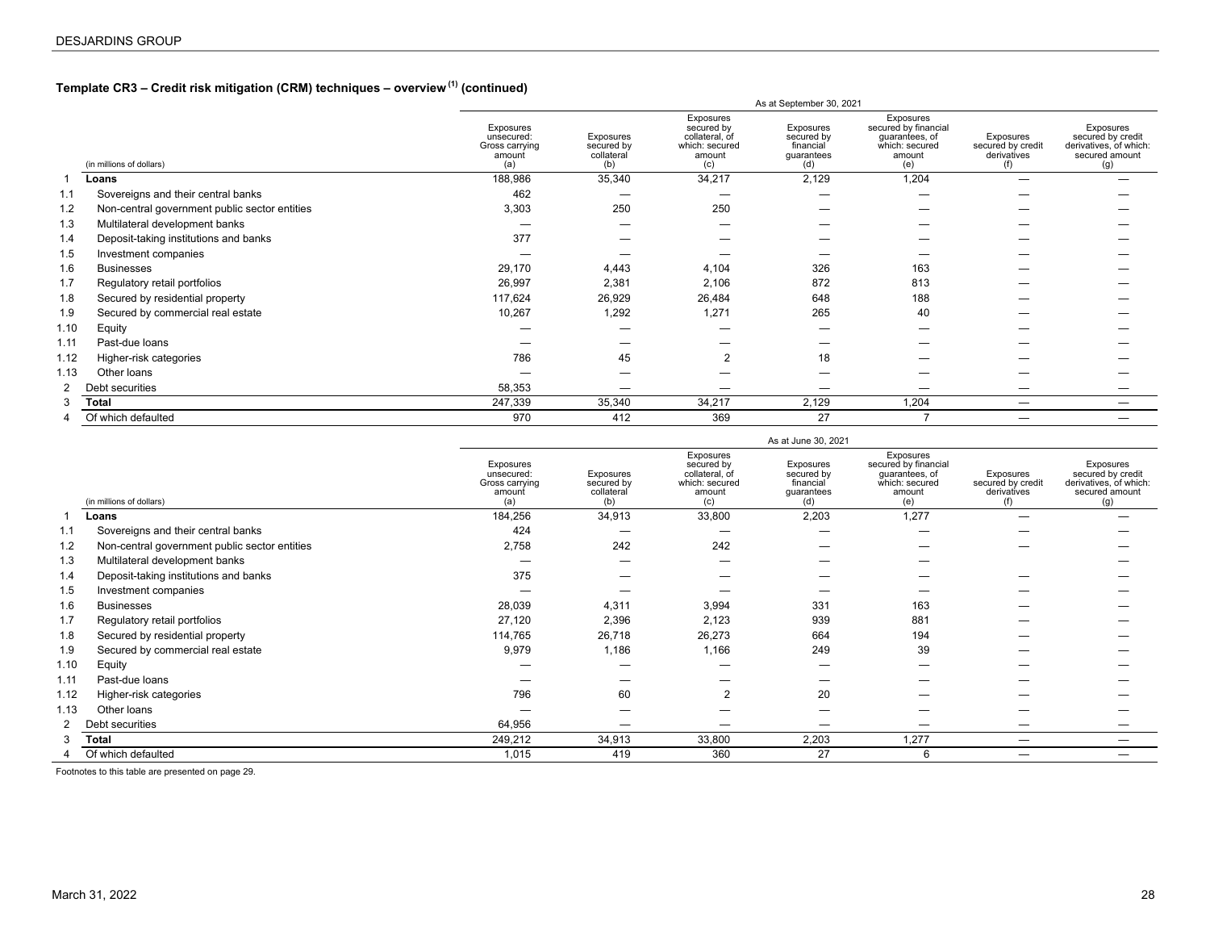# **Template CR3 – Credit risk mitigation (CRM) techniques – overview (1) (continued)**

|      |                                               |                                                            |                                              |                                                                              | As at September 30, 2021                                  |                                                                                        |                                               |                                                                                   |
|------|-----------------------------------------------|------------------------------------------------------------|----------------------------------------------|------------------------------------------------------------------------------|-----------------------------------------------------------|----------------------------------------------------------------------------------------|-----------------------------------------------|-----------------------------------------------------------------------------------|
|      | (in millions of dollars)                      | Exposures<br>unsecured:<br>Gross carrying<br>amount<br>(a) | Exposures<br>secured by<br>collateral<br>(b) | Exposures<br>secured by<br>collateral, of<br>which: secured<br>amount<br>(c) | Exposures<br>secured by<br>financial<br>guarantees<br>(d) | Exposures<br>secured by financial<br>guarantees, of<br>which: secured<br>amount<br>(e) | Exposures<br>secured by credit<br>derivatives | Exposures<br>secured by credit<br>derivatives, of which:<br>secured amount<br>(g) |
|      | Loans                                         | 188,986                                                    | 35,340                                       | 34,217                                                                       | 2,129                                                     | 1,204                                                                                  |                                               |                                                                                   |
| 1.1  | Sovereigns and their central banks            | 462                                                        |                                              | _                                                                            | -                                                         |                                                                                        |                                               |                                                                                   |
| 1.2  | Non-central government public sector entities | 3,303                                                      | 250                                          | 250                                                                          |                                                           |                                                                                        |                                               |                                                                                   |
| 1.3  | Multilateral development banks                |                                                            |                                              |                                                                              |                                                           |                                                                                        |                                               |                                                                                   |
| 1.4  | Deposit-taking institutions and banks         | 377                                                        |                                              |                                                                              |                                                           |                                                                                        |                                               |                                                                                   |
| 1.5  | Investment companies                          |                                                            |                                              |                                                                              |                                                           |                                                                                        |                                               |                                                                                   |
| 1.6  | <b>Businesses</b>                             | 29,170                                                     | 4,443                                        | 4,104                                                                        | 326                                                       | 163                                                                                    |                                               |                                                                                   |
| 1.7  | Regulatory retail portfolios                  | 26,997                                                     | 2,381                                        | 2,106                                                                        | 872                                                       | 813                                                                                    |                                               |                                                                                   |
| 1.8  | Secured by residential property               | 117,624                                                    | 26,929                                       | 26,484                                                                       | 648                                                       | 188                                                                                    |                                               |                                                                                   |
| 1.9  | Secured by commercial real estate             | 10,267                                                     | 1,292                                        | 1,271                                                                        | 265                                                       | 40                                                                                     |                                               |                                                                                   |
| 1.10 | Equity                                        |                                                            |                                              |                                                                              |                                                           |                                                                                        |                                               |                                                                                   |
| 1.11 | Past-due loans                                |                                                            |                                              |                                                                              |                                                           |                                                                                        |                                               |                                                                                   |
| 1.12 | Higher-risk categories                        | 786                                                        | 45                                           | 2                                                                            | 18                                                        |                                                                                        |                                               |                                                                                   |
| 1.13 | Other loans                                   |                                                            |                                              |                                                                              |                                                           |                                                                                        |                                               |                                                                                   |
| 2    | Debt securities                               | 58,353                                                     |                                              |                                                                              |                                                           |                                                                                        |                                               |                                                                                   |
| 3    | Total                                         | 247,339                                                    | 35,340                                       | 34,217                                                                       | 2,129                                                     | 1,204                                                                                  | —                                             |                                                                                   |
| 4    | Of which defaulted                            | 970                                                        | 412                                          | 369                                                                          | 27                                                        |                                                                                        | —                                             |                                                                                   |
|      |                                               |                                                            |                                              |                                                                              |                                                           |                                                                                        |                                               |                                                                                   |

|                |                                               |                                                            |                                              |                                                                              | As at June 30, 2021                                       |                                                                                        |                                                      |                                                                                   |
|----------------|-----------------------------------------------|------------------------------------------------------------|----------------------------------------------|------------------------------------------------------------------------------|-----------------------------------------------------------|----------------------------------------------------------------------------------------|------------------------------------------------------|-----------------------------------------------------------------------------------|
|                | (in millions of dollars)                      | Exposures<br>unsecured:<br>Gross carrying<br>amount<br>(a) | Exposures<br>secured by<br>collateral<br>(b) | Exposures<br>secured by<br>collateral, of<br>which: secured<br>amount<br>(c) | Exposures<br>secured by<br>financial<br>guarantees<br>(d) | Exposures<br>secured by financial<br>quarantees, of<br>which: secured<br>amount<br>(e) | Exposures<br>secured by credit<br>derivatives<br>(f) | Exposures<br>secured by credit<br>derivatives, of which:<br>secured amount<br>(g) |
|                | Loans                                         | 184,256                                                    | 34,913                                       | 33,800                                                                       | 2,203                                                     | 1,277                                                                                  |                                                      |                                                                                   |
| 1.1            | Sovereigns and their central banks            | 424                                                        |                                              |                                                                              | -                                                         | -                                                                                      |                                                      |                                                                                   |
| 1.2            | Non-central government public sector entities | 2,758                                                      | 242                                          | 242                                                                          |                                                           |                                                                                        |                                                      |                                                                                   |
| 1.3            | Multilateral development banks                |                                                            |                                              |                                                                              |                                                           |                                                                                        |                                                      |                                                                                   |
| 1.4            | Deposit-taking institutions and banks         | 375                                                        |                                              |                                                                              |                                                           |                                                                                        |                                                      |                                                                                   |
| 1.5            | Investment companies                          |                                                            |                                              |                                                                              |                                                           |                                                                                        |                                                      |                                                                                   |
| 1.6            | <b>Businesses</b>                             | 28,039                                                     | 4,311                                        | 3,994                                                                        | 331                                                       | 163                                                                                    |                                                      |                                                                                   |
| 1.7            | Regulatory retail portfolios                  | 27,120                                                     | 2,396                                        | 2,123                                                                        | 939                                                       | 881                                                                                    |                                                      |                                                                                   |
| 1.8            | Secured by residential property               | 114,765                                                    | 26,718                                       | 26,273                                                                       | 664                                                       | 194                                                                                    |                                                      |                                                                                   |
| 1.9            | Secured by commercial real estate             | 9,979                                                      | 1,186                                        | 1,166                                                                        | 249                                                       | 39                                                                                     |                                                      |                                                                                   |
| 1.10           | Equity                                        |                                                            |                                              |                                                                              |                                                           |                                                                                        |                                                      |                                                                                   |
| 1.11           | Past-due loans                                |                                                            |                                              |                                                                              |                                                           |                                                                                        |                                                      |                                                                                   |
| 1.12           | Higher-risk categories                        | 796                                                        | 60                                           | $\overline{2}$                                                               | 20                                                        |                                                                                        |                                                      |                                                                                   |
| 1.13           | Other loans                                   |                                                            |                                              |                                                                              |                                                           |                                                                                        |                                                      |                                                                                   |
| $\overline{2}$ | Debt securities                               | 64,956                                                     |                                              |                                                                              |                                                           |                                                                                        |                                                      |                                                                                   |
|                | Total                                         | 249,212                                                    | 34,913                                       | 33,800                                                                       | 2,203                                                     | 1,277                                                                                  |                                                      |                                                                                   |
|                | Of which defaulted                            | 1,015                                                      | 419                                          | 360                                                                          | 27                                                        | 6                                                                                      |                                                      | -                                                                                 |

Footnotes to this table are presented on page 29.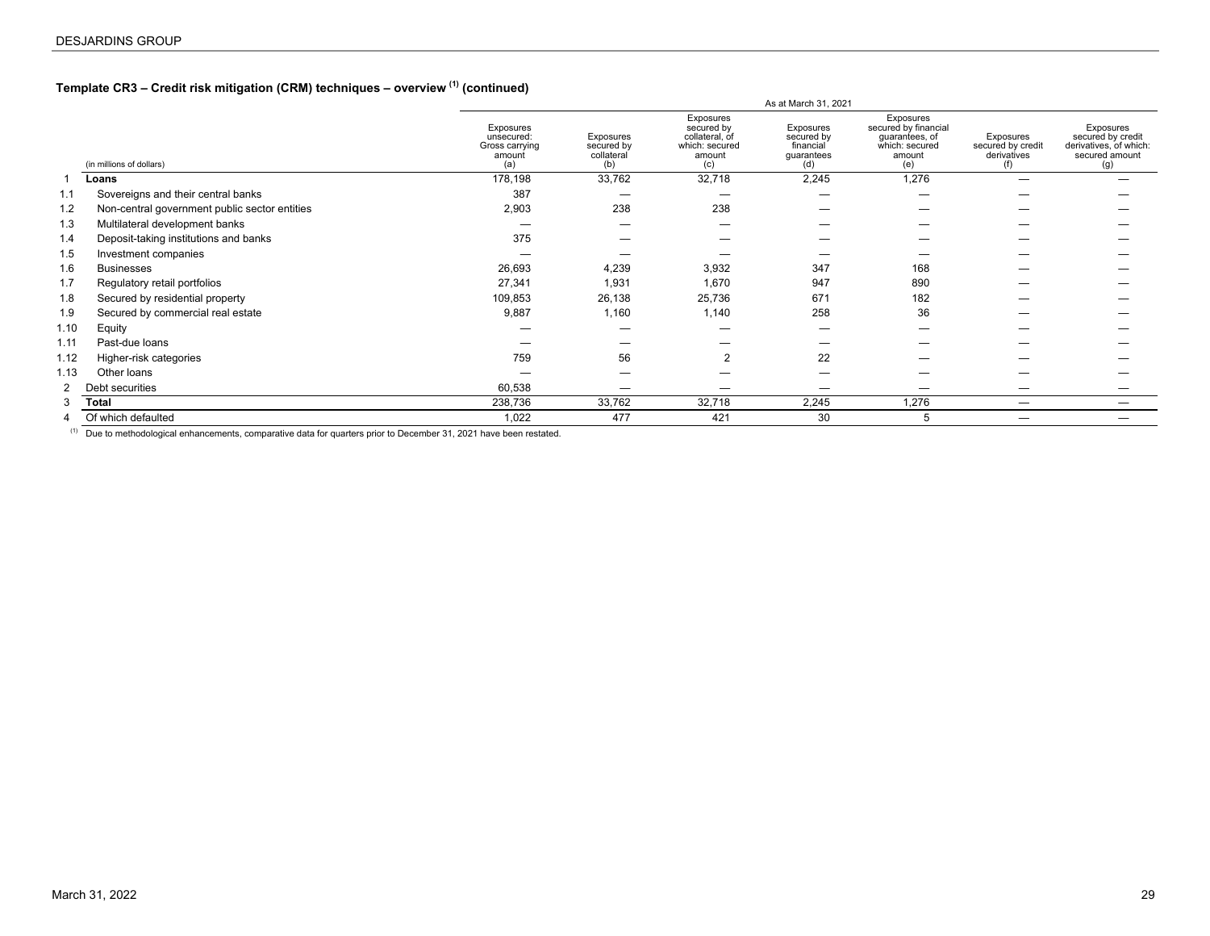# **Template CR3 – Credit risk mitigation (CRM) techniques – overview (1) (continued)**

|                |                                               |                                                            |                                              |                                                                              | As at March 31, 2021                                      |                                                                                        |                                               |                                                                                   |
|----------------|-----------------------------------------------|------------------------------------------------------------|----------------------------------------------|------------------------------------------------------------------------------|-----------------------------------------------------------|----------------------------------------------------------------------------------------|-----------------------------------------------|-----------------------------------------------------------------------------------|
|                | (in millions of dollars)                      | Exposures<br>unsecured:<br>Gross carrying<br>amount<br>(a) | Exposures<br>secured by<br>collateral<br>(b) | Exposures<br>secured by<br>collateral, of<br>which: secured<br>amount<br>(c) | Exposures<br>secured by<br>financial<br>guarantees<br>(d) | Exposures<br>secured by financial<br>quarantees, of<br>which: secured<br>amount<br>(e) | Exposures<br>secured by credit<br>derivatives | Exposures<br>secured by credit<br>derivatives, of which:<br>secured amount<br>(g) |
|                | Loans                                         | 178,198                                                    | 33,762                                       | 32,718                                                                       | 2,245                                                     | 1,276                                                                                  |                                               |                                                                                   |
| 1.1            | Sovereigns and their central banks            | 387                                                        |                                              |                                                                              |                                                           |                                                                                        |                                               |                                                                                   |
| 1.2            | Non-central government public sector entities | 2,903                                                      | 238                                          | 238                                                                          |                                                           |                                                                                        |                                               |                                                                                   |
| 1.3            | Multilateral development banks                |                                                            |                                              |                                                                              |                                                           |                                                                                        |                                               |                                                                                   |
| 1.4            | Deposit-taking institutions and banks         | 375                                                        |                                              |                                                                              |                                                           |                                                                                        |                                               |                                                                                   |
| 1.5            | Investment companies                          |                                                            |                                              |                                                                              |                                                           |                                                                                        |                                               |                                                                                   |
| 1.6            | <b>Businesses</b>                             | 26,693                                                     | 4,239                                        | 3,932                                                                        | 347                                                       | 168                                                                                    |                                               |                                                                                   |
| 1.7            | Regulatory retail portfolios                  | 27,341                                                     | 1,931                                        | 1,670                                                                        | 947                                                       | 890                                                                                    |                                               |                                                                                   |
| 1.8            | Secured by residential property               | 109,853                                                    | 26,138                                       | 25,736                                                                       | 671                                                       | 182                                                                                    |                                               |                                                                                   |
| 1.9            | Secured by commercial real estate             | 9,887                                                      | 1,160                                        | 1,140                                                                        | 258                                                       | 36                                                                                     |                                               |                                                                                   |
| 1.10           | Equity                                        |                                                            |                                              |                                                                              |                                                           |                                                                                        |                                               |                                                                                   |
| 1.11           | Past-due loans                                |                                                            |                                              |                                                                              |                                                           |                                                                                        |                                               |                                                                                   |
| 1.12           | Higher-risk categories                        | 759                                                        | 56                                           | $\overline{2}$                                                               | 22                                                        |                                                                                        |                                               |                                                                                   |
| 1.13           | Other loans                                   |                                                            |                                              |                                                                              |                                                           |                                                                                        |                                               |                                                                                   |
| $\overline{2}$ | Debt securities                               | 60,538                                                     | —                                            |                                                                              |                                                           |                                                                                        | _                                             |                                                                                   |
| 3              | <b>Total</b>                                  | 238,736                                                    | 33,762                                       | 32,718                                                                       | 2,245                                                     | 1,276                                                                                  | —                                             |                                                                                   |
|                | Of which defaulted                            | 1,022                                                      | 477                                          | 421                                                                          | 30                                                        | 5                                                                                      |                                               |                                                                                   |
|                |                                               |                                                            |                                              |                                                                              |                                                           |                                                                                        |                                               |                                                                                   |

(1) Due to methodological enhancements, comparative data for quarters prior to December 31, 2021 have been restated.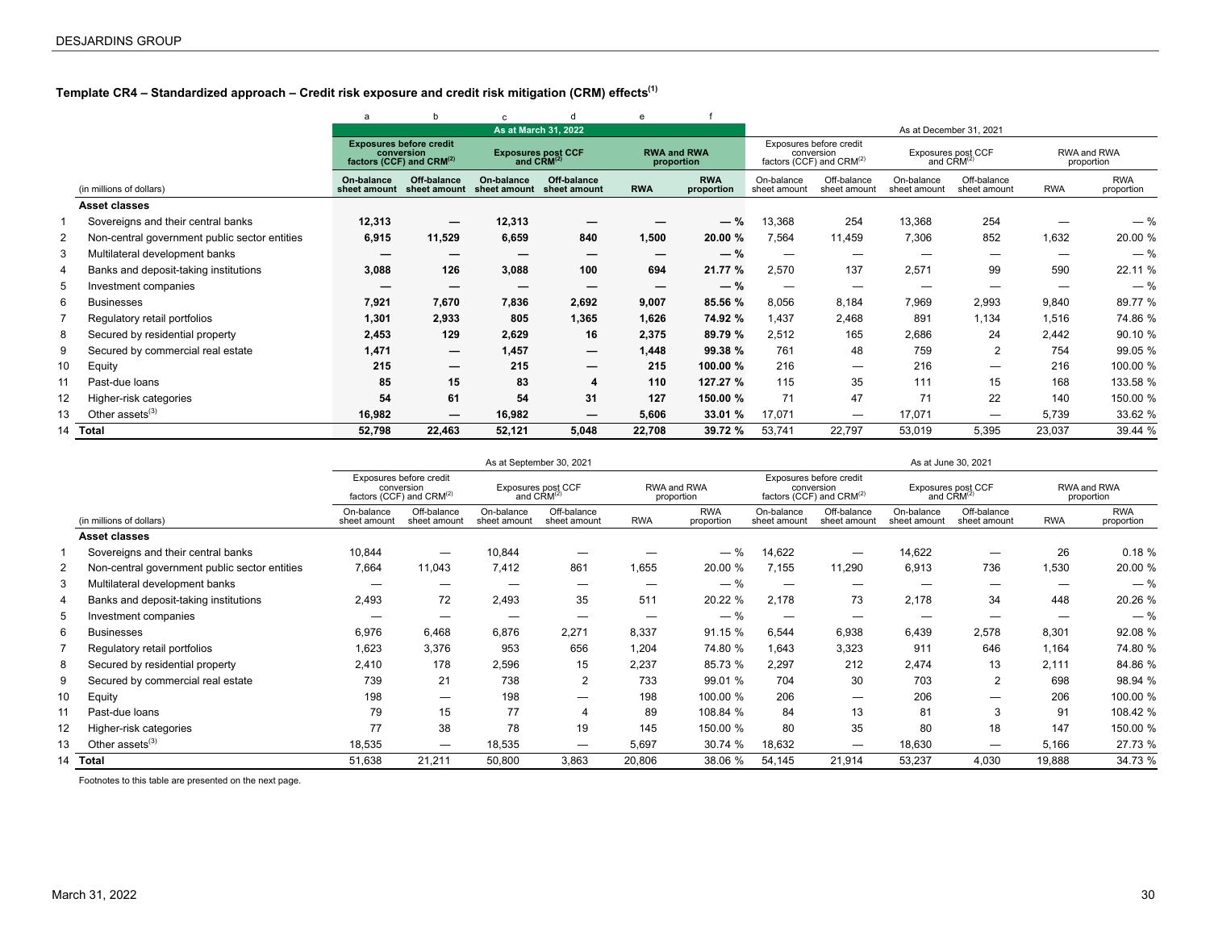# <span id="page-29-0"></span>**Template CR4 – Standardized approach – Credit risk exposure and credit risk mitigation (CRM) effects(1)**

|    |                                               | a                          | h                                                                                    | C.                         |                                                     | e          |                                  |                            |                                                                   |                            |                                              |            |                           |
|----|-----------------------------------------------|----------------------------|--------------------------------------------------------------------------------------|----------------------------|-----------------------------------------------------|------------|----------------------------------|----------------------------|-------------------------------------------------------------------|----------------------------|----------------------------------------------|------------|---------------------------|
|    |                                               |                            |                                                                                      |                            | As at March 31, 2022                                |            |                                  |                            |                                                                   |                            | As at December 31, 2021                      |            |                           |
|    |                                               |                            | <b>Exposures before credit</b><br>conversion<br>factors (CCF) and CRM <sup>(2)</sup> |                            | <b>Exposures post CCF</b><br>and CRM <sup>(2)</sup> |            | <b>RWA and RWA</b><br>proportion |                            | Exposures before credit<br>conversion<br>factors (CCF) and CRM(2) |                            | Exposures post CCF<br>and CRM <sup>(2)</sup> |            | RWA and RWA<br>proportion |
|    | (in millions of dollars)                      | On-balance<br>sheet amount | Off-balance<br>sheet amount                                                          | On-balance<br>sheet amount | Off-balance<br>sheet amount                         | <b>RWA</b> | <b>RWA</b><br>proportion         | On-balance<br>sheet amount | Off-balance<br>sheet amount                                       | On-balance<br>sheet amount | Off-balance<br>sheet amount                  | <b>RWA</b> | <b>RWA</b><br>proportion  |
|    | Asset classes                                 |                            |                                                                                      |                            |                                                     |            |                                  |                            |                                                                   |                            |                                              |            |                           |
|    | Sovereigns and their central banks            | 12,313                     | $\hspace{0.05cm}$                                                                    | 12,313                     |                                                     |            | $-$ %                            | 13,368                     | 254                                                               | 13,368                     | 254                                          |            | $-$ %                     |
| 2  | Non-central government public sector entities | 6,915                      | 11,529                                                                               | 6,659                      | 840                                                 | 1,500      | 20.00 %                          | 7,564                      | 11,459                                                            | 7,306                      | 852                                          | 1,632      | 20.00 %                   |
| 3  | Multilateral development banks                |                            |                                                                                      |                            |                                                     | —          | $-$ %                            |                            |                                                                   | -                          |                                              |            | $-$ %                     |
| 4  | Banks and deposit-taking institutions         | 3,088                      | 126                                                                                  | 3,088                      | 100                                                 | 694        | 21.77 %                          | 2,570                      | 137                                                               | 2,571                      | 99                                           | 590        | 22.11 %                   |
| 5  | Investment companies                          |                            |                                                                                      |                            |                                                     |            | $-$ %                            | —                          | -                                                                 |                            |                                              |            | $-$ %                     |
| 6  | <b>Businesses</b>                             | 7,921                      | 7,670                                                                                | 7,836                      | 2,692                                               | 9,007      | 85.56 %                          | 8,056                      | 8,184                                                             | 7,969                      | 2,993                                        | 9,840      | 89.77 %                   |
|    | Regulatory retail portfolios                  | 1,301                      | 2,933                                                                                | 805                        | 1,365                                               | 1,626      | 74.92 %                          | 1.437                      | 2,468                                                             | 891                        | 1,134                                        | 1,516      | 74.86 %                   |
| 8  | Secured by residential property               | 2,453                      | 129                                                                                  | 2,629                      | 16                                                  | 2,375      | 89.79 %                          | 2,512                      | 165                                                               | 2,686                      | 24                                           | 2,442      | 90.10 %                   |
| 9  | Secured by commercial real estate             | 1,471                      | $\overline{\phantom{m}}$                                                             | 1,457                      | $\overline{\phantom{m}}$                            | 1,448      | 99.38 %                          | 761                        | 48                                                                | 759                        | 2                                            | 754        | 99.05 %                   |
| 10 | Equity                                        | 215                        | —                                                                                    | 215                        | —                                                   | 215        | 100.00 %                         | 216                        |                                                                   | 216                        |                                              | 216        | 100.00 %                  |
| 11 | Past-due loans                                | 85                         | 15                                                                                   | 83                         | 4                                                   | 110        | 127.27 %                         | 115                        | 35                                                                | 111                        | 15                                           | 168        | 133.58 %                  |
| 12 | Higher-risk categories                        | 54                         | 61                                                                                   | 54                         | 31                                                  | 127        | 150.00 %                         | 71                         | 47                                                                | 71                         | 22                                           | 140        | 150.00 %                  |
| 13 | Other assets $^{(3)}$                         | 16,982                     | $\overline{\phantom{0}}$                                                             | 16,982                     | —                                                   | 5,606      | 33.01 %                          | 17,071                     |                                                                   | 17,071                     | —                                            | 5,739      | 33.62 %                   |
| 14 | Total                                         | 52,798                     | 22,463                                                                               | 52,121                     | 5,048                                               | 22,708     | 39.72 %                          | 53,741                     | 22,797                                                            | 53,019                     | 5,395                                        | 23,037     | 39.44 %                   |

|    |                                               |                            |                                                                   |                            | As at September 30, 2021                     |            |                           |                            |                                                                        |                                              | As at June 30, 2021         |                           |                          |
|----|-----------------------------------------------|----------------------------|-------------------------------------------------------------------|----------------------------|----------------------------------------------|------------|---------------------------|----------------------------|------------------------------------------------------------------------|----------------------------------------------|-----------------------------|---------------------------|--------------------------|
|    |                                               |                            | Exposures before credit<br>conversion<br>factors (CCF) and CRM(2) |                            | Exposures post CCF<br>and CRM <sup>(2)</sup> |            | RWA and RWA<br>proportion |                            | Exposures before credit<br>conversion<br>factors (CCF) and $CRM^{(2)}$ | Exposures post CCF<br>and CRM <sup>(2)</sup> |                             | RWA and RWA<br>proportion |                          |
|    | (in millions of dollars)                      | On-balance<br>sheet amount | Off-balance<br>sheet amount                                       | On-balance<br>sheet amount | Off-balance<br>sheet amount                  | <b>RWA</b> | <b>RWA</b><br>proportion  | On-balance<br>sheet amount | Off-balance<br>sheet amount                                            | On-balance<br>sheet amount                   | Off-balance<br>sheet amount | <b>RWA</b>                | <b>RWA</b><br>proportion |
|    | Asset classes                                 |                            |                                                                   |                            |                                              |            |                           |                            |                                                                        |                                              |                             |                           |                          |
|    | Sovereigns and their central banks            | 10,844                     |                                                                   | 10,844                     |                                              |            | $-$ %                     | 14,622                     |                                                                        | 14,622                                       |                             | 26                        | 0.18%                    |
| 2  | Non-central government public sector entities | 7,664                      | 11,043                                                            | 7,412                      | 861                                          | 1,655      | 20.00 %                   | 7,155                      | 11,290                                                                 | 6,913                                        | 736                         | 1,530                     | 20.00 %                  |
| 3  | Multilateral development banks                |                            |                                                                   |                            |                                              |            | $-$ %                     |                            |                                                                        |                                              |                             |                           | $-$ %                    |
| 4  | Banks and deposit-taking institutions         | 2,493                      | 72                                                                | 2,493                      | 35                                           | 511        | 20.22 %                   | 2.178                      | 73                                                                     | 2,178                                        | 34                          | 448                       | 20.26 %                  |
| 5  | Investment companies                          |                            |                                                                   |                            |                                              |            | $-$ %                     |                            |                                                                        |                                              |                             |                           | $-$ %                    |
| 6  | <b>Businesses</b>                             | 6,976                      | 6,468                                                             | 6,876                      | 2,271                                        | 8,337      | 91.15 %                   | 6,544                      | 6,938                                                                  | 6,439                                        | 2,578                       | 8,301                     | 92.08 %                  |
|    | Regulatory retail portfolios                  | 1,623                      | 3,376                                                             | 953                        | 656                                          | 1.204      | 74.80 %                   | 1,643                      | 3,323                                                                  | 911                                          | 646                         | 1,164                     | 74.80 %                  |
| 8  | Secured by residential property               | 2,410                      | 178                                                               | 2,596                      | 15                                           | 2,237      | 85.73 %                   | 2,297                      | 212                                                                    | 2,474                                        | 13                          | 2,111                     | 84.86 %                  |
| 9  | Secured by commercial real estate             | 739                        | 21                                                                | 738                        | 2                                            | 733        | 99.01 %                   | 704                        | 30                                                                     | 703                                          | $\overline{2}$              | 698                       | 98.94 %                  |
| 10 | Equity                                        | 198                        |                                                                   | 198                        |                                              | 198        | 100.00 %                  | 206                        |                                                                        | 206                                          |                             | 206                       | 100.00 %                 |
|    | Past-due loans                                | 79                         | 15                                                                | 77                         | 4                                            | 89         | 108.84 %                  | 84                         | 13                                                                     | 81                                           | 3                           | 91                        | 108.42 %                 |
| 12 | Higher-risk categories                        | 77                         | 38                                                                | 78                         | 19                                           | 145        | 150.00 %                  | 80                         | 35                                                                     | 80                                           | 18                          | 147                       | 150.00 %                 |
| 13 | Other assets $(3)$                            | 18,535                     |                                                                   | 18,535                     |                                              | 5,697      | 30.74 %                   | 18,632                     | —                                                                      | 18,630                                       | $\qquad \qquad$             | 5,166                     | 27.73 %                  |
| 14 | Total                                         | 51,638                     | 21,211                                                            | 50,800                     | 3,863                                        | 20,806     | 38.06 %                   | 54,145                     | 21,914                                                                 | 53,237                                       | 4,030                       | 19,888                    | 34.73 %                  |

Footnotes to this table are presented on the next page.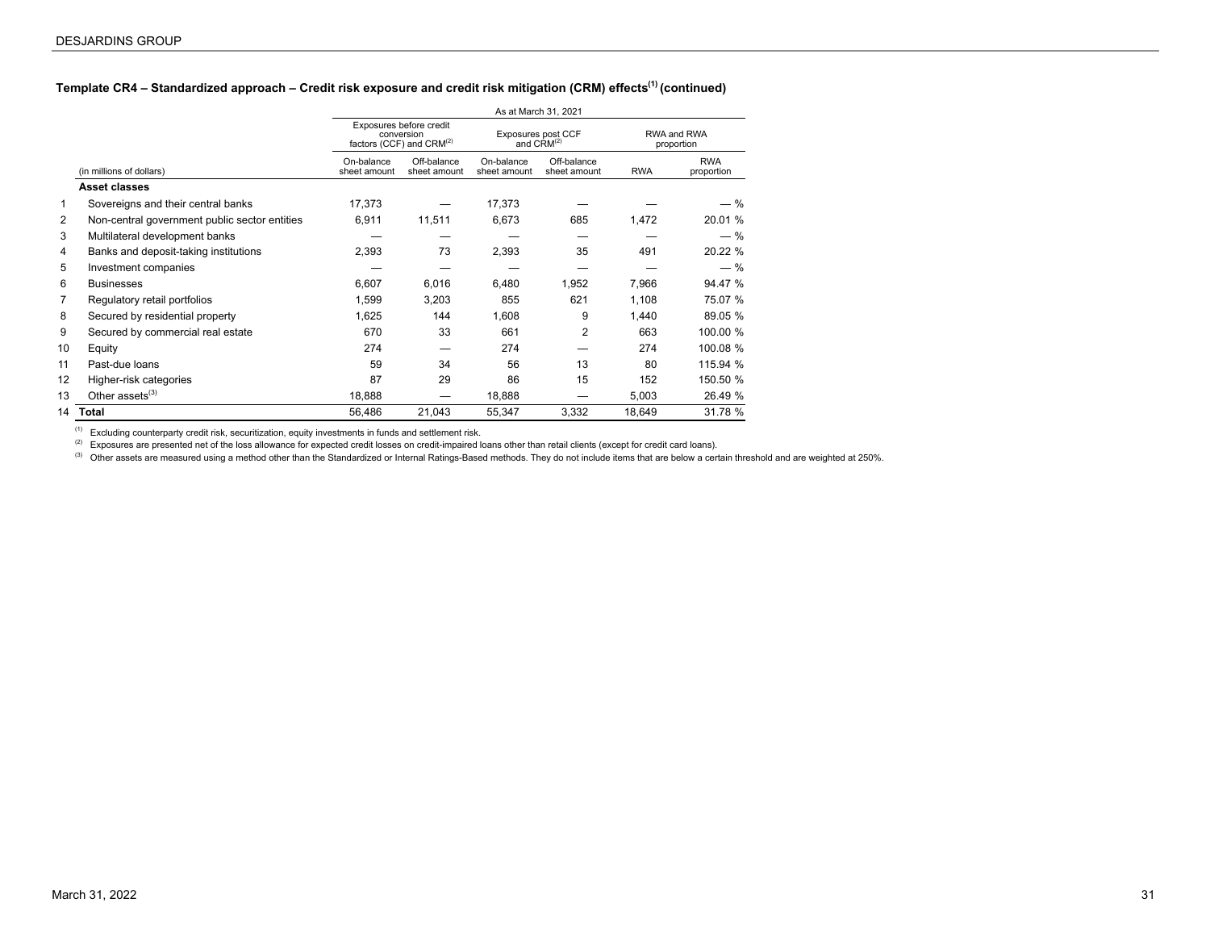## **Template CR4 – Standardized approach – Credit risk exposure and credit risk mitigation (CRM) effects(1) (continued)**

|                |                                               |                            |                                                                               |                            | As at March 31, 2021                         |            |                           |
|----------------|-----------------------------------------------|----------------------------|-------------------------------------------------------------------------------|----------------------------|----------------------------------------------|------------|---------------------------|
|                |                                               |                            | Exposures before credit<br>conversion<br>factors (CCF) and CRM <sup>(2)</sup> |                            | Exposures post CCF<br>and CRM <sup>(2)</sup> |            | RWA and RWA<br>proportion |
|                | (in millions of dollars)                      | On-balance<br>sheet amount | Off-balance<br>sheet amount                                                   | On-balance<br>sheet amount | Off-balance<br>sheet amount                  | <b>RWA</b> | <b>RWA</b><br>proportion  |
|                | Asset classes                                 |                            |                                                                               |                            |                                              |            |                           |
| 1              | Sovereigns and their central banks            | 17,373                     |                                                                               | 17,373                     |                                              |            | — %                       |
| 2              | Non-central government public sector entities | 6,911                      | 11,511                                                                        | 6,673                      | 685                                          | 1,472      | 20.01 %                   |
| 3              | Multilateral development banks                |                            |                                                                               |                            |                                              |            | $-$ %                     |
| 4              | Banks and deposit-taking institutions         | 2,393                      | 73                                                                            | 2,393                      | 35                                           | 491        | 20.22 %                   |
| 5              | Investment companies                          |                            |                                                                               |                            |                                              |            | $-$ %                     |
| 6              | <b>Businesses</b>                             | 6,607                      | 6,016                                                                         | 6.480                      | 1,952                                        | 7,966      | 94.47 %                   |
| $\overline{7}$ | Regulatory retail portfolios                  | 1,599                      | 3,203                                                                         | 855                        | 621                                          | 1,108      | 75.07 %                   |
| 8              | Secured by residential property               | 1,625                      | 144                                                                           | 1,608                      | 9                                            | 1,440      | 89.05 %                   |
| 9              | Secured by commercial real estate             | 670                        | 33                                                                            | 661                        | 2                                            | 663        | 100.00 %                  |
| 10             | Equity                                        | 274                        |                                                                               | 274                        |                                              | 274        | 100.08 %                  |
| 11             | Past-due loans                                | 59                         | 34                                                                            | 56                         | 13                                           | 80         | 115.94 %                  |
| 12             | Higher-risk categories                        | 87                         | 29                                                                            | 86                         | 15                                           | 152        | 150.50 %                  |
| 13             | Other assets $(3)$                            | 18,888                     |                                                                               | 18,888                     |                                              | 5,003      | 26.49 %                   |
| 14             | Total                                         | 56,486                     | 21,043                                                                        | 55,347                     | 3,332                                        | 18,649     | 31.78 %                   |

(1) Excluding counterparty credit risk, securitization, equity investments in funds and settlement risk.

(2) Exposures are presented net of the loss allowance for expected credit losses on credit-impaired loans other than retail clients (except for credit card loans).

<sup>(3)</sup> Other assets are measured using a method other than the Standardized or Internal Ratings-Based methods. They do not include items that are below a certain threshold and are weighted at 250%.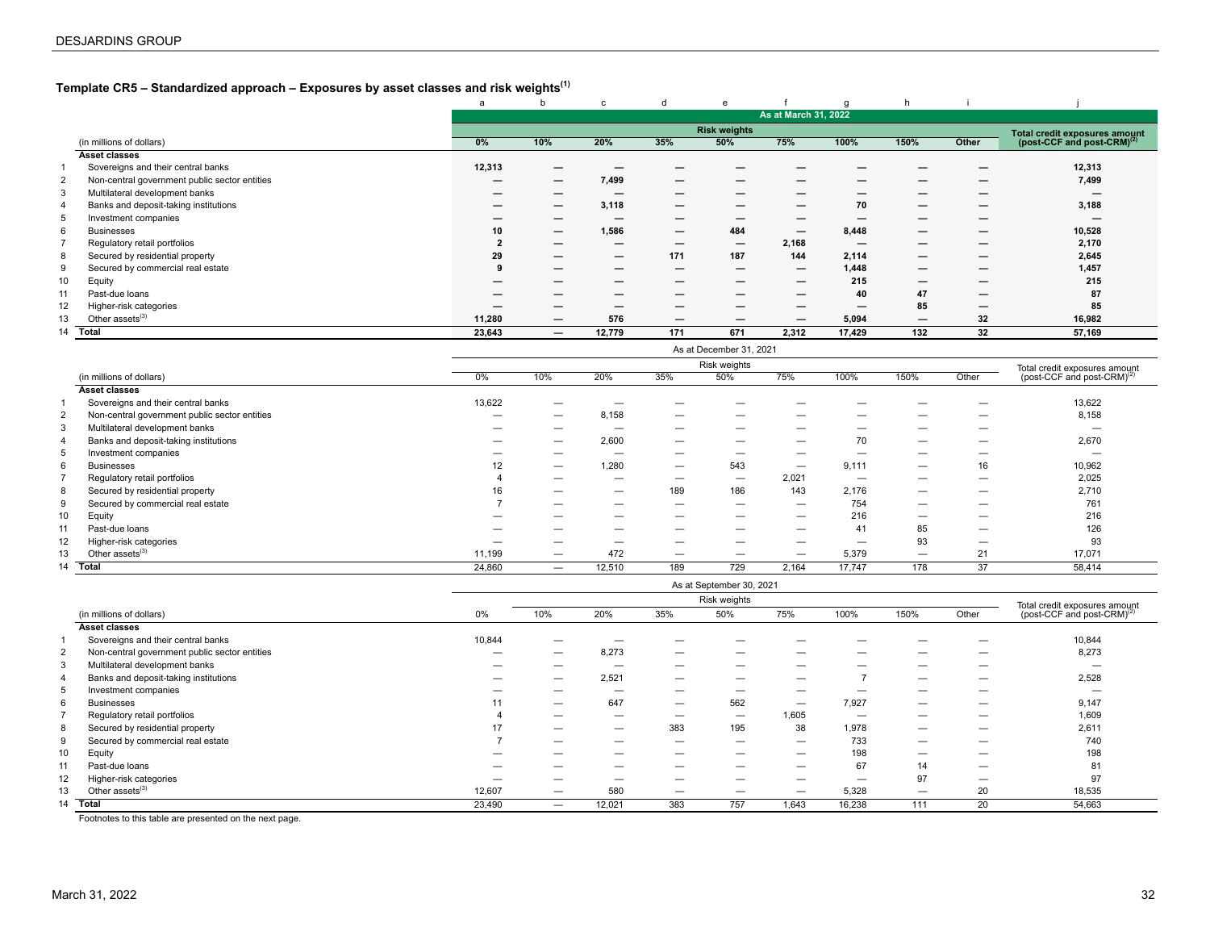## <span id="page-31-0"></span>**Template CR5 – Standardized approach – Exposures by asset classes and risk weights(1)**

|    |                                               | a                        | b                        | c      | a                        | e                        |                          | $\alpha$                 |                          |                          |                                        |
|----|-----------------------------------------------|--------------------------|--------------------------|--------|--------------------------|--------------------------|--------------------------|--------------------------|--------------------------|--------------------------|----------------------------------------|
|    |                                               |                          |                          |        |                          |                          | As at March 31, 2022     |                          |                          |                          |                                        |
|    |                                               |                          |                          |        |                          | <b>Risk weights</b>      |                          |                          |                          |                          | <b>Total credit exposures amount</b>   |
|    | (in millions of dollars)                      | 0%                       | 10%                      | 20%    | 35%                      | 50%                      | 75%                      | 100%                     | 150%                     | Other                    | (post-CCF and post-CRM) <sup>(2)</sup> |
|    | <b>Asset classes</b>                          |                          |                          |        |                          |                          |                          |                          |                          |                          |                                        |
|    | Sovereigns and their central banks            | 12,313                   |                          |        |                          |                          |                          |                          |                          |                          | 12,313                                 |
|    | Non-central government public sector entities | $\overline{\phantom{0}}$ | $\overline{\phantom{0}}$ | 7,499  | $\overline{\phantom{0}}$ | $\overline{\phantom{0}}$ |                          |                          |                          |                          | 7,499                                  |
|    | Multilateral development banks                |                          | $\overline{\phantom{0}}$ | –      | $\overline{\phantom{0}}$ | —                        | –                        |                          |                          |                          | –                                      |
|    | Banks and deposit-taking institutions         |                          | $\overline{\phantom{0}}$ | 3,118  | $\overline{\phantom{0}}$ | –                        |                          | 70                       |                          |                          | 3,188                                  |
|    | Investment companies                          |                          |                          | –      |                          | –                        |                          |                          |                          |                          |                                        |
| 6  | <b>Businesses</b>                             | 10                       |                          | 1,586  |                          | 484                      | $\qquad \qquad \qquad$   | 8,448                    | –                        |                          | 10,528                                 |
|    | Regulatory retail portfolios                  |                          | $\overline{\phantom{0}}$ | —      | $\overline{\phantom{m}}$ | $\overline{\phantom{0}}$ | 2,168                    | $\overline{\phantom{m}}$ |                          |                          | 2,170                                  |
| 8  | Secured by residential property               | 29                       | $\overline{\phantom{0}}$ | —      | 171                      | 187                      | 144                      | 2,114                    | –                        | —                        | 2,645                                  |
|    | Secured by commercial real estate             |                          | $\overline{\phantom{0}}$ | –      | $\overline{\phantom{0}}$ | $\overline{\phantom{0}}$ | $\qquad \qquad \qquad$   | 1,448                    |                          |                          | 1,457                                  |
| 10 | Equity                                        |                          |                          | –      |                          | –                        | $\overline{\phantom{m}}$ | 215                      |                          |                          | 215                                    |
| 11 | Past-due loans                                | –                        | $\overline{\phantom{0}}$ | —      | $\overline{\phantom{m}}$ | $\overline{\phantom{0}}$ | $\overline{\phantom{0}}$ | 40                       | 47                       | $\overline{\phantom{0}}$ | 87                                     |
| 12 | Higher-risk categories                        |                          | $\overline{\phantom{0}}$ | —      |                          | $\overline{\phantom{0}}$ | $\overline{\phantom{a}}$ |                          | 85                       | $\overline{\phantom{0}}$ | 85                                     |
| 13 | Other assets <sup>(3)</sup>                   | 11,280                   |                          | 576    | $\overline{\phantom{0}}$ | $\overline{\phantom{0}}$ | $\overline{\phantom{m}}$ | 5,094                    | $\overline{\phantom{0}}$ | 32                       | 16,982                                 |
| 14 | Total                                         | 23,643                   | $\qquad \qquad \qquad$   | 12,779 | 171                      | 671                      | 2,312                    | 17,429                   | 132                      | 32                       | 57,169                                 |

|    |                                               |                          |                          |        |                          | Risk weights |                          |                          |                          |                          | Total credit exposures amount          |
|----|-----------------------------------------------|--------------------------|--------------------------|--------|--------------------------|--------------|--------------------------|--------------------------|--------------------------|--------------------------|----------------------------------------|
|    | (in millions of dollars)                      | $0\%$                    | 10%                      | 20%    | 35%                      | 50%          | 75%                      | 100%                     | 150%                     | Other                    | (post-CCF and post-CRM) <sup>(2)</sup> |
|    | <b>Asset classes</b>                          |                          |                          |        |                          |              |                          |                          |                          |                          |                                        |
|    | Sovereigns and their central banks            | 13,622                   |                          |        |                          |              |                          |                          |                          |                          | 13,622                                 |
|    | Non-central government public sector entities | $\overline{\phantom{a}}$ |                          | 8,158  |                          | _            | -                        | _                        |                          | _                        | 8,158                                  |
|    | Multilateral development banks                |                          |                          | _      |                          | _            |                          | _                        | -                        | –                        | -                                      |
|    | Banks and deposit-taking institutions         | -                        | -                        | 2,600  | $\overline{\phantom{0}}$ | –            | $\overline{\phantom{m}}$ | 70                       |                          | $\overline{\phantom{0}}$ | 2,670                                  |
|    | Investment companies                          |                          |                          | _      |                          | –            | $\overline{\phantom{0}}$ | -                        | $\overline{\phantom{a}}$ | –                        | -                                      |
| 6  | <b>Businesses</b>                             | 12                       | -                        | 1.280  | $\overline{\phantom{0}}$ | 543          |                          | 9,111                    |                          | 16                       | 10,962                                 |
|    | Regulatory retail portfolios                  |                          | $\overline{\phantom{0}}$ | —      | $\overline{\phantom{0}}$ |              | 2,021                    | $\overline{\phantom{0}}$ | $\overline{\phantom{m}}$ |                          | 2,025                                  |
| 8  | Secured by residential property               | 16                       | -                        | –      | 189                      | 186          | 143                      | 2,176                    |                          | —                        | 2,710                                  |
| 9  | Secured by commercial real estate             |                          |                          | _      |                          | –            | $\overline{\phantom{m}}$ | 754                      |                          | —                        | 761                                    |
| 10 | Equity                                        |                          |                          | _      | $\overline{\phantom{0}}$ | —            | $\overline{\phantom{m}}$ | 216                      |                          | —                        | 216                                    |
|    | Past-due loans                                |                          | -                        | –      | $\overline{\phantom{0}}$ | –            | $\overline{\phantom{m}}$ | 41                       | 85                       | $\overline{\phantom{0}}$ | 126                                    |
| 12 | Higher-risk categories                        |                          |                          | --     |                          | _            |                          | -                        | 93                       | —                        | 93                                     |
| 13 | Other assets $^{(3)}$                         | 11,199                   | -                        | 472    | $\overline{\phantom{0}}$ | -            |                          | 5,379                    |                          | 21                       | 17,071                                 |
| 14 | Total                                         | 24,860                   | $\overline{\phantom{0}}$ | 12,510 | 189                      | 729          | 2,164                    | 17,747                   | 178                      | 37                       | 58,414                                 |

|                    |                                               |        |                          |                          |                          | As at September 30, 2021 |                          |                          |                          |       |                                        |
|--------------------|-----------------------------------------------|--------|--------------------------|--------------------------|--------------------------|--------------------------|--------------------------|--------------------------|--------------------------|-------|----------------------------------------|
|                    |                                               |        |                          |                          |                          | Risk weights             |                          |                          |                          |       | Total credit exposures amount          |
|                    | (in millions of dollars)                      | $0\%$  | 10%                      | 20%                      | 35%                      | 50%                      | 75%                      | 100%                     | 150%                     | Other | (post-CCF and post-CRM) <sup>(2)</sup> |
|                    | <b>Asset classes</b>                          |        |                          |                          |                          |                          |                          |                          |                          |       |                                        |
|                    | Sovereigns and their central banks            | 10,844 | –                        |                          | –                        | -                        |                          |                          | –                        | -     | 10,844                                 |
| $\overline{2}$     | Non-central government public sector entities | —      | _                        | 8,273                    | —                        | _                        | $\overline{\phantom{a}}$ |                          |                          | -     | 8,273                                  |
| 3                  | Multilateral development banks                | —      | _                        | -                        | –                        | _                        |                          |                          |                          | _     |                                        |
| 4                  | Banks and deposit-taking institutions         |        | —                        | 2,521                    |                          |                          | -                        |                          | $\overline{\phantom{0}}$ | _     | 2,528                                  |
|                    | Investment companies                          | —      | _                        |                          |                          |                          | -                        |                          | –                        | -     | _                                      |
| 6                  | <b>Businesses</b>                             |        | —                        | 647                      |                          | 562                      | $\overline{\phantom{m}}$ | 7,927                    |                          | -     | 9,147                                  |
|                    | Regulatory retail portfolios                  |        | —                        |                          | —                        | $\overline{\phantom{a}}$ | 1,605                    | $\overline{\phantom{a}}$ | —                        | _     | 1,609                                  |
| 8                  | Secured by residential property               |        | $\overline{\phantom{0}}$ |                          | 383                      | 195                      | 38                       | 1.978                    | $\overline{\phantom{0}}$ | _     | 2,611                                  |
|                    | Secured by commercial real estate             |        |                          | $\overline{\phantom{0}}$ |                          | $\overline{\phantom{0}}$ |                          | 733                      | $\overline{\phantom{0}}$ | –     | 740                                    |
| 10                 | Equity                                        |        | _                        |                          | —                        |                          |                          | 198                      |                          | _     | 198                                    |
| 11                 | Past-due loans                                | —      | _                        |                          | —                        |                          | -                        | 67                       | 14                       | _     | 81                                     |
| 12                 | Higher-risk categories                        | —      | -                        |                          | $\overline{\phantom{0}}$ | -                        | -                        | -                        | 97                       | –     | 97                                     |
| 13                 | Other assets <sup>(3)</sup>                   | 12,607 | -                        | 580                      |                          |                          | $\overline{\phantom{m}}$ | 5,328                    | $\overline{\phantom{0}}$ | 20    | 18,535                                 |
| <b>Total</b><br>14 |                                               | 23,490 | —                        | 12,021                   | 383                      | 757                      | 1,643                    | 16,238                   | 111                      | 20    | 54,663                                 |

Footnotes to this table are presented on the next page.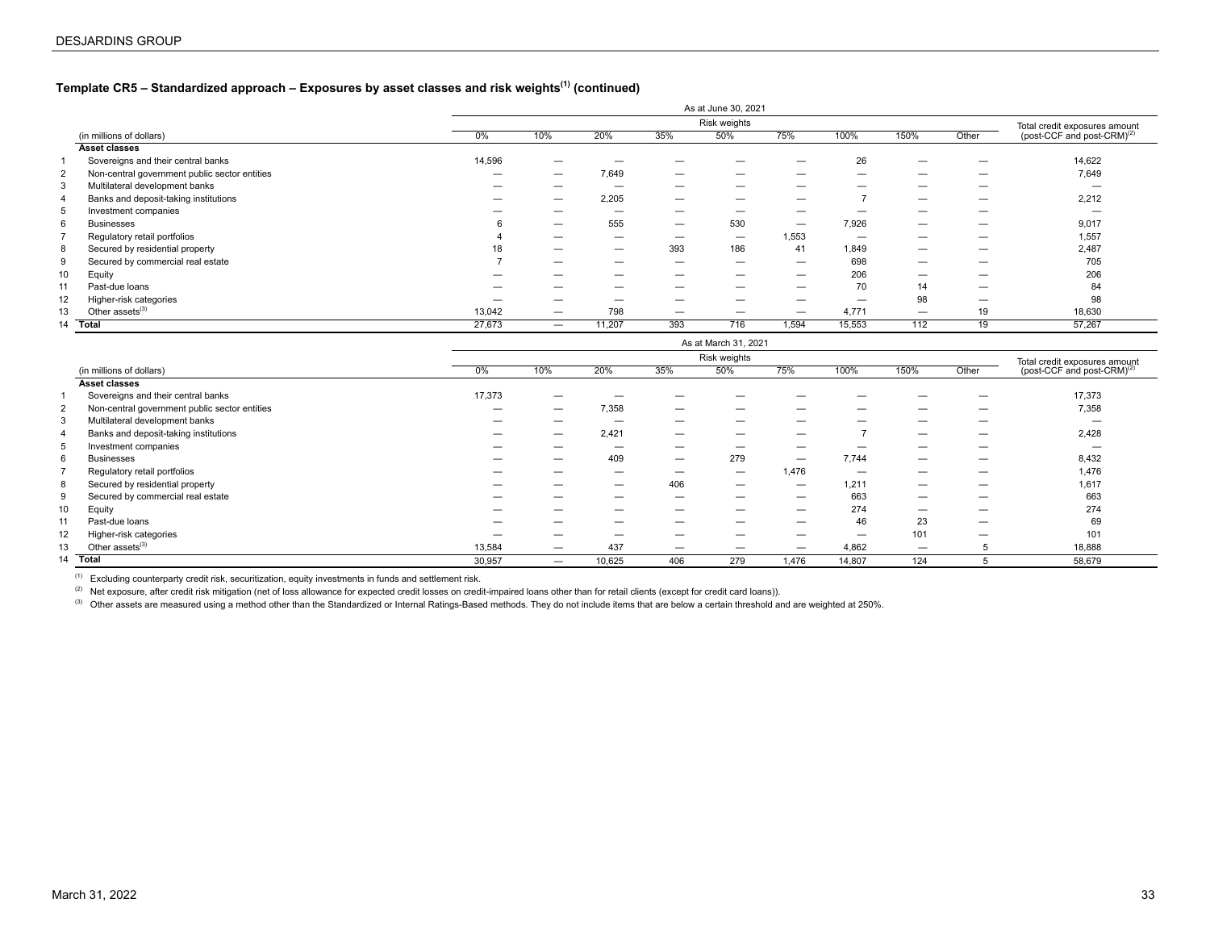## **Template CR5 – Standardized approach – Exposures by asset classes and risk weights(1) (continued)**

|               |                                               |                          |                          |        |                          | As at June 30, 2021      |                          |                          |                          |                          |                                        |  |
|---------------|-----------------------------------------------|--------------------------|--------------------------|--------|--------------------------|--------------------------|--------------------------|--------------------------|--------------------------|--------------------------|----------------------------------------|--|
|               |                                               |                          |                          |        |                          | Risk weights             |                          |                          |                          |                          | Total credit exposures amount          |  |
|               | (in millions of dollars)                      | $0\%$                    | 10%                      | 20%    | 35%                      | 50%                      | 75%                      | 100%                     | 150%                     | Other                    | (post-CCF and post-CRM) <sup>(2)</sup> |  |
| Asset classes |                                               |                          |                          |        |                          |                          |                          |                          |                          |                          |                                        |  |
|               | Sovereigns and their central banks            | 14,596                   |                          |        |                          |                          | _                        | 26                       |                          | -                        | 14,622                                 |  |
| 2             | Non-central government public sector entities | $\overline{\phantom{0}}$ |                          | 7,649  | $\overline{\phantom{m}}$ |                          |                          | $\overline{\phantom{0}}$ | $\overline{\phantom{0}}$ | $\overline{\phantom{m}}$ | 7,649                                  |  |
| 3             | Multilateral development banks                | —                        | -                        |        | $\overline{\phantom{0}}$ | -                        | _                        | -                        | _                        |                          |                                        |  |
|               | Banks and deposit-taking institutions         | —                        | -                        | 2,205  | $\overline{\phantom{0}}$ |                          | -                        |                          |                          |                          | 2,212                                  |  |
| 5             | Investment companies                          |                          | _                        | –      |                          | -                        | _                        |                          |                          |                          |                                        |  |
| 6             | <b>Businesses</b>                             |                          | $\overline{\phantom{0}}$ | 555    | $\overline{\phantom{m}}$ | 530                      | $\overline{\phantom{m}}$ | 7,926                    |                          |                          | 9,017                                  |  |
|               | Regulatory retail portfolios                  |                          | -                        | —      |                          |                          | 1,553                    |                          | _                        |                          | 1,557                                  |  |
| 8             | Secured by residential property               | 18                       |                          | —      | 393                      | 186                      | 41                       | 1,849                    | _                        | -                        | 2,487                                  |  |
| 9             | Secured by commercial real estate             |                          | -                        | —      |                          | $\overline{\phantom{0}}$ |                          | 698                      | _                        | -                        | 705                                    |  |
| 10            | Equity                                        | —                        | _                        | —      |                          | $\overline{\phantom{0}}$ |                          | 206                      |                          |                          | 206                                    |  |
| 11            | Past-due loans                                | —                        | –                        | —      |                          | $\overline{\phantom{0}}$ | —                        | 70                       | 14                       | $\overline{\phantom{0}}$ | 84                                     |  |
| 12            | Higher-risk categories                        | -                        | —                        | –      |                          |                          | _                        | -                        | 98                       |                          | 98                                     |  |
| 13            | Other assets <sup>(3)</sup>                   | 13,042                   | $\overline{\phantom{0}}$ | 798    | $\overline{\phantom{m}}$ | $\overline{\phantom{0}}$ |                          | 4,771                    | -                        | 19                       | 18,630                                 |  |
| 14            | <b>Total</b>                                  | 27,673                   | $\overline{\phantom{0}}$ | 11,207 | 393                      | 716                      | 1,594                    | 15,553                   | 112                      | 19                       | 57,267                                 |  |
|               | An at March 04, 0004                          |                          |                          |        |                          |                          |                          |                          |                          |                          |                                        |  |

|    |                                               |        |                          |                          |                          | Risk weights             |                          |                          |      |                          | Total credit exposures amount          |  |
|----|-----------------------------------------------|--------|--------------------------|--------------------------|--------------------------|--------------------------|--------------------------|--------------------------|------|--------------------------|----------------------------------------|--|
|    | (in millions of dollars)                      | $0\%$  | 10%                      | 20%                      | 35%                      | 50%                      | 75%                      | 100%                     | 150% | Other                    | (post-CCF and post-CRM) <sup>(2)</sup> |  |
|    | Asset classes                                 |        |                          |                          |                          |                          |                          |                          |      |                          |                                        |  |
|    | Sovereigns and their central banks            | 17,373 |                          |                          | _                        |                          | _                        |                          |      | –                        | 17,373                                 |  |
| 2  | Non-central government public sector entities |        | —                        | 7,358                    |                          | -                        | _                        | $\overline{\phantom{a}}$ |      |                          | 7,358                                  |  |
| -3 | Multilateral development banks                | —      |                          | -                        | —                        |                          | _                        |                          |      |                          | -                                      |  |
|    | Banks and deposit-taking institutions         |        | —                        | 2,421                    | $\overline{\phantom{0}}$ | $\overline{\phantom{0}}$ | -                        |                          | -    | $\overline{\phantom{0}}$ | 2,428                                  |  |
| 5  | Investment companies                          |        |                          | –                        | —                        |                          | _                        | -                        |      |                          | -                                      |  |
| 6  | <b>Businesses</b>                             |        | -                        | 409                      |                          | 279                      | $\overline{\phantom{m}}$ | 7,744                    |      |                          | 8,432                                  |  |
|    | Regulatory retail portfolios                  |        | --                       | -                        |                          | $\overline{\phantom{m}}$ | 1,476                    | -                        |      |                          | 1,476                                  |  |
| 8  | Secured by residential property               |        | -                        | $\overline{\phantom{0}}$ | 406                      | $\overline{\phantom{m}}$ | $\overline{\phantom{0}}$ | 1,211                    |      |                          | 1,617                                  |  |
| 9  | Secured by commercial real estate             |        |                          | _                        | _                        |                          | _                        | 663                      |      |                          | 663                                    |  |
| 10 | Equity                                        |        |                          | _                        | _                        |                          | –                        | 274                      |      | -                        | 274                                    |  |
| 11 | Past-due loans                                | —      |                          | —                        | –                        | -                        | -                        | 46                       | 23   | -                        | 69                                     |  |
| 12 | Higher-risk categories                        |        |                          |                          |                          |                          | _                        | -                        | 101  |                          | 101                                    |  |
| 13 | Other assets <sup>(3)</sup>                   | 13,584 | —                        | 437                      | $\overline{\phantom{0}}$ | -                        | $\overline{\phantom{m}}$ | 4,862                    |      |                          | 18,888                                 |  |
| 14 | <b>Total</b>                                  | 30,957 | $\overline{\phantom{0}}$ | 10,625                   | 406                      | 279                      | 1,476                    | 14,807                   | 124  |                          | 58,679                                 |  |

 $(1)$  Excluding counterparty credit risk, securitization, equity investments in funds and settlement risk.

(2) Net exposure, after credit risk mitigation (net of loss allowance for expected credit losses on credit-impaired loans other than for retail clients (except for credit card loans).

<sup>(3)</sup> Other assets are measured using a method other than the Standardized or Internal Ratings-Based methods. They do not include items that are below a certain threshold and are weighted at 250%.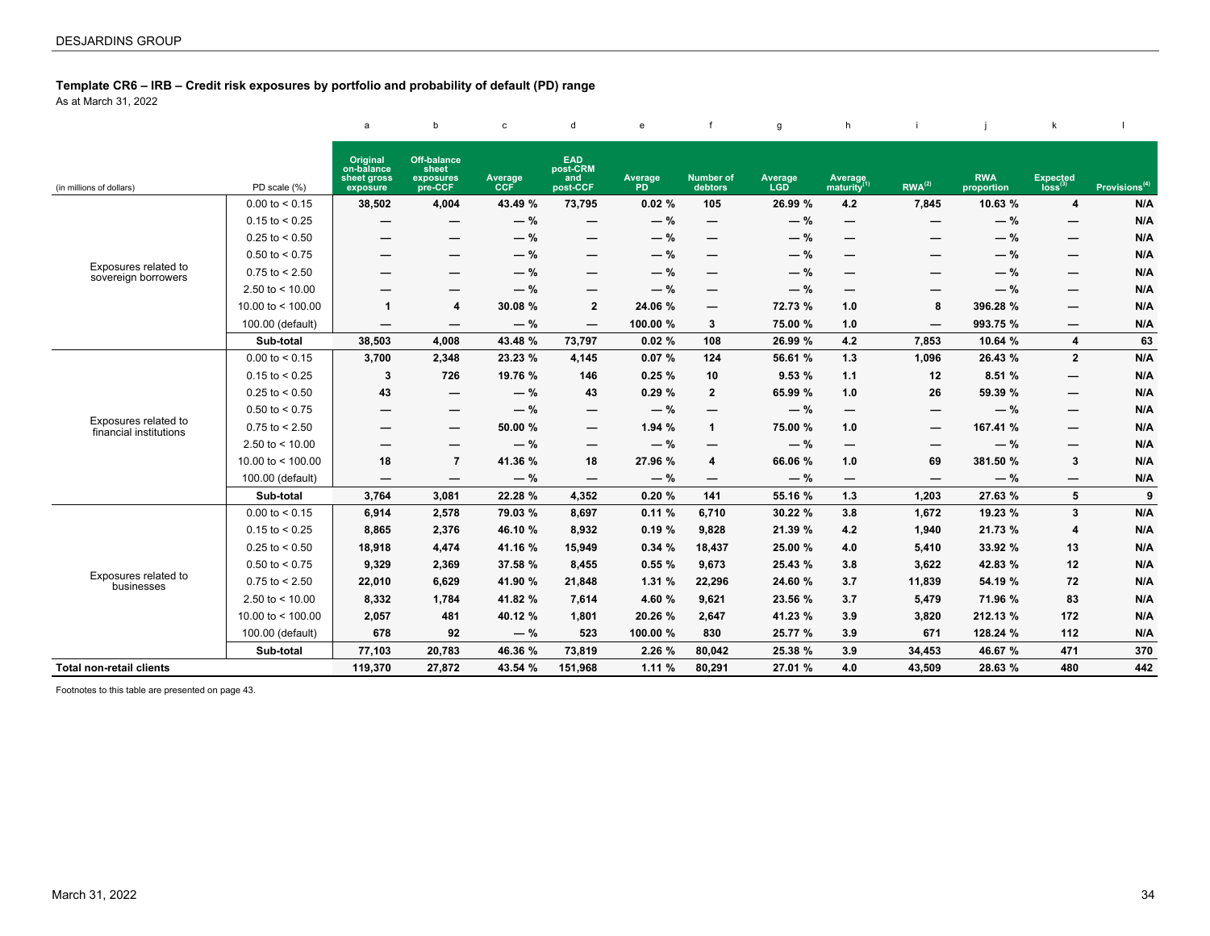<span id="page-33-0"></span>**Template CR6 – IRB – Credit risk exposures by portfolio and probability of default (PD) range**

As at March 31, 2022

|                                                |                     | a                                                 | b                                                   | $\mathbf{C}$          | d                                         | e                    | $\mathbf{f}$                | g              | h                                  |                          |                          | k                               |                           |
|------------------------------------------------|---------------------|---------------------------------------------------|-----------------------------------------------------|-----------------------|-------------------------------------------|----------------------|-----------------------------|----------------|------------------------------------|--------------------------|--------------------------|---------------------------------|---------------------------|
| (in millions of dollars)                       | PD scale (%)        | Original<br>on-balance<br>sheet gross<br>exposure | <b>Off-balance</b><br>sheet<br>exposures<br>pre-CCF | Average<br><b>CCF</b> | <b>EAD</b><br>post-CRM<br>and<br>post-CCF | Average<br><b>PD</b> | <b>Number of</b><br>debtors | Average<br>LGD | Average<br>maturity <sup>(1)</sup> | $RWA^{(2)}$              | <b>RWA</b><br>proportion | Expected<br>$\frac{1}{\log(3)}$ | Provisions <sup>(4)</sup> |
|                                                | $0.00$ to $< 0.15$  | 38,502                                            | 4,004                                               | 43.49 %               | 73,795                                    | 0.02%                | 105                         | 26.99 %        | 4.2                                | 7,845                    | 10.63 %                  | 4                               | N/A                       |
|                                                | $0.15$ to < 0.25    | –                                                 |                                                     | $-$ %                 | —                                         | $-$ %                | $\overline{\phantom{0}}$    | $-$ %          | $\overline{\phantom{0}}$           |                          | $-$ %                    | $\overline{\phantom{0}}$        | N/A                       |
|                                                | $0.25$ to < 0.50    | —                                                 |                                                     | $-$ %                 |                                           | $-$ %                | —                           | $-$ %          |                                    |                          | $-$ %                    | —                               | N/A                       |
|                                                | $0.50$ to < 0.75    |                                                   |                                                     | $-$ %                 | —                                         | $-$ %                | —                           | $-$ %          | —                                  |                          | $-$ %                    | $\overline{\phantom{0}}$        | N/A                       |
| Exposures related to<br>sovereign borrowers    | $0.75$ to $< 2.50$  |                                                   |                                                     | $-$ %                 | —                                         | $-$ %                |                             | $-$ %          | $\overline{\phantom{0}}$           |                          | $-$ %                    | $\overline{\phantom{0}}$        | N/A                       |
|                                                | 2.50 to $<$ 10.00   | —                                                 |                                                     | $-$ %                 | —                                         | $-$ %                | —                           | $-$ %          | $\overline{\phantom{m}}$           | $\overline{\phantom{m}}$ | $-$ %                    | $\overline{\phantom{0}}$        | N/A                       |
|                                                | 10.00 to $<$ 100.00 | $\overline{\mathbf{1}}$                           | 4                                                   | 30.08 %               | $\overline{2}$                            | 24.06 %              | —                           | 72.73 %        | 1.0                                | 8                        | 396.28 %                 | —                               | N/A                       |
|                                                | 100.00 (default)    | $\hspace{0.05cm}$                                 | $\hspace{0.1mm}-\hspace{0.1mm}$                     | $-$ %                 | $\overline{\phantom{m}}$                  | 100.00 %             | 3                           | 75.00 %        | 1.0                                | $\hspace{0.05cm}$        | 993.75 %                 | $\overline{\phantom{0}}$        | N/A                       |
|                                                | Sub-total           | 38,503                                            | 4,008                                               | 43.48 %               | 73,797                                    | 0.02%                | 108                         | 26.99 %        | 4.2                                | 7,853                    | 10.64 %                  | 4                               | 63                        |
|                                                | $0.00$ to $< 0.15$  | 3,700                                             | 2,348                                               | 23.23 %               | 4,145                                     | 0.07%                | 124                         | 56.61 %        | 1.3                                | 1,096                    | 26.43 %                  | $\overline{2}$                  | N/A                       |
|                                                | $0.15$ to $< 0.25$  | 3                                                 | 726                                                 | 19.76 %               | 146                                       | 0.25%                | 10                          | 9.53 %         | 1.1                                | 12                       | 8.51 %                   | $\overline{\phantom{0}}$        | N/A                       |
|                                                | $0.25$ to $< 0.50$  | 43                                                | $\overline{\phantom{m}}$                            | $-$ %                 | 43                                        | 0.29%                | $\overline{2}$              | 65.99 %        | 1.0                                | 26                       | 59.39 %                  | $\overline{\phantom{0}}$        | N/A                       |
|                                                | $0.50$ to $< 0.75$  |                                                   |                                                     | $-$ %                 | —                                         | $-$ %                | —                           | $-$ %          | $\hspace{0.05cm}$                  | $\hspace{0.05cm}$        | $-$ %                    | $\overline{\phantom{0}}$        | N/A                       |
| Exposures related to<br>financial institutions | $0.75$ to $< 2.50$  | —                                                 |                                                     | 50.00 %               | —                                         | 1.94 %               | $\mathbf{1}$                | 75.00 %        | 1.0                                | $\hspace{0.05cm}$        | 167.41 %                 | $\overline{\phantom{0}}$        | N/A                       |
|                                                | 2.50 to $< 10.00$   | —                                                 | $\overline{\phantom{m}}$                            | $-$ %                 | —                                         | $-$ %                | $\overline{\phantom{0}}$    | $-$ %          | $\overline{\phantom{m}}$           | $\overline{\phantom{m}}$ | $-$ %                    | $\overline{\phantom{0}}$        | N/A                       |
|                                                | 10.00 to $<$ 100.00 | 18                                                | $\overline{7}$                                      | 41.36 %               | 18                                        | 27.96 %              | 4                           | 66.06 %        | 1.0                                | 69                       | 381.50 %                 | 3                               | N/A                       |
|                                                | 100.00 (default)    | —                                                 |                                                     | $-$ %                 | $\qquad \qquad -$                         | $-$ %                | —                           | $-$ %          | $\hspace{0.05cm}$                  | $\overline{\phantom{m}}$ | $-$ %                    | —                               | N/A                       |
|                                                | Sub-total           | 3,764                                             | 3,081                                               | 22.28 %               | 4,352                                     | 0.20%                | 141                         | 55.16 %        | 1.3                                | 1,203                    | 27.63 %                  | 5                               | 9                         |
|                                                | $0.00$ to $< 0.15$  | 6,914                                             | 2,578                                               | 79.03 %               | 8,697                                     | 0.11%                | 6,710                       | 30.22 %        | 3.8                                | 1,672                    | 19.23 %                  | 3                               | N/A                       |
|                                                | $0.15$ to $< 0.25$  | 8,865                                             | 2,376                                               | 46.10 %               | 8,932                                     | 0.19%                | 9,828                       | 21.39 %        | 4.2                                | 1,940                    | 21.73 %                  | 4                               | N/A                       |
|                                                | $0.25$ to $< 0.50$  | 18,918                                            | 4,474                                               | 41.16 %               | 15,949                                    | 0.34%                | 18,437                      | 25.00 %        | 4.0                                | 5,410                    | 33.92 %                  | 13                              | N/A                       |
|                                                | $0.50$ to $< 0.75$  | 9,329                                             | 2,369                                               | 37.58 %               | 8,455                                     | 0.55%                | 9,673                       | 25.43 %        | 3.8                                | 3,622                    | 42.83 %                  | 12                              | N/A                       |
| Exposures related to<br>businesses             | $0.75$ to < 2.50    | 22,010                                            | 6,629                                               | 41.90 %               | 21,848                                    | 1.31%                | 22,296                      | 24.60 %        | 3.7                                | 11,839                   | 54.19 %                  | 72                              | N/A                       |
|                                                | 2.50 to $<$ 10.00   | 8,332                                             | 1,784                                               | 41.82 %               | 7,614                                     | 4.60 %               | 9,621                       | 23.56 %        | 3.7                                | 5,479                    | 71.96 %                  | 83                              | N/A                       |
|                                                | 10.00 to $<$ 100.00 | 2,057                                             | 481                                                 | 40.12 %               | 1,801                                     | 20.26 %              | 2,647                       | 41.23 %        | 3.9                                | 3,820                    | 212.13 %                 | 172                             | N/A                       |
|                                                | 100.00 (default)    | 678                                               | 92                                                  | $-$ %                 | 523                                       | 100.00 %             | 830                         | 25.77 %        | 3.9                                | 671                      | 128.24 %                 | 112                             | N/A                       |
|                                                | Sub-total           | 77,103                                            | 20,783                                              | 46.36 %               | 73,819                                    | 2.26 %               | 80,042                      | 25.38 %        | 3.9                                | 34,453                   | 46.67 %                  | 471                             | 370                       |
| <b>Total non-retail clients</b>                |                     | 119,370                                           | 27,872                                              | 43.54 %               | 151,968                                   | 1.11%                | 80,291                      | 27.01 %        | 4.0                                | 43,509                   | 28.63 %                  | 480                             | 442                       |

Footnotes to this table are presented on page 43.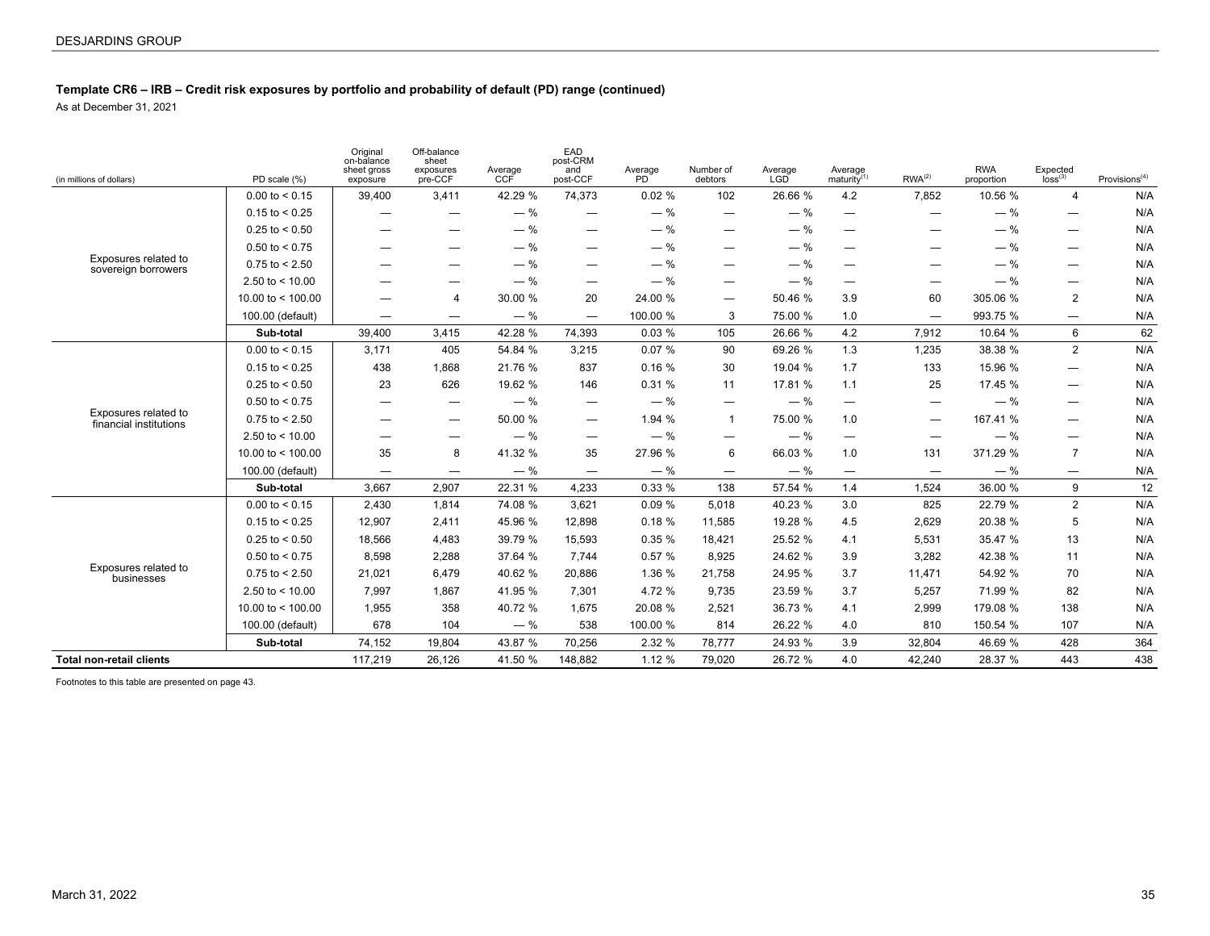### **Template CR6 – IRB – Credit risk exposures by portfolio and probability of default (PD) range (continued)**

As at December 31, 2021

| (in millions of dollars)                       | PD scale (%)        | Original<br>on-balance<br>sheet gross<br>exposure | Off-balance<br>sheet<br>exposures<br>pre-CCF | Average<br><b>CCF</b> | EAD<br>post-CRM<br>and<br>post-CCF | Average<br>PD <sup>1</sup> | Number of<br>debtors            | Average<br>LGD | Average<br>matrix <sup>(1)</sup> | RWA <sup>(2)</sup>              | <b>RWA</b><br>proportion | $E$ xpected<br>$\log$ <sup>(3)</sup> | Provisions <sup>(4)</sup> |
|------------------------------------------------|---------------------|---------------------------------------------------|----------------------------------------------|-----------------------|------------------------------------|----------------------------|---------------------------------|----------------|----------------------------------|---------------------------------|--------------------------|--------------------------------------|---------------------------|
|                                                | $0.00$ to $< 0.15$  | 39,400                                            | 3,411                                        | 42.29 %               | 74.373                             | 0.02%                      | 102                             | 26.66 %        | 4.2                              | 7.852                           | 10.56 %                  | 4                                    | N/A                       |
|                                                | $0.15$ to < 0.25    |                                                   | $\hspace{0.05cm}$                            | $-$ %                 |                                    | $-$ %                      | $\hspace{0.1mm}-\hspace{0.1mm}$ | $-$ %          | $\hspace{0.1mm}-\hspace{0.1mm}$  | $\hspace{0.1mm}-\hspace{0.1mm}$ | $-$ %                    | —                                    | N/A                       |
|                                                | $0.25$ to < 0.50    | -                                                 |                                              | $-$ %                 | $\overline{\phantom{m}}$           | $-$ %                      | —                               | $-$ %          | $\qquad \qquad -$                |                                 | $-$ %                    | —                                    | N/A                       |
|                                                | $0.50$ to $< 0.75$  |                                                   |                                              | $-$ %                 | $\hspace{0.05cm}$                  | $-$ %                      | —                               | $-$ %          | $\hspace{0.1mm}-\hspace{0.1mm}$  | $\hspace{0.1mm}-\hspace{0.1mm}$ | $-$ %                    | $\overline{\phantom{0}}$             | N/A                       |
| Exposures related to<br>sovereign borrowers    | $0.75$ to $< 2.50$  |                                                   |                                              | $-$ %                 | —                                  | $-$ %                      |                                 | $-$ %          | —                                |                                 | $-$ %                    | $\overline{\phantom{0}}$             | N/A                       |
|                                                | 2.50 to $<$ 10.00   |                                                   |                                              | $-$ %                 |                                    | $-$ %                      | —                               | $-$ %          |                                  |                                 | $-$ %                    |                                      | N/A                       |
|                                                | 10.00 to $<$ 100.00 |                                                   | $\overline{4}$                               | 30.00 %               | 20                                 | 24.00 %                    | —                               | 50.46 %        | 3.9                              | 60                              | 305.06 %                 | 2                                    | N/A                       |
|                                                | 100.00 (default)    | $\overbrace{\phantom{1232211}}$                   | $\qquad \qquad -$                            | $-$ %                 | $\overbrace{\phantom{1232211}}$    | 100.00 %                   | 3                               | 75.00 %        | 1.0                              |                                 | 993.75 %                 | —                                    | N/A                       |
|                                                | Sub-total           | 39.400                                            | 3,415                                        | 42.28 %               | 74.393                             | 0.03%                      | 105                             | 26.66 %        | 4.2                              | 7.912                           | 10.64 %                  | 6                                    | 62                        |
|                                                | $0.00$ to $< 0.15$  | 3,171                                             | 405                                          | 54.84 %               | 3,215                              | 0.07%                      | 90                              | 69.26 %        | 1.3                              | 1,235                           | 38.38 %                  | $\overline{2}$                       | N/A                       |
|                                                | $0.15$ to < 0.25    | 438                                               | 1,868                                        | 21.76 %               | 837                                | 0.16%                      | 30                              | 19.04 %        | 1.7                              | 133                             | 15.96 %                  | $\overline{\phantom{0}}$             | N/A                       |
|                                                | $0.25$ to < 0.50    | 23                                                | 626                                          | 19.62 %               | 146                                | 0.31%                      | 11                              | 17.81 %        | 1.1                              | 25                              | 17.45 %                  | —                                    | N/A                       |
|                                                | $0.50$ to $< 0.75$  |                                                   |                                              | $-$ %                 | $\overbrace{\phantom{1232211}}$    | $-$ %                      |                                 | $-$ %          | $\hspace{0.1mm}-\hspace{0.1mm}$  | $\overline{\phantom{m}}$        | $-$ %                    |                                      | N/A                       |
| Exposures related to<br>financial institutions | $0.75$ to $< 2.50$  |                                                   |                                              | 50.00 %               | $\overline{\phantom{m}}$           | 1.94 %                     | $\mathbf 1$                     | 75.00 %        | 1.0                              |                                 | 167.41 %                 | $\overline{\phantom{0}}$             | N/A                       |
|                                                | 2.50 to $<$ 10.00   |                                                   |                                              | $-$ %                 |                                    | $-$ %                      | —                               | $-$ %          | $\hspace{0.1mm}-\hspace{0.1mm}$  | $\hspace{0.1mm}-\hspace{0.1mm}$ | $-$ %                    |                                      | N/A                       |
|                                                | 10.00 to $<$ 100.00 | 35                                                | 8                                            | 41.32 %               | 35                                 | 27.96 %                    | 6                               | 66.03 %        | 1.0                              | 131                             | 371.29 %                 | $\overline{7}$                       | N/A                       |
|                                                | 100.00 (default)    |                                                   | $\overline{\phantom{m}}$                     | $-$ %                 |                                    | $-$ %                      | $\overline{\phantom{a}}$        | $-$ %          | $\hspace{0.1mm}-\hspace{0.1mm}$  | $\overline{\phantom{m}}$        | $-$ %                    |                                      | N/A                       |
|                                                | Sub-total           | 3,667                                             | 2,907                                        | 22.31 %               | 4,233                              | 0.33%                      | 138                             | 57.54 %        | 1.4                              | 1,524                           | 36.00 %                  | 9                                    | 12                        |
|                                                | $0.00$ to $< 0.15$  | 2.430                                             | 1.814                                        | 74.08 %               | 3,621                              | 0.09%                      | 5,018                           | 40.23 %        | 3.0                              | 825                             | 22.79 %                  | 2                                    | N/A                       |
|                                                | $0.15$ to $< 0.25$  | 12,907                                            | 2,411                                        | 45.96 %               | 12,898                             | 0.18%                      | 11,585                          | 19.28 %        | 4.5                              | 2,629                           | 20.38 %                  | 5                                    | N/A                       |
|                                                | $0.25$ to $< 0.50$  | 18,566                                            | 4,483                                        | 39.79 %               | 15,593                             | 0.35%                      | 18,421                          | 25.52 %        | 4.1                              | 5,531                           | 35.47 %                  | 13                                   | N/A                       |
|                                                | $0.50$ to $< 0.75$  | 8,598                                             | 2,288                                        | 37.64 %               | 7,744                              | 0.57%                      | 8,925                           | 24.62 %        | 3.9                              | 3,282                           | 42.38 %                  | 11                                   | N/A                       |
| Exposures related to<br>businesses             | $0.75$ to $< 2.50$  | 21,021                                            | 6,479                                        | 40.62 %               | 20,886                             | 1.36 %                     | 21,758                          | 24.95 %        | 3.7                              | 11,471                          | 54.92 %                  | 70                                   | N/A                       |
|                                                | 2.50 to $<$ 10.00   | 7,997                                             | 1,867                                        | 41.95 %               | 7,301                              | 4.72 %                     | 9,735                           | 23.59 %        | 3.7                              | 5,257                           | 71.99 %                  | 82                                   | N/A                       |
|                                                | 10.00 to $<$ 100.00 | 1,955                                             | 358                                          | 40.72 %               | 1,675                              | 20.08 %                    | 2,521                           | 36.73 %        | 4.1                              | 2,999                           | 179.08 %                 | 138                                  | N/A                       |
|                                                | 100.00 (default)    | 678                                               | 104                                          | $-$ %                 | 538                                | 100.00 %                   | 814                             | 26.22 %        | 4.0                              | 810                             | 150.54 %                 | 107                                  | N/A                       |
|                                                | Sub-total           | 74,152                                            | 19,804                                       | 43.87 %               | 70.256                             | 2.32 %                     | 78.777                          | 24.93 %        | 3.9                              | 32.804                          | 46.69 %                  | 428                                  | 364                       |
| <b>Total non-retail clients</b>                |                     | 117,219                                           | 26,126                                       | 41.50 %               | 148,882                            | 1.12 %                     | 79,020                          | 26.72 %        | 4.0                              | 42,240                          | 28.37 %                  | 443                                  | 438                       |

Footnotes to this table are presented on page 43.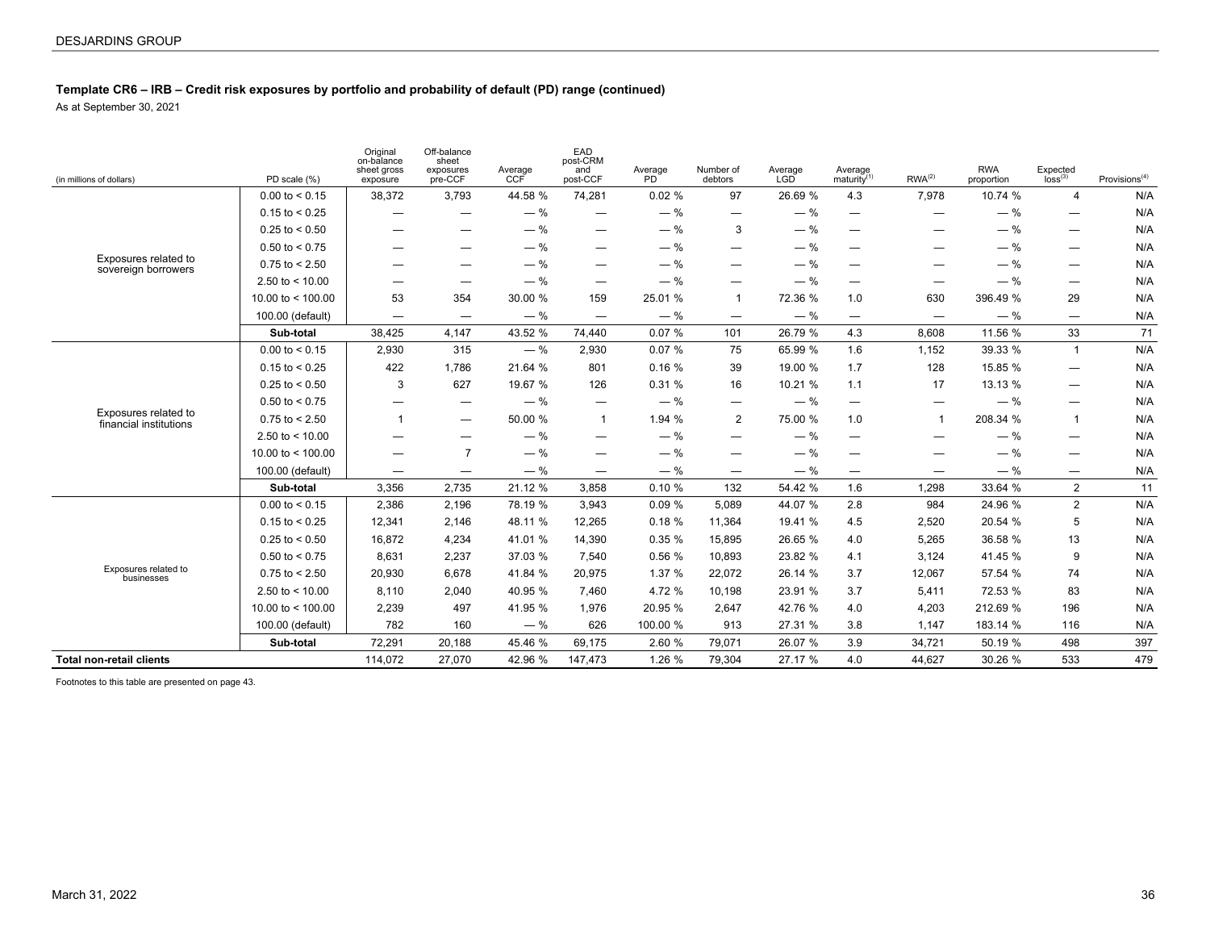### **Template CR6 – IRB – Credit risk exposures by portfolio and probability of default (PD) range (continued)**

As at September 30, 2021

| (in millions of dollars)                       | PD scale (%)        | Original<br>on-balance<br>sheet gross<br>exposure | Off-balance<br>sheet<br>exposures<br>pre-CCF | Average<br>CCF | EAD<br>post-CRM<br>and<br>post-CCF | Average<br>PD <sup>-</sup> | Number of<br>debtors            | Average<br>LGD | Average<br>maturity $(1)$       | $RWA^{(2)}$                     | <b>RWA</b><br>proportion | $E$ xpected<br>$\log$ <sup>(3)</sup> | Provisions $(4)$ |
|------------------------------------------------|---------------------|---------------------------------------------------|----------------------------------------------|----------------|------------------------------------|----------------------------|---------------------------------|----------------|---------------------------------|---------------------------------|--------------------------|--------------------------------------|------------------|
|                                                | $0.00$ to $< 0.15$  | 38,372                                            | 3,793                                        | 44.58 %        | 74,281                             | 0.02%                      | 97                              | 26.69 %        | 4.3                             | 7,978                           | 10.74 %                  | $\overline{4}$                       | N/A              |
|                                                | $0.15$ to < 0.25    | $\overline{\phantom{0}}$                          | —                                            | $-$ %          | —                                  | $-$ %                      | $\hspace{0.1mm}-\hspace{0.1mm}$ | $-$ %          |                                 | —                               | $-$ %                    | —                                    | N/A              |
|                                                | $0.25$ to $< 0.50$  | —                                                 |                                              | $-$ %          | —                                  | $-$ %                      | 3                               | $-$ %          | $\qquad \qquad \longleftarrow$  | —                               | $-$ %                    |                                      | N/A              |
|                                                | $0.50$ to $< 0.75$  | $\overline{\phantom{0}}$                          | —                                            | $-$ %          | —                                  | $-$ %                      | $\qquad \qquad \longleftarrow$  | $-$ %          | $\hspace{0.05cm}$               | $\overline{\phantom{0}}$        | $-$ %                    |                                      | N/A              |
| Exposures related to<br>sovereign borrowers    | $0.75$ to $< 2.50$  |                                                   |                                              | $-$ %          | —                                  | $-$ %                      | $\overline{\phantom{0}}$        | $-$ %          | $\qquad \qquad -$               |                                 | $-$ %                    | $\overline{\phantom{m}}$             | N/A              |
|                                                | 2.50 to $<$ 10.00   |                                                   | $\hspace{0.05cm}$                            | $-$ %          | $\hspace{0.05cm}$                  | $-$ %                      | —                               | $-$ %          | $\qquad \qquad -$               | $\overline{\phantom{0}}$        | $-$ %                    | $\overline{\phantom{m}}$             | N/A              |
|                                                | 10.00 to $<$ 100.00 | 53                                                | 354                                          | 30.00 %        | 159                                | 25.01 %                    | $\mathbf{1}$                    | 72.36 %        | 1.0                             | 630                             | 396.49 %                 | 29                                   | N/A              |
|                                                | 100.00 (default)    | $\overline{\phantom{0}}$                          | $\overbrace{\phantom{1232211}}$              | $-$ %          | $\qquad \qquad -$                  | $-$ %                      | $\overline{\phantom{m}}$        | $-$ %          | $\hspace{0.1mm}-\hspace{0.1mm}$ | $\hspace{0.1mm}-\hspace{0.1mm}$ | $-$ %                    | $\overline{\phantom{m}}$             | N/A              |
|                                                | Sub-total           | 38,425                                            | 4.147                                        | 43.52 %        | 74.440                             | 0.07%                      | 101                             | 26.79 %        | 4.3                             | 8.608                           | 11.56 %                  | 33                                   | 71               |
|                                                | $0.00$ to $< 0.15$  | 2,930                                             | 315                                          | $-$ %          | 2,930                              | 0.07%                      | 75                              | 65.99 %        | 1.6                             | 1,152                           | 39.33 %                  | $\mathbf{1}$                         | N/A              |
|                                                | $0.15$ to $< 0.25$  | 422                                               | 1.786                                        | 21.64 %        | 801                                | 0.16%                      | 39                              | 19.00 %        | 1.7                             | 128                             | 15.85 %                  | $\overline{\phantom{m}}$             | N/A              |
|                                                | $0.25$ to $< 0.50$  | 3                                                 | 627                                          | 19.67 %        | 126                                | 0.31%                      | 16                              | 10.21 %        | 1.1                             | 17                              | 13.13 %                  |                                      | N/A              |
|                                                | $0.50$ to $< 0.75$  | $\overline{\phantom{0}}$                          | $\qquad \qquad \longleftarrow$               | $-$ %          | $\overline{\phantom{0}}$           | $-$ %                      | $\overline{\phantom{m}}$        | $-$ %          | $\overline{\phantom{m}}$        | $\overline{\phantom{m}}$        | $-$ %                    |                                      | N/A              |
| Exposures related to<br>financial institutions | $0.75$ to $< 2.50$  | $\mathbf{1}$                                      | $\overline{\phantom{m}}$                     | 50.00 %        | $\mathbf{1}$                       | 1.94 %                     | 2                               | 75.00 %        | 1.0                             | $\mathbf{1}$                    | 208.34 %                 | $\mathbf{1}$                         | N/A              |
|                                                | 2.50 to $<$ 10.00   | $\overline{\phantom{0}}$                          | $\qquad \qquad \longleftarrow$               | $-$ %          | —                                  | $-$ %                      | —                               | $-$ %          | $\hspace{0.05cm}$               | $\overline{\phantom{0}}$        | $-$ %                    | $\qquad \qquad -$                    | N/A              |
|                                                | 10.00 to $<$ 100.00 | $\overline{\phantom{0}}$                          | $\overline{7}$                               | $-$ %          | —                                  | $-$ %                      | —                               | $-$ %          | —                               | -                               | $-$ %                    |                                      | N/A              |
|                                                | 100.00 (default)    |                                                   | $\overline{\phantom{m}}$                     | $-$ %          | $\overline{\phantom{0}}$           | $-$ %                      | $\overline{\phantom{m}}$        | $-$ %          | $\qquad \qquad -$               | $\overline{\phantom{0}}$        | $-$ %                    | $\overline{\phantom{m}}$             | N/A              |
|                                                | Sub-total           | 3,356                                             | 2.735                                        | 21.12 %        | 3.858                              | 0.10%                      | 132                             | 54.42 %        | 1.6                             | 1.298                           | 33.64 %                  | $\overline{2}$                       | 11               |
|                                                | $0.00$ to $< 0.15$  | 2,386                                             | 2,196                                        | 78.19 %        | 3,943                              | 0.09%                      | 5,089                           | 44.07 %        | 2.8                             | 984                             | 24.96 %                  | 2                                    | N/A              |
|                                                | $0.15$ to $< 0.25$  | 12,341                                            | 2,146                                        | 48.11 %        | 12,265                             | 0.18%                      | 11,364                          | 19.41 %        | 4.5                             | 2,520                           | 20.54 %                  | 5                                    | N/A              |
|                                                | $0.25$ to $< 0.50$  | 16,872                                            | 4,234                                        | 41.01 %        | 14,390                             | 0.35%                      | 15,895                          | 26.65 %        | 4.0                             | 5,265                           | 36.58 %                  | 13                                   | N/A              |
|                                                | $0.50$ to < 0.75    | 8,631                                             | 2,237                                        | 37.03 %        | 7,540                              | 0.56%                      | 10,893                          | 23.82 %        | 4.1                             | 3,124                           | 41.45 %                  | 9                                    | N/A              |
| Exposures related to<br>businesses             | $0.75$ to $< 2.50$  | 20,930                                            | 6,678                                        | 41.84 %        | 20,975                             | 1.37 %                     | 22,072                          | 26.14 %        | 3.7                             | 12,067                          | 57.54 %                  | 74                                   | N/A              |
|                                                | 2.50 to $<$ 10.00   | 8,110                                             | 2,040                                        | 40.95 %        | 7,460                              | 4.72 %                     | 10,198                          | 23.91 %        | 3.7                             | 5,411                           | 72.53 %                  | 83                                   | N/A              |
|                                                | 10.00 to $<$ 100.00 | 2,239                                             | 497                                          | 41.95 %        | 1,976                              | 20.95 %                    | 2,647                           | 42.76 %        | 4.0                             | 4,203                           | 212.69 %                 | 196                                  | N/A              |
|                                                | 100.00 (default)    | 782                                               | 160                                          | $-$ %          | 626                                | 100.00 %                   | 913                             | 27.31 %        | 3.8                             | 1,147                           | 183.14 %                 | 116                                  | N/A              |
|                                                | Sub-total           | 72,291                                            | 20,188                                       | 45.46 %        | 69.175                             | 2.60 %                     | 79.071                          | 26.07 %        | 3.9                             | 34,721                          | 50.19 %                  | 498                                  | 397              |
| <b>Total non-retail clients</b>                |                     | 114,072                                           | 27,070                                       | 42.96 %        | 147,473                            | 1.26%                      | 79,304                          | 27.17 %        | 4.0                             | 44,627                          | 30.26 %                  | 533                                  | 479              |

Footnotes to this table are presented on page 43.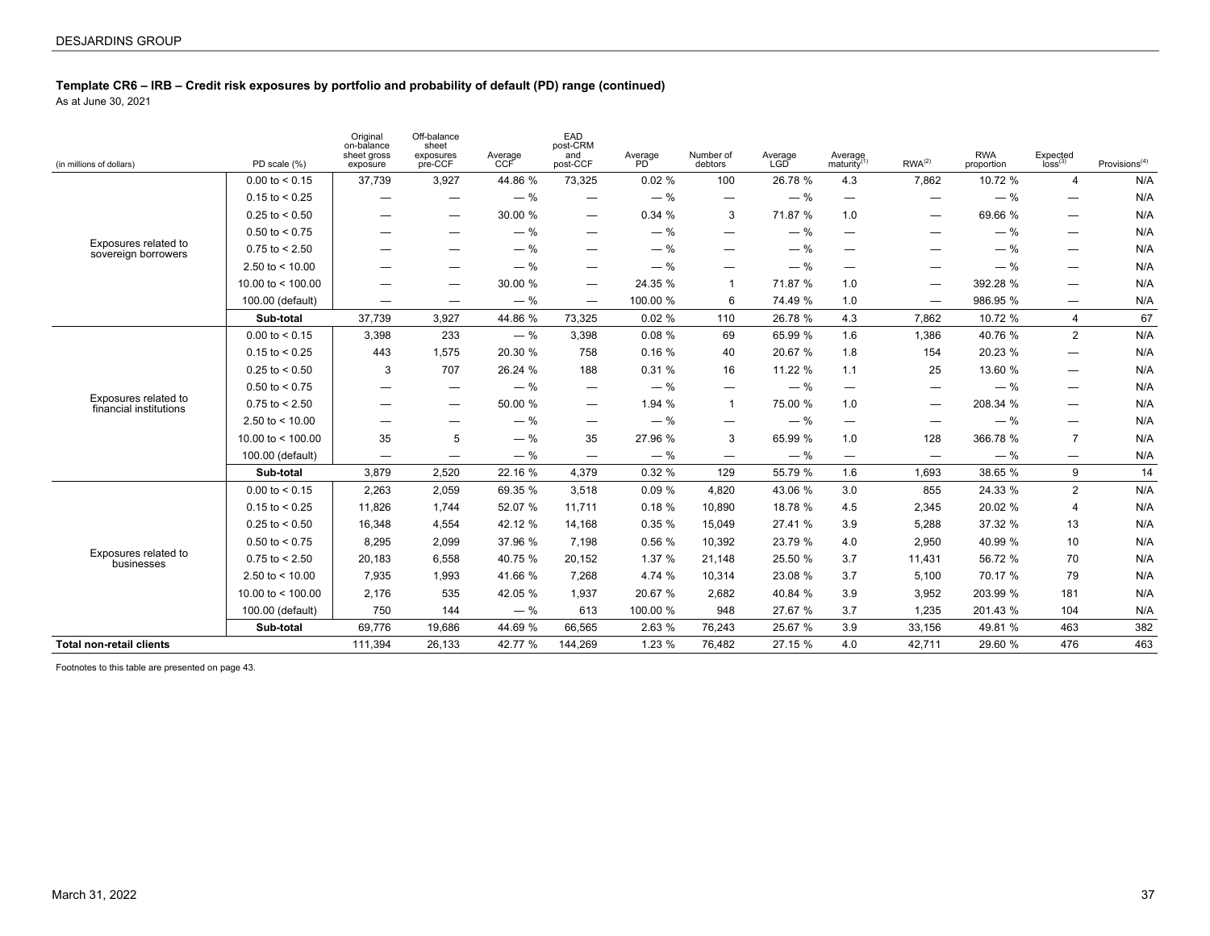As at June 30, 2021

| (in millions of dollars)                       | PD scale (%)        | Original<br>on-balance<br>sheet gross<br>exposure | Off-balance<br>sheet<br>exposures<br>pre-CCF | Average<br>CCF | EAD<br>post-CRM<br>and<br>post-CCF | Average<br>PD <sup>'</sup> | Number of<br>debtors     | Average<br>LGD | Average<br>maturity <sup>(1)</sup> | RWA <sup>(2)</sup>             | <b>RWA</b><br>proportion | Expected<br>loss <sup>(3)</sup> | Provisions $(4)$ |
|------------------------------------------------|---------------------|---------------------------------------------------|----------------------------------------------|----------------|------------------------------------|----------------------------|--------------------------|----------------|------------------------------------|--------------------------------|--------------------------|---------------------------------|------------------|
|                                                | $0.00$ to $< 0.15$  | 37,739                                            | 3,927                                        | 44.86 %        | 73,325                             | 0.02%                      | 100                      | 26.78 %        | 4.3                                | 7,862                          | 10.72 %                  | 4                               | N/A              |
|                                                | $0.15$ to $< 0.25$  | —                                                 | $\overline{\phantom{0}}$                     | $-$ %          | $\overbrace{\phantom{1232211}}$    | $-$ %                      | $\overline{\phantom{0}}$ | $-$ %          | $\overline{\phantom{0}}$           |                                | $-$ %                    | $\overline{\phantom{m}}$        | N/A              |
|                                                | $0.25$ to $< 0.50$  | —                                                 |                                              | 30.00 %        | $\overline{\phantom{m}}$           | 0.34%                      | 3                        | 71.87 %        | 1.0                                | —                              | 69.66 %                  | $\qquad \qquad -$               | N/A              |
|                                                | $0.50$ to $< 0.75$  |                                                   |                                              | $-$ %          | $\overline{\phantom{0}}$           | $-$ %                      | $\overline{\phantom{0}}$ | $-$ %          | $\hspace{0.1mm}-\hspace{0.1mm}$    | $\qquad \qquad \longleftarrow$ | $-$ %                    | $\hspace{0.1mm}-\hspace{0.1mm}$ | N/A              |
| Exposures related to<br>sovereign borrowers    | $0.75$ to $< 2.50$  |                                                   | —                                            | $-$ %          | —                                  | $-$ %                      | —                        | $-$ %          |                                    | —                              | $-$ %                    |                                 | N/A              |
|                                                | 2.50 to $<$ 10.00   |                                                   |                                              | $-$ %          | —                                  | $-$ %                      | —                        | $-$ %          | $\overline{\phantom{0}}$           | —                              | $-$ %                    | $\overline{\phantom{m}}$        | N/A              |
|                                                | 10.00 to $<$ 100.00 |                                                   |                                              | 30.00 %        | —                                  | 24.35 %                    | 1                        | 71.87 %        | 1.0                                | —                              | 392.28 %                 | $\hspace{0.05cm}$               | N/A              |
|                                                | 100.00 (default)    | —                                                 |                                              | $-$ %          | $\overbrace{\phantom{1232211}}$    | 100.00 %                   | 6                        | 74.49 %        | 1.0                                |                                | 986.95 %                 | $\qquad \qquad -$               | N/A              |
|                                                | Sub-total           | 37,739                                            | 3,927                                        | 44.86 %        | 73,325                             | 0.02%                      | 110                      | 26.78 %        | 4.3                                | 7,862                          | 10.72 %                  | 4                               | 67               |
|                                                | $0.00$ to $< 0.15$  | 3,398                                             | 233                                          | $-$ %          | 3,398                              | 0.08%                      | 69                       | 65.99 %        | 1.6                                | 1,386                          | 40.76 %                  | $\overline{2}$                  | N/A              |
|                                                | $0.15$ to $< 0.25$  | 443                                               | 1,575                                        | 20.30 %        | 758                                | 0.16%                      | 40                       | 20.67 %        | 1.8                                | 154                            | 20.23 %                  |                                 | N/A              |
|                                                | $0.25$ to < 0.50    | 3                                                 | 707                                          | 26.24 %        | 188                                | 0.31%                      | 16                       | 11.22 %        | 1.1                                | 25                             | 13.60 %                  | $\overline{\phantom{m}}$        | N/A              |
|                                                | $0.50$ to < 0.75    |                                                   |                                              | $-$ %          | $\hspace{0.1mm}-\hspace{0.1mm}$    | $-$ %                      | —                        | $-$ %          | $\overbrace{\phantom{1232211}}$    | —                              | $-$ %                    |                                 | N/A              |
| Exposures related to<br>financial institutions | $0.75$ to $< 2.50$  |                                                   |                                              | 50.00 %        | $\overline{\phantom{m}}$           | 1.94%                      | $\mathbf{1}$             | 75.00 %        | 1.0                                |                                | 208.34 %                 | $\overline{\phantom{m}}$        | N/A              |
|                                                | 2.50 to $<$ 10.00   | —                                                 |                                              | $-$ %          | $\overline{\phantom{m}}$           | $-$ %                      | $\overline{\phantom{0}}$ | $-$ %          | $\overbrace{\phantom{12322111}}$   |                                | $-$ %                    | $\qquad \qquad -$               | N/A              |
|                                                | 10.00 to $<$ 100.00 | 35                                                | 5                                            | $-$ %          | 35                                 | 27.96 %                    | 3                        | 65.99 %        | 1.0                                | 128                            | 366.78 %                 | $\overline{7}$                  | N/A              |
|                                                | 100.00 (default)    | $\overline{\phantom{m}}$                          | $\overline{\phantom{0}}$                     | $-$ %          |                                    | $-$ %                      | $\overline{\phantom{0}}$ | $-$ %          | $\overline{\phantom{0}}$           | $\overline{\phantom{m}}$       | $-$ %                    |                                 | N/A              |
|                                                | Sub-total           | 3,879                                             | 2,520                                        | 22.16 %        | 4.379                              | 0.32%                      | 129                      | 55.79 %        | 1.6                                | 1,693                          | 38.65 %                  | 9                               | 14               |
|                                                | $0.00$ to $< 0.15$  | 2,263                                             | 2,059                                        | 69.35 %        | 3,518                              | 0.09%                      | 4,820                    | 43.06 %        | 3.0                                | 855                            | 24.33 %                  | 2                               | N/A              |
|                                                | $0.15$ to < 0.25    | 11,826                                            | 1,744                                        | 52.07 %        | 11,711                             | 0.18%                      | 10,890                   | 18.78 %        | 4.5                                | 2,345                          | 20.02 %                  | $\overline{4}$                  | N/A              |
|                                                | $0.25$ to $< 0.50$  | 16,348                                            | 4,554                                        | 42.12 %        | 14,168                             | 0.35%                      | 15,049                   | 27.41 %        | 3.9                                | 5,288                          | 37.32 %                  | 13                              | N/A              |
|                                                | $0.50$ to $< 0.75$  | 8.295                                             | 2,099                                        | 37.96 %        | 7,198                              | 0.56%                      | 10,392                   | 23.79 %        | 4.0                                | 2,950                          | 40.99 %                  | 10                              | N/A              |
| Exposures related to<br>businesses             | $0.75$ to < 2.50    | 20,183                                            | 6,558                                        | 40.75 %        | 20,152                             | 1.37%                      | 21,148                   | 25.50 %        | 3.7                                | 11,431                         | 56.72 %                  | 70                              | N/A              |
|                                                | 2.50 to $<$ 10.00   | 7,935                                             | 1,993                                        | 41.66 %        | 7,268                              | 4.74 %                     | 10,314                   | 23.08 %        | 3.7                                | 5,100                          | 70.17 %                  | 79                              | N/A              |
|                                                | 10.00 to $<$ 100.00 | 2,176                                             | 535                                          | 42.05 %        | 1,937                              | 20.67 %                    | 2,682                    | 40.84 %        | 3.9                                | 3,952                          | 203.99 %                 | 181                             | N/A              |
|                                                | 100.00 (default)    | 750                                               | 144                                          | $-$ %          | 613                                | 100.00 %                   | 948                      | 27.67 %        | 3.7                                | 1,235                          | 201.43 %                 | 104                             | N/A              |
|                                                | Sub-total           | 69.776                                            | 19.686                                       | 44.69 %        | 66,565                             | 2.63 %                     | 76,243                   | 25.67 %        | 3.9                                | 33,156                         | 49.81 %                  | 463                             | 382              |
| <b>Total non-retail clients</b>                |                     | 111.394                                           | 26.133                                       | 42.77 %        | 144.269                            | 1.23%                      | 76.482                   | 27.15 %        | 4.0                                | 42.711                         | 29.60 %                  | 476                             | 463              |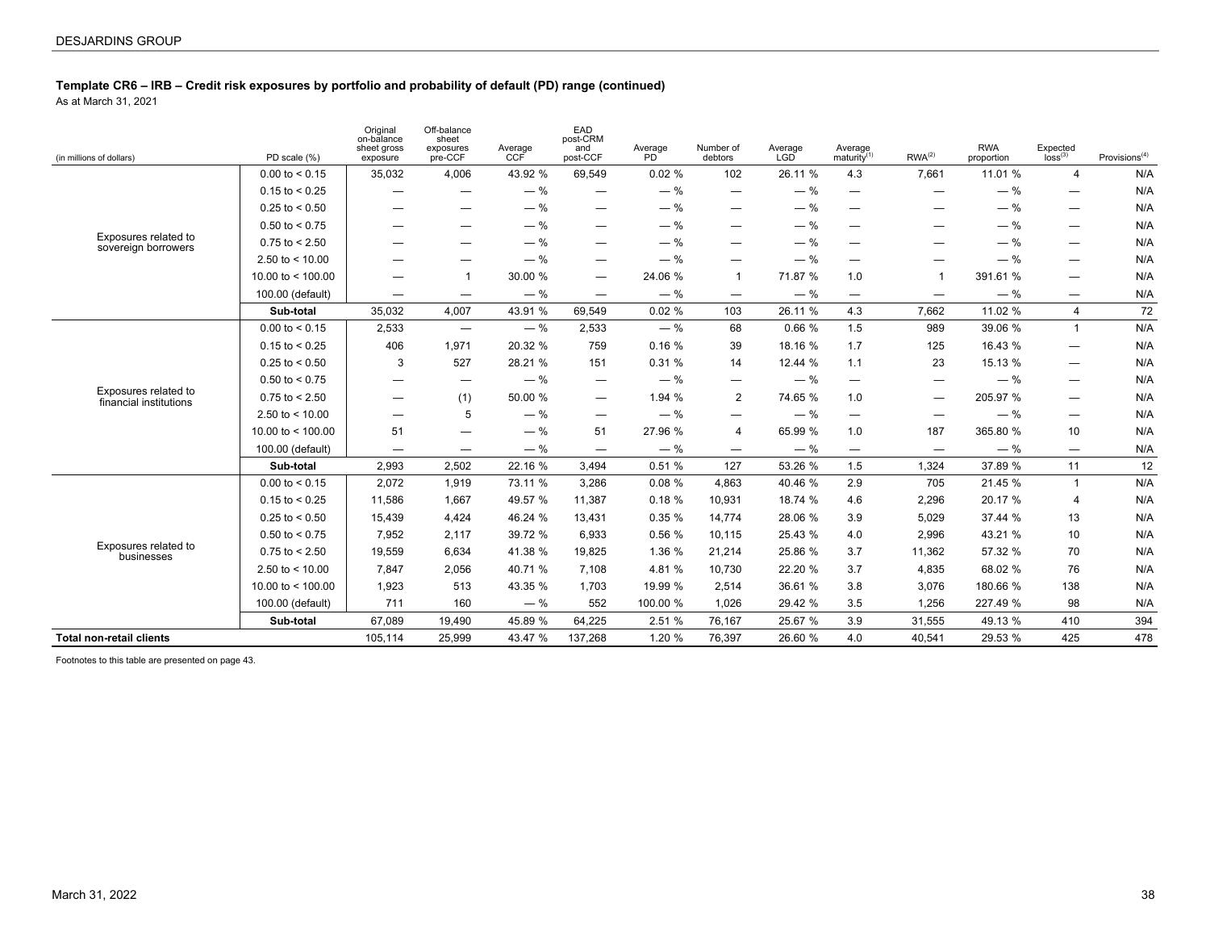As at March 31, 2021

| (in millions of dollars)                       | PD scale (%)        | Original<br>on-balance<br>sheet gross<br>exposure | Off-balance<br>sheet<br>exposures<br>pre-CCF | Average<br>CCF | EAD<br>post-CRM<br>and<br>post-CCF | Average<br>PD <sup>1</sup> | Number of<br>debtors           | Average<br>LGD | Average<br>maturity $(1)$        | $RWA^{(2)}$                      | <b>RWA</b><br>proportion | Expected<br>loss <sup>(3)</sup>  | Provisions $(4)$ |
|------------------------------------------------|---------------------|---------------------------------------------------|----------------------------------------------|----------------|------------------------------------|----------------------------|--------------------------------|----------------|----------------------------------|----------------------------------|--------------------------|----------------------------------|------------------|
|                                                | $0.00$ to $< 0.15$  | 35,032                                            | 4,006                                        | 43.92 %        | 69,549                             | 0.02%                      | 102                            | 26.11 %        | 4.3                              | 7,661                            | 11.01 %                  | $\overline{4}$                   | N/A              |
|                                                | $0.15$ to < 0.25    | $\qquad \qquad -$                                 |                                              | $-$ %          | $\overline{\phantom{0}}$           | $-$ %                      | $\qquad \qquad -$              | $-$ %          | —                                | $\overline{\phantom{0}}$         | $-$ %                    |                                  | N/A              |
|                                                | $0.25$ to $< 0.50$  | —                                                 |                                              | $-$ %          | —                                  | $-$ %                      | —                              | $-$ %          | $\overline{\phantom{m}}$         | —                                | $-$ %                    | $\overline{\phantom{m}}$         | N/A              |
|                                                | $0.50$ to < 0.75    | $\qquad \qquad -$                                 | –                                            | $-$ %          | —                                  | $-$ %                      | $\overline{\phantom{0}}$       | $-$ %          | $\overline{\phantom{m}}$         | -                                | $-$ %                    | $\overline{\phantom{m}}$         | N/A              |
| Exposures related to<br>sovereign borrowers    | $0.75$ to $< 2.50$  |                                                   | -                                            | $-$ %          | –                                  | $-$ %                      | –                              | $-$ %          | $\overline{\phantom{m}}$         | -                                | $-$ %                    | $\overline{\phantom{m}}$         | N/A              |
|                                                | 2.50 to $<$ 10.00   | $\overline{\phantom{0}}$                          |                                              | $-$ %          |                                    | $-$ %                      |                                | $-$ %          |                                  | -                                | $-$ %                    |                                  | N/A              |
|                                                | 10.00 to $<$ 100.00 | $\qquad \qquad \qquad$                            | $\overline{1}$                               | 30.00 %        | —                                  | 24.06 %                    | -1                             | 71.87 %        | 1.0                              | $\overline{1}$                   | 391.61 %                 | $\overline{\phantom{m}}$         | N/A              |
|                                                | 100.00 (default)    | $\qquad \qquad \qquad$                            | $\overline{\phantom{0}}$                     | $-$ %          | $\qquad \qquad \longleftarrow$     | $-$ %                      | $\overline{\phantom{a}}$       | $-$ %          | $\overbrace{\phantom{12322111}}$ | $\overline{\phantom{0}}$         | $-$ %                    | $\overbrace{\phantom{12322111}}$ | N/A              |
|                                                | Sub-total           | 35,032                                            | 4,007                                        | 43.91 %        | 69,549                             | 0.02%                      | 103                            | 26.11 %        | 4.3                              | 7,662                            | 11.02 %                  | $\overline{4}$                   | 72               |
|                                                | $0.00$ to $< 0.15$  | 2,533                                             | $\overbrace{\phantom{1232211}}$              | $-$ %          | 2,533                              | $-$ %                      | 68                             | 0.66 %         | 1.5                              | 989                              | 39.06 %                  | $\mathbf{1}$                     | N/A              |
|                                                | $0.15$ to $< 0.25$  | 406                                               | 1,971                                        | 20.32 %        | 759                                | 0.16%                      | 39                             | 18.16 %        | 1.7                              | 125                              | 16.43 %                  | $\overline{\phantom{a}}$         | N/A              |
|                                                | $0.25$ to < 0.50    | 3                                                 | 527                                          | 28.21 %        | 151                                | 0.31%                      | 14                             | 12.44 %        | 1.1                              | 23                               | 15.13 %                  | $\overline{\phantom{m}}$         | N/A              |
|                                                | $0.50$ to $< 0.75$  | $\qquad \qquad \longleftarrow$                    | $\hspace{0.1mm}-\hspace{0.1mm}$              | $-$ %          | $\qquad \qquad \longleftarrow$     | $-$ %                      | $\qquad \qquad \longleftarrow$ | $-$ %          | $\overbrace{\phantom{12322111}}$ | $\qquad \qquad \longleftarrow$   | $-$ %                    | $\overline{\phantom{a}}$         | N/A              |
| Exposures related to<br>financial institutions | $0.75$ to < 2.50    | $\overline{\phantom{0}}$                          | (1)                                          | 50.00 %        | —                                  | 1.94 %                     | 2                              | 74.65 %        | 1.0                              | —                                | 205.97 %                 |                                  | N/A              |
|                                                | 2.50 to $<$ 10.00   | $\overline{\phantom{0}}$                          | 5                                            | $-$ %          | $\overline{\phantom{0}}$           | $-$ %                      |                                | $-$ %          | $\overbrace{\phantom{12322111}}$ | $\overbrace{\phantom{12322111}}$ | $-$ %                    | $\overline{\phantom{m}}$         | N/A              |
|                                                | 10.00 to $<$ 100.00 | 51                                                | —                                            | $-$ %          | 51                                 | 27.96 %                    | $\overline{4}$                 | 65.99 %        | 1.0                              | 187                              | 365.80 %                 | 10 <sup>1</sup>                  | N/A              |
|                                                | 100.00 (default)    | $\overline{\phantom{0}}$                          | $\overline{\phantom{m}}$                     | $-$ %          |                                    | $-$ %                      | $\overline{\phantom{m}}$       | $-$ %          | $\overbrace{\phantom{12322111}}$ | $\hspace{0.05cm}$                | $-$ %                    | $\overline{\phantom{m}}$         | N/A              |
|                                                | Sub-total           | 2,993                                             | 2,502                                        | 22.16 %        | 3.494                              | 0.51%                      | 127                            | 53.26 %        | 1.5                              | 1,324                            | 37.89 %                  | 11                               | 12               |
|                                                | $0.00$ to $< 0.15$  | 2,072                                             | 1,919                                        | 73.11 %        | 3,286                              | 0.08%                      | 4.863                          | 40.46 %        | 2.9                              | 705                              | 21.45 %                  | $\overline{1}$                   | N/A              |
|                                                | $0.15$ to < 0.25    | 11,586                                            | 1,667                                        | 49.57 %        | 11,387                             | 0.18%                      | 10,931                         | 18.74 %        | 4.6                              | 2,296                            | 20.17 %                  | $\overline{4}$                   | N/A              |
|                                                | $0.25$ to $< 0.50$  | 15,439                                            | 4,424                                        | 46.24 %        | 13,431                             | 0.35%                      | 14,774                         | 28.06 %        | 3.9                              | 5,029                            | 37.44 %                  | 13                               | N/A              |
|                                                | $0.50$ to $< 0.75$  | 7,952                                             | 2,117                                        | 39.72 %        | 6,933                              | 0.56 %                     | 10,115                         | 25.43 %        | 4.0                              | 2,996                            | 43.21 %                  | 10 <sup>1</sup>                  | N/A              |
| Exposures related to<br>businesses             | $0.75$ to $< 2.50$  | 19,559                                            | 6,634                                        | 41.38 %        | 19,825                             | 1.36 %                     | 21,214                         | 25.86 %        | 3.7                              | 11,362                           | 57.32 %                  | 70                               | N/A              |
|                                                | 2.50 to $<$ 10.00   | 7.847                                             | 2,056                                        | 40.71 %        | 7.108                              | 4.81 %                     | 10.730                         | 22.20 %        | 3.7                              | 4,835                            | 68.02 %                  | 76                               | N/A              |
|                                                | 10.00 to < 100.00   | 1,923                                             | 513                                          | 43.35 %        | 1,703                              | 19.99 %                    | 2,514                          | 36.61 %        | 3.8                              | 3,076                            | 180.66 %                 | 138                              | N/A              |
|                                                | 100.00 (default)    | 711                                               | 160                                          | $-$ %          | 552                                | 100.00 %                   | 1,026                          | 29.42 %        | 3.5                              | 1,256                            | 227.49 %                 | 98                               | N/A              |
|                                                | Sub-total           | 67,089                                            | 19,490                                       | 45.89 %        | 64,225                             | 2.51 %                     | 76,167                         | 25.67 %        | 3.9                              | 31,555                           | 49.13 %                  | 410                              | 394              |
| <b>Total non-retail clients</b>                |                     | 105,114                                           | 25,999                                       | 43.47 %        | 137,268                            | 1.20 %                     | 76,397                         | 26.60 %        | 4.0                              | 40,541                           | 29.53 %                  | 425                              | 478              |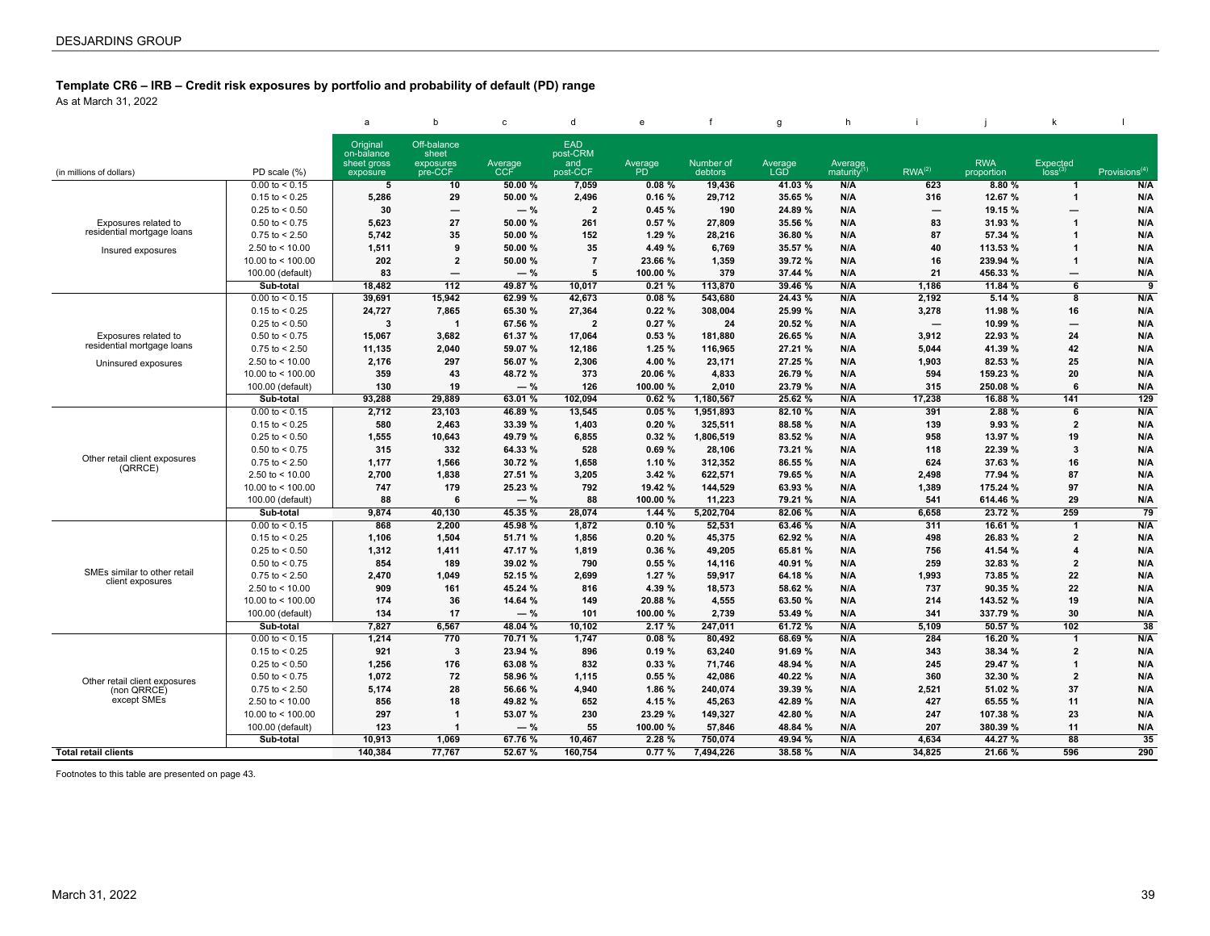As at March 31, 2022

|                                                    |                     | a                                     | $\mathbf b$                       | $\mathbf{c}$ | $\mathsf{d}$           | e         |           | $\mathbf{g}$ | h                     |                          |            |                          |                  |
|----------------------------------------------------|---------------------|---------------------------------------|-----------------------------------|--------------|------------------------|-----------|-----------|--------------|-----------------------|--------------------------|------------|--------------------------|------------------|
|                                                    |                     | Original<br>on-balance<br>sheet gross | Off-balance<br>sheet<br>exposures | Average      | <b>EAD</b><br>post-CRM | Average   | Number of | Average      | Average               |                          | <b>RWA</b> | Expected                 |                  |
| (in millions of dollars)                           | PD scale (%)        | exposure                              | pre-CCF                           | CCF          | and<br>post-CCF        | <b>PD</b> | debtors   | <b>LGD</b>   | maturity <sup>'</sup> | RWA <sup>(2)</sup>       | proportion | $loss^{(3)}$             | Provisions $(4)$ |
|                                                    | $0.00$ to < 0.15    | 5                                     | 10                                | 50.00 %      | 7,059                  | 0.08%     | 19,436    | 41.03 %      | N/A                   | 623                      | 8.80%      | $\mathbf{1}$             | N/A              |
|                                                    | $0.15$ to < 0.25    | 5.286                                 | 29                                | 50.00 %      | 2.496                  | 0.16%     | 29.712    | 35.65 %      | N/A                   | 316                      | 12.67 %    | $\mathbf{1}$             | N/A              |
|                                                    | $0.25$ to < 0.50    | 30                                    | $\overline{\phantom{m}}$          | $-$ %        | $\overline{2}$         | 0.45%     | 190       | 24.89 %      | N/A                   | $\overline{\phantom{0}}$ | 19.15 %    | $\overline{\phantom{0}}$ | N/A              |
| Exposures related to                               | $0.50$ to < 0.75    | 5,623                                 | 27                                | 50.00 %      | 261                    | 0.57%     | 27,809    | 35.56 %      | N/A                   | 83                       | 31.93 %    | $\overline{1}$           | N/A              |
| residential mortgage loans                         | $0.75$ to $< 2.50$  | 5.742                                 | 35                                | 50.00 %      | 152                    | 1.29%     | 28,216    | 36.80 %      | N/A                   | 87                       | 57.34 %    | 1                        | N/A              |
| Insured exposures                                  | 2.50 to $<$ 10.00   | 1,511                                 | 9                                 | 50.00 %      | 35                     | 4.49 %    | 6,769     | 35.57 %      | N/A                   | 40                       | 113.53 %   | 1                        | N/A              |
|                                                    | 10.00 to $<$ 100.00 | 202                                   | $\overline{2}$                    | 50.00 %      | $\overline{7}$         | 23.66 %   | 1,359     | 39.72 %      | N/A                   | 16                       | 239.94 %   | $\mathbf 1$              | N/A              |
|                                                    | 100.00 (default)    | 83                                    | $\overline{\phantom{0}}$          | $-$ %        | 5                      | 100.00 %  | 379       | 37.44 %      | N/A                   | 21                       | 456.33 %   | $\overline{\phantom{m}}$ | N/A              |
|                                                    | Sub-total           | 18.482                                | 112                               | 49.87 %      | 10.017                 | 0.21%     | 113.870   | 39.46 %      | N/A                   | 1.186                    | 11.84%     | 6                        | $\overline{9}$   |
|                                                    | $0.00$ to < 0.15    | 39,691                                | 15.942                            | 62.99 %      | 42,673                 | 0.08%     | 543,680   | 24.43 %      | N/A                   | 2,192                    | 5.14%      | $\overline{\mathbf{8}}$  | N/A              |
|                                                    | $0.15$ to $< 0.25$  | 24.727                                | 7.865                             | 65.30 %      | 27.364                 | 0.22%     | 308.004   | 25.99 %      | N/A                   | 3,278                    | 11.98 %    | 16                       | N/A              |
|                                                    | $0.25$ to < 0.50    | 3                                     | $\overline{\mathbf{1}}$           | 67.56 %      | $\overline{2}$         | 0.27%     | 24        | 20.52 %      | N/A                   | $\overline{\phantom{m}}$ | 10.99 %    | $\qquad \qquad -$        | N/A              |
| Exposures related to<br>residential mortgage loans | $0.50$ to < 0.75    | 15,067                                | 3,682                             | 61.37 %      | 17,064                 | 0.53%     | 181,880   | 26.65 %      | N/A                   | 3,912                    | 22.93 %    | 24                       | N/A              |
|                                                    | $0.75$ to < 2.50    | 11,135                                | 2,040                             | 59.07 %      | 12,186                 | 1.25%     | 116,965   | 27.21 %      | N/A                   | 5,044                    | 41.39 %    | 42                       | N/A              |
| Uninsured exposures                                | 2.50 to $<$ 10.00   | 2,176                                 | 297                               | 56.07 %      | 2,306                  | 4.00 %    | 23,171    | 27.25 %      | N/A                   | 1,903                    | 82.53 %    | 25                       | N/A              |
|                                                    | 10.00 to $<$ 100.00 | 359                                   | 43                                | 48.72 %      | 373                    | 20.06 %   | 4,833     | 26.79 %      | N/A                   | 594                      | 159.23 %   | 20                       | N/A              |
|                                                    | 100.00 (default)    | 130                                   | 19                                | $-$ %        | 126                    | 100.00 %  | 2.010     | 23.79 %      | N/A                   | 315                      | 250.08 %   | 6                        | N/A              |
|                                                    | Sub-total           | 93.288                                | 29.889                            | 63.01%       | 102.094                | 0.62%     | 1,180,567 | 25.62 %      | N/A                   | 17.238                   | 16.88 %    | 141                      | 129              |
|                                                    | $0.00$ to < 0.15    | 2,712                                 | 23,103                            | 46.89 %      | 13,545                 | 0.05%     | 1,951,893 | 82.10 %      | N/A                   | 391                      | 2.88 %     | 6                        | N/A              |
|                                                    | $0.15$ to $< 0.25$  | 580                                   | 2.463                             | 33.39 %      | 1,403                  | 0.20%     | 325.511   | 88.58 %      | N/A                   | 139                      | 9.93 %     | $\overline{2}$           | N/A              |
|                                                    | $0.25$ to < 0.50    | 1,555                                 | 10,643                            | 49.79 %      | 6,855                  | 0.32%     | 1,806,519 | 83.52 %      | N/A                   | 958                      | 13.97 %    | 19                       | N/A              |
| Other retail client exposures                      | $0.50$ to < 0.75    | 315                                   | 332                               | 64.33 %      | 528                    | 0.69%     | 28,106    | 73.21 %      | N/A                   | 118                      | 22.39 %    | 3                        | N/A              |
| (QRRCE)                                            | $0.75$ to $< 2.50$  | 1.177                                 | 1,566                             | 30.72 %      | 1,658                  | 1.10%     | 312,352   | 86.55 %      | N/A                   | 624                      | 37.63 %    | 16                       | N/A              |
|                                                    | 2.50 to $<$ 10.00   | 2,700                                 | 1,838                             | 27.51 %      | 3,205                  | 3.42%     | 622,571   | 79.65 %      | N/A                   | 2,498                    | 77.94 %    | 87                       | N/A              |
|                                                    | 10.00 to $<$ 100.00 | 747                                   | 179                               | 25.23 %      | 792                    | 19.42 %   | 144,529   | 63.93 %      | N/A                   | 1,389                    | 175.24 %   | 97                       | N/A              |
|                                                    | 100.00 (default)    | 88                                    | 6                                 | $-$ %        | 88                     | 100.00 %  | 11,223    | 79.21 %      | N/A                   | 541                      | 614.46 %   | 29                       | N/A              |
|                                                    | Sub-total           | 9.874                                 | 40.130                            | 45.35 %      | 28,074                 | 1.44%     | 5,202,704 | 82.06 %      | N/A                   | 6.658                    | 23.72 %    | 259                      | 79               |
|                                                    | $0.00$ to < 0.15    | 868                                   | 2,200                             | 45.98 %      | 1,872                  | 0.10%     | 52,531    | 63.46 %      | N/A                   | 311                      | 16.61 %    | $\mathbf 1$              | N/A              |
|                                                    | $0.15$ to $< 0.25$  | 1,106                                 | 1,504                             | 51.71 %      | 1,856                  | 0.20%     | 45,375    | 62.92 %      | N/A                   | 498                      | 26.83 %    | $\overline{2}$           | N/A              |
|                                                    | $0.25$ to < 0.50    | 1,312                                 | 1,411                             | 47.17 %      | 1,819                  | 0.36%     | 49,205    | 65.81 %      | N/A                   | 756                      | 41.54 %    | 4                        | N/A              |
| SMEs similar to other retail                       | $0.50$ to < 0.75    | 854                                   | 189                               | 39.02 %      | 790                    | 0.55%     | 14,116    | 40.91 %      | N/A                   | 259                      | 32.83 %    | $\overline{2}$           | N/A              |
| client exposures                                   | $0.75$ to $< 2.50$  | 2.470                                 | 1.049                             | 52.15 %      | 2.699                  | 1.27%     | 59.917    | 64.18 %      | N/A                   | 1.993                    | 73.85 %    | 22                       | N/A              |
|                                                    | 2.50 to $<$ 10.00   | 909                                   | 161                               | 45.24 %      | 816                    | 4.39 %    | 18,573    | 58.62 %      | N/A                   | 737                      | 90.35 %    | 22                       | N/A              |
|                                                    | 10.00 to $<$ 100.00 | 174                                   | 36                                | 14.64 %      | 149                    | 20.88 %   | 4,555     | 63.50 %      | N/A                   | 214                      | 143.52 %   | 19                       | N/A              |
|                                                    | 100.00 (default)    | 134                                   | 17                                | $-$ %        | 101                    | 100.00 %  | 2,739     | 53.49 %      | N/A                   | 341                      | 337.79 %   | 30                       | N/A              |
|                                                    | Sub-total           | 7,827                                 | 6,567                             | 48.04 %      | 10,102                 | 2.17%     | 247,011   | 61.72 %      | N/A                   | 5,109                    | 50.57 %    | 102                      | $\overline{38}$  |
|                                                    | $0.00$ to < 0.15    | 1,214                                 | 770                               | 70.71 %      | 1,747                  | 0.08%     | 80,492    | 68.69 %      | N/A                   | 284                      | 16.20 %    | $\mathbf 1$              | N/A              |
|                                                    | $0.15$ to < 0.25    | 921                                   | $\overline{\mathbf{3}}$           | 23.94 %      | 896                    | 0.19%     | 63.240    | 91.69 %      | N/A                   | 343                      | 38.34 %    | $\overline{2}$           | N/A              |
|                                                    | $0.25$ to < 0.50    | 1.256                                 | 176                               | 63.08 %      | 832                    | 0.33%     | 71,746    | 48.94 %      | N/A                   | 245                      | 29.47 %    | $\mathbf 1$              | N/A              |
| Other retail client exposures                      | $0.50$ to < 0.75    | 1,072                                 | 72                                | 58.96 %      | 1,115                  | 0.55%     | 42,086    | 40.22 %      | N/A                   | 360                      | 32.30 %    | $\overline{2}$           | N/A              |
| (non QRRCE)                                        | $0.75$ to < 2.50    | 5,174                                 | 28                                | 56.66 %      | 4,940                  | 1.86 %    | 240,074   | 39.39 %      | N/A                   | 2,521                    | 51.02 %    | 37                       | N/A              |
| except SMEs                                        | 2.50 to $< 10.00$   | 856                                   | 18                                | 49.82 %      | 652                    | 4.15 %    | 45,263    | 42.89 %      | N/A                   | 427                      | 65.55 %    | 11                       | N/A              |
|                                                    | 10.00 to $<$ 100.00 | 297                                   | $\overline{\mathbf{1}}$           | 53.07 %      | 230                    | 23.29 %   | 149,327   | 42.80 %      | N/A                   | 247                      | 107.38 %   | 23                       | N/A              |
|                                                    | 100.00 (default)    | 123                                   | $\overline{\mathbf{1}}$           | $-$ %        | 55                     | 100.00 %  | 57,846    | 48.84 %      | N/A                   | 207                      | 380.39 %   | 11                       | N/A              |
|                                                    | Sub-total           | 10.913                                | 1.069                             | 67.76 %      | 10,467                 | 2.28%     | 750.074   | 49.94 %      | N/A                   | 4.634                    | 44.27 %    | $\overline{88}$          | 35               |
| <b>Total retail clients</b>                        |                     | 140.384                               | 77.767                            | 52.67 %      | 160.754                | 0.77%     | 7.494.226 | 38.58 %      | N/A                   | 34.825                   | 21.66 %    | 596                      | 290              |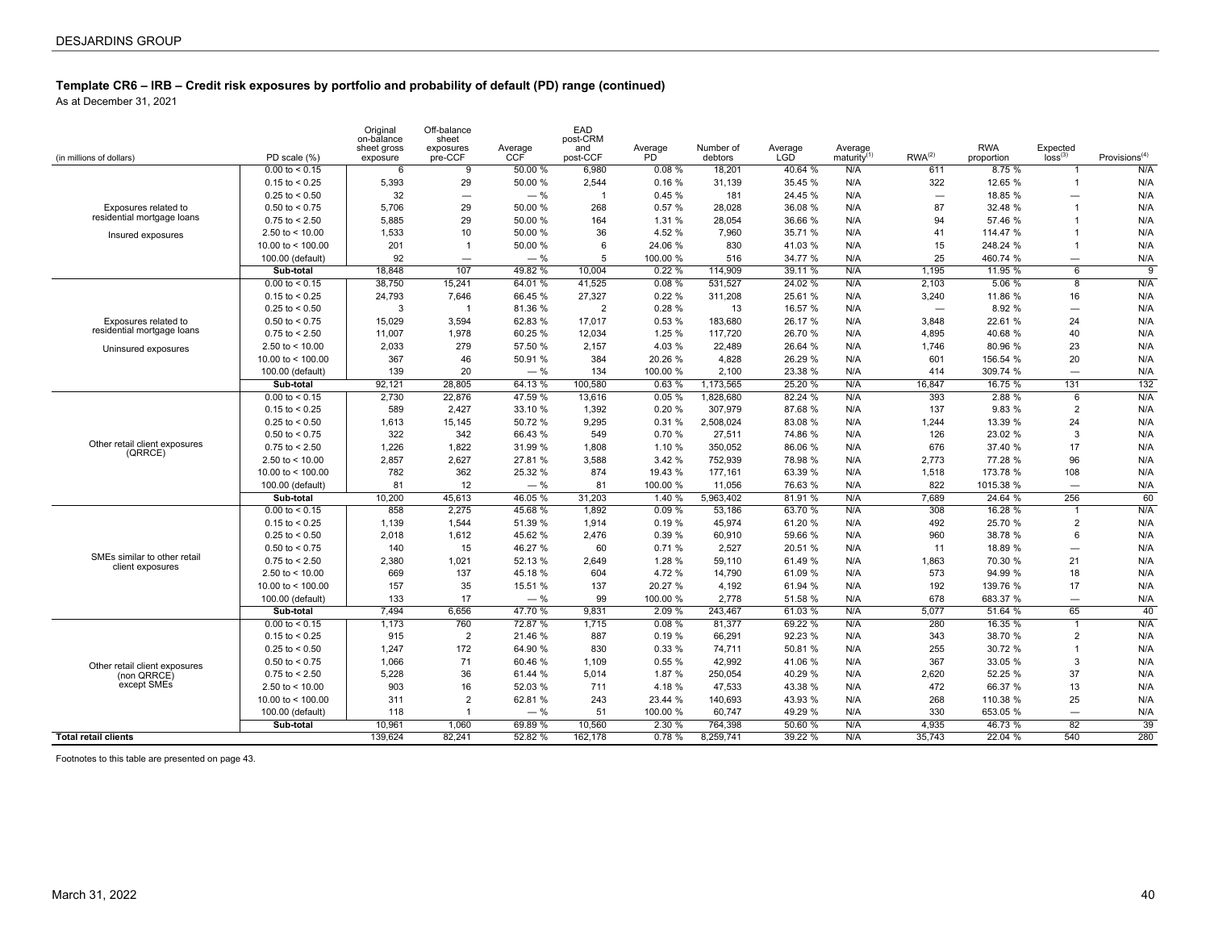As at December 31, 2021

| (in millions of dollars)      | PD scale (%)            | Original<br>on-balance<br>sheet gross<br>exposure | Off-balance<br>sheet<br>exposures<br>pre-CCF | Average<br>CCF | EAD<br>post-CRM<br>and<br>post-CCF | Average<br><b>PD</b> | Number of<br>debtors | Average<br><b>LGD</b> | Average<br>maturity <sup>(1)</sup> | RWA <sup>(2)</sup>       | <b>RWA</b><br>proportion | $Expected$ $loss(3)$     | Provisions $(4)$ |
|-------------------------------|-------------------------|---------------------------------------------------|----------------------------------------------|----------------|------------------------------------|----------------------|----------------------|-----------------------|------------------------------------|--------------------------|--------------------------|--------------------------|------------------|
|                               | $0.00 \text{ to } 0.15$ | 6                                                 | 9                                            | 50.00 %        | 6.980                              | 0.08%                | 18.201               | 40.64 %               | N/A                                | 611                      | 8.75%                    | $\mathbf{1}$             | N/A              |
|                               | $0.15$ to < 0.25        | 5,393                                             | 29                                           | 50.00 %        | 2,544                              | 0.16%                | 31,139               | 35.45 %               | N/A                                | 322                      | 12.65 %                  | $\overline{1}$           | N/A              |
|                               | $0.25$ to < 0.50        | 32                                                | $\overline{\phantom{0}}$                     | $-$ %          | $\overline{1}$                     | 0.45%                | 181                  | 24.45 %               | N/A                                | $\overline{\phantom{0}}$ | 18.85 %                  | $\overline{\phantom{0}}$ | N/A              |
| Exposures related to          | $0.50$ to < 0.75        | 5,706                                             | 29                                           | 50.00 %        | 268                                | 0.57%                | 28,028               | 36.08 %               | N/A                                | 87                       | 32.48 %                  | $\overline{1}$           | N/A              |
| residential mortgage loans    | $0.75$ to < 2.50        | 5.885                                             | 29                                           | 50.00 %        | 164                                | 1.31 %               | 28.054               | 36.66 %               | N/A                                | 94                       | 57.46 %                  | 1                        | N/A              |
| Insured exposures             | 2.50 to $<$ 10.00       | 1,533                                             | 10                                           | 50.00 %        | 36                                 | 4.52 %               | 7,960                | 35.71 %               | N/A                                | 41                       | 114.47 %                 | $\overline{1}$           | N/A              |
|                               | 10.00 to $<$ 100.00     | 201                                               | $\overline{1}$                               | 50.00 %        | 6                                  | 24.06 %              | 830                  | 41.03%                | N/A                                | 15                       | 248.24 %                 | $\overline{1}$           | N/A              |
|                               | 100.00 (default)        | 92                                                | $\overline{\phantom{0}}$                     | $-$ %          | 5                                  | 100.00 %             | 516                  | 34.77 %               | N/A                                | 25                       | 460.74 %                 | $\overline{\phantom{0}}$ | N/A              |
|                               | Sub-total               | 18.848                                            | 107                                          | 49.82 %        | 10.004                             | 0.22%                | 114.909              | 39.11 %               | N/A                                | 1,195                    | 11.95 %                  | $\overline{6}$           | 9                |
|                               | $0.00$ to < 0.15        | 38,750                                            | 15,241                                       | 64.01 %        | 41,525                             | 0.08%                | 531,527              | 24.02 %               | N/A                                | 2,103                    | 5.06%                    | $\overline{8}$           | N/A              |
|                               | $0.15$ to < 0.25        | 24,793                                            | 7,646                                        | 66.45 %        | 27,327                             | 0.22%                | 311,208              | 25.61 %               | N/A                                | 3,240                    | 11.86 %                  | 16                       | N/A              |
|                               | $0.25$ to < 0.50        | 3                                                 | -1                                           | 81.36 %        | $\overline{2}$                     | 0.28%                | 13                   | 16.57 %               | N/A                                | $\overline{\phantom{0}}$ | 8.92 %                   | $\overline{\phantom{0}}$ | N/A              |
| Exposures related to          | $0.50$ to < 0.75        | 15,029                                            | 3,594                                        | 62.83 %        | 17,017                             | 0.53%                | 183,680              | 26.17 %               | N/A                                | 3,848                    | 22.61 %                  | 24                       | N/A              |
| residential mortgage loans    | $0.75$ to < 2.50        | 11.007                                            | 1,978                                        | 60.25 %        | 12,034                             | 1.25%                | 117,720              | 26.70 %               | N/A                                | 4.895                    | 40.68 %                  | 40                       | N/A              |
| Uninsured exposures           | 2.50 to $<$ 10.00       | 2,033                                             | 279                                          | 57.50 %        | 2,157                              | 4.03 %               | 22,489               | 26.64 %               | N/A                                | 1,746                    | 80.96 %                  | 23                       | N/A              |
|                               | 10.00 to $<$ 100.00     | 367                                               | 46                                           | 50.91 %        | 384                                | 20.26 %              | 4.828                | 26.29 %               | N/A                                | 601                      | 156.54 %                 | 20                       | N/A              |
|                               | 100.00 (default)        | 139                                               | 20                                           | $-$ %          | 134                                | 100.00 %             | 2,100                | 23.38 %               | N/A                                | 414                      | 309.74 %                 | $\overline{\phantom{0}}$ | N/A              |
|                               | Sub-total               | 92,121                                            | 28,805                                       | 64.13 %        | 100,580                            | 0.63%                | 1,173,565            | 25.20 %               | N/A                                | 16,847                   | 16.75 %                  | 131                      | 132              |
|                               | $0.00 \text{ to } 5.15$ | 2,730                                             | 22,876                                       | 47.59 %        | 13,616                             | 0.05%                | 1,828,680            | 82.24 %               | N/A                                | 393                      | 2.88 %                   | 6                        | N/A              |
|                               | $0.15$ to < 0.25        | 589                                               | 2,427                                        | 33.10 %        | 1,392                              | 0.20%                | 307,979              | 87.68 %               | N/A                                | 137                      | 9.83 %                   | $\overline{2}$           | N/A              |
|                               | $0.25$ to < 0.50        | 1,613                                             | 15,145                                       | 50.72 %        | 9,295                              | 0.31%                | 2,508,024            | 83.08 %               | N/A                                | 1,244                    | 13.39 %                  | 24                       | N/A              |
|                               | $0.50$ to < 0.75        | 322                                               | 342                                          | 66.43 %        | 549                                | 0.70%                | 27.511               | 74.86 %               | N/A                                | 126                      | 23.02 %                  | 3                        | N/A              |
| Other retail client exposures | $0.75$ to $< 2.50$      | 1,226                                             | 1,822                                        | 31.99 %        | 1.808                              | 1.10 %               | 350,052              | 86.06 %               | N/A                                | 676                      | 37.40 %                  | 17                       | N/A              |
| (QRRCE)                       | 2.50 to $<$ 10.00       | 2.857                                             | 2.627                                        | 27.81 %        | 3.588                              | 3.42%                | 752.939              | 78.98 %               | N/A                                | 2.773                    | 77.28 %                  | 96                       | N/A              |
|                               | 10.00 to $<$ 100.00     | 782                                               | 362                                          | 25.32 %        | 874                                | 19.43 %              | 177,161              | 63.39 %               | N/A                                | 1,518                    | 173.78 %                 | 108                      | N/A              |
|                               | 100.00 (default)        | 81                                                | 12                                           | $-$ %          | 81                                 | 100.00 %             | 11,056               | 76.63 %               | N/A                                | 822                      | 1015.38 %                | $\overline{\phantom{a}}$ | N/A              |
|                               | Sub-total               | 10,200                                            | 45,613                                       | 46.05 %        | 31,203                             | 1.40%                | 5,963,402            | 81.91 %               | N/A                                | 7,689                    | 24.64 %                  | 256                      | 60               |
|                               | $0.00 \text{ to } 5.15$ | 858                                               | 2,275                                        | 45.68 %        | 1,892                              | 0.09%                | 53,186               | 63.70 %               | N/A                                | 308                      | 16.28 %                  |                          | N/A              |
|                               | $0.15$ to < 0.25        | 1,139                                             | 1,544                                        | 51.39 %        | 1,914                              | 0.19%                | 45,974               | 61.20 %               | N/A                                | 492                      | 25.70 %                  | $\overline{2}$           | N/A              |
|                               | $0.25$ to < 0.50        | 2,018                                             | 1,612                                        | 45.62 %        | 2,476                              | 0.39%                | 60,910               | 59.66 %               | N/A                                | 960                      | 38.78 %                  | 6                        | N/A              |
|                               | $0.50$ to < 0.75        | 140                                               | 15                                           | 46.27 %        | 60                                 | 0.71%                | 2.527                | 20.51 %               | N/A                                | 11                       | 18.89 %                  | $\overline{\phantom{0}}$ | N/A              |
| SMEs similar to other retail  | $0.75$ to < 2.50        | 2,380                                             | 1,021                                        | 52.13 %        | 2,649                              | 1.28 %               | 59,110               | 61.49 %               | N/A                                | 1,863                    | 70.30 %                  | 21                       | N/A              |
| client exposures              | 2.50 to $<$ 10.00       | 669                                               | 137                                          | 45.18 %        | 604                                | 4.72 %               | 14,790               | 61.09 %               | N/A                                | 573                      | 94.99 %                  | 18                       | N/A              |
|                               | 10.00 to $<$ 100.00     | 157                                               | 35                                           | 15.51 %        | 137                                | 20.27 %              | 4,192                | 61.94 %               | N/A                                | 192                      | 139.76 %                 | 17                       | N/A              |
|                               | 100.00 (default)        | 133                                               | 17                                           | $-$ %          | 99                                 | 100.00 %             | 2.778                | 51.58 %               | N/A                                | 678                      | 683.37 %                 | $\overline{\phantom{0}}$ | N/A              |
|                               | Sub-total               | 7.494                                             | 6.656                                        | 47.70 %        | 9.831                              | 2.09%                | 243,467              | 61.03%                | N/A                                | 5,077                    | 51.64 %                  | 65                       | 40               |
|                               | $0.00$ to < 0.15        | 1,173                                             | 760                                          | 72.87 %        | 1.715                              | 0.08%                | 81.377               | 69.22 %               | N/A                                | 280                      | 16.35 %                  | $\overline{1}$           | N/A              |
|                               | $0.15$ to < 0.25        | 915                                               | $\overline{2}$                               | 21.46 %        | 887                                | 0.19%                | 66,291               | 92.23 %               | N/A                                | 343                      | 38.70 %                  | $\overline{2}$           | N/A              |
|                               | $0.25$ to < 0.50        | 1.247                                             | 172                                          | 64.90 %        | 830                                | 0.33%                | 74.711               | 50.81 %               | N/A                                | 255                      | 30.72 %                  | $\overline{1}$           | N/A              |
| Other retail client exposures | $0.50$ to < 0.75        | 1.066                                             | 71                                           | 60.46 %        | 1.109                              | 0.55%                | 42.992               | 41.06 %               | N/A                                | 367                      | 33.05 %                  | 3                        | N/A              |
| (non QRRCE)                   | $0.75$ to < 2.50        | 5,228                                             | 36                                           | 61.44 %        | 5,014                              | 1.87 %               | 250,054              | 40.29 %               | N/A                                | 2,620                    | 52.25 %                  | 37                       | N/A              |
| except SMEs                   | 2.50 to $<$ 10.00       | 903                                               | 16                                           | 52.03 %        | 711                                | 4.18 %               | 47.533               | 43.38 %               | N/A                                | 472                      | 66.37 %                  | 13                       | N/A              |
|                               | 10.00 to < $100.00$     | 311                                               | $\overline{2}$                               | 62.81 %        | 243                                | 23.44 %              | 140,693              | 43.93 %               | N/A                                | 268                      | 110.38 %                 | 25                       | N/A              |
|                               | 100.00 (default)        | 118                                               | $\overline{1}$                               | $-$ %          | 51                                 | 100.00 %             | 60,747               | 49.29 %               | N/A                                | 330                      | 653.05 %                 | $\overline{\phantom{0}}$ | N/A              |
|                               | Sub-total               | 10,961                                            | 1,060                                        | 69.89 %        | 10,560                             | 2.30%                | 764,398              | 50.60 %               | N/A                                | 4,935                    | 46.73 %                  | $\overline{82}$          | $\overline{39}$  |
| <b>Total retail clients</b>   |                         | 139.624                                           | 82.241                                       | 52.82 %        | 162.178                            | 0.78%                | 8.259.741            | 39.22 %               | N/A                                | 35.743                   | 22.04 %                  | 540                      | 280              |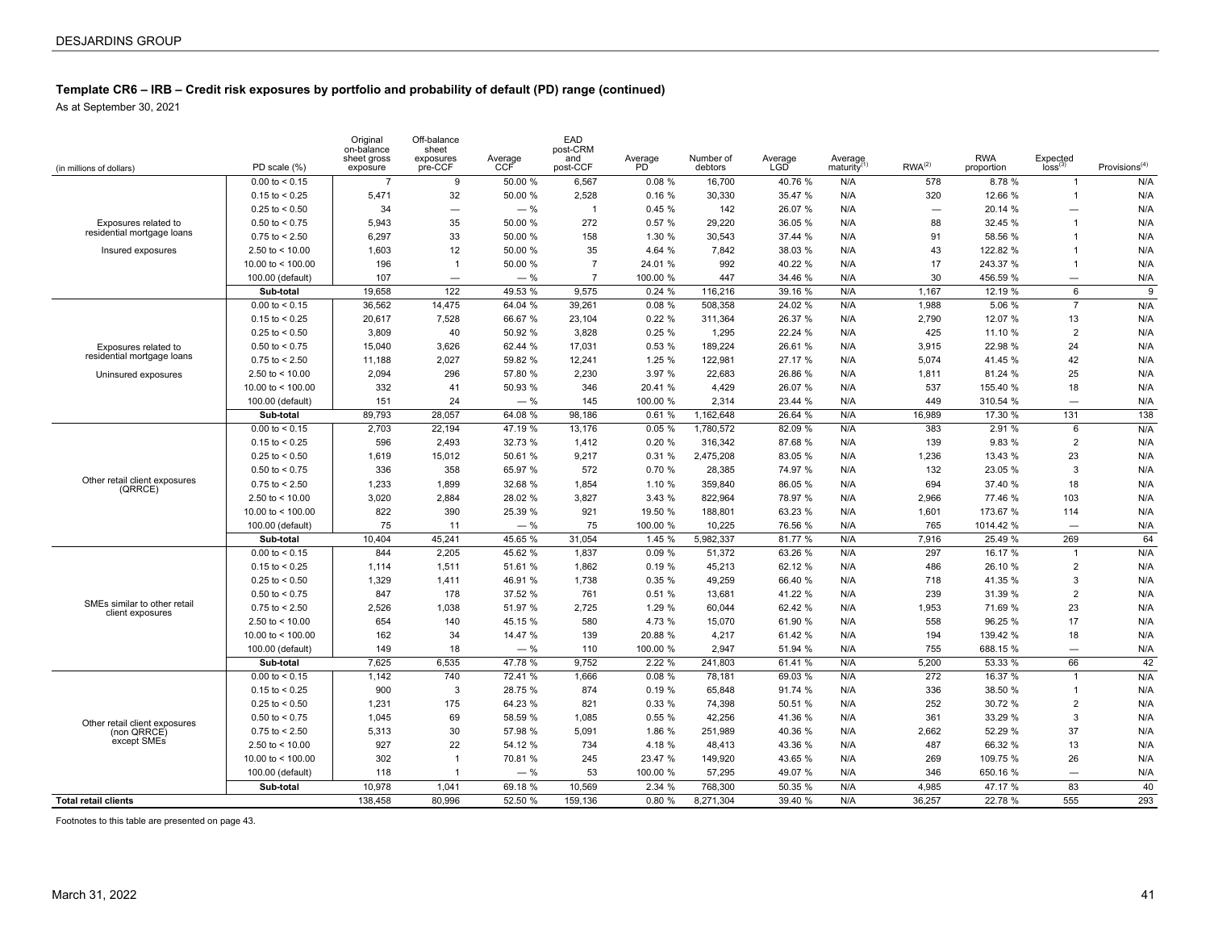As at September 30, 2021

| (in millions of dollars)                         | PD scale (%)        | Original<br>on-balance<br>sheet gross<br>exposure | Off-balance<br>sheet<br>exposures<br>pre-CCF | Average<br>CCF | EAD<br>post-CRM<br>and<br>post-CCF | Average<br>PD | Number of<br>debtors | Average<br>LGD | Average<br>maturity <sup>(</sup> | RWA <sup>(2)</sup>       | <b>RWA</b><br>proportion | Expected<br>loss <sup>(3)</sup> | Provisions <sup>(4)</sup> |
|--------------------------------------------------|---------------------|---------------------------------------------------|----------------------------------------------|----------------|------------------------------------|---------------|----------------------|----------------|----------------------------------|--------------------------|--------------------------|---------------------------------|---------------------------|
|                                                  | $0.00$ to < 0.15    | $\overline{7}$                                    | 9                                            | 50.00 %        | 6,567                              | 0.08%         | 16,700               | 40.76 %        | N/A                              | 578                      | 8.78 %                   | $\mathbf{1}$                    | N/A                       |
|                                                  | $0.15$ to $< 0.25$  | 5,471                                             | 32                                           | 50.00 %        | 2,528                              | 0.16%         | 30,330               | 35.47 %        | N/A                              | 320                      | 12.66 %                  | $\mathbf{1}$                    | N/A                       |
|                                                  | $0.25$ to < 0.50    | 34                                                | $\overline{\phantom{0}}$                     | $-$ %          | $\overline{1}$                     | 0.45%         | 142                  | 26.07 %        | N/A                              | $\overline{\phantom{0}}$ | 20.14 %                  | $\overline{\phantom{0}}$        | N/A                       |
| Exposures related to                             | $0.50$ to < 0.75    | 5.943                                             | 35                                           | 50.00 %        | 272                                | 0.57%         | 29.220               | 36.05 %        | N/A                              | 88                       | 32.45 %                  | $\overline{1}$                  | N/A                       |
| residential mortgage loans                       | $0.75$ to $< 2.50$  | 6.297                                             | 33                                           | 50.00 %        | 158                                | 1.30%         | 30.543               | 37.44 %        | N/A                              | 91                       | 58.56 %                  | $\overline{1}$                  | N/A                       |
| Insured exposures                                | 2.50 to $<$ 10.00   | 1,603                                             | 12                                           | 50.00 %        | 35                                 | 4.64 %        | 7.842                | 38.03 %        | N/A                              | 43                       | 122.82 %                 | $\overline{1}$                  | N/A                       |
|                                                  | 10.00 to $<$ 100.00 | 196                                               | $\overline{1}$                               | 50.00 %        | $\overline{7}$                     | 24.01 %       | 992                  | 40.22 %        | N/A                              | 17                       | 243.37 %                 | $\overline{1}$                  | N/A                       |
|                                                  | 100.00 (default)    | 107                                               | -                                            | $-$ %          | $\overline{7}$                     | 100.00 %      | 447                  | 34.46 %        | N/A                              | 30                       | 456.59 %                 | $\equiv$                        | N/A                       |
|                                                  | Sub-total           | 19,658                                            | 122                                          | 49.53 %        | 9.575                              | 0.24%         | 116,216              | 39.16 %        | N/A                              | 1,167                    | 12.19 %                  | 6                               | 9                         |
|                                                  | $0.00$ to < 0.15    | 36,562                                            | 14,475                                       | 64.04 %        | 39,261                             | 0.08%         | 508,358              | 24.02 %        | N/A                              | 1,988                    | 5.06 %                   | $\overline{7}$                  | N/A                       |
|                                                  | $0.15$ to $< 0.25$  | 20.617                                            | 7.528                                        | 66.67 %        | 23,104                             | 0.22%         | 311,364              | 26.37 %        | N/A                              | 2.790                    | 12.07 %                  | 13                              | N/A                       |
|                                                  | $0.25$ to < 0.50    | 3,809                                             | 40                                           | 50.92 %        | 3,828                              | 0.25%         | 1,295                | 22.24 %        | N/A                              | 425                      | 11.10 %                  | $\overline{2}$                  | N/A                       |
| Exposures related to                             | $0.50$ to $< 0.75$  | 15.040                                            | 3,626                                        | 62.44 %        | 17,031                             | 0.53%         | 189,224              | 26.61 %        | N/A                              | 3,915                    | 22.98 %                  | 24                              | N/A                       |
| residential mortgage loans                       | $0.75$ to < 2.50    | 11,188                                            | 2,027                                        | 59.82 %        | 12,241                             | 1.25 %        | 122,981              | 27.17 %        | N/A                              | 5,074                    | 41.45 %                  | 42                              | N/A                       |
| Uninsured exposures                              | 2.50 to $<$ 10.00   | 2,094                                             | 296                                          | 57.80 %        | 2,230                              | 3.97 %        | 22,683               | 26.86 %        | N/A                              | 1,811                    | 81.24 %                  | 25                              | N/A                       |
|                                                  | 10.00 to < 100.00   | 332                                               | 41                                           | 50.93 %        | 346                                | 20.41 %       | 4,429                | 26.07 %        | N/A                              | 537                      | 155.40 %                 | 18                              | N/A                       |
|                                                  | 100.00 (default)    | 151                                               | 24                                           | $-$ %          | 145                                | 100.00 %      | 2.314                | 23.44 %        | N/A                              | 449                      | 310.54 %                 | $\overline{\phantom{0}}$        | N/A                       |
|                                                  | Sub-total           | 89,793                                            | 28,057                                       | 64.08 %        | 98,186                             | 0.61%         | 1,162,648            | 26.64 %        | N/A                              | 16,989                   | 17.30 %                  | 131                             | 138                       |
|                                                  | $0.00$ to $< 0.15$  | 2,703                                             | 22,194                                       | 47.19 %        | 13,176                             | 0.05%         | 1,780,572            | 82.09 %        | N/A                              | 383                      | 2.91 %                   | 6                               | N/A                       |
|                                                  | $0.15$ to $< 0.25$  | 596                                               | 2.493                                        | 32.73 %        | 1,412                              | 0.20%         | 316,342              | 87.68 %        | N/A                              | 139                      | 9.83 %                   | $\overline{2}$                  | N/A                       |
|                                                  | $0.25$ to < 0.50    | 1,619                                             | 15,012                                       | 50.61 %        | 9,217                              | 0.31%         | 2,475,208            | 83.05 %        | N/A                              | 1,236                    | 13.43 %                  | 23                              | N/A                       |
|                                                  | $0.50$ to $< 0.75$  | 336                                               | 358                                          | 65.97 %        | 572                                | 0.70%         | 28,385               | 74.97 %        | N/A                              | 132                      | 23.05 %                  | 3                               | N/A                       |
| Other retail client exposures<br>(QRRCE)         | $0.75$ to < 2.50    | 1,233                                             | 1,899                                        | 32.68 %        | 1,854                              | 1.10 %        | 359,840              | 86.05 %        | N/A                              | 694                      | 37.40 %                  | 18                              | N/A                       |
|                                                  | 2.50 to $<$ 10.00   | 3,020                                             | 2,884                                        | 28.02 %        | 3,827                              | 3.43 %        | 822,964              | 78.97 %        | N/A                              | 2,966                    | 77.46 %                  | 103                             | N/A                       |
|                                                  | 10.00 to < 100.00   | 822                                               | 390                                          | 25.39 %        | 921                                | 19.50 %       | 188,801              | 63.23 %        | N/A                              | 1,601                    | 173.67 %                 | 114                             | N/A                       |
|                                                  | 100.00 (default)    | 75                                                | 11                                           | $-$ %          | 75                                 | 100.00 %      | 10.225               | 76.56 %        | N/A                              | 765                      | 1014.42 %                | $\overline{\phantom{0}}$        | N/A                       |
|                                                  | Sub-total           | 10,404                                            | 45,241                                       | 45.65 %        | 31,054                             | 1.45 %        | 5,982,337            | 81.77 %        | N/A                              | 7,916                    | 25.49 %                  | 269                             | 64                        |
|                                                  | $0.00$ to $< 0.15$  | 844                                               | 2,205                                        | 45.62 %        | 1,837                              | 0.09%         | 51,372               | 63.26 %        | N/A                              | 297                      | 16.17 %                  | $\mathbf{1}$                    | N/A                       |
|                                                  | $0.15$ to < 0.25    | 1,114                                             | 1,511                                        | 51.61 %        | 1,862                              | 0.19%         | 45,213               | 62.12 %        | N/A                              | 486                      | 26.10 %                  | $\overline{2}$                  | N/A                       |
|                                                  | $0.25$ to < 0.50    | 1,329                                             | 1,411                                        | 46.91 %        | 1,738                              | 0.35%         | 49,259               | 66.40 %        | N/A                              | 718                      | 41.35 %                  | 3                               | N/A                       |
|                                                  | $0.50$ to < 0.75    | 847                                               | 178                                          | 37.52 %        | 761                                | 0.51%         | 13,681               | 41.22 %        | N/A                              | 239                      | 31.39 %                  | $\overline{2}$                  | N/A                       |
| SMEs similar to other retail<br>client exposures | $0.75$ to $< 2.50$  | 2,526                                             | 1,038                                        | 51.97 %        | 2,725                              | 1.29 %        | 60,044               | 62.42 %        | N/A                              | 1,953                    | 71.69 %                  | 23                              | N/A                       |
|                                                  | 2.50 to $<$ 10.00   | 654                                               | 140                                          | 45.15 %        | 580                                | 4.73 %        | 15,070               | 61.90 %        | N/A                              | 558                      | 96.25 %                  | 17                              | N/A                       |
|                                                  | 10.00 to $<$ 100.00 | 162                                               | 34                                           | 14.47 %        | 139                                | 20.88 %       | 4,217                | 61.42 %        | N/A                              | 194                      | 139.42 %                 | 18                              | N/A                       |
|                                                  | 100.00 (default)    | 149                                               | 18                                           | $-$ %          | 110                                | 100.00 %      | 2,947                | 51.94 %        | N/A                              | 755                      | 688.15 %                 | $\overline{\phantom{0}}$        | N/A                       |
|                                                  | Sub-total           | 7.625                                             | 6.535                                        | 47.78 %        | 9,752                              | 2.22 %        | 241,803              | 61.41 %        | N/A                              | 5,200                    | 53.33 %                  | 66                              | 42                        |
|                                                  | $0.00$ to < 0.15    | 1,142                                             | 740                                          | 72.41 %        | 1,666                              | 0.08%         | 78,181               | 69.03 %        | N/A                              | 272                      | 16.37 %                  | $\mathbf{1}$                    | N/A                       |
|                                                  | $0.15$ to < 0.25    | 900                                               | 3                                            | 28.75 %        | 874                                | 0.19%         | 65,848               | 91.74 %        | N/A                              | 336                      | 38.50 %                  | $\mathbf{1}$                    | N/A                       |
|                                                  | $0.25$ to < 0.50    | 1,231                                             | 175                                          | 64.23 %        | 821                                | 0.33%         | 74,398               | 50.51 %        | N/A                              | 252                      | 30.72 %                  | $\overline{2}$                  | N/A                       |
| Other retail client exposures                    | $0.50$ to < 0.75    | 1,045                                             | 69                                           | 58.59 %        | 1,085                              | 0.55%         | 42,256               | 41.36 %        | N/A                              | 361                      | 33.29 %                  | 3                               | N/A                       |
| (non QRRCE)                                      | $0.75$ to $< 2.50$  | 5.313                                             | 30                                           | 57.98 %        | 5,091                              | 1.86 %        | 251,989              | 40.36 %        | N/A                              | 2.662                    | 52.29 %                  | 37                              | N/A                       |
| except SMEs                                      | 2.50 to $<$ 10.00   | 927                                               | 22                                           | 54.12 %        | 734                                | 4.18 %        | 48,413               | 43.36 %        | N/A                              | 487                      | 66.32 %                  | 13                              | N/A                       |
|                                                  | 10.00 to $<$ 100.00 | 302                                               | -1                                           | 70.81 %        | 245                                | 23.47 %       | 149,920              | 43.65 %        | N/A                              | 269                      | 109.75 %                 | 26                              | N/A                       |
|                                                  | 100.00 (default)    | 118                                               |                                              | $-$ %          | 53                                 | 100.00 %      | 57,295               | 49.07 %        | N/A                              | 346                      | 650.16 %                 | $\overline{\phantom{0}}$        | N/A                       |
|                                                  | Sub-total           | 10,978                                            | 1,041                                        | 69.18 %        | 10,569                             | 2.34 %        | 768,300              | 50.35 %        | N/A                              | 4,985                    | 47.17 %                  | 83                              | 40                        |
| <b>Total retail clients</b>                      |                     | 138,458                                           | 80,996                                       | 52.50 %        | 159,136                            | 0.80%         | 8,271,304            | 39.40 %        | N/A                              | 36,257                   | 22.78 %                  | 555                             | 293                       |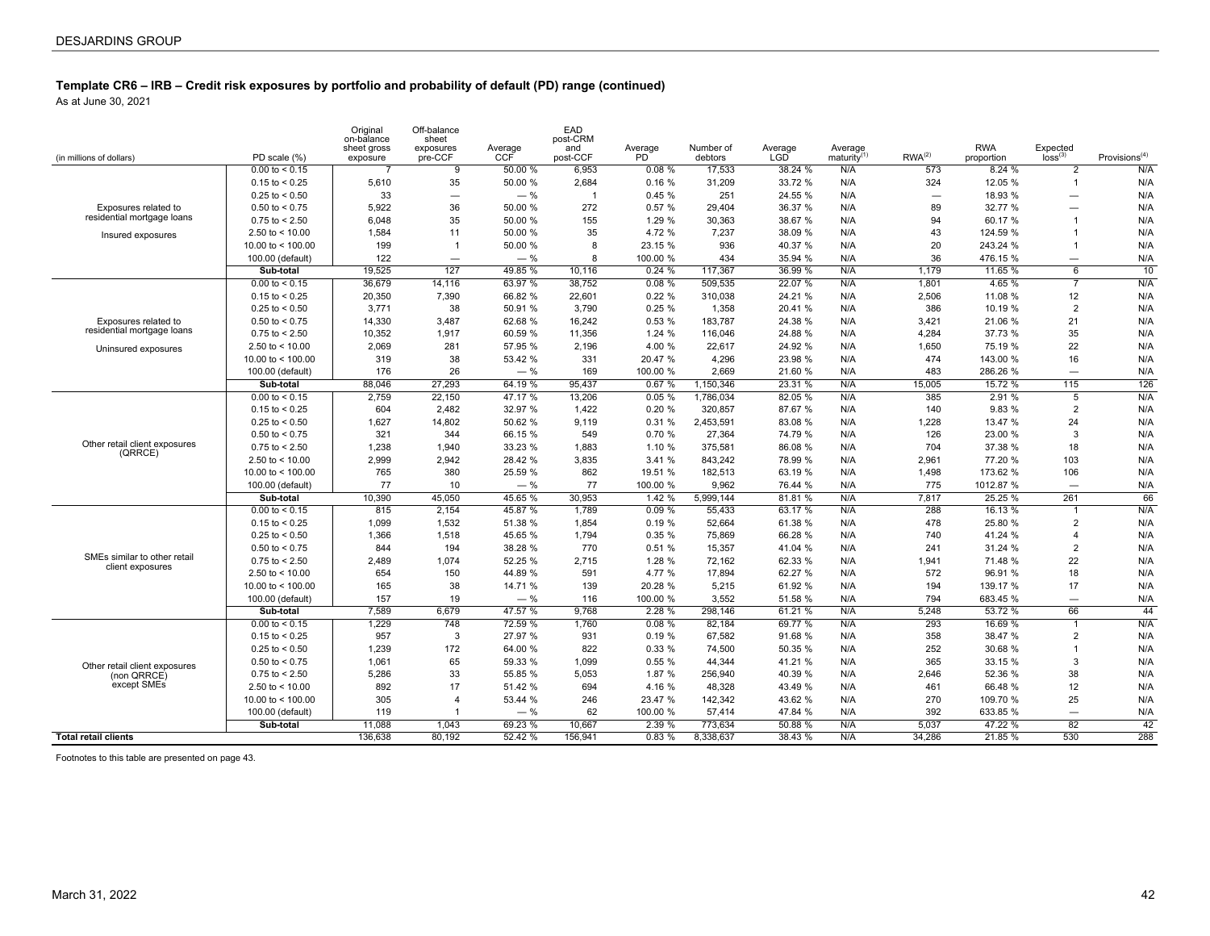As at June 30, 2021

| (in millions of dollars)                         | PD scale (%)            | Original<br>on-balance<br>sheet gross<br>exposure | Off-balance<br>sheet<br>exposures<br>pre-CCF | Average<br>CCF | EAD<br>post-CRM<br>and<br>post-CCF | Average<br>P <sub>D</sub> | Number of<br>debtors | Average<br><b>LGD</b> | Average<br>maturity | RWA <sup>(2)</sup>       | <b>RWA</b><br>proportion | Expected<br>loss <sup>(3)</sup> | Provisions <sup>(4)</sup> |
|--------------------------------------------------|-------------------------|---------------------------------------------------|----------------------------------------------|----------------|------------------------------------|---------------------------|----------------------|-----------------------|---------------------|--------------------------|--------------------------|---------------------------------|---------------------------|
|                                                  | $0.00$ to $< 0.15$      | $\overline{7}$                                    | 9                                            | 50.00 %        | 6,953                              | 0.08%                     | 17,533               | 38.24 %               | N/A                 | 573                      | 8.24%                    | 2                               | N/A                       |
|                                                  | $0.15$ to < 0.25        | 5,610                                             | 35                                           | 50.00 %        | 2,684                              | 0.16%                     | 31,209               | 33.72 %               | N/A                 | 324                      | 12.05 %                  | $\mathbf{1}$                    | N/A                       |
|                                                  | $0.25$ to < 0.50        | 33                                                | $\overline{\phantom{0}}$                     | $-$ %          | $\overline{1}$                     | 0.45%                     | 251                  | 24.55 %               | N/A                 | $\overline{\phantom{0}}$ | 18.93 %                  |                                 | N/A                       |
| Exposures related to                             | $0.50$ to < 0.75        | 5,922                                             | 36                                           | 50.00 %        | 272                                | 0.57 %                    | 29,404               | 36.37 %               | N/A                 | 89                       | 32.77 %                  | $\overline{\phantom{0}}$        | N/A                       |
| residential mortgage loans                       | $0.75$ to $< 2.50$      | 6.048                                             | 35                                           | 50.00 %        | 155                                | 1.29 %                    | 30,363               | 38.67 %               | N/A                 | 94                       | 60.17 %                  | $\overline{1}$                  | N/A                       |
| Insured exposures                                | 2.50 to $<$ 10.00       | 1,584                                             | 11                                           | 50.00 %        | 35                                 | 4.72 %                    | 7,237                | 38.09 %               | N/A                 | 43                       | 124.59 %                 | $\mathbf{1}$                    | N/A                       |
|                                                  | 10.00 to $<$ 100.00     | 199                                               | $\mathbf{1}$                                 | 50.00 %        | 8                                  | 23.15 %                   | 936                  | 40.37 %               | N/A                 | 20                       | 243.24 %                 | $\mathbf{1}$                    | N/A                       |
|                                                  | 100.00 (default)        | 122                                               | $\overline{\phantom{0}}$                     | $-$ %          | 8                                  | 100.00 %                  | 434                  | 35.94 %               | N/A                 | 36                       | 476.15 %                 | $\overline{\phantom{0}}$        | N/A                       |
|                                                  | Sub-total               | 19.525                                            | 127                                          | 49.85 %        | 10.116                             | 0.24%                     | 117.367              | 36.99 %               | N/A                 | 1.179                    | 11.65 %                  | 6                               | 10                        |
|                                                  | $0.00$ to < 0.15        | 36,679                                            | 14,116                                       | 63.97 %        | 38,752                             | 0.08%                     | 509,535              | 22.07 %               | N/A                 | 1,801                    | 4.65 %                   |                                 | N/A                       |
|                                                  | $0.15$ to < 0.25        | 20,350                                            | 7,390                                        | 66.82 %        | 22,601                             | 0.22%                     | 310,038              | 24.21 %               | N/A                 | 2,506                    | 11.08 %                  | 12                              | N/A                       |
|                                                  | $0.25$ to < 0.50        | 3.771                                             | 38                                           | 50.91 %        | 3,790                              | 0.25%                     | 1.358                | 20.41 %               | N/A                 | 386                      | 10.19 %                  | $\overline{2}$                  | N/A                       |
| Exposures related to                             | $0.50$ to < 0.75        | 14,330                                            | 3,487                                        | 62.68 %        | 16,242                             | 0.53 %                    | 183,787              | 24.38 %               | N/A                 | 3,421                    | 21.06 %                  | 21                              | N/A                       |
| residential mortgage loans                       | $0.75$ to $< 2.50$      | 10.352                                            | 1.917                                        | 60.59 %        | 11,356                             | 1.24%                     | 116,046              | 24.88 %               | N/A                 | 4.284                    | 37.73 %                  | 35                              | N/A                       |
| Uninsured exposures                              | 2.50 to $<$ 10.00       | 2,069                                             | 281                                          | 57.95 %        | 2,196                              | 4.00 %                    | 22,617               | 24.92 %               | N/A                 | 1,650                    | 75.19 %                  | 22                              | N/A                       |
|                                                  | 10.00 to $<$ 100.00     | 319                                               | 38                                           | 53.42 %        | 331                                | 20.47 %                   | 4,296                | 23.98 %               | N/A                 | 474                      | 143.00 %                 | 16                              | N/A                       |
|                                                  | 100.00 (default)        | 176                                               | 26                                           | $-$ %          | 169                                | 100.00 %                  | 2.669                | 21.60 %               | N/A                 | 483                      | 286.26 %                 | $\equiv$                        | N/A                       |
|                                                  | Sub-total               | 88.046                                            | 27,293                                       | 64.19 %        | 95,437                             | 0.67%                     | 1,150,346            | 23.31 %               | N/A                 | 15,005                   | 15.72 %                  | 115                             | 126                       |
|                                                  | $0.00 \text{ to } 0.15$ | 2,759                                             | 22,150                                       | 47.17 %        | 13,206                             | 0.05%                     | 1,786,034            | 82.05 %               | N/A                 | 385                      | 2.91%                    | 5                               | N/A                       |
|                                                  | $0.15$ to < 0.25        | 604                                               | 2.482                                        | 32.97 %        | 1,422                              | 0.20%                     | 320,857              | 87.67 %               | N/A                 | 140                      | 9.83 %                   | $\overline{2}$                  | N/A                       |
|                                                  | $0.25$ to < 0.50        | 1,627                                             | 14,802                                       | 50.62 %        | 9,119                              | 0.31%                     | 2,453,591            | 83.08 %               | N/A                 | 1,228                    | 13.47 %                  | 24                              | N/A                       |
|                                                  | $0.50$ to < 0.75        | 321                                               | 344                                          | 66.15 %        | 549                                | 0.70%                     | 27,364               | 74.79 %               | N/A                 | 126                      | 23.00 %                  | 3                               | N/A                       |
| Other retail client exposures<br>(QRRCE)         | $0.75$ to $< 2.50$      | 1,238                                             | 1.940                                        | 33.23 %        | 1,883                              | 1.10 %                    | 375,581              | 86.08 %               | N/A                 | 704                      | 37.38 %                  | 18                              | N/A                       |
|                                                  | 2.50 to $<$ 10.00       | 2.999                                             | 2.942                                        | 28.42 %        | 3.835                              | 3.41 %                    | 843.242              | 78.99 %               | N/A                 | 2,961                    | 77.20 %                  | 103                             | N/A                       |
|                                                  | 10.00 to $<$ 100.00     | 765                                               | 380                                          | 25.59 %        | 862                                | 19.51 %                   | 182,513              | 63.19 %               | N/A                 | 1,498                    | 173.62 %                 | 106                             | N/A                       |
|                                                  | 100.00 (default)        | 77                                                | 10                                           | $-$ %          | 77                                 | 100.00 %                  | 9,962                | 76.44 %               | N/A                 | 775                      | 1012.87 %                |                                 | N/A                       |
|                                                  | Sub-total               | 10,390                                            | 45,050                                       | 45.65 %        | 30,953                             | 1.42%                     | 5,999,144            | 81.81 %               | N/A                 | 7,817                    | 25.25 %                  | 261                             | 66                        |
|                                                  | $0.00 \text{ to } 0.15$ | 815                                               | 2,154                                        | 45.87 %        | 1,789                              | 0.09%                     | 55,433               | 63.17 %               | N/A                 | 288                      | 16.13 %                  | $\mathbf{1}$                    | N/A                       |
|                                                  | $0.15$ to < 0.25        | 1,099                                             | 1.532                                        | 51.38 %        | 1,854                              | 0.19%                     | 52,664               | 61.38 %               | N/A                 | 478                      | 25.80 %                  | $\overline{2}$                  | N/A                       |
|                                                  | $0.25$ to < 0.50        | 1,366                                             | 1,518                                        | 45.65 %        | 1,794                              | 0.35%                     | 75,869               | 66.28 %               | N/A                 | 740                      | 41.24 %                  | $\overline{4}$                  | N/A                       |
|                                                  | $0.50$ to < 0.75        | 844                                               | 194                                          | 38.28 %        | 770                                | 0.51%                     | 15,357               | 41.04 %               | N/A                 | 241                      | 31.24 %                  | $\overline{2}$                  | N/A                       |
| SMEs similar to other retail<br>client exposures | $0.75$ to $< 2.50$      | 2,489                                             | 1.074                                        | 52.25 %        | 2,715                              | 1.28 %                    | 72.162               | 62.33 %               | N/A                 | 1,941                    | 71.48 %                  | 22                              | N/A                       |
|                                                  | 2.50 to $<$ 10.00       | 654                                               | 150                                          | 44.89 %        | 591                                | 4.77 %                    | 17.894               | 62.27 %               | N/A                 | 572                      | 96.91 %                  | 18                              | N/A                       |
|                                                  | 10.00 to < 100.00       | 165                                               | 38                                           | 14.71 %        | 139                                | 20.28 %                   | 5,215                | 61.92 %               | N/A                 | 194                      | 139.17 %                 | 17                              | N/A                       |
|                                                  | 100.00 (default)        | 157                                               | 19                                           | $-$ %          | 116                                | 100.00 %                  | 3,552                | 51.58 %               | N/A                 | 794                      | 683.45 %                 |                                 | N/A                       |
|                                                  | Sub-total               | 7,589                                             | 6.679                                        | 47.57 %        | 9.768                              | 2.28%                     | 298.146              | 61.21%                | N/A                 | 5,248                    | 53.72 %                  | 66                              | 44                        |
|                                                  | $0.00$ to < 0.15        | 1.229                                             | 748                                          | 72.59 %        | 1.760                              | 0.08%                     | 82,184               | 69.77 %               | N/A                 | 293                      | 16.69 %                  | $\mathbf{1}$                    | N/A                       |
|                                                  | $0.15$ to < 0.25        | 957                                               | 3                                            | 27.97 %        | 931                                | 0.19%                     | 67,582               | 91.68 %               | N/A                 | 358                      | 38.47 %                  | $\overline{2}$                  | N/A                       |
|                                                  | $0.25$ to < 0.50        | 1.239                                             | 172                                          | 64.00 %        | 822                                | 0.33%                     | 74.500               | 50.35 %               | N/A                 | 252                      | 30.68 %                  | $\mathbf{1}$                    | N/A                       |
| Other retail client exposures                    | $0.50$ to < 0.75        | 1.061                                             | 65                                           | 59.33 %        | 1,099                              | 0.55%                     | 44,344               | 41.21 %               | N/A                 | 365                      | 33.15 %                  | 3                               | N/A                       |
| (non QRRCE)                                      | $0.75$ to < 2.50        | 5,286                                             | 33                                           | 55.85 %        | 5,053                              | 1.87 %                    | 256,940              | 40.39 %               | N/A                 | 2,646                    | 52.36 %                  | 38                              | N/A                       |
| except SMEs                                      | 2.50 to $<$ 10.00       | 892                                               | 17                                           | 51.42 %        | 694                                | 4.16 %                    | 48,328               | 43.49 %               | N/A                 | 461                      | 66.48 %                  | 12 <sup>2</sup>                 | N/A                       |
|                                                  | 10.00 to < 100.00       | 305                                               | 4                                            | 53.44 %        | 246                                | 23.47 %                   | 142,342              | 43.62 %               | N/A                 | 270                      | 109.70 %                 | 25                              | N/A                       |
|                                                  | 100.00 (default)        | 119                                               |                                              | $-$ %          | 62                                 | 100.00 %                  | 57,414               | 47.84 %               | N/A                 | 392                      | 633.85 %                 | $\equiv$                        | N/A                       |
|                                                  | Sub-total               | 11,088                                            | 1,043                                        | 69.23 %        | 10,667                             | 2.39%                     | 773,634              | 50.88 %               | N/A                 | 5,037                    | 47.22 %                  | $\overline{82}$                 | 42                        |
| <b>Total retail clients</b>                      |                         | 136.638                                           | 80.192                                       | 52.42 %        | 156.941                            | 0.83%                     | 8.338.637            | 38.43 %               | N/A                 | 34.286                   | 21.85 %                  | 530                             | 288                       |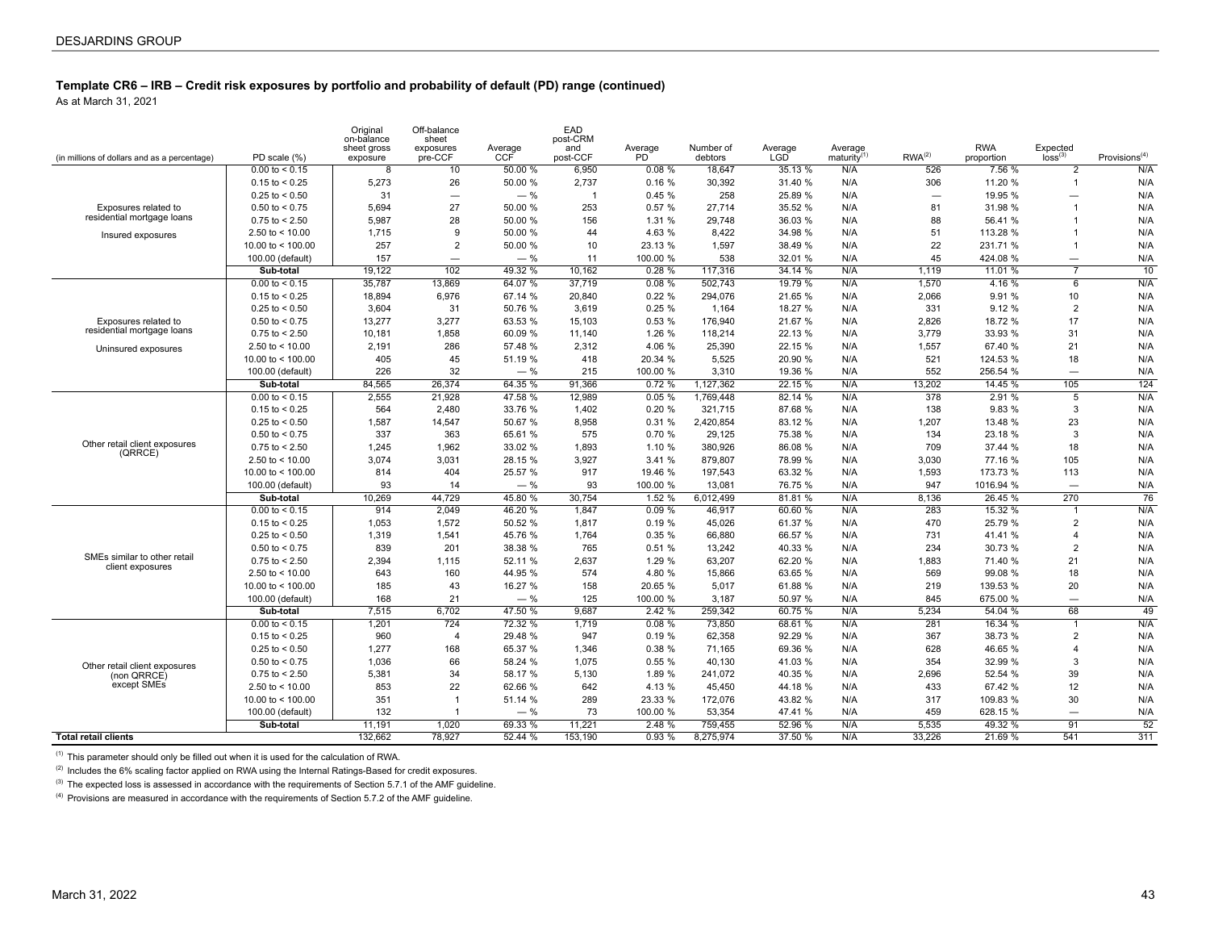As at March 31, 2021

| (in millions of dollars and as a percentage)     | PD scale (%)            | Original<br>on-balance<br>sheet gross<br>exposure | Off-balance<br>sheet<br>exposures<br>pre-CCF | Average<br>CCF | EAD<br>post-CRM<br>and<br>post-CCF | Average<br>P <sub>D</sub> | Number of<br>debtors | Average<br><b>LGD</b> | Average<br>maturity | RWA <sup>(2)</sup> | <b>RWA</b><br>proportion | $E$ xpected<br>$loss^{(3)}$ | Provisions <sup>(4)</sup> |
|--------------------------------------------------|-------------------------|---------------------------------------------------|----------------------------------------------|----------------|------------------------------------|---------------------------|----------------------|-----------------------|---------------------|--------------------|--------------------------|-----------------------------|---------------------------|
|                                                  | $0.00$ to $< 0.15$      | 8                                                 | 10                                           | 50.00 %        | 6,950                              | 0.08%                     | 18.647               | 35.13 %               | N/A                 | 526                | 7.56 %                   | $\overline{2}$              | N/A                       |
|                                                  | $0.15$ to < 0.25        | 5,273                                             | 26                                           | 50.00 %        | 2,737                              | 0.16%                     | 30,392               | 31.40 %               | N/A                 | 306                | 11.20 %                  | $\overline{1}$              | N/A                       |
|                                                  | $0.25$ to < 0.50        | 31                                                |                                              | $-$ %          | $\overline{1}$                     | 0.45%                     | 258                  | 25.89 %               | N/A                 |                    | 19.95 %                  | $\overline{\phantom{0}}$    | N/A                       |
| Exposures related to                             | $0.50$ to $< 0.75$      | 5.694                                             | 27                                           | 50.00 %        | 253                                | 0.57%                     | 27.714               | 35.52 %               | N/A                 | 81                 | 31.98 %                  | $\overline{1}$              | N/A                       |
| residential mortgage loans                       | $0.75$ to $< 2.50$      | 5.987                                             | 28                                           | 50.00 %        | 156                                | 1.31 %                    | 29,748               | 36.03 %               | N/A                 | 88                 | 56.41 %                  | $\overline{1}$              | N/A                       |
| Insured exposures                                | 2.50 to $<$ 10.00       | 1.715                                             | 9                                            | 50.00 %        | 44                                 | 4.63 %                    | 8.422                | 34.98 %               | N/A                 | 51                 | 113.28 %                 | $\overline{1}$              | N/A                       |
|                                                  | 10.00 to $<$ 100.00     | 257                                               | $\overline{2}$                               | 50.00 %        | 10                                 | 23.13 %                   | 1,597                | 38.49 %               | N/A                 | 22                 | 231.71 %                 | $\overline{1}$              | N/A                       |
|                                                  | 100.00 (default)        | 157                                               | $\overline{\phantom{0}}$                     | $-$ %          | 11                                 | 100.00 %                  | 538                  | 32.01 %               | N/A                 | 45                 | 424.08%                  | $\overline{\phantom{m}}$    | N/A                       |
|                                                  | Sub-total               | 19,122                                            | 102                                          | 49.32 %        | 10.162                             | 0.28%                     | 117,316              | 34.14 %               | N/A                 | 1,119              | 11.01 %                  | 7                           | $\overline{10}$           |
|                                                  | $0.00$ to < 0.15        | 35.787                                            | 13.869                                       | 64.07%         | 37.719                             | 0.08%                     | 502,743              | 19.79 %               | N/A                 | 1,570              | 4.16 %                   | 6                           | N/A                       |
|                                                  | $0.15$ to $< 0.25$      | 18,894                                            | 6,976                                        | 67.14 %        | 20,840                             | 0.22%                     | 294,076              | 21.65 %               | N/A                 | 2,066              | 9.91 %                   | 10                          | N/A                       |
|                                                  | $0.25$ to < 0.50        | 3.604                                             | 31                                           | 50.76 %        | 3.619                              | 0.25%                     | 1.164                | 18.27 %               | N/A                 | 331                | 9.12%                    | 2                           | N/A                       |
| Exposures related to                             | $0.50$ to $< 0.75$      | 13.277                                            | 3.277                                        | 63.53 %        | 15.103                             | 0.53%                     | 176.940              | 21.67 %               | N/A                 | 2.826              | 18.72 %                  | 17                          | N/A                       |
| residential mortgage loans                       | $0.75$ to $< 2.50$      | 10.181                                            | 1.858                                        | 60.09 %        | 11,140                             | 1.26 %                    | 118,214              | 22.13 %               | N/A                 | 3.779              | 33.93 %                  | 31                          | N/A                       |
| Uninsured exposures                              | 2.50 to $<$ 10.00       | 2,191                                             | 286                                          | 57.48 %        | 2,312                              | 4.06 %                    | 25,390               | 22.15 %               | N/A                 | 1,557              | 67.40 %                  | 21                          | N/A                       |
|                                                  | 10.00 to $<$ 100.00     | 405                                               | 45                                           | 51.19 %        | 418                                | 20.34 %                   | 5,525                | 20.90 %               | N/A                 | 521                | 124.53 %                 | 18                          | N/A                       |
|                                                  | 100.00 (default)        | 226                                               | 32                                           | $-$ %          | 215                                | 100.00 %                  | 3,310                | 19.36 %               | N/A                 | 552                | 256.54 %                 | $\overline{\phantom{m}}$    | N/A                       |
|                                                  | Sub-total               | 84.565                                            | 26.374                                       | 64.35 %        | 91.366                             | 0.72%                     | 1,127,362            | 22.15 %               | N/A                 | 13,202             | 14.45 %                  | 105                         | 124                       |
|                                                  | $0.00$ to < 0.15        | 2,555                                             | 21,928                                       | 47.58 %        | 12,989                             | 0.05%                     | 1,769,448            | 82.14 %               | N/A                 | 378                | 2.91%                    | $\overline{5}$              | N/A                       |
|                                                  | $0.15$ to < 0.25        | 564                                               | 2.480                                        | 33.76 %        | 1,402                              | 0.20%                     | 321,715              | 87.68 %               | N/A                 | 138                | 9.83 %                   | 3                           | N/A                       |
|                                                  | $0.25$ to < 0.50        | 1,587                                             | 14,547                                       | 50.67 %        | 8,958                              | 0.31%                     | 2,420,854            | 83.12 %               | N/A                 | 1,207              | 13.48 %                  | 23                          | N/A                       |
|                                                  | $0.50 \text{ to } 5.75$ | 337                                               | 363                                          | 65.61 %        | 575                                | 0.70%                     | 29,125               | 75.38 %               | N/A                 | 134                | 23.18 %                  | $\mathcal{R}$               | N/A                       |
| Other retail client exposures<br>(QRRCE)         | $0.75$ to < 2.50        | 1,245                                             | 1,962                                        | 33.02 %        | 1,893                              | 1.10 %                    | 380,926              | 86.08 %               | N/A                 | 709                | 37.44 %                  | 18                          | N/A                       |
|                                                  | 2.50 to $<$ 10.00       | 3.074                                             | 3,031                                        | 28.15 %        | 3,927                              | 3.41%                     | 879,807              | 78.99 %               | N/A                 | 3,030              | 77.16 %                  | 105                         | N/A                       |
|                                                  | 10.00 to $<$ 100.00     | 814                                               | 404                                          | 25.57 %        | 917                                | 19.46 %                   | 197,543              | 63.32 %               | N/A                 | 1,593              | 173.73 %                 | 113                         | N/A                       |
|                                                  | 100.00 (default)        | 93                                                | 14                                           | $-$ %          | 93                                 | 100.00 %                  | 13.081               | 76.75 %               | N/A                 | 947                | 1016.94 %                | $\overline{\phantom{m}}$    | N/A                       |
|                                                  | Sub-total               | 10,269                                            | 44,729                                       | 45.80 %        | 30,754                             | 1.52%                     | 6,012,499            | 81.81 %               | N/A                 | 8,136              | 26.45 %                  | 270                         | 76                        |
|                                                  | $0.00$ to < 0.15        | 914                                               | 2.049                                        | 46.20 %        | 1.847                              | 0.09%                     | 46.917               | 60.60 %               | N/A                 | 283                | 15.32 %                  | $\overline{1}$              | N/A                       |
|                                                  | $0.15$ to $< 0.25$      | 1,053                                             | 1,572                                        | 50.52 %        | 1,817                              | 0.19%                     | 45,026               | 61.37 %               | N/A                 | 470                | 25.79 %                  | $\overline{2}$              | N/A                       |
|                                                  | $0.25$ to < 0.50        | 1.319                                             | 1.541                                        | 45.76 %        | 1.764                              | 0.35%                     | 66,880               | 66.57 %               | N/A                 | 731                | 41.41 %                  | $\overline{4}$              | N/A                       |
|                                                  | $0.50$ to $< 0.75$      | 839                                               | 201                                          | 38.38 %        | 765                                | 0.51%                     | 13,242               | 40.33 %               | N/A                 | 234                | 30.73 %                  | $\overline{2}$              | N/A                       |
| SMEs similar to other retail<br>client exposures | $0.75$ to $< 2.50$      | 2,394                                             | 1.115                                        | 52.11 %        | 2,637                              | 1.29 %                    | 63,207               | 62.20 %               | N/A                 | 1.883              | 71.40 %                  | 21                          | N/A                       |
|                                                  | 2.50 to $< 10.00$       | 643                                               | 160                                          | 44.95 %        | 574                                | 4.80 %                    | 15,866               | 63.65 %               | N/A                 | 569                | 99.08 %                  | 18                          | N/A                       |
|                                                  | 10.00 to $<$ 100.00     | 185                                               | 43                                           | 16.27 %        | 158                                | 20.65 %                   | 5,017                | 61.88 %               | N/A                 | 219                | 139.53 %                 | 20                          | N/A                       |
|                                                  | 100.00 (default)        | 168                                               | 21                                           | $-$ %          | 125                                | 100.00 %                  | 3,187                | 50.97 %               | N/A                 | 845                | 675.00 %                 | $\overline{\phantom{m}}$    | N/A                       |
|                                                  | Sub-total               | 7.515                                             | 6.702                                        | 47.50 %        | 9.687                              | 2.42%                     | 259.342              | 60.75 %               | N/A                 | 5.234              | 54.04 %                  | 68                          | 49                        |
|                                                  | $0.00$ to < 0.15        | 1,201                                             | 724                                          | 72.32 %        | 1,719                              | 0.08%                     | 73,850               | 68.61 %               | N/A                 | 281                | 16.34 %                  | $\overline{1}$              | N/A                       |
|                                                  | $0.15$ to < 0.25        | 960                                               | $\overline{4}$                               | 29.48 %        | 947                                | 0.19 %                    | 62,358               | 92.29 %               | N/A                 | 367                | 38.73 %                  | $\overline{2}$              | N/A                       |
|                                                  | $0.25$ to < 0.50        | 1,277                                             | 168                                          | 65.37 %        | 1,346                              | 0.38 %                    | 71,165               | 69.36 %               | N/A                 | 628                | 46.65 %                  | $\overline{4}$              | N/A                       |
| Other retail client exposures                    | $0.50$ to $< 0.75$      | 1,036                                             | 66                                           | 58.24 %        | 1,075                              | 0.55%                     | 40,130               | 41.03 %               | N/A                 | 354                | 32.99 %                  | 3                           | N/A                       |
| (non QRRCE)                                      | $0.75$ to < 2.50        | 5,381                                             | 34                                           | 58.17 %        | 5,130                              | 1.89 %                    | 241,072              | 40.35 %               | N/A                 | 2,696              | 52.54 %                  | 39                          | N/A                       |
| except SMEs                                      | 2.50 to $<$ 10.00       | 853                                               | 22                                           | 62.66 %        | 642                                | 4.13 %                    | 45,450               | 44.18 %               | N/A                 | 433                | 67.42 %                  | 12                          | N/A                       |
|                                                  | 10.00 to $<$ 100.00     | 351                                               | $\overline{1}$                               | 51.14 %        | 289                                | 23.33 %                   | 172.076              | 43.82 %               | N/A                 | 317                | 109.83 %                 | 30                          | N/A                       |
|                                                  | 100.00 (default)        | 132                                               | 1                                            | $-$ %          | 73                                 | 100.00 %                  | 53,354               | 47.41 %               | N/A                 | 459                | 628.15 %                 | $\overline{\phantom{m}}$    | N/A                       |
|                                                  | Sub-total               | 11.191                                            | 1.020                                        | 69.33 %        | 11.221                             | 2.48%                     | 759.455              | 52.96 %               | N/A                 | 5.535              | 49.32 %                  | 91                          | $\overline{52}$           |
| <b>Total retail clients</b>                      |                         | 132.662                                           | 78.927                                       | 52.44 %        | 153.190                            | 0.93%                     | 8,275,974            | 37.50 %               | N/A                 | 33.226             | 21.69 %                  | 541                         | 311                       |

 $(1)$  This parameter should only be filled out when it is used for the calculation of RWA.

 $(2)$  Includes the 6% scaling factor applied on RWA using the Internal Ratings-Based for credit exposures.

 $(3)$  The expected loss is assessed in accordance with the requirements of Section 5.7.1 of the AMF guideline.

 $(4)$  Provisions are measured in accordance with the requirements of Section 5.7.2 of the AMF guideline.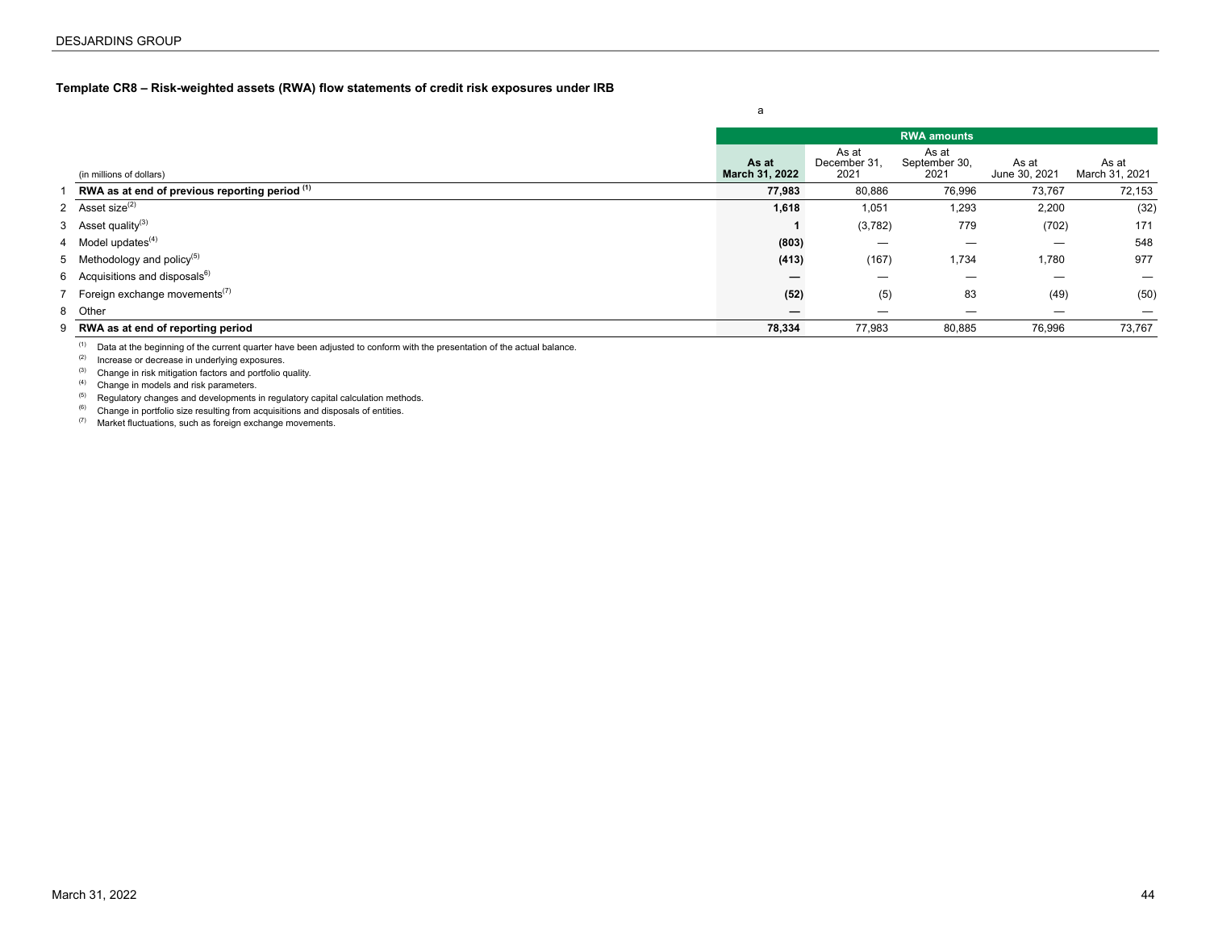## <span id="page-43-0"></span>**Template CR8 – Risk-weighted assets (RWA) flow statements of credit risk exposures under IRB**

|                                |                                                          |                         |                               | <b>RWA</b> amounts             |                        |                         |
|--------------------------------|----------------------------------------------------------|-------------------------|-------------------------------|--------------------------------|------------------------|-------------------------|
|                                | (in millions of dollars)                                 | As at<br>March 31, 2022 | As at<br>December 31.<br>2021 | As at<br>September 30,<br>2021 | As at<br>June 30, 2021 | As at<br>March 31, 2021 |
|                                | RWA as at end of previous reporting period (1)           | 77,983                  | 80,886                        | 76,996                         | 73,767                 | 72,153                  |
| 2 Asset size <sup>(2)</sup>    |                                                          | 1,618                   | 1,051                         | 1,293                          | 2,200                  | (32)                    |
| 3 Asset quality <sup>(3)</sup> |                                                          |                         | (3,782)                       | 779                            | (702)                  | 171                     |
| 4 Model updates $(4)$          |                                                          | (803)                   |                               |                                |                        | 548                     |
|                                | 5 Methodology and policy <sup>(5)</sup>                  | (413)                   | (167)                         | 1,734                          | 1,780                  | 977                     |
|                                | 6 Acquisitions and disposals $^{6)}$                     | –                       | —                             |                                | —                      |                         |
|                                | 7 Foreign exchange movements <sup><math>(7)</math></sup> | (52)                    | (5)                           | 83                             | (49)                   | (50)                    |
| 8 Other                        |                                                          | –                       | —                             | –                              | –                      |                         |
|                                | 9 RWA as at end of reporting period                      | 78,334                  | 77,983                        | 80,885                         | 76,996                 | 73,767                  |

a

(1) Data at the beginning of the current quarter have been adjusted to conform with the presentation of the actual balance.

(2) Increase or decrease in underlying exposures.

(3) Change in risk mitigation factors and portfolio quality.

(4) Change in models and risk parameters.

(5) Regulatory changes and developments in regulatory capital calculation methods.

(6) Change in portfolio size resulting from acquisitions and disposals of entities.

(7) Market fluctuations, such as foreign exchange movements.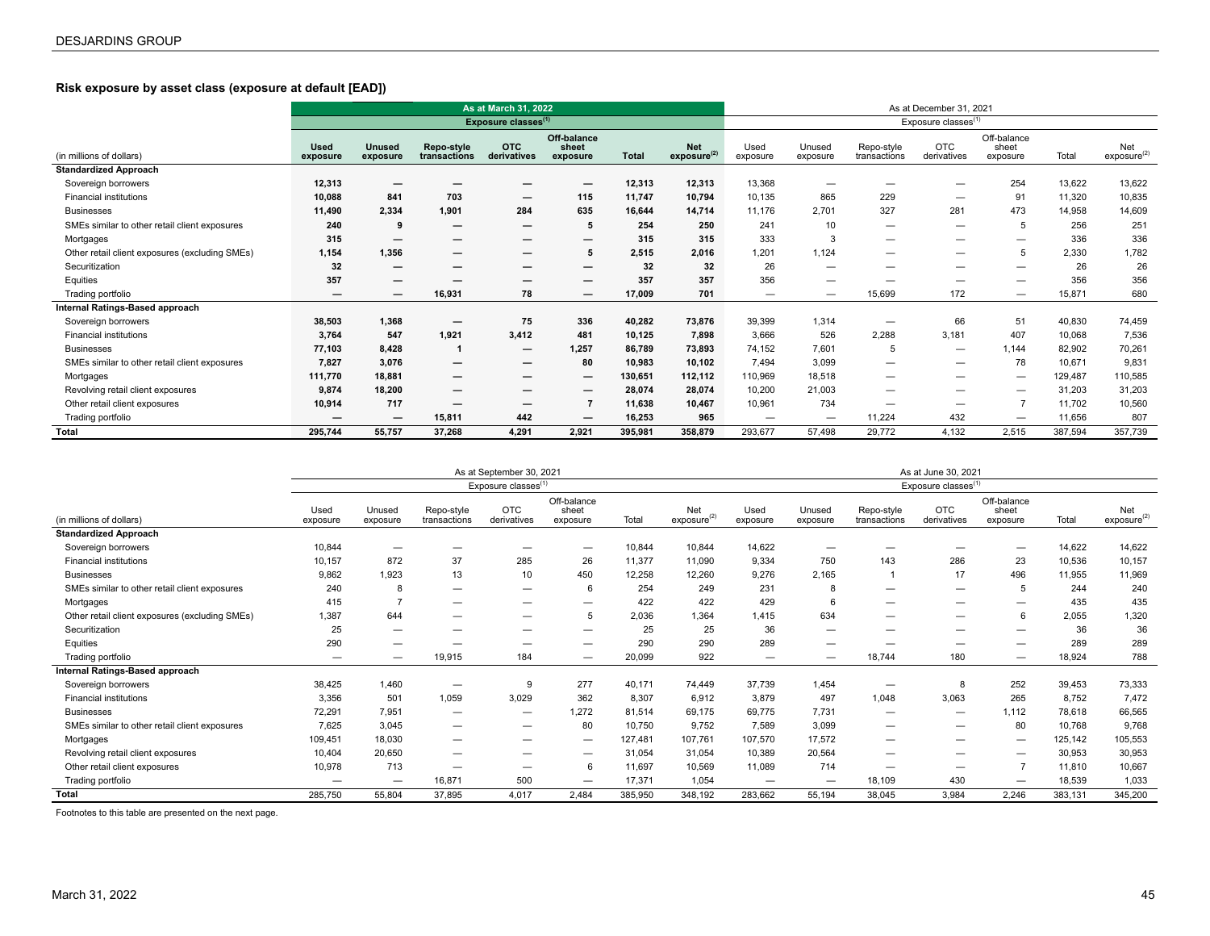# **Risk exposure by asset class (exposure at default [EAD])**

|                                                |                          |                           |                            | As at March 31, 2022            |                                  |              |                                       |                          |                          |                            | As at December 31, 2021         |                                  |         |                                |
|------------------------------------------------|--------------------------|---------------------------|----------------------------|---------------------------------|----------------------------------|--------------|---------------------------------------|--------------------------|--------------------------|----------------------------|---------------------------------|----------------------------------|---------|--------------------------------|
|                                                |                          |                           |                            | Exposure classes <sup>(1)</sup> |                                  |              |                                       |                          |                          |                            | Exposure classes <sup>(1)</sup> |                                  |         |                                |
| (in millions of dollars)                       | <b>Used</b><br>exposure  | <b>Unused</b><br>exposure | Repo-style<br>transactions | <b>OTC</b><br>derivatives       | Off-balance<br>sheet<br>exposure | <b>Total</b> | <b>Net</b><br>exposure <sup>(2)</sup> | Used<br>exposure         | Unused<br>exposure       | Repo-style<br>transactions | <b>OTC</b><br>derivatives       | Off-balance<br>sheet<br>exposure | Total   | Net<br>exposure <sup>(2)</sup> |
| <b>Standardized Approach</b>                   |                          |                           |                            |                                 |                                  |              |                                       |                          |                          |                            |                                 |                                  |         |                                |
| Sovereign borrowers                            | 12,313                   |                           |                            |                                 | —                                | 12,313       | 12,313                                | 13,368                   | —                        | $\overline{\phantom{0}}$   | $\overline{\phantom{0}}$        | 254                              | 13,622  | 13,622                         |
| <b>Financial institutions</b>                  | 10,088                   | 841                       | 703                        | $\overline{\phantom{m}}$        | 115                              | 11,747       | 10,794                                | 10,135                   | 865                      | 229                        | $\overline{\phantom{0}}$        | 91                               | 11,320  | 10,835                         |
| <b>Businesses</b>                              | 11,490                   | 2,334                     | 1,901                      | 284                             | 635                              | 16,644       | 14,714                                | 11,176                   | 2,701                    | 327                        | 281                             | 473                              | 14,958  | 14,609                         |
| SMEs similar to other retail client exposures  | 240                      | 9                         | $\overline{\phantom{m}}$   | $\overline{\phantom{m}}$        | 5                                | 254          | 250                                   | 241                      | 10                       | $\overline{\phantom{0}}$   | $\overline{\phantom{0}}$        | 5                                | 256     | 251                            |
| Mortgages                                      | 315                      |                           | $\overline{\phantom{m}}$   | $\overline{\phantom{m}}$        | $\overline{\phantom{0}}$         | 315          | 315                                   | 333                      | 3                        | $\overline{\phantom{0}}$   | $\overline{\phantom{0}}$        | $\overline{\phantom{m}}$         | 336     | 336                            |
| Other retail client exposures (excluding SMEs) | 1,154                    | 1.356                     | $\overline{\phantom{m}}$   | $\overline{\phantom{m}}$        | 5                                | 2,515        | 2,016                                 | 1,201                    | 1,124                    | $\overline{\phantom{0}}$   | $\qquad \qquad \longleftarrow$  | 5                                | 2,330   | 1,782                          |
| Securitization                                 | 32                       | —                         | $\overline{\phantom{m}}$   | $\overline{\phantom{0}}$        | —                                | 32           | 32                                    | 26                       | —                        |                            | $\qquad \qquad \longleftarrow$  | $\overline{\phantom{0}}$         | 26      | 26                             |
| Equities                                       | 357                      |                           |                            |                                 | —                                | 357          | 357                                   | 356                      | -                        | -                          | $\overline{\phantom{0}}$        | –                                | 356     | 356                            |
| Trading portfolio                              | $\overline{\phantom{m}}$ |                           | 16,931                     | 78                              |                                  | 17.009       | 701                                   | $\overline{\phantom{m}}$ | —                        | 15,699                     | 172                             | $\overline{\phantom{0}}$         | 15,871  | 680                            |
| Internal Ratings-Based approach                |                          |                           |                            |                                 |                                  |              |                                       |                          |                          |                            |                                 |                                  |         |                                |
| Sovereign borrowers                            | 38,503                   | 1.368                     | $\overline{\phantom{m}}$   | 75                              | 336                              | 40,282       | 73,876                                | 39,399                   | 1,314                    | $\overline{\phantom{0}}$   | 66                              | 51                               | 40,830  | 74,459                         |
| <b>Financial institutions</b>                  | 3,764                    | 547                       | 1,921                      | 3,412                           | 481                              | 10,125       | 7,898                                 | 3,666                    | 526                      | 2,288                      | 3.181                           | 407                              | 10,068  | 7,536                          |
| <b>Businesses</b>                              | 77,103                   | 8.428                     |                            | $\overline{\phantom{m}}$        | 1,257                            | 86,789       | 73,893                                | 74,152                   | 7,601                    | 5                          | $\qquad \qquad \longleftarrow$  | 1,144                            | 82,902  | 70,261                         |
| SMEs similar to other retail client exposures  | 7,827                    | 3.076                     | $\overline{\phantom{m}}$   | $\overline{\phantom{m}}$        | 80                               | 10,983       | 10,102                                | 7,494                    | 3,099                    | $\overline{\phantom{0}}$   | $\overline{\phantom{0}}$        | 78                               | 10,671  | 9,831                          |
| Mortgages                                      | 111,770                  | 18,881                    | $\overline{\phantom{m}}$   |                                 | $\overline{\phantom{0}}$         | 130,651      | 112,112                               | 110,969                  | 18,518                   | $\overline{\phantom{0}}$   | $\overline{\phantom{0}}$        | $\overline{\phantom{m}}$         | 129,487 | 110,585                        |
| Revolving retail client exposures              | 9,874                    | 18,200                    |                            |                                 | $\overline{\phantom{0}}$         | 28,074       | 28,074                                | 10,200                   | 21,003                   | $\overline{\phantom{0}}$   | $\overline{\phantom{0}}$        |                                  | 31,203  | 31,203                         |
| Other retail client exposures                  | 10,914                   | 717                       |                            | $\overline{\phantom{m}}$        | $\overline{7}$                   | 11,638       | 10,467                                | 10,961                   | 734                      | $\overline{\phantom{0}}$   | $\overline{\phantom{0}}$        |                                  | 11,702  | 10,560                         |
| Trading portfolio                              | -                        |                           | 15,811                     | 442                             |                                  | 16,253       | 965                                   | $\overline{\phantom{0}}$ | $\overline{\phantom{0}}$ | 11,224                     | 432                             | $\overline{\phantom{0}}$         | 11,656  | 807                            |
| Total                                          | 295,744                  | 55,757                    | 37,268                     | 4,291                           | 2,921                            | 395,981      | 358,879                               | 293,677                  | 57,498                   | 29,772                     | 4,132                           | 2,515                            | 387,594 | 357,739                        |

|                                                |                          |                    |                            | As at September 30, 2021        |                                  |         |                                |                  |                    |                            | As at June 30, 2021             |                                  |         |                                |
|------------------------------------------------|--------------------------|--------------------|----------------------------|---------------------------------|----------------------------------|---------|--------------------------------|------------------|--------------------|----------------------------|---------------------------------|----------------------------------|---------|--------------------------------|
|                                                |                          |                    |                            | Exposure classes <sup>(1)</sup> |                                  |         |                                |                  |                    |                            | Exposure classes <sup>(1)</sup> |                                  |         |                                |
| (in millions of dollars)                       | Used<br>exposure         | Unused<br>exposure | Repo-style<br>transactions | <b>OTC</b><br>derivatives       | Off-balance<br>sheet<br>exposure | Total   | Net<br>exposure <sup>(2)</sup> | Used<br>exposure | Unused<br>exposure | Repo-style<br>transactions | <b>OTC</b><br>derivatives       | Off-balance<br>sheet<br>exposure | Total   | Net<br>exposure <sup>(2)</sup> |
| <b>Standardized Approach</b>                   |                          |                    |                            |                                 |                                  |         |                                |                  |                    |                            |                                 |                                  |         |                                |
| Sovereign borrowers                            | 10,844                   |                    |                            |                                 | $\overline{\phantom{0}}$         | 10,844  | 10,844                         | 14,622           |                    |                            |                                 |                                  | 14,622  | 14,622                         |
| <b>Financial institutions</b>                  | 10,157                   | 872                | 37                         | 285                             | 26                               | 11,377  | 11,090                         | 9,334            | 750                | 143                        | 286                             | 23                               | 10,536  | 10,157                         |
| <b>Businesses</b>                              | 9,862                    | 1.923              | 13                         | 10                              | 450                              | 12,258  | 12,260                         | 9,276            | 2,165              |                            | 17                              | 496                              | 11,955  | 11,969                         |
| SMEs similar to other retail client exposures  | 240                      | 8                  | —                          | $\overline{\phantom{0}}$        | 6                                | 254     | 249                            | 231              | 8                  | -                          | —                               |                                  | 244     | 240                            |
| Mortgages                                      | 415                      |                    | —                          | —                               | $\overline{\phantom{0}}$         | 422     | 422                            | 429              | 6                  | —                          | —                               |                                  | 435     | 435                            |
| Other retail client exposures (excluding SMEs) | .387                     | 644                | -                          | —                               | 5                                | 2,036   | 1,364                          | 1,415            | 634                | —                          | —                               | 6                                | 2,055   | 1,320                          |
| Securitization                                 | 25                       |                    | --                         | _                               | $\overline{\phantom{0}}$         | 25      | 25                             | 36               | —                  | -                          | —                               | -                                | 36      | 36                             |
| Equities                                       | 290                      | -                  |                            |                                 | $\overline{\phantom{0}}$         | 290     | 290                            | 289              | -                  |                            | -                               | -                                | 289     | 289                            |
| Trading portfolio                              | $\overline{\phantom{0}}$ | -                  | 19,915                     | 184                             | $\qquad \qquad \qquad$           | 20,099  | 922                            | -                | _                  | 18,744                     | 180                             | $\overline{\phantom{m}}$         | 18,924  | 788                            |
| Internal Ratings-Based approach                |                          |                    |                            |                                 |                                  |         |                                |                  |                    |                            |                                 |                                  |         |                                |
| Sovereign borrowers                            | 38,425                   | 1,460              |                            | 9                               | 277                              | 40,171  | 74,449                         | 37,739           | 1,454              | —                          | 8                               | 252                              | 39,453  | 73,333                         |
| <b>Financial institutions</b>                  | 3,356                    | 501                | 1,059                      | 3,029                           | 362                              | 8,307   | 6,912                          | 3,879            | 497                | 1,048                      | 3,063                           | 265                              | 8,752   | 7,472                          |
| <b>Businesses</b>                              | 72,291                   | 7.951              | —                          | $\overline{\phantom{0}}$        | 1,272                            | 81,514  | 69,175                         | 69,775           | 7,731              | —                          | $\overline{\phantom{m}}$        | 1,112                            | 78,618  | 66,565                         |
| SMEs similar to other retail client exposures  | 7,625                    | 3,045              | $\overline{\phantom{0}}$   | $\qquad \qquad \qquad$          | 80                               | 10,750  | 9,752                          | 7,589            | 3,099              | $\overline{\phantom{0}}$   | $\overline{\phantom{0}}$        | 80                               | 10,768  | 9,768                          |
| Mortgages                                      | 109,451                  | 18,030             | $\overline{\phantom{0}}$   | $\overline{\phantom{0}}$        | $\overline{\phantom{0}}$         | 127,481 | 107,761                        | 107,570          | 17,572             | $\overline{\phantom{0}}$   | —                               | $\overline{\phantom{m}}$         | 125,142 | 105,553                        |
| Revolving retail client exposures              | 10,404                   | 20,650             | —                          | $\qquad \qquad \longleftarrow$  | $\overline{\phantom{0}}$         | 31,054  | 31,054                         | 10,389           | 20,564             | —                          | —                               | $\overline{\phantom{0}}$         | 30,953  | 30,953                         |
| Other retail client exposures                  | 10,978                   | 713                | —                          | $\overline{\phantom{0}}$        | 6                                | 11,697  | 10,569                         | 11,089           | 714                | —                          | —                               |                                  | 11,810  | 10,667                         |
| Trading portfolio                              |                          |                    | 16,871                     | 500                             | $\qquad \qquad \qquad$           | 17,371  | 1,054                          |                  | —                  | 18,109                     | 430                             |                                  | 18,539  | 1,033                          |
| <b>Total</b>                                   | 285,750                  | 55,804             | 37,895                     | 4,017                           | 2,484                            | 385,950 | 348,192                        | 283,662          | 55,194             | 38,045                     | 3,984                           | 2,246                            | 383,131 | 345,200                        |

Footnotes to this table are presented on the next page.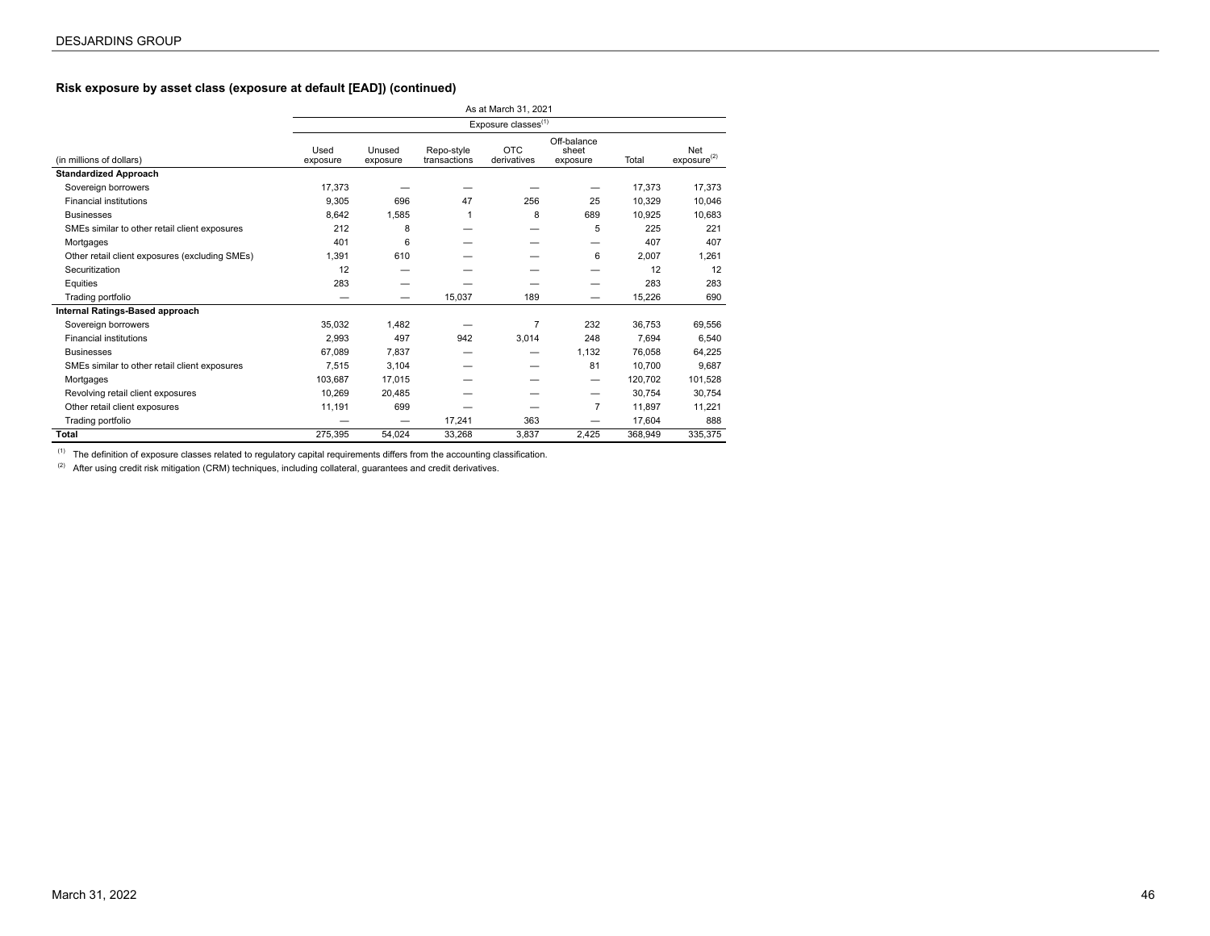# **Risk exposure by asset class (exposure at default [EAD]) (continued)**

|                                                |                  |                    |                            | As at March 31, 2021            |                                  |         |                                |
|------------------------------------------------|------------------|--------------------|----------------------------|---------------------------------|----------------------------------|---------|--------------------------------|
|                                                |                  |                    |                            | Exposure classes <sup>(1)</sup> |                                  |         |                                |
| (in millions of dollars)                       | Used<br>exposure | Unused<br>exposure | Repo-style<br>transactions | <b>OTC</b><br>derivatives       | Off-balance<br>sheet<br>exposure | Total   | Net<br>exposure <sup>(2)</sup> |
| <b>Standardized Approach</b>                   |                  |                    |                            |                                 |                                  |         |                                |
| Sovereign borrowers                            | 17.373           |                    |                            |                                 |                                  | 17.373  | 17.373                         |
| <b>Financial institutions</b>                  | 9,305            | 696                | 47                         | 256                             | 25                               | 10.329  | 10,046                         |
| <b>Businesses</b>                              | 8.642            | 1,585              | 1                          | 8                               | 689                              | 10.925  | 10.683                         |
| SMEs similar to other retail client exposures  | 212              | 8                  |                            |                                 | 5                                | 225     | 221                            |
| Mortgages                                      | 401              | 6                  |                            |                                 |                                  | 407     | 407                            |
| Other retail client exposures (excluding SMEs) | 1.391            | 610                |                            |                                 | 6                                | 2.007   | 1.261                          |
| Securitization                                 | 12               |                    |                            |                                 |                                  | 12      | 12                             |
| Equities                                       | 283              |                    |                            |                                 |                                  | 283     | 283                            |
| Trading portfolio                              |                  |                    | 15,037                     | 189                             | –                                | 15,226  | 690                            |
| Internal Ratings-Based approach                |                  |                    |                            |                                 |                                  |         |                                |
| Sovereign borrowers                            | 35.032           | 1.482              |                            | $\overline{7}$                  | 232                              | 36.753  | 69,556                         |
| <b>Financial institutions</b>                  | 2,993            | 497                | 942                        | 3.014                           | 248                              | 7.694   | 6,540                          |
| <b>Businesses</b>                              | 67.089           | 7.837              |                            |                                 | 1.132                            | 76.058  | 64.225                         |
| SMEs similar to other retail client exposures  | 7.515            | 3.104              |                            |                                 | 81                               | 10.700  | 9,687                          |
| Mortgages                                      | 103,687          | 17,015             |                            |                                 | $\overline{\phantom{m}}$         | 120,702 | 101,528                        |
| Revolving retail client exposures              | 10,269           | 20.485             |                            |                                 | —                                | 30,754  | 30,754                         |
| Other retail client exposures                  | 11,191           | 699                |                            |                                 | $\overline{7}$                   | 11,897  | 11,221                         |
| Trading portfolio                              |                  |                    | 17,241                     | 363                             |                                  | 17,604  | 888                            |
| <b>Total</b>                                   | 275.395          | 54.024             | 33,268                     | 3,837                           | 2,425                            | 368.949 | 335,375                        |

 $(1)$  The definition of exposure classes related to regulatory capital requirements differs from the accounting classification.

 $(2)$  After using credit risk mitigation (CRM) techniques, including collateral, guarantees and credit derivatives.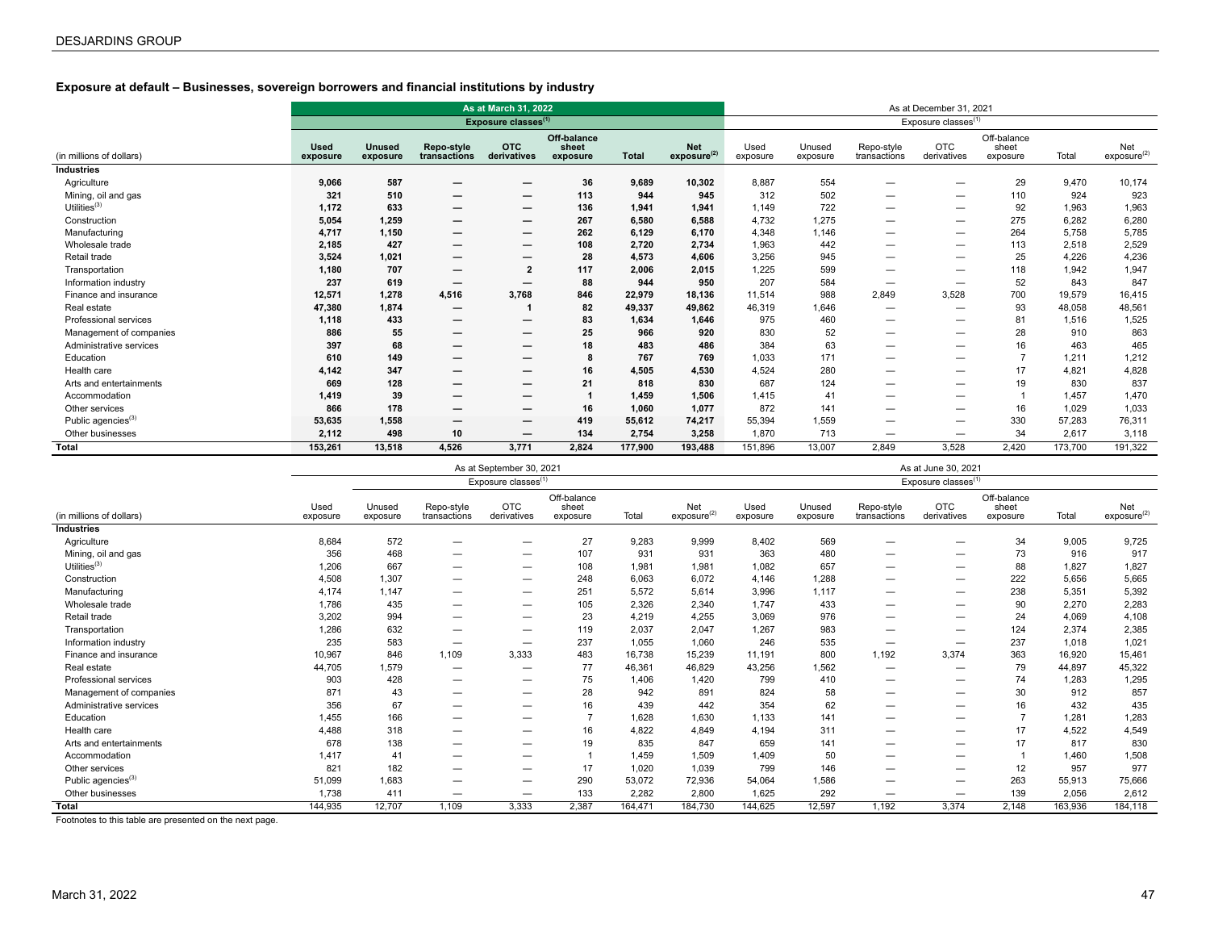# **Exposure at default – Businesses, sovereign borrowers and financial institutions by industry**

|                                |                         |                           |                            | As at March 31, 2022            |                                  |              |                                       |                  |                    |                            | As at December 31, 2021         |                                  |         |                                |
|--------------------------------|-------------------------|---------------------------|----------------------------|---------------------------------|----------------------------------|--------------|---------------------------------------|------------------|--------------------|----------------------------|---------------------------------|----------------------------------|---------|--------------------------------|
|                                |                         |                           |                            | Exposure classes <sup>(1)</sup> |                                  |              |                                       |                  |                    |                            | Exposure classes <sup>(1)</sup> |                                  |         |                                |
| (in millions of dollars)       | <b>Used</b><br>exposure | <b>Unused</b><br>exposure | Repo-style<br>transactions | <b>OTC</b><br>derivatives       | Off-balance<br>sheet<br>exposure | <b>Total</b> | <b>Net</b><br>exposure <sup>(2)</sup> | Used<br>exposure | Unused<br>exposure | Repo-style<br>transactions | <b>OTC</b><br>derivatives       | Off-balance<br>sheet<br>exposure | Total   | Net<br>exposure <sup>(2)</sup> |
| <b>Industries</b>              |                         |                           |                            |                                 |                                  |              |                                       |                  |                    |                            |                                 |                                  |         |                                |
| Agriculture                    | 9,066                   | 587                       | -                          | $\overline{\phantom{m}}$        | 36                               | 9,689        | 10,302                                | 8,887            | 554                | —                          | —                               | 29                               | 9.470   | 10,174                         |
| Mining, oil and gas            | 321                     | 510                       | -                          |                                 | 113                              | 944          | 945                                   | 312              | 502                | —                          | —                               | 110                              | 924     | 923                            |
| Utilities $(3)$                | 1,172                   | 633                       | –                          |                                 | 136                              | 1,941        | 1,941                                 | 1,149            | 722                | —                          | –                               | 92                               | 1.963   | 1,963                          |
| Construction                   | 5,054                   | 1.259                     | —                          | $\overline{\phantom{m}}$        | 267                              | 6.580        | 6,588                                 | 4,732            | 1,275              | —                          | $\overline{\phantom{0}}$        | 275                              | 6.282   | 6,280                          |
| Manufacturing                  | 4,717                   | 1,150                     | -                          |                                 | 262                              | 6,129        | 6,170                                 | 4,348            | 1,146              | —                          | —                               | 264                              | 5.758   | 5,785                          |
| Wholesale trade                | 2,185                   | 427                       | -                          | $\overline{\phantom{m}}$        | 108                              | 2,720        | 2,734                                 | 1,963            | 442                | —                          | —                               | 113                              | 2,518   | 2,529                          |
| Retail trade                   | 3,524                   | 1,021                     | -                          |                                 | 28                               | 4,573        | 4,606                                 | 3,256            | 945                | —                          | —                               | 25                               | 4,226   | 4,236                          |
| Transportation                 | 1,180                   | 707                       | $\overline{\phantom{0}}$   | $\overline{2}$                  | 117                              | 2,006        | 2,015                                 | 1,225            | 599                | —                          | —                               | 118                              | 1.942   | 1,947                          |
| Information industry           | 237                     | 619                       |                            | $\overline{\phantom{m}}$        | 88                               | 944          | 950                                   | 207              | 584                | $\overline{\phantom{0}}$   | $\qquad \qquad \qquad$          | 52                               | 843     | 847                            |
| Finance and insurance          | 12,571                  | 1,278                     | 4,516                      | 3,768                           | 846                              | 22,979       | 18,136                                | 11,514           | 988                | 2,849                      | 3,528                           | 700                              | 19,579  | 16,415                         |
| Real estate                    | 47,380                  | 1,874                     | -                          |                                 | 82                               | 49,337       | 49,862                                | 46,319           | 1,646              |                            | –                               | 93                               | 48,058  | 48,561                         |
| Professional services          | 1,118                   | 433                       |                            | $\overline{\phantom{m}}$        | 83                               | 1,634        | 1,646                                 | 975              | 460                | —                          | —                               | 81                               | 1,516   | 1,525                          |
| Management of companies        | 886                     | 55                        |                            |                                 | 25                               | 966          | 920                                   | 830              | 52                 | —                          | —                               | 28                               | 910     | 863                            |
| Administrative services        | 397                     | 68                        |                            | $\overline{\phantom{m}}$        | 18                               | 483          | 486                                   | 384              | 63                 | —                          | —                               | 16                               | 463     | 465                            |
| Education                      | 610                     | 149                       | –                          | $\overline{\phantom{m}}$        | 8                                | 767          | 769                                   | 1,033            | 171                | —                          | —                               | $\overline{7}$                   | 1,211   | 1,212                          |
| Health care                    | 4,142                   | 347                       | $\overline{\phantom{0}}$   | $\overline{\phantom{m}}$        | 16                               | 4,505        | 4,530                                 | 4,524            | 280                | —                          | —                               | 17                               | 4.821   | 4,828                          |
| Arts and entertainments        | 669                     | 128                       |                            | $\overline{\phantom{m}}$        | 21                               | 818          | 830                                   | 687              | 124                | —                          | —                               | 19                               | 830     | 837                            |
| Accommodation                  | 1,419                   | 39                        | –                          | $\overline{\phantom{m}}$        |                                  | 1.459        | 1.506                                 | 1,415            | 41                 | —                          | —                               |                                  | 1.457   | 1,470                          |
| Other services                 | 866                     | 178                       |                            | -                               | 16                               | 1.060        | 1.077                                 | 872              | 141                | —                          | —                               | 16                               | 1.029   | 1,033                          |
| Public agencies <sup>(3)</sup> | 53.635                  | 1.558                     | $\overline{\phantom{m}}$   | $\overline{\phantom{m}}$        | 419                              | 55.612       | 74.217                                | 55,394           | 1.559              | $\overline{\phantom{m}}$   | —                               | 330                              | 57.283  | 76,311                         |
| Other businesses               | 2,112                   | 498                       | 10                         | $\overline{\phantom{m}}$        | 134                              | 2,754        | 3,258                                 | 1,870            | 713                | —                          | -                               | 34                               | 2,617   | 3,118                          |
| <b>Total</b>                   | 153,261                 | 13,518                    | 4,526                      | 3,771                           | 2,824                            | 177,900      | 193,488                               | 151,896          | 13,007             | 2,849                      | 3,528                           | 2,420                            | 173,700 | 191,322                        |

|                                |                  |                    |                            | As at September 30, 2021        |                                  |         |                                |                  |                    |                            | As at June 30, 2021       |                                  |         |                                |
|--------------------------------|------------------|--------------------|----------------------------|---------------------------------|----------------------------------|---------|--------------------------------|------------------|--------------------|----------------------------|---------------------------|----------------------------------|---------|--------------------------------|
|                                |                  |                    |                            | Exposure classes <sup>(1)</sup> |                                  |         |                                |                  |                    |                            | Exposure classes $(1)$    |                                  |         |                                |
| (in millions of dollars)       | Used<br>exposure | Unused<br>exposure | Repo-style<br>transactions | <b>OTC</b><br>derivatives       | Off-balance<br>sheet<br>exposure | Total   | Net<br>exposure <sup>(2)</sup> | Used<br>exposure | Unused<br>exposure | Repo-style<br>transactions | <b>OTC</b><br>derivatives | Off-balance<br>sheet<br>exposure | Total   | Net<br>exposure <sup>(2)</sup> |
| <b>Industries</b>              |                  |                    |                            |                                 |                                  |         |                                |                  |                    |                            |                           |                                  |         |                                |
| Agriculture                    | 8,684            | 572                | $\overline{\phantom{0}}$   |                                 | 27                               | 9,283   | 9,999                          | 8,402            | 569                | -                          | —                         | 34                               | 9,005   | 9,725                          |
| Mining, oil and gas            | 356              | 468                | $\overline{\phantom{0}}$   |                                 | 107                              | 931     | 931                            | 363              | 480                | —                          |                           | 73                               | 916     | 917                            |
| Utilities $(3)$                | 1.206            | 667                | –                          | -                               | 108                              | 1,981   | 1,981                          | 1,082            | 657                | -                          | —                         | 88                               | 1.827   | 1,827                          |
| Construction                   | 4,508            | 1,307              | $\overline{\phantom{0}}$   | $\overline{\phantom{0}}$        | 248                              | 6,063   | 6,072                          | 4,146            | 1,288              | -                          | -                         | 222                              | 5,656   | 5,665                          |
| Manufacturing                  | 4,174            | 1,147              | $\overline{\phantom{0}}$   | -                               | 251                              | 5,572   | 5,614                          | 3,996            | 1,117              | —                          |                           | 238                              | 5,351   | 5,392                          |
| Wholesale trade                | 1.786            | 435                | -                          | -                               | 105                              | 2,326   | 2,340                          | 1.747            | 433                | -                          | -                         | 90                               | 2.270   | 2,283                          |
| Retail trade                   | 3,202            | 994                |                            | $\overline{\phantom{0}}$        | 23                               | 4.219   | 4,255                          | 3,069            | 976                | —                          | —                         | 24                               | 4.069   | 4,108                          |
| Transportation                 | 1,286            | 632                | $\overline{\phantom{0}}$   |                                 | 119                              | 2,037   | 2,047                          | 1,267            | 983                | —                          | —                         | 124                              | 2,374   | 2,385                          |
| Information industry           | 235              | 583                | $\overline{\phantom{0}}$   | -                               | 237                              | 1,055   | 1,060                          | 246              | 535                | -                          |                           | 237                              | 1,018   | 1,021                          |
| Finance and insurance          | 10,967           | 846                | 1,109                      | 3,333                           | 483                              | 16.738  | 15.239                         | 11.191           | 800                | 1,192                      | 3.374                     | 363                              | 16,920  | 15,461                         |
| Real estate                    | 44,705           | 1,579              | $\overline{\phantom{0}}$   |                                 | 77                               | 46,361  | 46,829                         | 43,256           | 1,562              | $\overline{\phantom{0}}$   |                           | 79                               | 44,897  | 45,322                         |
| Professional services          | 903              | 428                | $\overline{\phantom{0}}$   | -                               | 75                               | 1,406   | 1,420                          | 799              | 410                | -                          |                           | 74                               | 1.283   | 1,295                          |
| Management of companies        | 871              | 43                 | $\overline{\phantom{0}}$   |                                 | 28                               | 942     | 891                            | 824              | 58                 | —                          |                           | 30                               | 912     | 857                            |
| Administrative services        | 356              | 67                 |                            | $\overline{\phantom{0}}$        | 16                               | 439     | 442                            | 354              | 62                 | —                          |                           | 16                               | 432     | 435                            |
| Education                      | 1,455            | 166                | $\overline{\phantom{0}}$   | -                               | $\overline{7}$                   | 1,628   | 1,630                          | 1,133            | 141                | —                          |                           |                                  | 1.281   | 1,283                          |
| Health care                    | 4,488            | 318                | $\overline{\phantom{m}}$   |                                 | 16                               | 4,822   | 4,849                          | 4,194            | 311                | -                          | —                         | 17                               | 4.522   | 4,549                          |
| Arts and entertainments        | 678              | 138                | $\overline{\phantom{0}}$   | $\overline{\phantom{0}}$        | 19                               | 835     | 847                            | 659              | 141                | —                          | —                         | 17                               | 817     | 830                            |
| Accommodation                  | 1,417            | 41                 | $\overline{\phantom{0}}$   | $\overline{\phantom{0}}$        |                                  | 1,459   | 1,509                          | 1,409            | 50                 | —                          |                           |                                  | 1,460   | 1,508                          |
| Other services                 | 821              | 182                | $\overline{\phantom{m}}$   |                                 | 17                               | 1,020   | 1.039                          | 799              | 146                | -                          | -                         | 12                               | 957     | 977                            |
| Public agencies <sup>(3)</sup> | 51,099           | 1,683              | $\overline{\phantom{0}}$   |                                 | 290                              | 53,072  | 72,936                         | 54,064           | 1,586              | -                          |                           | 263                              | 55,913  | 75,666                         |
| Other businesses               | 1,738            | 411                |                            | $\overline{\phantom{0}}$        | 133                              | 2,282   | 2,800                          | 1,625            | 292                | —                          |                           | 139                              | 2,056   | 2,612                          |
| <b>Total</b>                   | 144,935          | 12.707             | 1.109                      | 3,333                           | 2,387                            | 164.471 | 184,730                        | 144.625          | 12,597             | 1,192                      | 3.374                     | 2.148                            | 163,936 | 184,118                        |

Footnotes to this table are presented on the next page.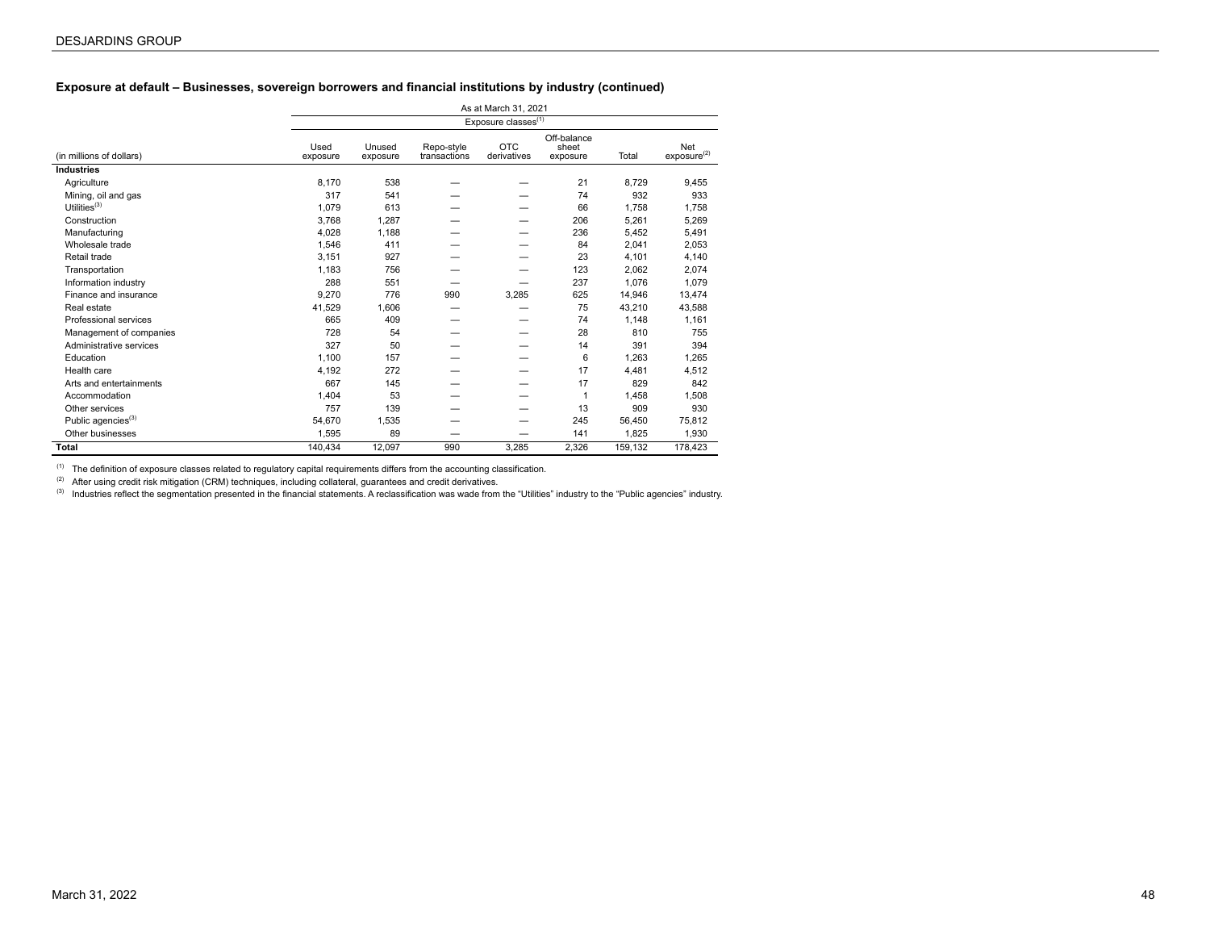### **Exposure at default – Businesses, sovereign borrowers and financial institutions by industry (continued)**

|                                |                  |                    |                            | As at March 31, 2021            |                                  |         |                                       |
|--------------------------------|------------------|--------------------|----------------------------|---------------------------------|----------------------------------|---------|---------------------------------------|
|                                |                  |                    |                            | Exposure classes <sup>(1)</sup> |                                  |         |                                       |
| (in millions of dollars)       | Used<br>exposure | Unused<br>exposure | Repo-style<br>transactions | <b>OTC</b><br>derivatives       | Off-balance<br>sheet<br>exposure | Total   | <b>Net</b><br>exposure <sup>(2)</sup> |
| <b>Industries</b>              |                  |                    |                            |                                 |                                  |         |                                       |
| Agriculture                    | 8,170            | 538                |                            |                                 | 21                               | 8,729   | 9,455                                 |
| Mining, oil and gas            | 317              | 541                |                            |                                 | 74                               | 932     | 933                                   |
| Utilities $(3)$                | 1,079            | 613                |                            |                                 | 66                               | 1,758   | 1,758                                 |
| Construction                   | 3,768            | 1.287              |                            |                                 | 206                              | 5,261   | 5,269                                 |
| Manufacturing                  | 4,028            | 1,188              |                            |                                 | 236                              | 5,452   | 5,491                                 |
| Wholesale trade                | 1,546            | 411                |                            |                                 | 84                               | 2,041   | 2,053                                 |
| Retail trade                   | 3,151            | 927                |                            |                                 | 23                               | 4,101   | 4,140                                 |
| Transportation                 | 1,183            | 756                |                            |                                 | 123                              | 2,062   | 2,074                                 |
| Information industry           | 288              | 551                |                            |                                 | 237                              | 1,076   | 1,079                                 |
| Finance and insurance          | 9.270            | 776                | 990                        | 3,285                           | 625                              | 14,946  | 13,474                                |
| Real estate                    | 41.529           | 1.606              |                            |                                 | 75                               | 43,210  | 43,588                                |
| Professional services          | 665              | 409                |                            |                                 | 74                               | 1,148   | 1,161                                 |
| Management of companies        | 728              | 54                 |                            |                                 | 28                               | 810     | 755                                   |
| Administrative services        | 327              | 50                 |                            |                                 | 14                               | 391     | 394                                   |
| Education                      | 1,100            | 157                |                            |                                 | 6                                | 1,263   | 1,265                                 |
| Health care                    | 4,192            | 272                |                            |                                 | 17                               | 4,481   | 4,512                                 |
| Arts and entertainments        | 667              | 145                |                            |                                 | 17                               | 829     | 842                                   |
| Accommodation                  | 1,404            | 53                 |                            |                                 | $\mathbf{1}$                     | 1,458   | 1,508                                 |
| Other services                 | 757              | 139                |                            |                                 | 13                               | 909     | 930                                   |
| Public agencies <sup>(3)</sup> | 54,670           | 1,535              |                            |                                 | 245                              | 56,450  | 75,812                                |
| Other businesses               | 1,595            | 89                 |                            |                                 | 141                              | 1,825   | 1,930                                 |
| Total                          | 140,434          | 12.097             | 990                        | 3.285                           | 2.326                            | 159.132 | 178.423                               |

 $(1)$  The definition of exposure classes related to regulatory capital requirements differs from the accounting classification.

(2) After using credit risk mitigation (CRM) techniques, including collateral, guarantees and credit derivatives.

(3) Industries reflect the segmentation presented in the financial statements. A reclassification was wade from the "Utilities" industry to the "Public agencies" industry.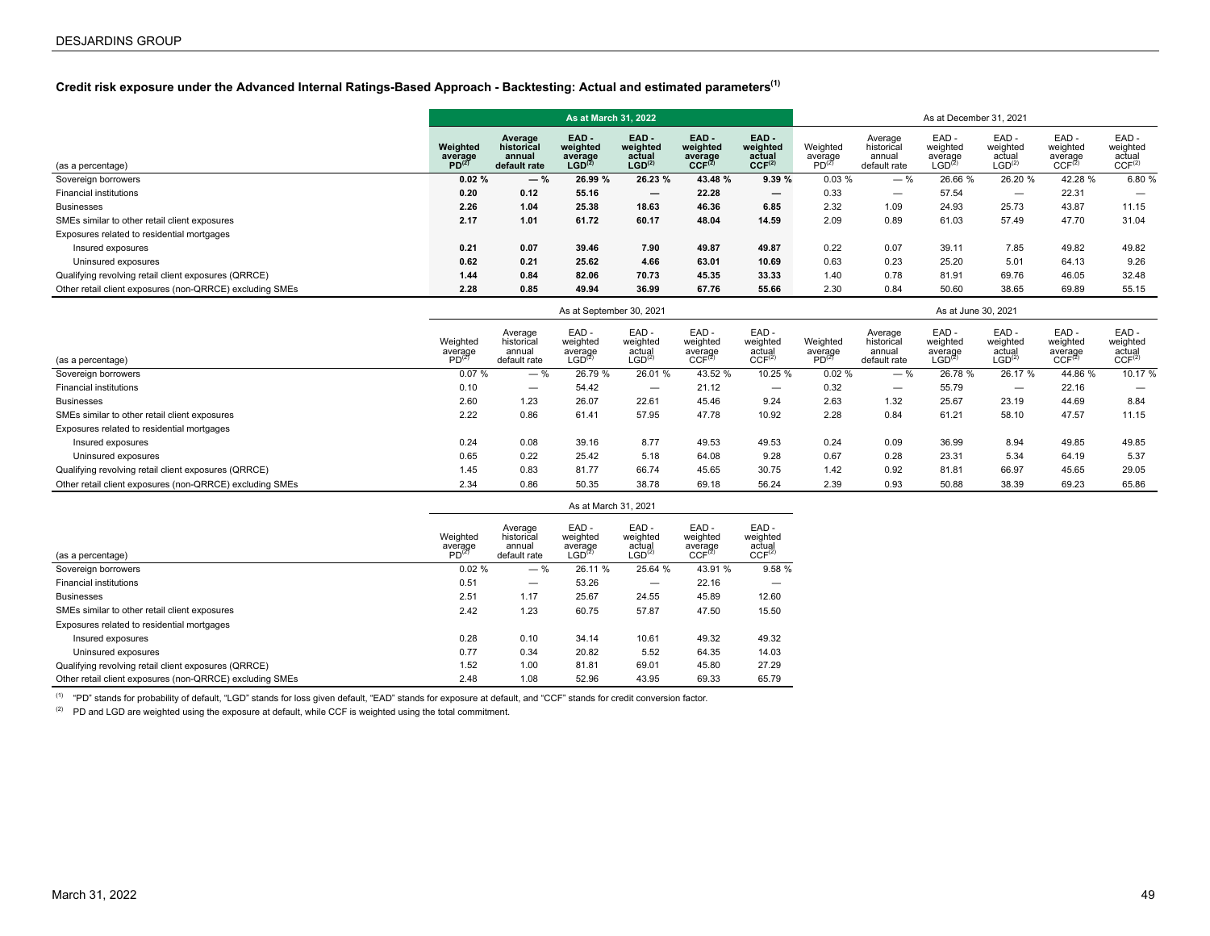# **Credit risk exposure under the Advanced Internal Ratings-Based Approach - Backtesting: Actual and estimated parameters(1)**

|                                                          |                                          |                                                 | As at March 31, 2022                              |                                                     |                                                      |                                                  | As at December 31, 2021                  |                                                 |                                                   |                                                 |                                                   |                                                  |  |  |
|----------------------------------------------------------|------------------------------------------|-------------------------------------------------|---------------------------------------------------|-----------------------------------------------------|------------------------------------------------------|--------------------------------------------------|------------------------------------------|-------------------------------------------------|---------------------------------------------------|-------------------------------------------------|---------------------------------------------------|--------------------------------------------------|--|--|
| (as a percentage)                                        | Weighted<br>average<br>PD <sup>(2)</sup> | Average<br>historical<br>annual<br>default rate | EAD-<br>weighted<br>average<br>LGD <sup>(2)</sup> | $EAD -$<br>weighted<br>actual<br>LGD <sup>(2)</sup> | $EAD -$<br>weighted<br>average<br>CCF <sup>(2)</sup> | EAD-<br>weighted<br>actual<br>CCF <sup>(2)</sup> | Weighted<br>average<br>PD <sup>(2)</sup> | Average<br>historical<br>annual<br>default rate | EAD-<br>weighted<br>average<br>LGD <sup>(2)</sup> | EAD-<br>weighted<br>actual<br>${\sf LGD}^{(2)}$ | EAD-<br>weighted<br>average<br>CCF <sup>(2)</sup> | EAD-<br>weighted<br>actual<br>CCF <sup>(2)</sup> |  |  |
| Sovereign borrowers                                      | 0.02%                                    | $-$ %                                           | 26.99 %                                           | 26.23 %                                             | 43.48 %                                              | 9.39%                                            | 0.03%                                    | $-$ %                                           | 26.66 %                                           | 26.20 %                                         | 42.28 %                                           | 6.80 %                                           |  |  |
| <b>Financial institutions</b>                            | 0.20                                     | 0.12                                            | 55.16                                             | $\overline{\phantom{0}}$                            | 22.28                                                | $\overline{\phantom{0}}$                         | 0.33                                     | $\overline{\phantom{m}}$                        | 57.54                                             | $\overline{\phantom{m}}$                        | 22.31                                             | $\overline{\phantom{m}}$                         |  |  |
| <b>Businesses</b>                                        | 2.26                                     | 1.04                                            | 25.38                                             | 18.63                                               | 46.36                                                | 6.85                                             | 2.32                                     | 1.09                                            | 24.93                                             | 25.73                                           | 43.87                                             | 11.15                                            |  |  |
| SMEs similar to other retail client exposures            | 2.17                                     | 1.01                                            | 61.72                                             | 60.17                                               | 48.04                                                | 14.59                                            | 2.09                                     | 0.89                                            | 61.03                                             | 57.49                                           | 47.70                                             | 31.04                                            |  |  |
| Exposures related to residential mortgages               |                                          |                                                 |                                                   |                                                     |                                                      |                                                  |                                          |                                                 |                                                   |                                                 |                                                   |                                                  |  |  |
| Insured exposures                                        | 0.21                                     | 0.07                                            | 39.46                                             | 7.90                                                | 49.87                                                | 49.87                                            | 0.22                                     | 0.07                                            | 39.11                                             | 7.85                                            | 49.82                                             | 49.82                                            |  |  |
| Uninsured exposures                                      | 0.62                                     | 0.21                                            | 25.62                                             | 4.66                                                | 63.01                                                | 10.69                                            | 0.63                                     | 0.23                                            | 25.20                                             | 5.01                                            | 64.13                                             | 9.26                                             |  |  |
| Qualifying revolving retail client exposures (QRRCE)     | 1.44                                     | 0.84                                            | 82.06                                             | 70.73                                               | 45.35                                                | 33.33                                            | 1.40                                     | 0.78                                            | 81.91                                             | 69.76                                           | 46.05                                             | 32.48                                            |  |  |
| Other retail client exposures (non-QRRCE) excluding SMEs | 2.28                                     | 0.85                                            | 49.94                                             | 36.99                                               | 67.76                                                | 55.66                                            | 2.30                                     | 0.84                                            | 50.60                                             | 38.65                                           | 69.89                                             | 55.15                                            |  |  |

|                                                          |                                          |                                                 | As at September 30, 2021                          |                                                  |                                                    | As at June 30, 2021                               |                                          |                                                 |                                                   |                                           |                                                   |                                                  |
|----------------------------------------------------------|------------------------------------------|-------------------------------------------------|---------------------------------------------------|--------------------------------------------------|----------------------------------------------------|---------------------------------------------------|------------------------------------------|-------------------------------------------------|---------------------------------------------------|-------------------------------------------|---------------------------------------------------|--------------------------------------------------|
| (as a percentage)                                        | Weighted<br>average<br>PD <sup>(2)</sup> | Average<br>historical<br>annual<br>default rate | EAD-<br>weighted<br>average<br>LGD <sup>(2)</sup> | EAD-<br>weighted<br>actual<br>LGD <sup>(2)</sup> | EAD -<br>weighted<br>average<br>CCF <sup>(2)</sup> | EAD -<br>weighted<br>actual<br>CCF <sup>(2)</sup> | Weighted<br>average<br>PD <sup>(2)</sup> | Average<br>historical<br>annual<br>default rate | EAD-<br>weighted<br>average<br>LGD <sup>(2)</sup> | EAD-<br>weighted<br>actual<br>$LGD^{(2)}$ | EAD-<br>weighted<br>average<br>CCF <sup>(2)</sup> | EAD-<br>weighted<br>actual<br>CCF <sup>(2)</sup> |
| Sovereign borrowers                                      | 0.07%                                    | $-$ %                                           | 26.79 %                                           | 26.01 %                                          | 43.52 %                                            | 10.25 %                                           | 0.02%                                    | $-$ %                                           | 26.78 %                                           | 26.17 %                                   | 44.86 %                                           | 10.17 %                                          |
| <b>Financial institutions</b>                            | 0.10                                     | $\overline{\phantom{m}}$                        | 54.42                                             | $\overline{\phantom{m}}$                         | 21.12                                              | $\overline{\phantom{0}}$                          | 0.32                                     | –                                               | 55.79                                             | $\overline{\phantom{m}}$                  | 22.16                                             | $\overline{\phantom{m}}$                         |
| <b>Businesses</b>                                        | 2.60                                     | 1.23                                            | 26.07                                             | 22.61                                            | 45.46                                              | 9.24                                              | 2.63                                     | 1.32                                            | 25.67                                             | 23.19                                     | 44.69                                             | 8.84                                             |
| SMEs similar to other retail client exposures            | 2.22                                     | 0.86                                            | 61.41                                             | 57.95                                            | 47.78                                              | 10.92                                             | 2.28                                     | 0.84                                            | 61.21                                             | 58.10                                     | 47.57                                             | 11.15                                            |
| Exposures related to residential mortgages               |                                          |                                                 |                                                   |                                                  |                                                    |                                                   |                                          |                                                 |                                                   |                                           |                                                   |                                                  |
| Insured exposures                                        | 0.24                                     | 0.08                                            | 39.16                                             | 8.77                                             | 49.53                                              | 49.53                                             | 0.24                                     | 0.09                                            | 36.99                                             | 8.94                                      | 49.85                                             | 49.85                                            |
| Uninsured exposures                                      | 0.65                                     | 0.22                                            | 25.42                                             | 5.18                                             | 64.08                                              | 9.28                                              | 0.67                                     | 0.28                                            | 23.31                                             | 5.34                                      | 64.19                                             | 5.37                                             |
| Qualifying revolving retail client exposures (QRRCE)     | 1.45                                     | 0.83                                            | 81.77                                             | 66.74                                            | 45.65                                              | 30.75                                             | 1.42                                     | 0.92                                            | 81.81                                             | 66.97                                     | 45.65                                             | 29.05                                            |
| Other retail client exposures (non-QRRCE) excluding SMEs | 2.34                                     | 0.86                                            | 50.35                                             | 38.78                                            | 69.18                                              | 56.24                                             | 2.39                                     | 0.93                                            | 50.88                                             | 38.39                                     | 69.23                                             | 65.86                                            |

|                                                          | As at March 31, 2021                      |                                                 |                                                   |                                                  |                                                   |                                                  |  |  |  |  |
|----------------------------------------------------------|-------------------------------------------|-------------------------------------------------|---------------------------------------------------|--------------------------------------------------|---------------------------------------------------|--------------------------------------------------|--|--|--|--|
| (as a percentage)                                        | Weighted<br>average<br>PD <sup>(27)</sup> | Average<br>historical<br>annual<br>default rate | EAD-<br>weighted<br>average<br>LGD <sup>(2)</sup> | EAD-<br>weighted<br>actual<br>LGD <sup>(2)</sup> | EAD-<br>weighted<br>average<br>CCF <sup>(2)</sup> | EAD-<br>weighted<br>actual<br>CCF <sup>(2)</sup> |  |  |  |  |
| Sovereign borrowers                                      | 0.02%                                     | $-$ %                                           | 26.11 %                                           | 25.64 %                                          | 43.91 %                                           | 9.58 %                                           |  |  |  |  |
| <b>Financial institutions</b>                            | 0.51                                      |                                                 | 53.26                                             | _                                                | 22.16                                             |                                                  |  |  |  |  |
| <b>Businesses</b>                                        | 2.51                                      | 1.17                                            | 25.67                                             | 24.55                                            | 45.89                                             | 12.60                                            |  |  |  |  |
| SMEs similar to other retail client exposures            | 2.42                                      | 1.23                                            | 60.75                                             | 57.87                                            | 47.50                                             | 15.50                                            |  |  |  |  |
| Exposures related to residential mortgages               |                                           |                                                 |                                                   |                                                  |                                                   |                                                  |  |  |  |  |
| Insured exposures                                        | 0.28                                      | 0.10                                            | 34.14                                             | 10.61                                            | 49.32                                             | 49.32                                            |  |  |  |  |
| Uninsured exposures                                      | 0.77                                      | 0.34                                            | 20.82                                             | 5.52                                             | 64.35                                             | 14.03                                            |  |  |  |  |
| Qualifying revolving retail client exposures (QRRCE)     | 1.52                                      | 1.00                                            | 81.81                                             | 69.01                                            | 45.80                                             | 27.29                                            |  |  |  |  |
| Other retail client exposures (non-QRRCE) excluding SMEs | 2.48                                      | 1.08                                            | 52.96                                             | 43.95                                            | 69.33                                             | 65.79                                            |  |  |  |  |

(1) "PD" stands for probability of default, "LGD" stands for loss given default, "EAD" stands for exposure at default, and "CCF" stands for credit conversion factor.

 $(2)$  PD and LGD are weighted using the exposure at default, while CCF is weighted using the total commitment.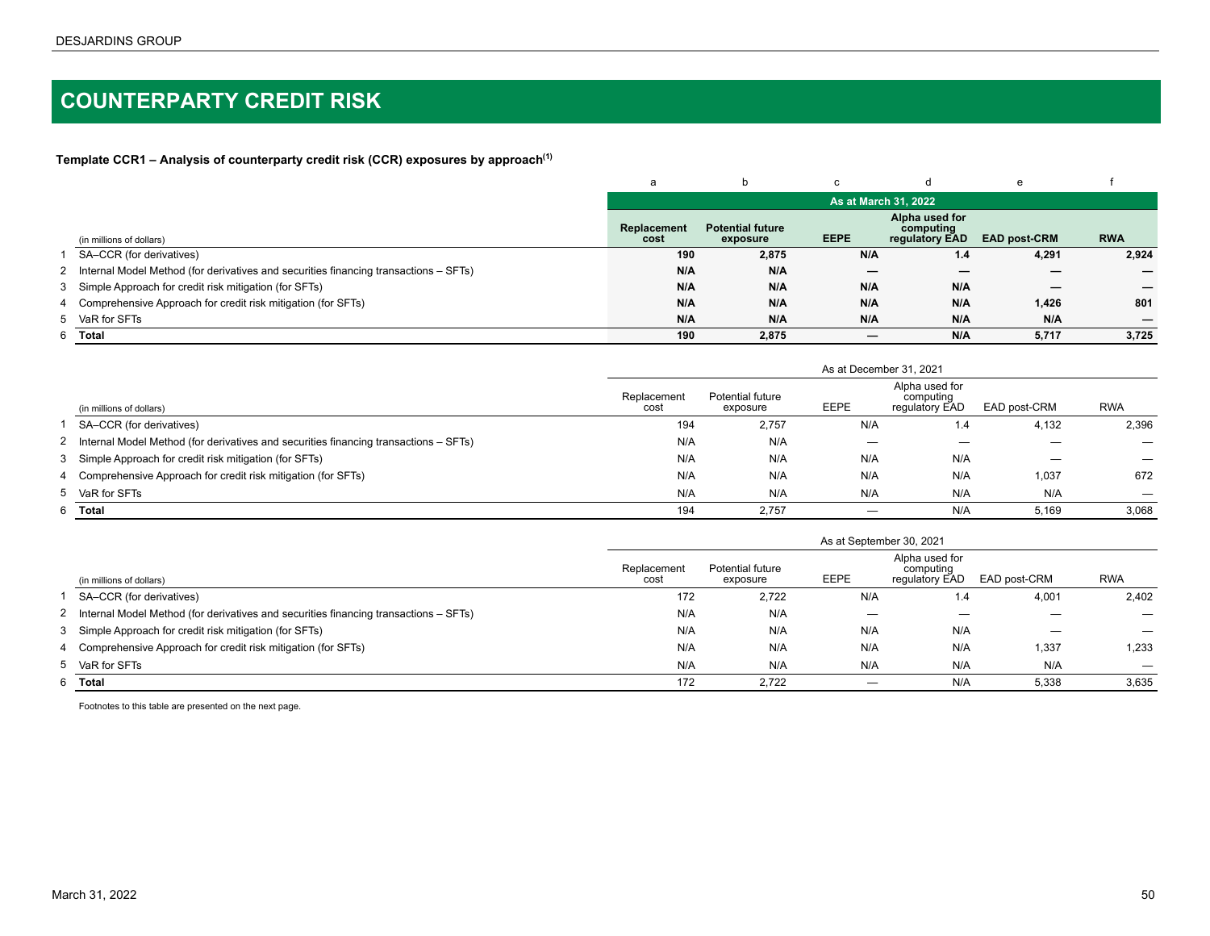# <span id="page-49-0"></span>**COUNTERPARTY CREDIT RISK**

**Template CCR1 – Analysis of counterparty credit risk (CCR) exposures by approach(1)**

|                                                                                        | a                   |                                     |                      | a                                             | e                   |            |
|----------------------------------------------------------------------------------------|---------------------|-------------------------------------|----------------------|-----------------------------------------------|---------------------|------------|
|                                                                                        |                     |                                     | As at March 31, 2022 |                                               |                     |            |
| (in millions of dollars)                                                               | Replacement<br>cost | <b>Potential future</b><br>exposure | <b>EEPE</b>          | Alpha used for<br>computing<br>regulatory EAD | <b>EAD post-CRM</b> | <b>RWA</b> |
| SA-CCR (for derivatives)                                                               | 190                 | 2,875                               | N/A                  | 1.4                                           | 4,291               | 2,924      |
| 2 Internal Model Method (for derivatives and securities financing transactions – SFTs) | N/A                 | N/A                                 | —                    | _                                             |                     |            |
| 3 Simple Approach for credit risk mitigation (for SFTs)                                | N/A                 | N/A                                 | N/A                  | N/A                                           |                     |            |
| 4 Comprehensive Approach for credit risk mitigation (for SFTs)                         | N/A                 | N/A                                 | N/A                  | N/A                                           | 1,426               | 801        |
| 5 VaR for SFTs                                                                         | N/A                 | N/A                                 | N/A                  | N/A                                           | N/A                 |            |
| 6 Total                                                                                | 190                 | 2,875                               | —                    | N/A                                           | 5,717               | 3,725      |

|                                                                                        | As at December 31, 2021 |                              |      |                                               |              |            |  |  |  |  |  |
|----------------------------------------------------------------------------------------|-------------------------|------------------------------|------|-----------------------------------------------|--------------|------------|--|--|--|--|--|
| (in millions of dollars)                                                               | Replacement<br>cost     | Potential future<br>exposure | EEPE | Alpha used for<br>computing<br>regulatory EAD | EAD post-CRM | <b>RWA</b> |  |  |  |  |  |
| SA-CCR (for derivatives)                                                               | 194                     | 2,757                        | N/A  | 1.4                                           | 4,132        | 2,396      |  |  |  |  |  |
| 2 Internal Model Method (for derivatives and securities financing transactions – SFTs) | N/A                     | N/A                          | —    |                                               |              |            |  |  |  |  |  |
| 3 Simple Approach for credit risk mitigation (for SFTs)                                | N/A                     | N/A                          | N/A  | N/A                                           |              |            |  |  |  |  |  |
| 4 Comprehensive Approach for credit risk mitigation (for SFTs)                         | N/A                     | N/A                          | N/A  | N/A                                           | 1,037        | 672        |  |  |  |  |  |
| 5 VaR for SFTs                                                                         | N/A                     | N/A                          | N/A  | N/A                                           | N/A          |            |  |  |  |  |  |
| 6 Total                                                                                | 194                     | 2.757                        |      | N/A                                           | 5,169        | 3,068      |  |  |  |  |  |

|   |                                                                                        | As at September 30, 2021 |                              |      |                                               |                                 |            |  |  |  |  |  |
|---|----------------------------------------------------------------------------------------|--------------------------|------------------------------|------|-----------------------------------------------|---------------------------------|------------|--|--|--|--|--|
|   | (in millions of dollars)                                                               | Replacement<br>cost      | Potential future<br>exposure | EEPE | Alpha used for<br>computing<br>regulatory EAD | EAD post-CRM                    | <b>RWA</b> |  |  |  |  |  |
|   | SA-CCR (for derivatives)                                                               | 172                      | 2,722                        | N/A  | 1.4                                           | 4,001                           | 2,402      |  |  |  |  |  |
|   | 2 Internal Model Method (for derivatives and securities financing transactions – SFTs) | N/A                      | N/A                          | _    |                                               |                                 |            |  |  |  |  |  |
|   | 3 Simple Approach for credit risk mitigation (for SFTs)                                | N/A                      | N/A                          | N/A  | N/A                                           | $\hspace{0.1mm}-\hspace{0.1mm}$ | —          |  |  |  |  |  |
|   | 4 Comprehensive Approach for credit risk mitigation (for SFTs)                         | N/A                      | N/A                          | N/A  | N/A                                           | 1,337                           | 1,233      |  |  |  |  |  |
|   | 5 VaR for SFTs                                                                         | N/A                      | N/A                          | N/A  | N/A                                           | N/A                             |            |  |  |  |  |  |
| 6 | Total                                                                                  | 172                      | 2.722                        |      | N/A                                           | 5,338                           | 3,635      |  |  |  |  |  |

Footnotes to this table are presented on the next page.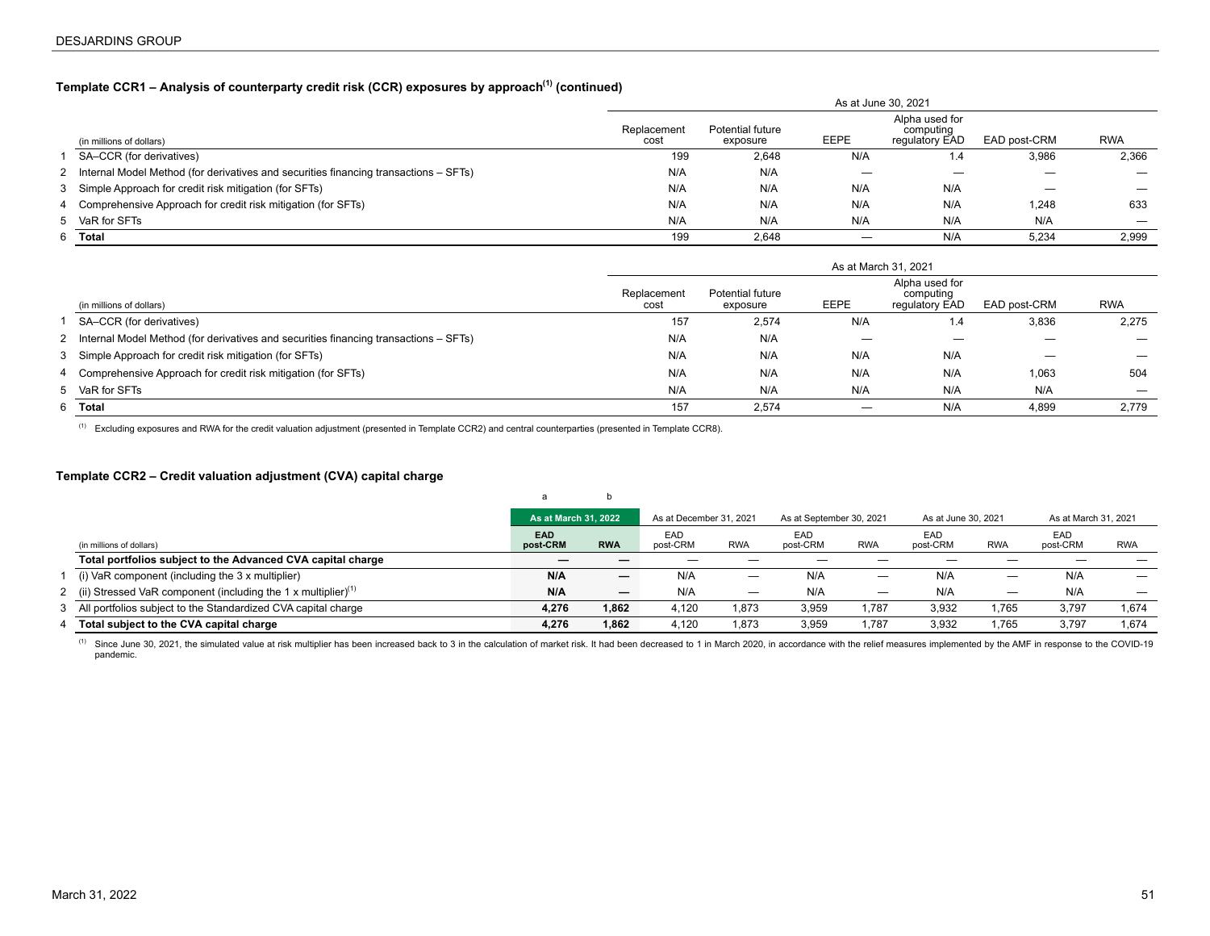# <span id="page-50-0"></span>**Template CCR1 – Analysis of counterparty credit risk (CCR) exposures by approach(1) (continued)**

|                                                                                        | As at June 30, 2021 |                              |      |                                               |              |            |  |  |  |  |  |
|----------------------------------------------------------------------------------------|---------------------|------------------------------|------|-----------------------------------------------|--------------|------------|--|--|--|--|--|
| (in millions of dollars)                                                               | Replacement<br>cost | Potential future<br>exposure | EEPE | Alpha used for<br>computing<br>regulatory EAD | EAD post-CRM | <b>RWA</b> |  |  |  |  |  |
| SA-CCR (for derivatives)                                                               | 199                 | 2,648                        | N/A  | 1.4                                           | 3,986        | 2,366      |  |  |  |  |  |
| 2 Internal Model Method (for derivatives and securities financing transactions – SFTs) | N/A                 | N/A                          |      |                                               |              |            |  |  |  |  |  |
| 3 Simple Approach for credit risk mitigation (for SFTs)                                | N/A                 | N/A                          | N/A  | N/A                                           |              |            |  |  |  |  |  |
| 4 Comprehensive Approach for credit risk mitigation (for SFTs)                         | N/A                 | N/A                          | N/A  | N/A                                           | 1,248        | 633        |  |  |  |  |  |
| 5 VaR for SFTs                                                                         | N/A                 | N/A                          | N/A  | N/A                                           | N/A          |            |  |  |  |  |  |
| 6 Total                                                                                | 199                 | 2.648                        |      | N/A                                           | 5.234        | 2,999      |  |  |  |  |  |

|                                                                                        | As at March 31, 2021 |                              |             |                                               |                   |                          |  |  |  |  |  |
|----------------------------------------------------------------------------------------|----------------------|------------------------------|-------------|-----------------------------------------------|-------------------|--------------------------|--|--|--|--|--|
| (in millions of dollars)                                                               | Replacement<br>cost  | Potential future<br>exposure | <b>EEPE</b> | Alpha used for<br>computing<br>regulatory EAD | EAD post-CRM      | <b>RWA</b>               |  |  |  |  |  |
| SA-CCR (for derivatives)                                                               | 157                  | 2,574                        | N/A         | 1.4                                           | 3,836             | 2,275                    |  |  |  |  |  |
| 2 Internal Model Method (for derivatives and securities financing transactions – SFTs) | N/A                  | N/A                          |             | —                                             |                   |                          |  |  |  |  |  |
| 3 Simple Approach for credit risk mitigation (for SFTs)                                | N/A                  | N/A                          | N/A         | N/A                                           | $\hspace{0.05cm}$ | $\overline{\phantom{0}}$ |  |  |  |  |  |
| 4 Comprehensive Approach for credit risk mitigation (for SFTs)                         | N/A                  | N/A                          | N/A         | N/A                                           | 1,063             | 504                      |  |  |  |  |  |
| 5 VaR for SFTs                                                                         | N/A                  | N/A                          | N/A         | N/A                                           | N/A               |                          |  |  |  |  |  |
| 6 Total                                                                                | 157                  | 2.574                        |             | N/A                                           | 4,899             | 2.779                    |  |  |  |  |  |

(1) Excluding exposures and RWA for the credit valuation adjustment (presented in Template CCR2) and central counterparties (presented in Template CCR8).

### **Template CCR2 – Credit valuation adjustment (CVA) capital charge**

|                                                                             | As at March 31, 2022   |                          | As at December 31, 2021 |            | As at September 30, 2021 |                   | As at June 30, 2021 |            | As at March 31, 2021 |                   |
|-----------------------------------------------------------------------------|------------------------|--------------------------|-------------------------|------------|--------------------------|-------------------|---------------------|------------|----------------------|-------------------|
| (in millions of dollars)                                                    | <b>EAD</b><br>post-CRM | <b>RWA</b>               | EAD<br>post-CRM         | <b>RWA</b> | EAD<br>post-CRM          | <b>RWA</b>        | EAD<br>post-CRM     | <b>RWA</b> | EAD<br>post-CRM      | <b>RWA</b>        |
| Total portfolios subject to the Advanced CVA capital charge                 |                        |                          |                         |            |                          |                   |                     | –          |                      |                   |
| (i) VaR component (including the 3 x multiplier)                            | N/A                    | $\overline{\phantom{0}}$ | N/A                     |            | N/A                      |                   | N/A                 | _          | N/A                  |                   |
| 2 (ii) Stressed VaR component (including the 1 x multiplier) <sup>(1)</sup> | N/A                    | $\overline{\phantom{m}}$ | N/A                     |            | N/A                      | $\hspace{0.05cm}$ | N/A                 |            | N/A                  | $\hspace{0.05cm}$ |
| 3 All portfolios subject to the Standardized CVA capital charge             | 4,276                  | 1,862                    | 4,120                   | .873       | 3,959                    | 1,787             | 3,932               | 1,765      | 3,797                | 674. ا            |
| 4 Total subject to the CVA capital charge                                   | 4.276                  | 1,862                    | 4.120                   | 873. ا     | 3.959                    | 1.787             | 3.932               | 1.765      | 3.797                | 1.674             |

(1) Since June 30, 2021, the simulated value at risk multiplier has been increased back to 3 in the calculation of market risk. It had been decreased to 1 in March 2020, in accordance with the relief measures implemented b pandemic.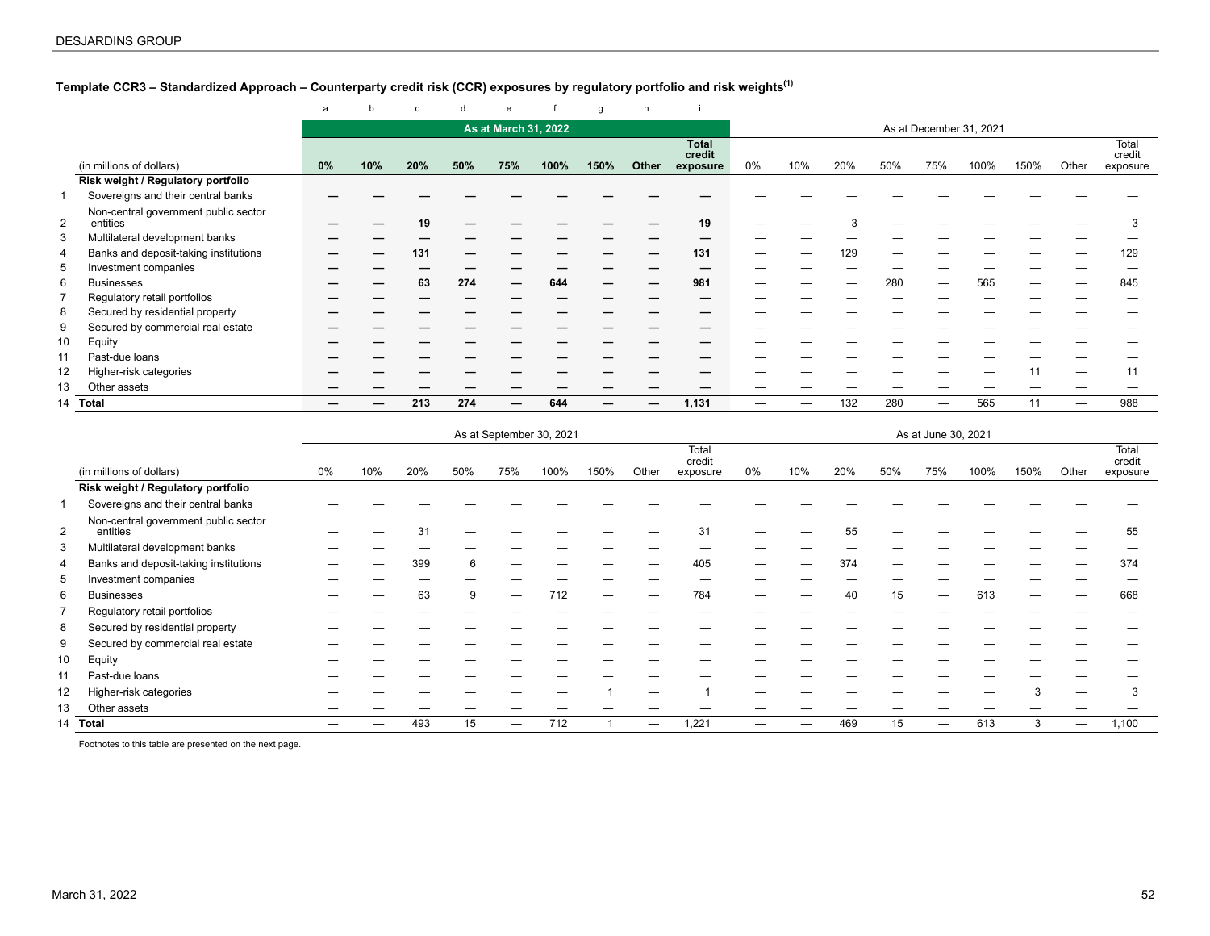# <span id="page-51-0"></span>**Template CCR3 – Standardized Approach – Counterparty credit risk (CCR) exposures by regulatory portfolio and risk weights(1)**

|                |                                                  | a  |     | $\mathbf c$ |     | e                    |      | g    | h     |                        |                         |     |     |     |     |      |      |       |                 |
|----------------|--------------------------------------------------|----|-----|-------------|-----|----------------------|------|------|-------|------------------------|-------------------------|-----|-----|-----|-----|------|------|-------|-----------------|
|                |                                                  |    |     |             |     | As at March 31, 2022 |      |      |       |                        | As at December 31, 2021 |     |     |     |     |      |      |       |                 |
|                |                                                  |    |     |             |     |                      |      |      |       | <b>Total</b><br>credit |                         |     |     |     |     |      |      |       | Total<br>credit |
|                | (in millions of dollars)                         | 0% | 10% | 20%         | 50% | 75%                  | 100% | 150% | Other | exposure               | $0\%$                   | 10% | 20% | 50% | 75% | 100% | 150% | Other | exposure        |
|                | Risk weight / Regulatory portfolio               |    |     |             |     |                      |      |      |       |                        |                         |     |     |     |     |      |      |       |                 |
|                | Sovereigns and their central banks               |    |     |             |     |                      |      |      |       |                        |                         |     |     |     |     |      |      |       |                 |
| $\overline{2}$ | Non-central government public sector<br>entities |    |     | 10          |     |                      |      |      |       | 19                     |                         |     |     |     |     |      |      |       |                 |
| 3              | Multilateral development banks                   |    |     |             |     |                      |      |      |       |                        |                         |     |     |     |     |      |      |       |                 |
|                | Banks and deposit-taking institutions            |    |     | 131         |     |                      |      |      |       | 131                    |                         |     | 129 |     |     |      |      |       | 129             |
| 5              | Investment companies                             |    |     |             |     |                      |      |      |       |                        |                         |     |     |     |     |      |      |       |                 |
| 6              | <b>Businesses</b>                                |    |     | 63          | 274 |                      | 644  |      |       | 981                    |                         |     |     | 280 | —   | 565  |      |       | 845             |
|                | Regulatory retail portfolios                     |    |     |             |     |                      |      |      |       |                        |                         |     |     |     |     |      |      |       |                 |
| 8              | Secured by residential property                  |    |     |             |     |                      |      |      |       |                        |                         |     |     |     |     |      |      |       |                 |
| 9              | Secured by commercial real estate                |    |     |             |     |                      |      |      |       |                        |                         |     |     |     |     |      |      |       |                 |
| 10             | Equity                                           |    |     |             |     |                      |      |      |       |                        |                         |     |     |     |     |      |      |       |                 |
| 11             | Past-due loans                                   |    |     |             |     |                      |      |      |       |                        |                         |     |     |     |     |      |      |       |                 |
| 12             | Higher-risk categories                           |    |     |             |     |                      |      |      |       |                        |                         |     |     |     |     |      |      |       |                 |
| 13             | Other assets                                     |    |     |             |     |                      |      |      |       |                        |                         |     |     |     |     |      |      |       |                 |
| 14             | Total                                            |    |     | 213         | 274 |                      | 644  |      |       | 1,131                  |                         |     | 132 | 280 | —   | 565  | 11   |       | 988             |

|                |                                                  | As at September 30, 2021<br>As at June 30, 2021 |     |     |     |     |      |      |       |                             |    |     |     |     |     |      |      |       |                             |
|----------------|--------------------------------------------------|-------------------------------------------------|-----|-----|-----|-----|------|------|-------|-----------------------------|----|-----|-----|-----|-----|------|------|-------|-----------------------------|
|                | (in millions of dollars)                         | $0\%$                                           | 10% | 20% | 50% | 75% | 100% | 150% | Other | Total<br>credit<br>exposure | 0% | 10% | 20% | 50% | 75% | 100% | 150% | Other | Total<br>credit<br>exposure |
|                | Risk weight / Regulatory portfolio               |                                                 |     |     |     |     |      |      |       |                             |    |     |     |     |     |      |      |       |                             |
|                | Sovereigns and their central banks               |                                                 |     |     |     |     |      |      |       |                             |    |     |     |     |     |      |      |       |                             |
| $\overline{2}$ | Non-central government public sector<br>entities |                                                 |     | 3'  |     |     |      |      |       | 31                          |    |     | 55  |     |     |      |      |       | 55                          |
| 3              | Multilateral development banks                   |                                                 |     |     |     |     |      |      |       |                             |    |     |     |     |     |      |      |       |                             |
| 4              | Banks and deposit-taking institutions            |                                                 |     | 399 | 6   |     |      |      |       | 405                         |    |     | 374 |     |     |      |      |       | 374                         |
| 5              | Investment companies                             |                                                 |     |     |     |     |      |      |       |                             |    |     |     |     |     |      |      |       |                             |
| 6              | <b>Businesses</b>                                |                                                 |     | 63  | 9   |     | 712  |      |       | 784                         |    |     | 40  | 15  | —   | 613  |      |       | 668                         |
|                | Regulatory retail portfolios                     |                                                 |     |     |     |     |      |      |       |                             |    |     |     |     |     |      |      |       |                             |
| 8              | Secured by residential property                  |                                                 |     |     |     |     |      |      |       |                             |    |     |     |     |     |      |      |       |                             |
| 9              | Secured by commercial real estate                |                                                 |     |     |     |     |      |      |       |                             |    |     |     |     |     |      |      |       |                             |
| 10             | Equity                                           |                                                 |     |     |     |     |      |      |       |                             |    |     |     |     |     |      |      |       |                             |
| 11             | Past-due loans                                   |                                                 |     |     |     |     |      |      |       |                             |    |     |     |     |     |      |      |       |                             |
| 12             | Higher-risk categories                           |                                                 |     |     |     |     |      |      |       |                             |    |     |     |     |     |      |      |       | 3                           |
| 13             | Other assets                                     |                                                 |     |     |     |     |      |      |       |                             |    |     |     |     |     |      |      |       |                             |
| 14             | Total                                            |                                                 |     | 493 | 15  |     | 712  |      | -     | 1,221                       |    |     | 469 | 15  | —   | 613  | 3    |       | 1,100                       |

Footnotes to this table are presented on the next page.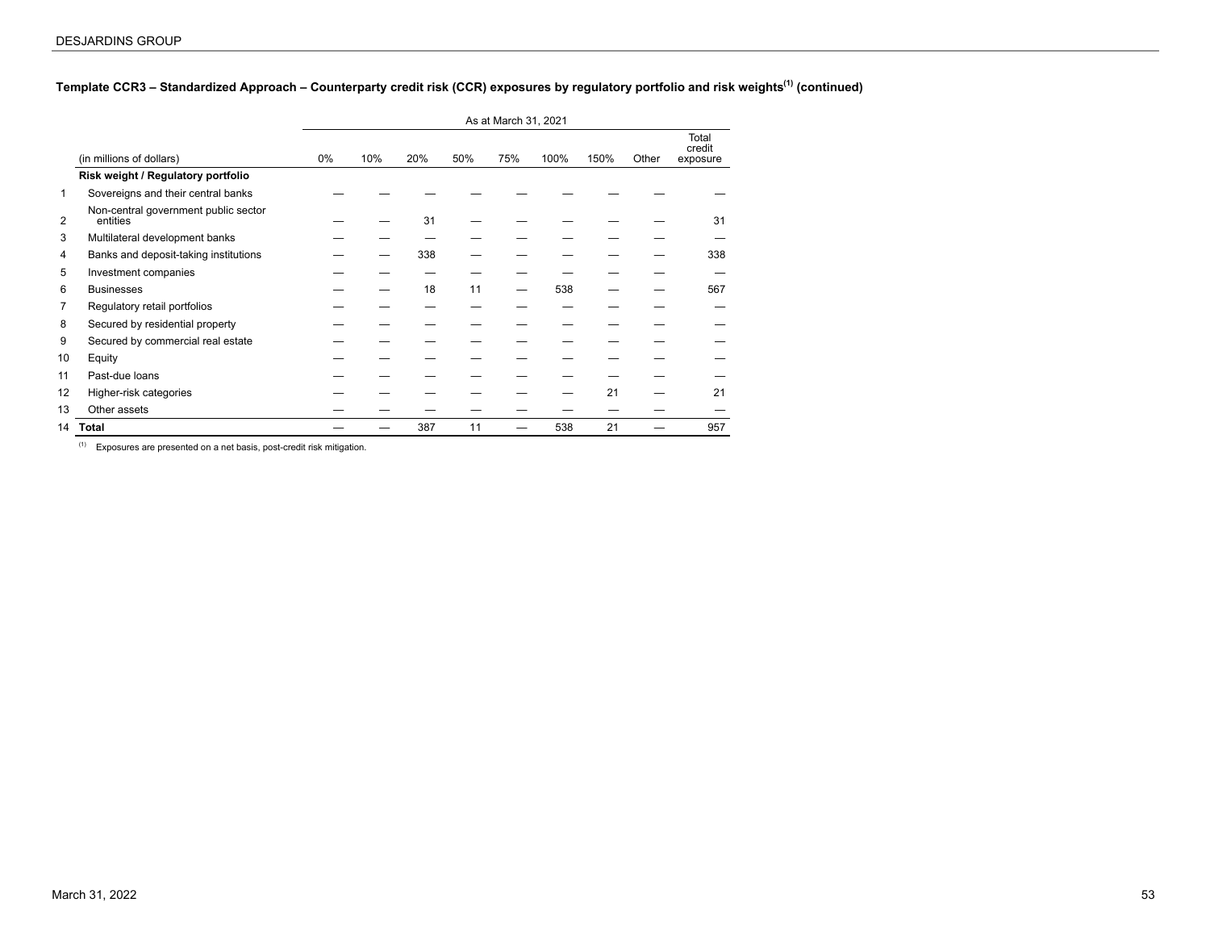# **Template CCR3 – Standardized Approach – Counterparty credit risk (CCR) exposures by regulatory portfolio and risk weights(1) (continued)**

|                |                                                  |       |     |     |     | As at March 31, 2021 |      |      |       |                             |
|----------------|--------------------------------------------------|-------|-----|-----|-----|----------------------|------|------|-------|-----------------------------|
|                | (in millions of dollars)                         | $0\%$ | 10% | 20% | 50% | 75%                  | 100% | 150% | Other | Total<br>credit<br>exposure |
|                | Risk weight / Regulatory portfolio               |       |     |     |     |                      |      |      |       |                             |
| 1              | Sovereigns and their central banks               |       |     |     |     |                      |      |      |       |                             |
| $\overline{2}$ | Non-central government public sector<br>entities |       |     | 31  |     |                      |      |      |       | 31                          |
| 3              | Multilateral development banks                   |       |     |     |     |                      |      |      |       |                             |
| 4              | Banks and deposit-taking institutions            |       |     | 338 |     |                      |      |      |       | 338                         |
| 5              | Investment companies                             |       |     |     |     |                      |      |      |       |                             |
| 6              | <b>Businesses</b>                                |       |     | 18  | 11  |                      | 538  |      |       | 567                         |
| $\overline{7}$ | Regulatory retail portfolios                     |       |     |     |     |                      |      |      |       |                             |
| 8              | Secured by residential property                  |       |     |     |     |                      |      |      |       |                             |
| 9              | Secured by commercial real estate                |       |     |     |     |                      |      |      |       |                             |
| 10             | Equity                                           |       |     |     |     |                      |      |      |       |                             |
| 11             | Past-due loans                                   |       |     |     |     |                      |      |      |       |                             |
| 12             | Higher-risk categories                           |       |     |     |     |                      |      | 21   |       | 21                          |
| 13             | Other assets                                     |       |     |     |     |                      |      |      |       |                             |
| 14             | <b>Total</b>                                     |       |     | 387 | 11  |                      | 538  | 21   |       | 957                         |

 $(1)$  Exposures are presented on a net basis, post-credit risk mitigation.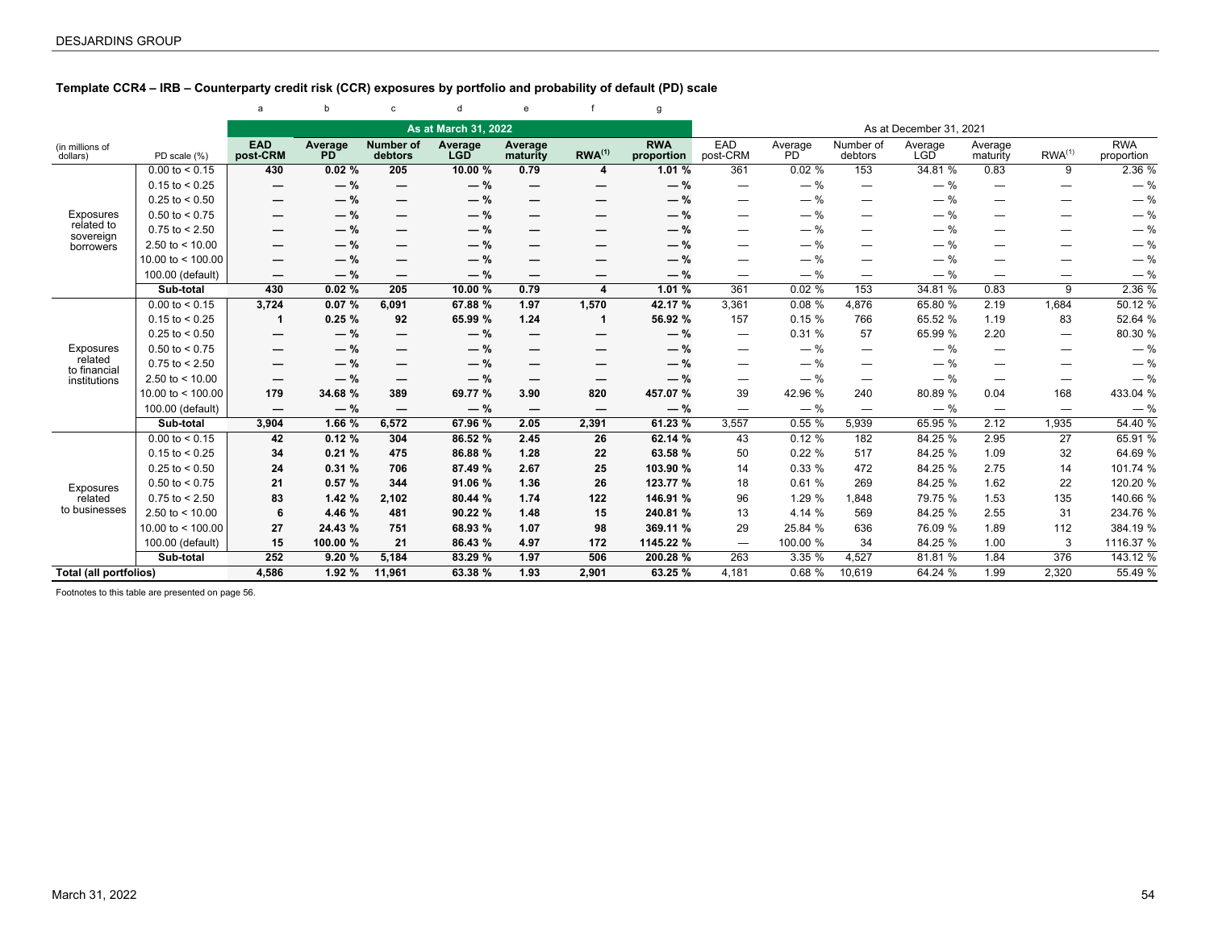# <span id="page-53-0"></span>**Template CCR4 – IRB – Counterparty credit risk (CCR) exposures by portfolio and probability of default (PD) scale**

|                             |                     | a                        | b                         | $\mathbf{C}$                | d                     | $\mathbf{e}$             |                          | g                        |                          |               |                          |                         |                                 |                          |                          |
|-----------------------------|---------------------|--------------------------|---------------------------|-----------------------------|-----------------------|--------------------------|--------------------------|--------------------------|--------------------------|---------------|--------------------------|-------------------------|---------------------------------|--------------------------|--------------------------|
|                             |                     |                          |                           |                             | As at March 31, 2022  |                          |                          |                          |                          |               |                          | As at December 31, 2021 |                                 |                          |                          |
| (in millions of<br>dollars) | PD scale (%)        | <b>EAD</b><br>post-CRM   | Average<br>P <sub>D</sub> | <b>Number of</b><br>debtors | Average<br><b>LGD</b> | Average<br>maturity      | $RWA^{(1)}$              | <b>RWA</b><br>proportion | EAD<br>post-CRM          | Average<br>PD | Number of<br>debtors     | Average<br><b>LGD</b>   | Average<br>maturity             | RWA <sup>(1)</sup>       | <b>RWA</b><br>proportion |
|                             | $0.00$ to < 0.15    | 430                      | 0.02%                     | 205                         | 10.00 %               | 0.79                     | 4                        | 1.01 %                   | 361                      | 0.02%         | 153                      | 34.81 %                 | 0.83                            | 9                        | 2.36 %                   |
|                             | $0.15$ to < 0.25    | $\overline{\phantom{0}}$ | $-$ %                     | $\hspace{0.05cm}$           | $-$ %                 | —                        | —                        | $-$ %                    |                          | $-$ %         | $\qquad \qquad -$        | $-$ %                   | —                               | —                        | $-$ %                    |
|                             | $0.25$ to < 0.50    |                          | $-$ %                     | —                           | $-$ %                 |                          | --                       | $-$ %                    |                          | $-$ %         | —                        | $-$ %                   | -                               | _                        | $-$ %                    |
| Exposures                   | $0.50$ to < 0.75    | $\overline{\phantom{m}}$ | $-$ %                     | —                           | $-$ %                 | —                        | —                        | $-$ %                    |                          | $-$ %         | $\overline{\phantom{0}}$ | $-$ %                   | —                               | —                        | $-$ %                    |
| related to<br>sovereign     | $0.75$ to < 2.50    |                          | $-$ %                     | –                           | $-$ %                 | —                        | --                       | $-$ %                    |                          | $-$ %         | -                        | $-$ %                   | -                               | –                        | $-$ %                    |
| borrowers                   | 2.50 to $<$ 10.00   | $\overline{\phantom{m}}$ | $-$ %                     | -                           | $-$ %                 |                          |                          | $-$ %                    |                          | $-$ %         | -                        | $-$ %                   | -                               |                          | $-$ %                    |
|                             | 10.00 to $<$ 100.00 | $\overline{\phantom{m}}$ | $-$ %                     | —                           | $-$ %                 | —                        | --                       | $-$ %                    |                          | $-$ %         | —                        | $-$ %                   | —                               |                          | $-$ %                    |
|                             | 100.00 (default)    | $\overline{\phantom{m}}$ | $-$ %                     | —                           | $-$ %                 | —                        | —                        | $-$ %                    |                          | $-$ %         |                          | $-$ %                   |                                 | $\overline{\phantom{0}}$ | $-$ %                    |
|                             | Sub-total           | 430                      | 0.02%                     | 205                         | 10.00 %               | 0.79                     | 4                        | 1.01 %                   | 361                      | 0.02%         | 153                      | 34.81 %                 | 0.83                            | 9                        | 2.36 %                   |
|                             | $0.00$ to < 0.15    | 3,724                    | 0.07%                     | 6,091                       | 67.88 %               | 1.97                     | 1,570                    | 42.17 %                  | 3,361                    | 0.08%         | 4,876                    | 65.80 %                 | 2.19                            | 1,684                    | 50.12 %                  |
|                             | $0.15$ to < 0.25    | 1                        | 0.25%                     | 92                          | 65.99 %               | 1.24                     | -1                       | 56.92 %                  | 157                      | 0.15%         | 766                      | 65.52 %                 | 1.19                            | 83                       | 52.64 %                  |
|                             | $0.25$ to < 0.50    |                          | $-$ %                     | —                           | $-$ %                 | —                        | -                        | $-$ %                    |                          | 0.31%         | 57                       | 65.99 %                 | 2.20                            | —                        | 80.30 %                  |
| Exposures                   | $0.50$ to < 0.75    | $\overline{\phantom{m}}$ | $-$ %                     | —                           | $-$ %                 |                          | —                        | $-$ %                    |                          | $-$ %         |                          | $-$ %                   | —                               |                          | $-$ %                    |
| related<br>to financial     | $0.75$ to $< 2.50$  | $\overline{\phantom{m}}$ | $-$ %                     | --                          | $-$ %                 | —                        | --                       | $-$ %                    |                          | $-$ %         | —                        | $-$ %                   | —                               |                          | $-$ %                    |
| institutions                | 2.50 to $< 10.00$   | $\overline{\phantom{m}}$ | $-$ %                     | —                           | $-$ %                 | —                        | —                        | $-$ %                    |                          | $-$ %         | —                        | $-$ %                   | —                               | —                        | $-$ %                    |
|                             | 10.00 to $<$ 100.00 | 179                      | 34.68 %                   | 389                         | 69.77 %               | 3.90                     | 820                      | 457.07 %                 | 39                       | 42.96 %       | 240                      | 80.89 %                 | 0.04                            | 168                      | 433.04 %                 |
|                             | 100.00 (default)    | $\overline{\phantom{m}}$ | $-$ %                     | $\overline{\phantom{m}}$    | $-$ %                 | $\overline{\phantom{m}}$ | $\overline{\phantom{0}}$ | $-$ %                    | $\overline{\phantom{0}}$ | $-$ %         | $\overline{\phantom{m}}$ | $-$ %                   | $\overbrace{\phantom{1232211}}$ |                          | $-$ %                    |
|                             | Sub-total           | 3,904                    | 1.66 %                    | 6,572                       | 67.96 %               | 2.05                     | 2,391                    | 61.23 %                  | 3,557                    | 0.55%         | 5,939                    | 65.95 %                 | 2.12                            | 1,935                    | 54.40 %                  |
|                             | $0.00$ to < 0.15    | 42                       | 0.12%                     | 304                         | 86.52 %               | 2.45                     | 26                       | 62.14 %                  | 43                       | 0.12%         | 182                      | 84.25 %                 | 2.95                            | 27                       | 65.91 %                  |
|                             | $0.15$ to < 0.25    | 34                       | 0.21%                     | 475                         | 86.88 %               | 1.28                     | 22                       | 63.58 %                  | 50                       | 0.22%         | 517                      | 84.25 %                 | 1.09                            | 32                       | 64.69 %                  |
|                             | $0.25$ to < 0.50    | 24                       | 0.31%                     | 706                         | 87.49 %               | 2.67                     | 25                       | 103.90 %                 | 14                       | 0.33%         | 472                      | 84.25 %                 | 2.75                            | 14                       | 101.74 %                 |
| Exposures                   | $0.50$ to < 0.75    | 21                       | 0.57%                     | 344                         | 91.06 %               | 1.36                     | 26                       | 123.77 %                 | 18                       | 0.61%         | 269                      | 84.25 %                 | 1.62                            | 22                       | 120.20 %                 |
| related                     | $0.75$ to $< 2.50$  | 83                       | 1.42%                     | 2,102                       | 80.44 %               | 1.74                     | 122                      | 146.91 %                 | 96                       | 1.29 %        | 1,848                    | 79.75 %                 | 1.53                            | 135                      | 140.66 %                 |
| to businesses               | 2.50 to $<$ 10.00   | 6                        | 4.46 %                    | 481                         | 90.22 %               | 1.48                     | 15                       | 240.81 %                 | 13                       | 4.14 %        | 569                      | 84.25 %                 | 2.55                            | 31                       | 234.76 %                 |
|                             | 10.00 to $<$ 100.00 | 27                       | 24.43 %                   | 751                         | 68.93 %               | 1.07                     | 98                       | 369.11 %                 | 29                       | 25.84 %       | 636                      | 76.09 %                 | 1.89                            | 112                      | 384.19 %                 |
|                             | 100.00 (default)    | 15                       | 100.00 %                  | 21                          | 86.43 %               | 4.97                     | 172                      | 1145.22 %                | $\overline{\phantom{m}}$ | 100.00 %      | 34                       | 84.25 %                 | 1.00                            | 3                        | 1116.37 %                |
|                             | Sub-total           | 252                      | 9.20%                     | 5,184                       | 83.29 %               | 1.97                     | 506                      | 200.28 %                 | 263                      | 3.35 %        | 4,527                    | 81.81 %                 | 1.84                            | 376                      | 143.12 %                 |
| Total (all portfolios)      |                     | 4,586                    | 1.92 %                    | 11,961                      | 63.38 %               | 1.93                     | 2,901                    | 63.25 %                  | 4,181                    | 0.68%         | 10,619                   | 64.24 %                 | 1.99                            | 2,320                    | 55.49 %                  |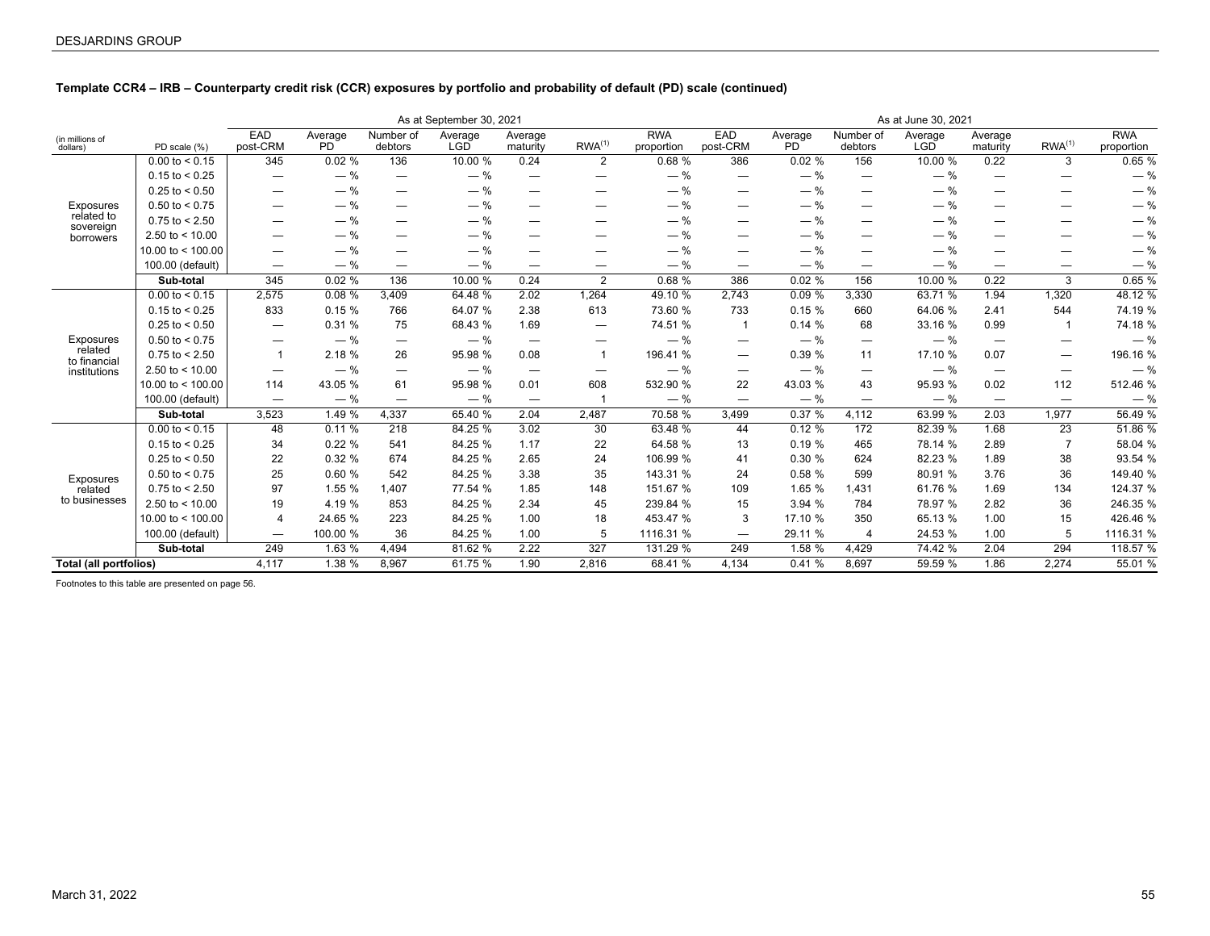# **Template CCR4 – IRB – Counterparty credit risk (CCR) exposures by portfolio and probability of default (PD) scale (continued)**

|                             |                     |                          |                            |                                 | As at September 30, 2021 |                                 |                                |                          |                   |                      |                                 | As at June 30, 2021   |                                 |                                 |                          |
|-----------------------------|---------------------|--------------------------|----------------------------|---------------------------------|--------------------------|---------------------------------|--------------------------------|--------------------------|-------------------|----------------------|---------------------------------|-----------------------|---------------------------------|---------------------------------|--------------------------|
| (in millions of<br>dollars) | PD scale (%)        | EAD<br>post-CRM          | Average<br>PD <sup>1</sup> | Number of<br>debtors            | Average<br><b>LGD</b>    | Average<br>maturity             | RWA <sup>(1)</sup>             | <b>RWA</b><br>proportion | EAD<br>post-CRM   | Average<br><b>PD</b> | Number of<br>debtors            | Average<br><b>LGD</b> | Average<br>maturity             | RWA <sup>(1)</sup>              | <b>RWA</b><br>proportion |
|                             | $0.00$ to < 0.15    | 345                      | 0.02%                      | 136                             | 10.00 %                  | 0.24                            | $\overline{2}$                 | 0.68%                    | 386               | 0.02%                | 156                             | 10.00 %               | 0.22                            | 3                               | 0.65%                    |
|                             | $0.15$ to < 0.25    |                          | $-$ %                      | $\overline{\phantom{m}}$        | $-$ %                    | -                               | -                              | $-$ %                    |                   | $-$ %                | —                               | $-$ %                 | -                               |                                 | $-$ %                    |
|                             | $0.25$ to < 0.50    |                          | $-$ %                      | —                               | $-$ %                    |                                 | —                              | $-$ %                    |                   | $-$ %                | $\overline{\phantom{0}}$        | $-$ %                 | —                               | —                               | $-$ %                    |
| Exposures                   | $0.50$ to < 0.75    |                          | $-$ %                      | —                               | $-$ %                    | —                               |                                | $-$ %                    |                   | $-$ %                |                                 | $-$ %                 | —                               |                                 | $-$ %                    |
| related to<br>sovereign     | $0.75$ to $< 2.50$  |                          | $-$ %                      | —                               | $-$ %                    |                                 | -                              | $-$ %                    |                   | $-$ %                | —                               | $-$ %                 | —                               |                                 | $-$ %                    |
| borrowers                   | 2.50 to $<$ 10.00   |                          | $-$ %                      | -                               | $-$ %                    | —                               | -                              | $-$ %                    |                   | $-$ %                | —                               | $-$ %                 | —                               |                                 | $-$ %                    |
|                             | 10.00 to $<$ 100.00 | $\overline{\phantom{m}}$ | $-$ %                      | —                               | $-$ %                    | $\qquad \qquad \longleftarrow$  | —                              | $-$ %                    |                   | $-$ %                | $\overline{\phantom{0}}$        | $-$ %                 | —                               |                                 | $-$ %                    |
|                             | 100.00 (default)    | $\overline{\phantom{m}}$ | $-$ %                      | —                               | $-$ %                    | $\qquad \qquad \longleftarrow$  | $\overline{\phantom{0}}$       | $-$ %                    |                   | $-$ %                | $\overline{\phantom{m}}$        | $-$ %                 | $\qquad \qquad \longleftarrow$  | —                               | $-$ %                    |
|                             | Sub-total           | 345                      | 0.02%                      | 136                             | 10.00 %                  | 0.24                            | $\overline{2}$                 | 0.68%                    | 386               | 0.02%                | 156                             | 10.00 %               | 0.22                            | 3                               | 0.65%                    |
|                             | $0.00$ to < 0.15    | 2,575                    | 0.08%                      | 3,409                           | 64.48 %                  | 2.02                            | 1,264                          | 49.10 %                  | 2,743             | 0.09%                | 3,330                           | 63.71 %               | 1.94                            | 1,320                           | 48.12 %                  |
|                             | $0.15$ to < 0.25    | 833                      | 0.15%                      | 766                             | 64.07 %                  | 2.38                            | 613                            | 73.60 %                  | 733               | 0.15%                | 660                             | 64.06 %               | 2.41                            | 544                             | 74.19 %                  |
|                             | $0.25$ to < 0.50    |                          | 0.31%                      | 75                              | 68.43 %                  | 1.69                            | $\qquad \qquad \longleftarrow$ | 74.51 %                  |                   | 0.14%                | 68                              | 33.16 %               | 0.99                            |                                 | 74.18 %                  |
| Exposures                   | $0.50$ to < 0.75    |                          | $-$ %                      | $\hspace{0.05cm}$               | $-$ %                    | $\hspace{0.1mm}-\hspace{0.1mm}$ | $\overline{\phantom{m}}$       | $-$ %                    |                   | $-$ %                | $\overbrace{\phantom{1232211}}$ | $-$ %                 | $\hspace{0.1mm}-\hspace{0.1mm}$ | $\hspace{0.05cm}$               | $-$ %                    |
| related<br>to financial     | $0.75$ to $< 2.50$  | $\mathbf{1}$             | 2.18 %                     | 26                              | 95.98 %                  | 0.08                            | $\overline{1}$                 | 196.41 %                 |                   | 0.39%                | 11                              | 17.10 %               | 0.07                            | $\hspace{0.1mm}-\hspace{0.1mm}$ | 196.16 %                 |
| institutions                | 2.50 to $<$ 10.00   | $\overline{\phantom{m}}$ | $-$ %                      | $\overline{\phantom{m}}$        | $-$ %                    |                                 | -                              | $-$ %                    |                   | $-$ %                | $\overline{\phantom{0}}$        | $-$ %                 | $\overline{\phantom{0}}$        | —                               | $-$ %                    |
|                             | 10.00 to $<$ 100.00 | 114                      | 43.05 %                    | 61                              | 95.98 %                  | 0.01                            | 608                            | 532.90 %                 | 22                | 43.03 %              | 43                              | 95.93 %               | 0.02                            | 112                             | 512.46 %                 |
|                             | 100.00 (default)    | $\overline{\phantom{m}}$ | $-$ %                      | $\hspace{0.1mm}-\hspace{0.1mm}$ | $-$ %                    | $\hspace{0.1mm}-\hspace{0.1mm}$ | 1                              | $-$ %                    |                   | $-$ %                | $\overline{\phantom{m}}$        | $-$ %                 | $\overbrace{\phantom{1232211}}$ | $\overline{\phantom{m}}$        | $-$ %                    |
|                             | Sub-total           | 3,523                    | 1.49 %                     | 4,337                           | 65.40 %                  | 2.04                            | 2,487                          | 70.58 %                  | 3,499             | 0.37%                | 4,112                           | 63.99 %               | 2.03                            | 1,977                           | 56.49 %                  |
|                             | $0.00$ to < 0.15    | 48                       | 0.11%                      | 218                             | 84.25 %                  | 3.02                            | 30                             | 63.48 %                  | 44                | 0.12%                | 172                             | 82.39 %               | 1.68                            | 23                              | 51.86 %                  |
|                             | $0.15$ to < 0.25    | 34                       | 0.22%                      | 541                             | 84.25 %                  | 1.17                            | 22                             | 64.58 %                  | 13                | 0.19%                | 465                             | 78.14 %               | 2.89                            | $\overline{7}$                  | 58.04 %                  |
|                             | $0.25$ to < 0.50    | 22                       | 0.32%                      | 674                             | 84.25 %                  | 2.65                            | 24                             | 106.99 %                 | 41                | 0.30%                | 624                             | 82.23 %               | 1.89                            | 38                              | 93.54 %                  |
|                             | $0.50$ to < 0.75    | 25                       | 0.60%                      | 542                             | 84.25 %                  | 3.38                            | 35                             | 143.31 %                 | 24                | 0.58%                | 599                             | 80.91 %               | 3.76                            | 36                              | 149.40 %                 |
| Exposures<br>related        | $0.75$ to $< 2.50$  | 97                       | 1.55 %                     | .407                            | 77.54 %                  | 1.85                            | 148                            | 151.67 %                 | 109               | 1.65 %               | 1.431                           | 61.76 %               | 1.69                            | 134                             | 124.37 %                 |
| to businesses               | 2.50 to $<$ 10.00   | 19                       | 4.19 %                     | 853                             | 84.25 %                  | 2.34                            | 45                             | 239.84 %                 | 15                | 3.94 %               | 784                             | 78.97 %               | 2.82                            | 36                              | 246.35 %                 |
|                             | 10.00 to $<$ 100.00 | $\overline{4}$           | 24.65 %                    | 223                             | 84.25 %                  | 1.00                            | 18                             | 453.47 %                 | 3                 | 17.10 %              | 350                             | 65.13 %               | 1.00                            | 15                              | 426.46 %                 |
|                             | 100.00 (default)    |                          | 100.00 %                   | 36                              | 84.25 %                  | 1.00                            | 5                              | 1116.31 %                | $\hspace{0.05cm}$ | 29.11 %              | $\overline{4}$                  | 24.53 %               | 1.00                            | 5                               | 1116.31 %                |
|                             | Sub-total           | 249                      | 1.63 %                     | 4,494                           | 81.62 %                  | 2.22                            | 327                            | 131.29 %                 | 249               | 1.58 %               | 4,429                           | 74.42 %               | 2.04                            | 294                             | 118.57 %                 |
| Total (all portfolios)      |                     | 4,117                    | 1.38 %                     | 8,967                           | 61.75 %                  | 1.90                            | 2,816                          | 68.41 %                  | 4,134             | 0.41%                | 8,697                           | 59.59 %               | 1.86                            | 2,274                           | 55.01 %                  |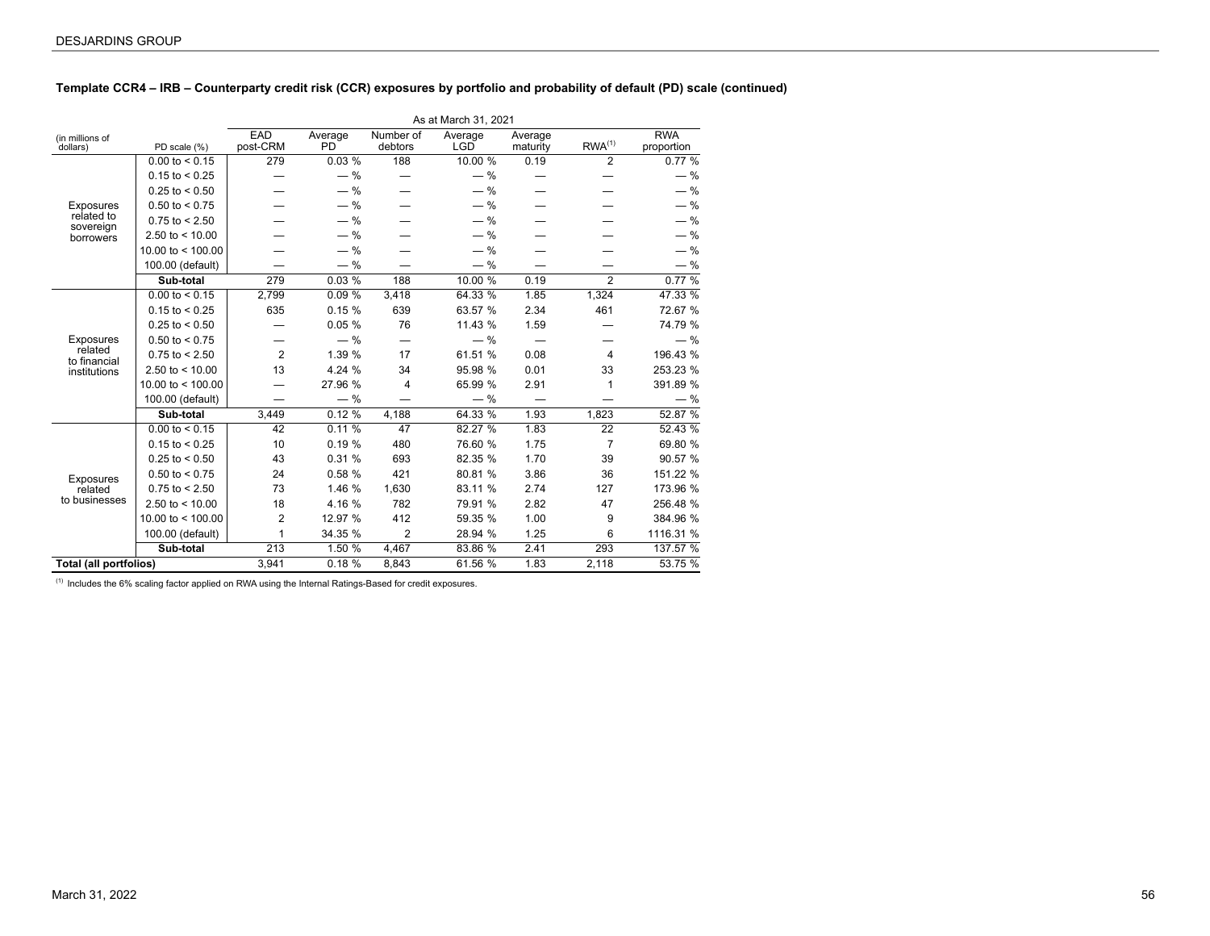## **Template CCR4 – IRB – Counterparty credit risk (CCR) exposures by portfolio and probability of default (PD) scale (continued)**

|                             |                     |                 |                           |                      | As at March 31, 2021  |                     |                    |                          |
|-----------------------------|---------------------|-----------------|---------------------------|----------------------|-----------------------|---------------------|--------------------|--------------------------|
| (in millions of<br>dollars) | PD scale (%)        | EAD<br>post-CRM | Average<br>P <sub>D</sub> | Number of<br>debtors | Average<br><b>LGD</b> | Average<br>maturity | RWA <sup>(1)</sup> | <b>RWA</b><br>proportion |
|                             | $0.00$ to < 0.15    | 279             | 0.03%                     | 188                  | 10.00 %               | 0.19                | 2                  | 0.77%                    |
|                             | $0.15$ to < 0.25    |                 | $-$ %                     |                      | $-$ %                 |                     |                    | $-$ %                    |
|                             | $0.25$ to < 0.50    |                 | $-$ %                     |                      | $-$ %                 |                     |                    | $-$ %                    |
| Exposures                   | $0.50$ to < 0.75    |                 | $-$ %                     |                      | $-$ %                 |                     |                    | $-$ %                    |
| related to<br>sovereign     | $0.75$ to < 2.50    |                 | $-$ %                     |                      | $-$ %                 |                     |                    | $-$ %                    |
| borrowers                   | 2.50 to $<$ 10.00   |                 | $-$ %                     |                      | $-$ %                 |                     |                    | $-$ %                    |
|                             | 10.00 to $<$ 100.00 |                 | $-$ %                     |                      | $-$ %                 |                     |                    | $-$ %                    |
|                             | 100.00 (default)    |                 | $-$ %                     |                      | $-$ %                 |                     |                    | $-$ %                    |
|                             | Sub-total           | 279             | $0.03\%$                  | 188                  | 10.00 %               | 0.19                | $\mathfrak{p}$     | 0.77%                    |
|                             | $0.00$ to < 0.15    | 2,799           | 0.09%                     | 3,418                | 64.33 %               | 1.85                | 1,324              | 47.33 %                  |
|                             | $0.15$ to < 0.25    | 635             | 0.15%                     | 639                  | 63.57 %               | 2.34                | 461                | 72.67 %                  |
|                             | $0.25$ to < 0.50    |                 | 0.05%                     | 76                   | 11.43 %               | 1.59                |                    | 74.79 %                  |
| Exposures                   | $0.50$ to < 0.75    |                 | $-$ %                     |                      | $-$ %                 |                     |                    | $-$ %                    |
| related<br>to financial     | $0.75$ to < 2.50    | $\overline{2}$  | 1.39 %                    | 17                   | 61.51 %               | 0.08                | 4                  | 196.43 %                 |
| institutions                | 2.50 to $<$ 10.00   | 13              | 4.24 %                    | 34                   | 95.98 %               | 0.01                | 33                 | 253.23 %                 |
|                             | 10.00 to $<$ 100.00 |                 | 27.96 %                   | $\overline{4}$       | 65.99 %               | 2.91                | 1                  | 391.89 %                 |
|                             | 100.00 (default)    |                 | $-$ %                     |                      | $-$ %                 |                     |                    | $-$ %                    |
|                             | Sub-total           | 3,449           | 0.12%                     | 4,188                | 64.33 %               | 1.93                | 1,823              | 52.87 %                  |
|                             | $0.00$ to < 0.15    | 42              | 0.11%                     | 47                   | 82.27 %               | 1.83                | 22                 | 52.43 %                  |
|                             | $0.15$ to < 0.25    | 10              | 0.19%                     | 480                  | 76.60 %               | 1.75                | $\overline{7}$     | 69.80 %                  |
|                             | $0.25$ to < 0.50    | 43              | 0.31%                     | 693                  | 82.35 %               | 1.70                | 39                 | 90.57 %                  |
| Exposures                   | $0.50$ to < 0.75    | 24              | 0.58%                     | 421                  | 80.81 %               | 3.86                | 36                 | 151.22 %                 |
| related                     | $0.75$ to < 2.50    | 73              | 1.46 %                    | 1,630                | 83.11 %               | 2.74                | 127                | 173.96 %                 |
| to businesses               | 2.50 to $<$ 10.00   | 18              | 4.16 %                    | 782                  | 79.91 %               | 2.82                | 47                 | 256.48 %                 |
|                             | 10.00 to $<$ 100.00 | 2               | 12.97 %                   | 412                  | 59.35 %               | 1.00                | 9                  | 384.96 %                 |
|                             | 100.00 (default)    | 1               | 34.35 %                   | $\overline{2}$       | 28.94 %               | 1.25                | 6                  | 1116.31 %                |
|                             | Sub-total           | 213             | 1.50 %                    | 4,467                | 83.86 %               | 2.41                | 293                | 137.57 %                 |
| Total (all portfolios)      |                     | 3,941           | 0.18%                     | 8,843                | 61.56 %               | 1.83                | 2,118              | 53.75 %                  |

 $(1)$  Includes the 6% scaling factor applied on RWA using the Internal Ratings-Based for credit exposures.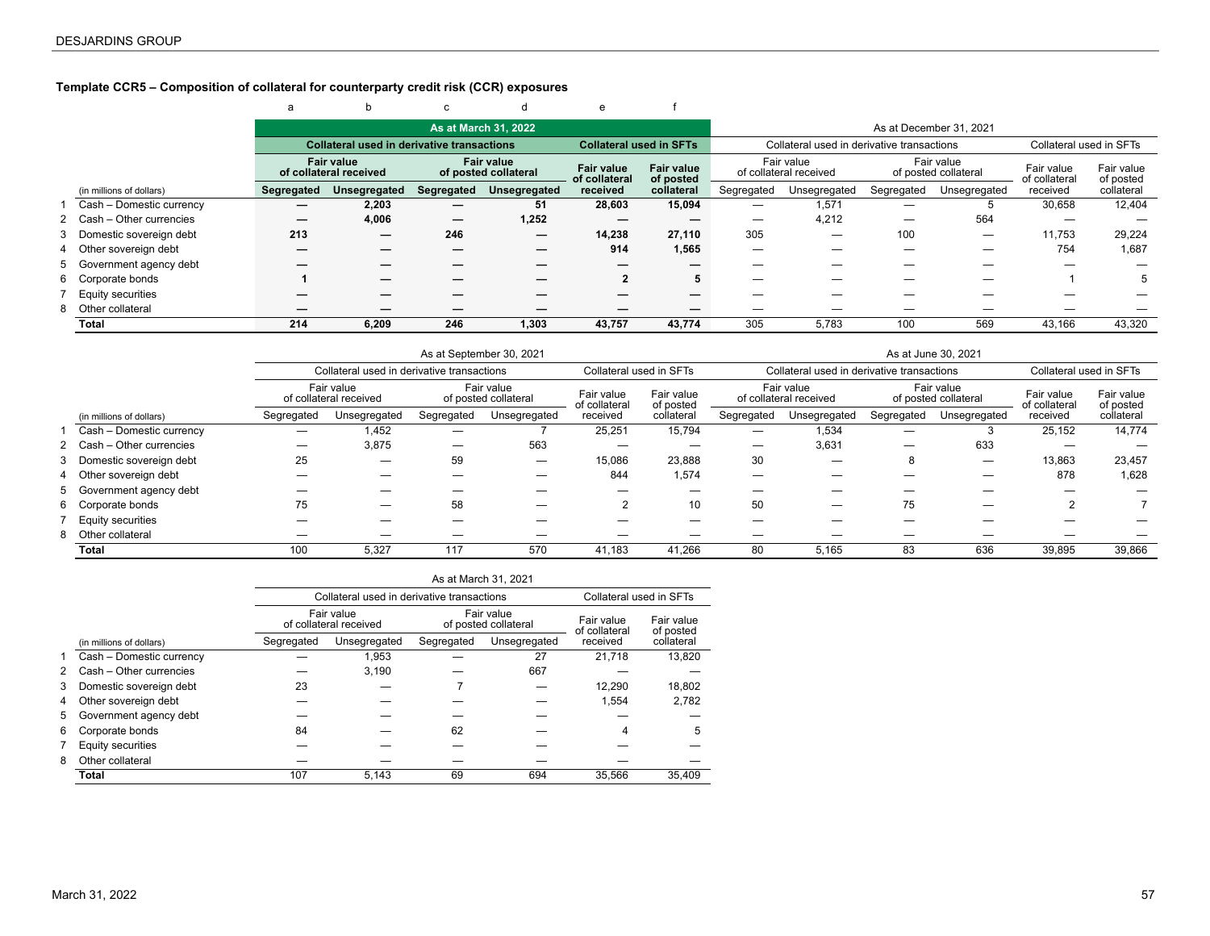### <span id="page-56-0"></span>**Template CCR5 – Composition of collateral for counterparty credit risk (CCR) exposures**

#### e a b c d e f **As at March 31, 2022 As at December 31, 2021 As at December 31, 2021 Collateral used in derivative transactions Collateral used in SFTs** Collateral used in derivative transactions Collateral used in SFTs **Fair value of collateral received Fair value of posted collateral Fair value of collateral received Fair value of posted collateral** Fair value of collateral received Fair value rall value<br>of posted collateral Fair value of collateral received Fair value of posted (in millions of dollars) **Segregated Unsegregated Segregated Unsegregated** Segregated Unsegregated Segregated Unsegregated collateral 1 Cash – Domestic currency **— 2,203 — 51 28,603 15,094** — 1,571 — 5 30,658 12,404 2 Cash – Other currencies **— 4,006 — 1,252 — —** — 4,212 — 564 — — 3 Domestic sovereign debt **213 — 246 — 14,238 27,110** 305 — 100 — 11,753 29,224 4 Other sovereign debt **— — — — 914 1,565** — — — — 754 1,687 5 Government agency debt **— — — — — —** — — — — — — 6 Corporate bonds **1 — — — 2 5** — — — — 1 5 7 Equity securities **— — — — — —** — — — — — — 8 Other collateral **— — — — — —** — — — — — — **Total 214 6,209 246 1,303 43,757 43,774** 305 5,783 100 569 43,166 43,320

|                           |            |                                            |            | As at September 30, 2021           |                             |                         |            |                                            |            | As at June 30, 2021                |                             |                         |
|---------------------------|------------|--------------------------------------------|------------|------------------------------------|-----------------------------|-------------------------|------------|--------------------------------------------|------------|------------------------------------|-----------------------------|-------------------------|
|                           |            | Collateral used in derivative transactions |            |                                    | Collateral used in SFTs     |                         |            | Collateral used in derivative transactions |            |                                    | Collateral used in SFTs     |                         |
|                           |            | Fair value<br>of collateral received       |            | Fair value<br>of posted collateral | Fair value<br>of collateral | Fair value<br>of posted |            | Fair value<br>of collateral received       |            | Fair value<br>of posted collateral | Fair value<br>of collateral | Fair value<br>of posted |
| (in millions of dollars)  | Segregated | Unsegregated                               | Segregated | Unsegregated                       | received                    | collateral              | Segregated | Unsegregated                               | Segregated | Unsegregated                       | received                    | collateral              |
| Cash - Domestic currency  | —          | 1,452                                      |            |                                    | 25.251                      | 15,794                  |            | 1,534                                      |            |                                    | 25.152                      | 14,774                  |
| 2 Cash - Other currencies | —          | 3,875                                      |            | 563                                |                             | _                       |            | 3,631                                      | –          | 633                                |                             |                         |
| 3 Domestic sovereign debt | 25         | —                                          | 59         |                                    | 15,086                      | 23,888                  | 30         | —                                          | 8          |                                    | 13,863                      | 23,457                  |
| 4 Other sovereign debt    |            |                                            |            |                                    | 844                         | 1,574                   |            |                                            |            |                                    | 878                         | 1,628                   |
| 5 Government agency debt  |            | —                                          |            |                                    |                             |                         |            |                                            |            | _                                  |                             |                         |
| 6 Corporate bonds         | 75         |                                            | 58         |                                    | 2                           | 10                      | 50         | —                                          | 75         |                                    |                             |                         |
| <b>Equity securities</b>  |            |                                            |            |                                    |                             |                         |            |                                            |            |                                    |                             |                         |
| 8 Other collateral        |            |                                            |            |                                    |                             |                         |            |                                            |            |                                    |                             |                         |
| Total                     | 100        | 5.327                                      | 117        | 570                                | 41.183                      | 41.266                  | 80         | 5,165                                      | 83         | 636                                | 39.895                      | 39,866                  |

|   |                          |            |                                            | As at March 31, 2021 |                                    |                             |                         |
|---|--------------------------|------------|--------------------------------------------|----------------------|------------------------------------|-----------------------------|-------------------------|
|   |                          |            | Collateral used in derivative transactions |                      |                                    | Collateral used in SFTs     |                         |
|   |                          |            | Fair value<br>of collateral received       |                      | Fair value<br>of posted collateral | Fair value<br>of collateral | Fair value<br>of posted |
|   | (in millions of dollars) | Segregated | Unsegregated                               | Segregated           | Unsegregated                       | received                    | collateral              |
|   | Cash - Domestic currency |            | 1.953                                      |                      | 27                                 | 21.718                      | 13.820                  |
| 2 | Cash - Other currencies  |            | 3,190                                      |                      | 667                                |                             |                         |
| 3 | Domestic sovereign debt  | 23         |                                            |                      |                                    | 12.290                      | 18,802                  |
| 4 | Other sovereign debt     |            |                                            |                      |                                    | 1.554                       | 2,782                   |
| 5 | Government agency debt   |            |                                            |                      |                                    |                             |                         |
| 6 | Corporate bonds          | 84         |                                            | 62                   |                                    | 4                           | 5                       |
|   | Equity securities        |            |                                            |                      |                                    |                             |                         |
| 8 | Other collateral         |            |                                            |                      |                                    |                             |                         |
|   | Total                    | 107        | 5,143                                      | 69                   | 694                                | 35.566                      | 35.409                  |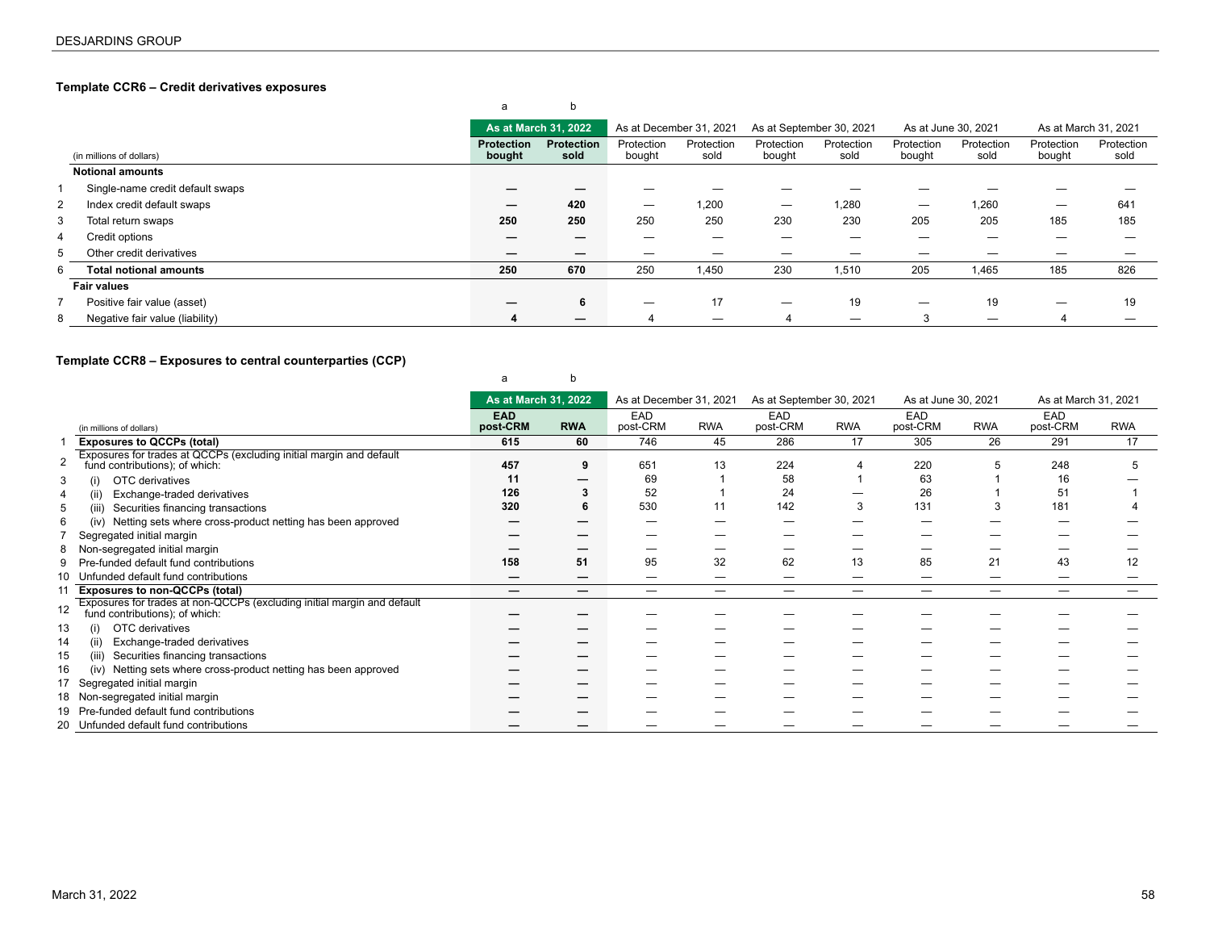## <span id="page-57-0"></span>**Template CCR6 – Credit derivatives exposures**

#### a b 14181.1 **As at March 31, 2022** As at December 31, 2021 As at September 30, 2021 As at June 30, 2021 As at March 31, 2021 (in millions of dollars) **Protection Protection bought sold** Protection bought Protection sold Protection bought Protection sold Protection bought Protection sold Protection bought Protection sold **Notional amounts** 1 Single-name credit default swaps **— — — — — — — — —** — — — — — — 2 Index credit default swaps **— 420** — 1,200 — 1,280 — 1,260 — 641 3 Total return swaps **250 250** 250 250 230 230 205 205 185 185 4 Credit options **— —** — — — — — — — — 5 Other credit derivatives **— —** — — — — — — — — 6 **Total notional amounts 250 670** 250 1,450 230 1,510 205 1,465 185 826 **Fair values** 7 Positive fair value (asset) **— 6** — 17 — 19 — 19 — 19 8 Negative fair value (liability) **4 —** 4 — 4 — 3 — 4 —

### **Template CCR8 – Exposures to central counterparties (CCP)**

|    |                                                                                                        | a                      |                          |                         |            |                          |                   |                     |                   |                        |            |
|----|--------------------------------------------------------------------------------------------------------|------------------------|--------------------------|-------------------------|------------|--------------------------|-------------------|---------------------|-------------------|------------------------|------------|
|    |                                                                                                        | As at March 31, 2022   |                          | As at December 31, 2021 |            | As at September 30, 2021 |                   | As at June 30, 2021 |                   | As at March 31, 2021   |            |
|    | (in millions of dollars)                                                                               | <b>EAD</b><br>post-CRM | <b>RWA</b>               | EAD<br>post-CRM         | <b>RWA</b> | EAD<br>post-CRM          | <b>RWA</b>        | EAD<br>post-CRM     | <b>RWA</b>        | <b>EAD</b><br>post-CRM | <b>RWA</b> |
|    | <b>Exposures to QCCPs (total)</b>                                                                      | 615                    | 60                       | 746                     | 45         | 286                      | 17                | 305                 | 26                | 291                    | 17         |
|    | Exposures for trades at QCCPs (excluding initial margin and default fund contributions); of which:     | 457                    | 9                        | 651                     | 13         | 224                      |                   | 220                 |                   | 248                    | 5          |
|    | OTC derivatives<br>(i)                                                                                 | 11                     |                          | 69                      |            | 58                       |                   | 63                  |                   | 16                     |            |
|    | Exchange-traded derivatives<br>(ii)                                                                    | 126                    |                          | 52                      |            | 24                       |                   | 26                  |                   | 51                     |            |
| 5  | (iii)<br>Securities financing transactions                                                             | 320                    | 6                        | 530                     | 11         | 142                      | 3                 | 131                 |                   | 181                    |            |
| 6  | Netting sets where cross-product netting has been approved<br>(iv)                                     |                        |                          |                         |            |                          |                   |                     |                   |                        |            |
|    | Segregated initial margin                                                                              |                        |                          |                         |            |                          |                   |                     |                   |                        |            |
| 8  | Non-segregated initial margin                                                                          |                        |                          |                         |            |                          |                   |                     |                   |                        |            |
|    | Pre-funded default fund contributions                                                                  | 158                    | 51                       | 95                      | 32         | 62                       | 13                | 85                  | 21                | 43                     | 12         |
| 10 | Unfunded default fund contributions                                                                    | –                      |                          |                         | _          | _                        |                   |                     | _                 | –                      |            |
|    | <b>Exposures to non-QCCPs (total)</b>                                                                  | —                      | $\overline{\phantom{m}}$ | $\hspace{0.05cm}$       | —          |                          | $\hspace{0.05cm}$ | $\hspace{0.05cm}$   | $\hspace{0.05cm}$ |                        |            |
|    | Exposures for trades at non-QCCPs (excluding initial margin and default fund contributions); of which: |                        |                          |                         |            |                          |                   |                     |                   |                        |            |
| 13 | OTC derivatives<br>(i)                                                                                 |                        |                          |                         |            |                          |                   |                     |                   |                        |            |
| 14 | Exchange-traded derivatives<br>(ii)                                                                    |                        |                          |                         |            |                          |                   |                     |                   |                        |            |
| 15 | (iii)<br>Securities financing transactions                                                             |                        |                          |                         |            |                          |                   |                     |                   |                        |            |
| 16 | Netting sets where cross-product netting has been approved<br>(iv)                                     |                        |                          |                         |            |                          |                   |                     |                   |                        |            |
| 17 | Segregated initial margin                                                                              |                        |                          |                         |            |                          |                   |                     |                   |                        |            |
|    | 18 Non-segregated initial margin                                                                       |                        |                          |                         |            |                          |                   |                     |                   |                        |            |
|    | 19 Pre-funded default fund contributions                                                               |                        |                          |                         |            |                          |                   |                     |                   |                        |            |
|    | 20 Unfunded default fund contributions                                                                 |                        |                          |                         |            |                          |                   |                     |                   |                        |            |

Маrch 31, 2022 <del>без противать произвестных состранных произвестных состранных произвестных составительных состранных составительных составительных составительных составительных составительных составительных составительных</del>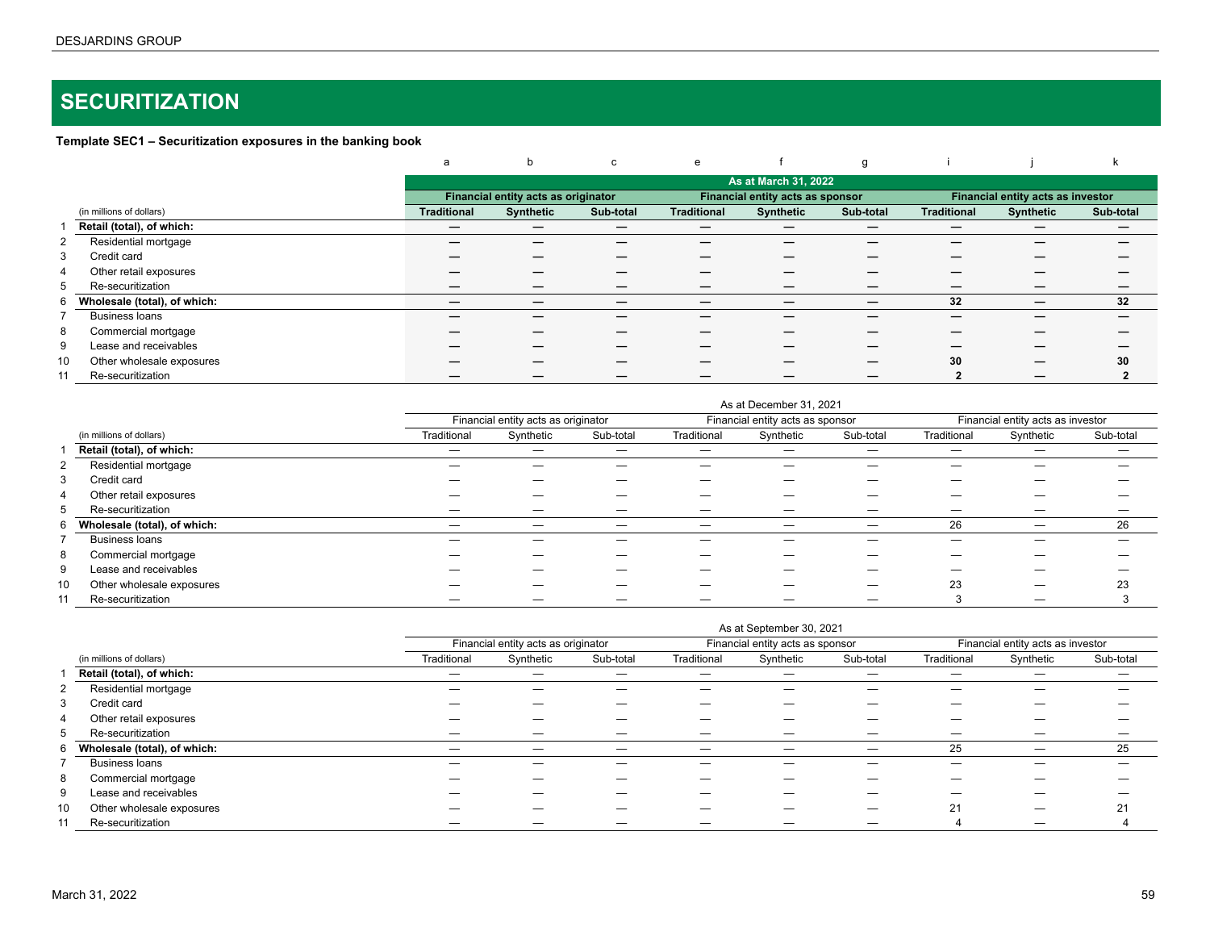# <span id="page-58-0"></span>**SECURITIZATION**

## **Template SEC1 – Securitization exposures in the banking book**

|                          |                              | a                  | b                                   | C         | e                  |                                  | g                 |                    |                                   |           |
|--------------------------|------------------------------|--------------------|-------------------------------------|-----------|--------------------|----------------------------------|-------------------|--------------------|-----------------------------------|-----------|
|                          |                              |                    |                                     |           |                    | As at March 31, 2022             |                   |                    |                                   |           |
|                          |                              |                    | Financial entity acts as originator |           |                    | Financial entity acts as sponsor |                   |                    | Financial entity acts as investor |           |
| (in millions of dollars) |                              | <b>Traditional</b> | <b>Synthetic</b>                    | Sub-total | <b>Traditional</b> | <b>Synthetic</b>                 | Sub-total         | <b>Traditional</b> | <b>Synthetic</b>                  | Sub-total |
|                          | Retail (total), of which:    | $\hspace{0.05cm}$  |                                     |           | –                  |                                  | $\hspace{0.05cm}$ | –                  |                                   | –         |
| 2                        | Residential mortgage         |                    |                                     |           |                    |                                  |                   |                    |                                   |           |
| Credit card<br>3         |                              |                    |                                     |           |                    |                                  |                   |                    |                                   |           |
| $\overline{4}$           | Other retail exposures       |                    |                                     |           |                    |                                  |                   |                    |                                   |           |
| 5<br>Re-securitization   |                              |                    |                                     | –         |                    |                                  |                   |                    |                                   |           |
| 6                        | Wholesale (total), of which: |                    |                                     | _         |                    |                                  | –                 | 32                 |                                   | 32        |
| <b>Business loans</b>    |                              |                    |                                     |           |                    |                                  |                   |                    |                                   |           |
| 8                        | Commercial mortgage          |                    |                                     |           |                    |                                  |                   |                    |                                   |           |
| 9                        | Lease and receivables        |                    |                                     |           |                    |                                  |                   |                    |                                   |           |
| 10                       | Other wholesale exposures    |                    |                                     |           |                    |                                  | _                 | 30                 |                                   | 30        |
| Re-securitization<br>11  |                              |                    |                                     |           |                    |                                  |                   |                    |                                   |           |

|    |                              |             |                                     |           |             | As at December 31, 2021          |           |             |                                   |           |
|----|------------------------------|-------------|-------------------------------------|-----------|-------------|----------------------------------|-----------|-------------|-----------------------------------|-----------|
|    |                              |             | Financial entity acts as originator |           |             | Financial entity acts as sponsor |           |             | Financial entity acts as investor |           |
|    | (in millions of dollars)     | Traditional | Synthetic                           | Sub-total | Traditional | Synthetic                        | Sub-total | Traditional | Synthetic                         | Sub-total |
|    | Retail (total), of which:    | —           |                                     | –         |             |                                  |           | -           |                                   |           |
|    | Residential mortgage         |             |                                     |           |             |                                  |           |             |                                   |           |
| 3  | Credit card                  |             |                                     |           |             |                                  |           |             |                                   |           |
| 4  | Other retail exposures       |             |                                     |           |             |                                  |           |             |                                   |           |
| 5  | Re-securitization            |             | –                                   | –         |             |                                  |           | _           |                                   |           |
| 6  | Wholesale (total), of which: |             | –                                   | —         | _           |                                  |           | 26          |                                   | 26        |
|    | <b>Business loans</b>        |             |                                     |           |             |                                  |           |             |                                   |           |
| 8  | Commercial mortgage          |             |                                     |           |             |                                  |           |             |                                   |           |
| 9  | Lease and receivables        |             |                                     |           |             |                                  |           |             |                                   |           |
| 10 | Other wholesale exposures    |             | _                                   |           |             |                                  |           | 23          |                                   | 23        |
| 11 | Re-securitization            |             |                                     |           |             |                                  |           |             |                                   |           |

|    |                              |             |                                     |           |             | As at September 30, 2021         |           |             |                                   |           |
|----|------------------------------|-------------|-------------------------------------|-----------|-------------|----------------------------------|-----------|-------------|-----------------------------------|-----------|
|    |                              |             | Financial entity acts as originator |           |             | Financial entity acts as sponsor |           |             | Financial entity acts as investor |           |
|    | (in millions of dollars)     | Traditional | Synthetic                           | Sub-total | Traditional | Synthetic                        | Sub-total | Traditional | Synthetic                         | Sub-total |
|    | Retail (total), of which:    |             |                                     | _         | _           |                                  |           |             |                                   |           |
| 2  | Residential mortgage         |             |                                     |           |             |                                  |           |             |                                   |           |
| 3  | Credit card                  |             |                                     | —         |             |                                  |           |             |                                   |           |
| 4  | Other retail exposures       |             |                                     | _         |             |                                  |           |             |                                   |           |
| 5  | Re-securitization            |             |                                     |           |             |                                  |           |             |                                   |           |
| 6  | Wholesale (total), of which: | —           |                                     | —         | —           |                                  |           | 25          |                                   | 25        |
|    | <b>Business loans</b>        |             |                                     |           |             |                                  |           |             |                                   |           |
| 8  | Commercial mortgage          |             |                                     |           |             |                                  |           |             |                                   |           |
| 9  | Lease and receivables        |             | _                                   | —         | _           |                                  |           | _           |                                   |           |
| 10 | Other wholesale exposures    |             |                                     | _         |             |                                  |           | 21          |                                   | 21        |
| 11 | Re-securitization            |             |                                     |           |             |                                  |           | 4           |                                   |           |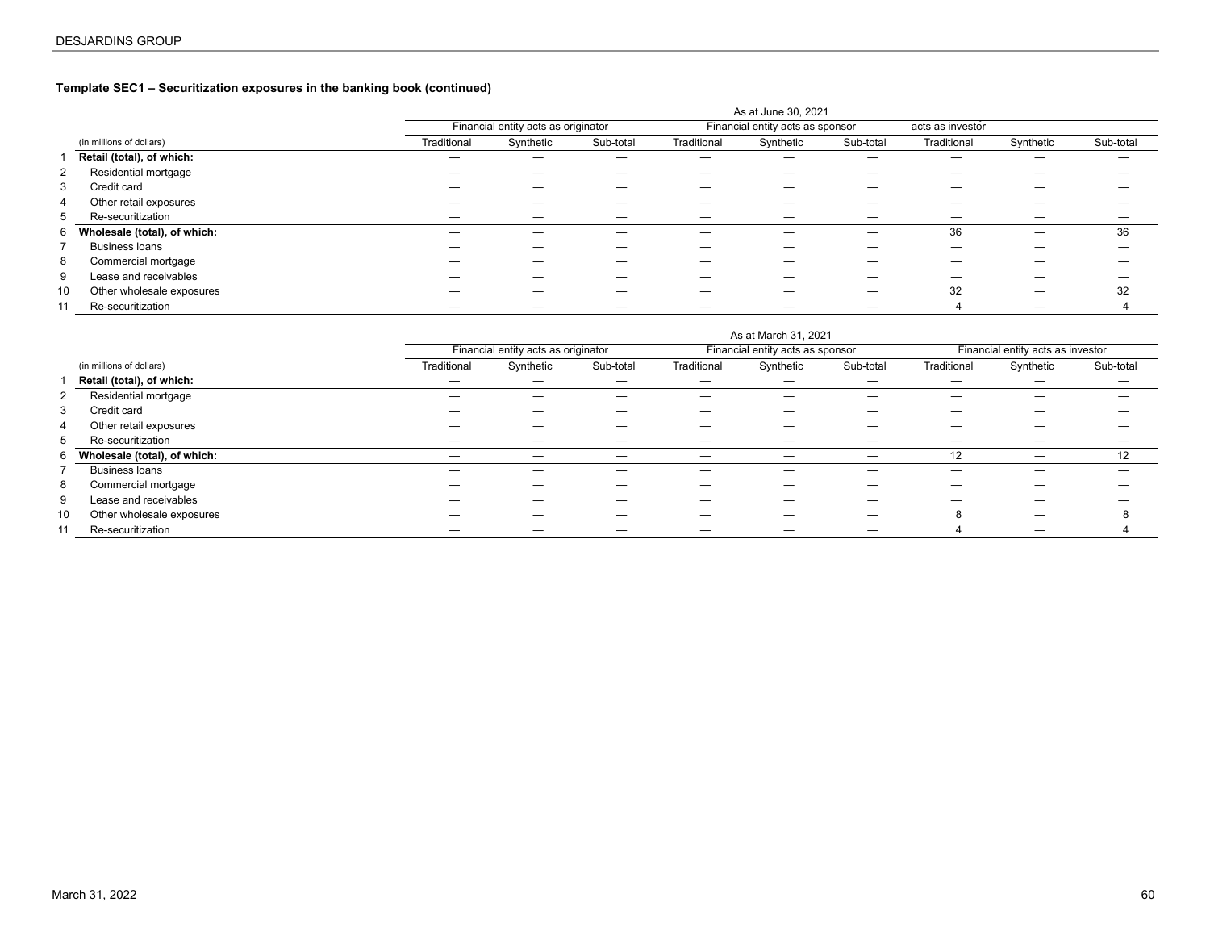# **Template SEC1 – Securitization exposures in the banking book (continued)**

|    |                              |             |                                     |           |             | As at June 30, 2021              |           |                  |           |           |
|----|------------------------------|-------------|-------------------------------------|-----------|-------------|----------------------------------|-----------|------------------|-----------|-----------|
|    |                              |             | Financial entity acts as originator |           |             | Financial entity acts as sponsor |           | acts as investor |           |           |
|    | (in millions of dollars)     | Traditional | Synthetic                           | Sub-total | Traditional | Synthetic                        | Sub-total | Traditional      | Synthetic | Sub-total |
|    | Retail (total), of which:    |             |                                     |           | —           |                                  |           |                  |           | –         |
| 2  | Residential mortgage         |             |                                     |           |             |                                  |           |                  |           |           |
| 3  | Credit card                  |             |                                     |           |             |                                  |           |                  |           |           |
| 4  | Other retail exposures       |             |                                     |           |             |                                  |           |                  |           |           |
| 5  | Re-securitization            |             |                                     |           |             |                                  | _         |                  |           |           |
| 6  | Wholesale (total), of which: | –           |                                     |           | -           |                                  |           | 36               |           | 36        |
|    | <b>Business loans</b>        |             |                                     |           |             |                                  |           |                  |           |           |
| 8  | Commercial mortgage          |             |                                     |           |             |                                  |           |                  |           |           |
| 9  | Lease and receivables        |             |                                     |           |             |                                  | _         |                  |           |           |
| 10 | Other wholesale exposures    |             |                                     |           |             |                                  |           | 32               |           | 32        |
| 11 | Re-securitization            |             |                                     |           |             |                                  |           |                  |           |           |

|    |                              | As at March 31, 2021 |                                     |           |             |                                  |                          |             |                                   |           |  |  |  |  |
|----|------------------------------|----------------------|-------------------------------------|-----------|-------------|----------------------------------|--------------------------|-------------|-----------------------------------|-----------|--|--|--|--|
|    |                              |                      | Financial entity acts as originator |           |             | Financial entity acts as sponsor |                          |             | Financial entity acts as investor |           |  |  |  |  |
|    | (in millions of dollars)     | Traditional          | Synthetic                           | Sub-total | Traditional | Synthetic                        | Sub-total                | Traditional | Synthetic                         | Sub-total |  |  |  |  |
|    | Retail (total), of which:    | —                    |                                     |           | —           |                                  |                          | –           |                                   |           |  |  |  |  |
| 2  | Residential mortgage         |                      |                                     | —         | _           |                                  | –                        |             | _                                 |           |  |  |  |  |
| 3  | Credit card                  |                      |                                     |           |             |                                  |                          |             |                                   |           |  |  |  |  |
| 4  | Other retail exposures       |                      |                                     |           |             |                                  |                          |             |                                   |           |  |  |  |  |
| 5  | Re-securitization            |                      |                                     |           |             |                                  |                          |             |                                   |           |  |  |  |  |
| 6  | Wholesale (total), of which: | —                    |                                     |           | —           | —                                | $\overline{\phantom{m}}$ | 12          | —                                 | 12        |  |  |  |  |
|    | <b>Business loans</b>        |                      |                                     |           | —           |                                  | –                        | –           | —                                 |           |  |  |  |  |
| 8  | Commercial mortgage          |                      |                                     |           |             |                                  |                          |             |                                   |           |  |  |  |  |
| 9  | Lease and receivables        |                      |                                     |           |             |                                  |                          |             |                                   |           |  |  |  |  |
| 10 | Other wholesale exposures    |                      |                                     |           |             |                                  |                          |             |                                   |           |  |  |  |  |
| 11 | Re-securitization            |                      |                                     |           |             |                                  |                          |             |                                   |           |  |  |  |  |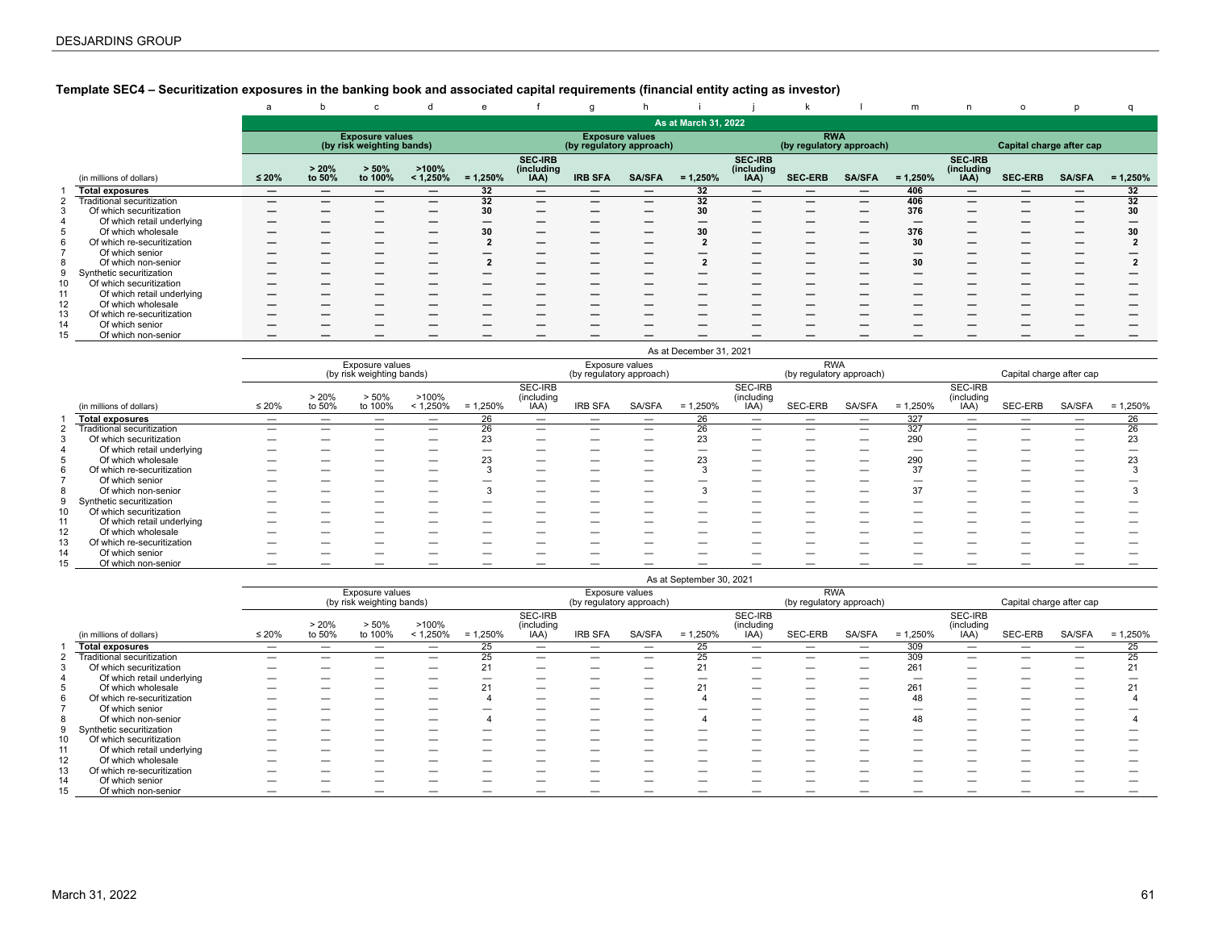# <span id="page-60-0"></span>**Template SEC4 – Securitization exposures in the banking book and associated capital requirements (financial entity acting as investor)**

|    |                            | a                        | b               | $\mathbf{C}$                                        | d                    | e          |                                      | g                                                  |                          |                      |                                      | k                                      |               | m          | n.                                   | $\circ$                  | D                        |            |
|----|----------------------------|--------------------------|-----------------|-----------------------------------------------------|----------------------|------------|--------------------------------------|----------------------------------------------------|--------------------------|----------------------|--------------------------------------|----------------------------------------|---------------|------------|--------------------------------------|--------------------------|--------------------------|------------|
|    |                            |                          |                 |                                                     |                      |            |                                      |                                                    |                          | As at March 31, 2022 |                                      |                                        |               |            |                                      |                          |                          |            |
|    |                            |                          |                 | <b>Exposure values</b><br>(by risk weighting bands) |                      |            |                                      | <b>Exposure values</b><br>(by regulatory approach) |                          |                      |                                      | <b>RWA</b><br>(by regulatory approach) |               |            |                                      | Capital charge after cap |                          |            |
|    | (in millions of dollars)   | $≤ 20%$                  | > 20%<br>to 50% | $> 50\%$<br>to 100%                                 | >100%<br>$< 1,250\%$ | $= 1,250%$ | <b>SEC-IRB</b><br>(including<br>IAA) | <b>IRB SFA</b>                                     | <b>SA/SFA</b>            | $= 1,250%$           | <b>SEC-IRB</b><br>(including<br>IAA) | <b>SEC-ERB</b>                         | <b>SA/SFA</b> | $= 1,250%$ | <b>SEC-IRB</b><br>(including<br>IAA) | <b>SEC-ERB</b>           | <b>SA/SFA</b>            | $= 1,250%$ |
|    | <b>Total exposures</b>     | $\overline{\phantom{m}}$ | -               |                                                     | —                    | 32         | $\overline{\phantom{0}}$             | —                                                  |                          | 32                   | $\overline{\phantom{m}}$             | —                                      |               | 406        | $\overline{\phantom{0}}$             | —                        | $\overline{\phantom{m}}$ | 32         |
|    | Traditional securitization | –                        | _               |                                                     | –                    | 32         | –                                    | –                                                  | $\overline{\phantom{m}}$ | 32                   | –                                    | —                                      | —             | 406        | $\overline{\phantom{0}}$             | _                        | –                        | 32         |
|    | Of which securitization    | –                        |                 |                                                     | –                    | 30         |                                      | –                                                  | $\overline{\phantom{0}}$ | 30                   | –                                    |                                        | –             | 376        |                                      | _                        | –                        | 30         |
|    | Of which retail underlying | –                        |                 |                                                     | –                    |            |                                      | –                                                  |                          | —                    | _                                    |                                        |               | –          |                                      |                          | –                        |            |
|    | Of which wholesale         |                          |                 | -                                                   | –                    |            |                                      | –                                                  |                          | 30                   | –                                    | —                                      | –             | 376        | $\overline{\phantom{0}}$             | –                        | –                        | 30         |
| 6  | Of which re-securitization |                          |                 |                                                     |                      |            |                                      | _                                                  |                          |                      | –                                    |                                        |               | 30         |                                      |                          |                          |            |
|    | Of which senior            |                          |                 |                                                     | –                    |            |                                      | –                                                  |                          |                      | –                                    |                                        |               | –          |                                      |                          | –                        |            |
|    | Of which non-senior        | -                        | –               |                                                     | –                    |            |                                      | –                                                  |                          |                      | –                                    |                                        |               | 30         |                                      |                          | –                        |            |
|    | Synthetic securitization   | $\overline{\phantom{m}}$ | -               |                                                     | –                    |            |                                      | –                                                  |                          |                      | –                                    |                                        |               | –          |                                      |                          | –                        |            |
| 10 | Of which securitization    | -                        | -               |                                                     | –                    |            |                                      | –                                                  |                          |                      | –                                    |                                        |               | _          |                                      | _                        | –                        |            |
| 11 | Of which retail underlying |                          |                 |                                                     |                      |            |                                      | _                                                  |                          |                      |                                      |                                        |               |            |                                      |                          |                          |            |
| 12 | Of which wholesale         | –                        |                 |                                                     | –                    |            |                                      | _                                                  |                          |                      | _                                    |                                        |               |            |                                      |                          |                          |            |
| 13 | Of which re-securitization | –                        |                 |                                                     |                      |            |                                      | -                                                  |                          |                      |                                      |                                        |               |            |                                      |                          |                          |            |
| 14 | Of which senior            |                          |                 |                                                     |                      |            |                                      | _                                                  |                          |                      |                                      |                                        |               |            |                                      |                          |                          |            |
| 15 | Of which non-senior        | –                        |                 |                                                     |                      |            |                                      |                                                    |                          |                      |                                      |                                        |               |            |                                      |                          |                          |            |

|    |                            |                          |                          |                                              |                          |            |                               |                                             |               | As at December 31, 2021  |                               |                                        |                          |            |                               |                          |               |            |
|----|----------------------------|--------------------------|--------------------------|----------------------------------------------|--------------------------|------------|-------------------------------|---------------------------------------------|---------------|--------------------------|-------------------------------|----------------------------------------|--------------------------|------------|-------------------------------|--------------------------|---------------|------------|
|    |                            |                          |                          | Exposure values<br>(by risk weighting bands) |                          |            |                               | Exposure values<br>(by regulatory approach) |               |                          |                               | <b>RWA</b><br>(by regulatory approach) |                          |            |                               | Capital charge after cap |               |            |
|    | (in millions of dollars)   | $\leq 20\%$              | > 20%<br>to 50%          | > 50%<br>to 100%                             | >100%<br>< 1,250%        | $= 1,250%$ | SEC-IRB<br>(including<br>IAA) | <b>IRB SFA</b>                              | <b>SA/SFA</b> | $= 1,250%$               | SEC-IRB<br>(including<br>(AA) | SEC-ERB                                | SA/SFA                   | $= 1,250%$ | SEC-IRB<br>(including<br>IAA) | SEC-ERB                  | <b>SA/SFA</b> | $= 1,250%$ |
|    | <b>Total exposures</b>     | $\overline{\phantom{0}}$ | $\overline{\phantom{0}}$ | _                                            | $\overline{\phantom{0}}$ | 26         | $\overline{\phantom{0}}$      |                                             | —             | 26                       |                               |                                        | $\overline{\phantom{0}}$ | 327        | -                             | –                        |               | 26         |
|    | Traditional securitization |                          |                          | _                                            |                          | 26         |                               | $\overline{\phantom{0}}$                    | —             | 26                       |                               | —                                      | $\overline{\phantom{m}}$ | 327        | -                             | —                        |               | 26         |
|    | Of which securitization    |                          |                          |                                              | -                        | 23         |                               | -                                           |               | 23                       | _                             |                                        | –                        | 290        |                               |                          |               | 23         |
|    | Of which retail underlying |                          |                          |                                              |                          |            |                               | -                                           |               |                          |                               |                                        | -                        | -          |                               |                          |               |            |
|    | Of which wholesale         | --                       |                          |                                              |                          | n n        | $\overline{\phantom{a}}$      | -                                           |               | 23                       | _                             |                                        | _                        | 290        |                               |                          |               | 23         |
| 6  | Of which re-securitization | _                        |                          | _                                            |                          |            |                               |                                             | --            |                          | _                             | __                                     |                          | 37         |                               | _                        |               |            |
|    | Of which senior            | --                       |                          |                                              |                          |            |                               | _                                           |               |                          |                               |                                        | -                        |            |                               |                          |               |            |
|    | Of which non-senior        | –                        |                          |                                              | -                        |            | -                             | $\overline{\phantom{0}}$                    | --            |                          | –                             |                                        | –                        | 37         |                               | --                       |               |            |
|    | Synthetic securitization   | _                        |                          | _                                            |                          |            | -                             |                                             | --            |                          | _                             |                                        | –                        |            |                               | --                       |               |            |
|    | Of which securitization    |                          |                          |                                              |                          |            |                               | -                                           |               |                          |                               |                                        |                          |            |                               |                          |               |            |
| 11 | Of which retail underlying | _                        |                          |                                              |                          |            |                               |                                             |               |                          |                               |                                        |                          |            |                               |                          |               |            |
| 12 | Of which wholesale         |                          |                          |                                              |                          |            |                               |                                             |               |                          |                               |                                        |                          |            |                               |                          |               |            |
| 13 | Of which re-securitization | _                        | _                        |                                              | __                       |            |                               | -                                           |               | $\overline{\phantom{a}}$ |                               |                                        | _                        |            |                               |                          |               |            |
| 14 | Of which senior            | --                       |                          |                                              |                          |            |                               |                                             |               |                          |                               |                                        |                          |            |                               |                          |               |            |
| 15 | Of which non-senior        | --                       |                          |                                              |                          |            |                               |                                             |               |                          |                               |                                        |                          |            |                               |                          |               |            |

|    |                            |             |        |                                              |             |            |                       |                                             |                          | As at September 30, 2021 |                          |                                        |        |                          |                          |                          |                          |            |
|----|----------------------------|-------------|--------|----------------------------------------------|-------------|------------|-----------------------|---------------------------------------------|--------------------------|--------------------------|--------------------------|----------------------------------------|--------|--------------------------|--------------------------|--------------------------|--------------------------|------------|
|    |                            |             |        | Exposure values<br>(by risk weighting bands) |             |            |                       | Exposure values<br>(by regulatory approach) |                          |                          |                          | <b>RWA</b><br>(by regulatory approach) |        |                          |                          | Capital charge after cap |                          |            |
|    |                            |             | > 20%  | > 50%                                        | >100%       |            | SEC-IRB<br>(including |                                             |                          |                          | SEC-IRB<br>(including    |                                        |        |                          | SEC-IRB<br>(including    |                          |                          |            |
|    | (in millions of dollars)   | $\leq 20\%$ | to 50% | to 100%                                      | $< 1,250\%$ | $= 1,250%$ | IAA)                  | <b>IRB SFA</b>                              | SA/SFA                   | $= 1,250%$               | IAA)                     | SEC-ERB                                | SA/SFA | $= 1,250%$               | IAA)                     | SEC-ERB                  | SA/SFA                   | $= 1,250%$ |
|    | <b>Total exposures</b>     |             | –      | --                                           | –           | 25         | _                     |                                             |                          | 25                       |                          | _                                      |        | 309                      | $\overline{\phantom{0}}$ |                          |                          | 25         |
|    | Traditional securitization | _           |        |                                              | _           |            | _                     |                                             |                          | 25                       | —                        |                                        | _      | 309                      | –                        |                          | –                        | 25         |
|    | Of which securitization    | -           |        | --                                           |             |            | -                     | –                                           | -                        | 21                       | —                        |                                        | _      | 261                      | –                        |                          |                          | 21         |
|    | Of which retail underlying | _           |        | —                                            | _           |            | _                     |                                             |                          | -                        |                          | _                                      | _      | $\overline{\phantom{0}}$ | –                        | _                        |                          |            |
|    | Of which wholesale         | _           |        | --                                           |             |            | _                     | –                                           |                          | 21                       |                          |                                        | _      | 261                      | –                        |                          |                          |            |
|    | Of which re-securitization | _           |        |                                              |             |            |                       | _                                           |                          |                          |                          |                                        |        | 48                       | _                        |                          |                          |            |
|    | Of which senior            |             |        |                                              |             |            |                       |                                             |                          |                          |                          |                                        |        |                          |                          |                          |                          |            |
|    | Of which non-senior        | –           | –      | —                                            | _           |            | –                     | $\overline{\phantom{m}}$                    | $\overline{\phantom{0}}$ |                          | $\overline{\phantom{0}}$ | _                                      | -      | 48                       | $\overline{\phantom{0}}$ | –                        | $\overline{\phantom{0}}$ |            |
|    | Synthetic securitization   | _           |        | --                                           |             |            |                       | _                                           |                          |                          |                          |                                        |        |                          |                          |                          |                          |            |
| 10 | Of which securitization    | _           |        |                                              |             |            |                       |                                             |                          |                          |                          |                                        |        |                          |                          |                          |                          |            |
| 11 | Of which retail underlying |             |        |                                              |             |            |                       |                                             |                          |                          |                          |                                        |        |                          |                          |                          |                          |            |
| 12 | Of which wholesale         | _           |        |                                              |             |            |                       | _                                           |                          |                          |                          |                                        |        |                          |                          |                          |                          |            |
| 13 | Of which re-securitization | _           |        |                                              |             |            |                       | –                                           |                          |                          |                          |                                        |        |                          |                          |                          |                          |            |
| 14 | Of which senior            | _           |        |                                              |             |            |                       |                                             |                          |                          |                          |                                        |        |                          |                          |                          |                          |            |
| 15 | Of which non-senior        |             |        |                                              |             |            |                       |                                             |                          |                          |                          |                                        |        |                          |                          |                          |                          |            |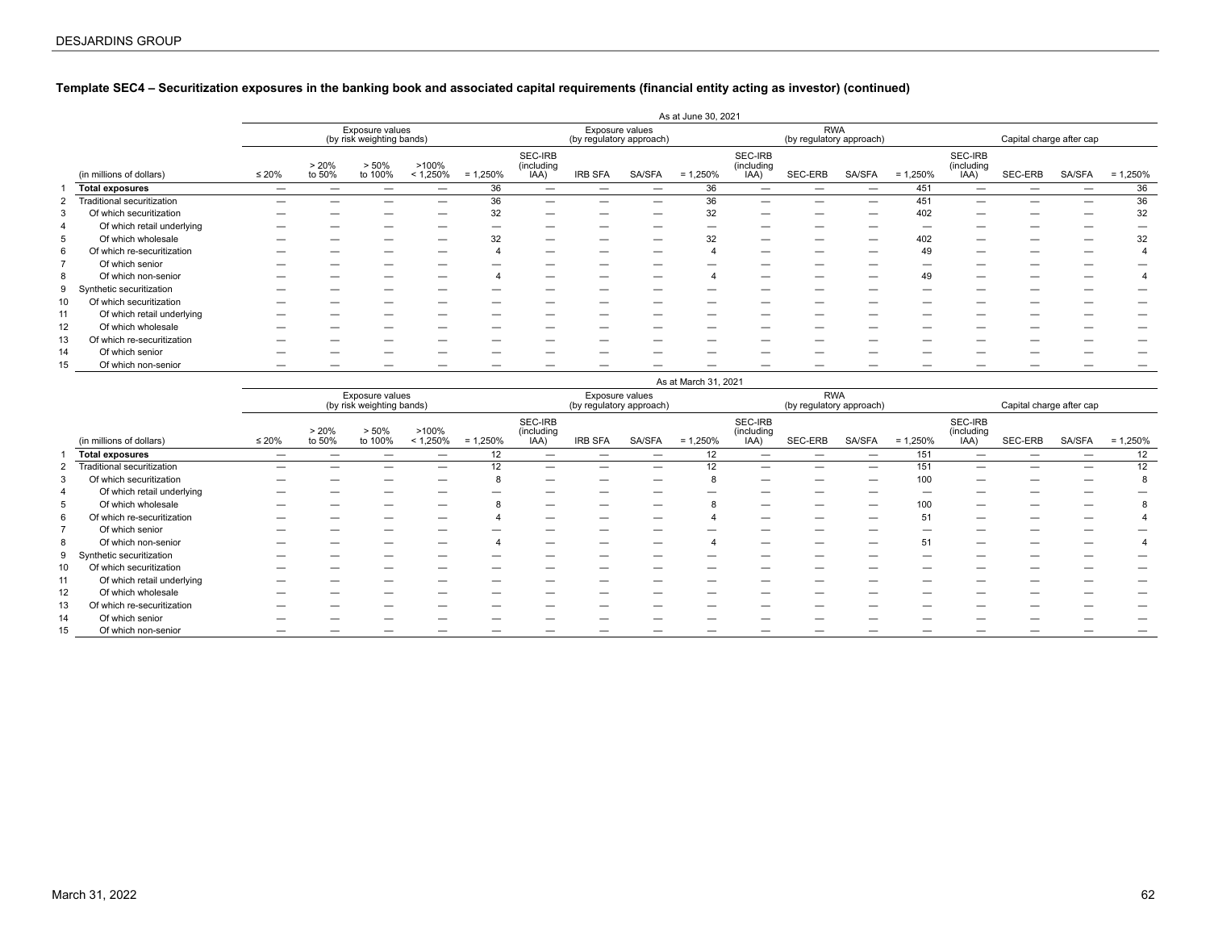# **Template SEC4 – Securitization exposures in the banking book and associated capital requirements (financial entity acting as investor) (continued)**

|    |                            |             | As at June 30, 2021 |                                              |                      |            |                               |                          |                 |            |                               |                                        |        |            |                               |                          |        |            |
|----|----------------------------|-------------|---------------------|----------------------------------------------|----------------------|------------|-------------------------------|--------------------------|-----------------|------------|-------------------------------|----------------------------------------|--------|------------|-------------------------------|--------------------------|--------|------------|
|    |                            |             |                     | Exposure values<br>(by risk weighting bands) |                      |            |                               | (by regulatory approach) | Exposure values |            |                               | <b>RWA</b><br>(by regulatory approach) |        |            |                               | Capital charge after cap |        |            |
|    | (in millions of dollars)   | $\leq 20\%$ | > 20%<br>to 50%     | > 50%<br>to 100%                             | >100%<br>$< 1,250\%$ | $= 1,250%$ | SEC-IRB<br>(including<br>IAA) | <b>IRB SFA</b>           | <b>SA/SFA</b>   | $= 1,250%$ | SEC-IRB<br>(including<br>IAA) | SEC-ERB                                | SA/SFA | $= 1,250%$ | SEC-IRB<br>(including<br>IAA) | SEC-ERB                  | SA/SFA | $= 1,250%$ |
|    | <b>Total exposures</b>     |             |                     |                                              |                      | 36         |                               |                          |                 | 36         | –                             |                                        |        | 451        | -                             | -                        | _      | 36         |
|    | Traditional securitization |             |                     | __                                           | –                    | 36         | –                             |                          | _               | 36         | –                             |                                        |        | 451        |                               |                          | _      | 36         |
|    | Of which securitization    |             |                     |                                              |                      | 32         |                               |                          |                 | 32         | –                             |                                        |        | 402        |                               |                          | _      | 32         |
| 4  | Of which retail underlying |             |                     | -                                            |                      |            |                               |                          |                 |            | -                             |                                        |        |            |                               |                          | _      |            |
| 5  | Of which wholesale         |             |                     |                                              |                      | 32         | _                             |                          |                 | 32         | –                             |                                        |        | 402        |                               |                          | _      | 32         |
| 6  | Of which re-securitization |             |                     | _                                            |                      |            | –                             |                          | _               |            | –                             | --                                     |        | 49         |                               |                          | —      |            |
|    | Of which senior            |             |                     | -                                            |                      |            |                               |                          |                 |            |                               |                                        |        |            |                               |                          |        |            |
| 8  | Of which non-senior        |             |                     |                                              |                      |            |                               |                          |                 |            |                               |                                        |        |            |                               |                          |        |            |
| 9  | Synthetic securitization   |             |                     |                                              |                      |            |                               |                          |                 |            |                               |                                        |        |            |                               |                          |        |            |
| 10 | Of which securitization    |             |                     |                                              |                      |            |                               |                          |                 |            |                               |                                        |        |            |                               |                          |        |            |
| 11 | Of which retail underlying |             |                     | -                                            |                      |            |                               |                          |                 | -          | _                             |                                        |        |            |                               | $\overline{\phantom{a}}$ | _      |            |
| 12 | Of which wholesale         |             |                     |                                              |                      |            |                               |                          |                 |            |                               |                                        |        |            |                               |                          |        |            |
| 13 | Of which re-securitization |             |                     |                                              |                      |            |                               |                          |                 |            |                               |                                        |        |            |                               |                          |        |            |
| 14 | Of which senior            |             |                     |                                              |                      |            |                               |                          |                 |            |                               |                                        |        |            |                               |                          |        |            |
| 15 | Of which non-senior        |             |                     |                                              |                      |            |                               |                          |                 |            |                               |                                        |        |            |                               |                          |        |            |

|         |                            |             | As at March 31, 2021 |                                              |                      |            |                               |                                             |        |            |                               |                                        |               |            |                               |                          |               |            |
|---------|----------------------------|-------------|----------------------|----------------------------------------------|----------------------|------------|-------------------------------|---------------------------------------------|--------|------------|-------------------------------|----------------------------------------|---------------|------------|-------------------------------|--------------------------|---------------|------------|
|         |                            |             |                      | Exposure values<br>(by risk weighting bands) |                      |            |                               | Exposure values<br>(by regulatory approach) |        |            |                               | <b>RWA</b><br>(by regulatory approach) |               |            |                               | Capital charge after cap |               |            |
|         | (in millions of dollars)   | $\leq 20\%$ | > 20%<br>to 50%      | > 50%<br>to 100%                             | >100%<br>$< 1,250\%$ | $= 1,250%$ | SEC-IRB<br>(including<br>IAA) | <b>IRB SFA</b>                              | SA/SFA | $= 1,250%$ | SEC-IRB<br>(including<br>IAA) | SEC-ERB                                | <b>SA/SFA</b> | $= 1,250%$ | SEC-IRB<br>(including<br>IAA) | SEC-ERB                  | <b>SA/SFA</b> | $= 1,250%$ |
|         | <b>Total exposures</b>     | _           |                      | _                                            | -                    | 12         | -                             |                                             | _      | 12         |                               |                                        | –             | 151        |                               | -                        | -             | 12         |
|         | Traditional securitization |             |                      |                                              | -                    | 12         |                               |                                             |        | 12         |                               |                                        | -             | 151        |                               |                          |               | 12         |
| $\cdot$ | Of which securitization    |             |                      | -                                            | -                    |            |                               |                                             |        |            |                               |                                        |               | 100        |                               |                          |               |            |
| 4       | Of which retail underlying |             |                      | –                                            | _                    |            |                               |                                             | _      |            |                               | _                                      | _             |            |                               | _                        |               |            |
| 5       | Of which wholesale         |             |                      | -                                            |                      |            | -                             |                                             | _      | 8          |                               |                                        | –             |            | $\overline{\phantom{a}}$      | -                        |               |            |
| 6       | Of which re-securitization |             |                      |                                              |                      |            |                               |                                             |        |            |                               |                                        | _             | 51         |                               |                          |               |            |
|         | Of which senior            |             |                      |                                              |                      |            |                               |                                             |        |            |                               |                                        |               |            |                               |                          |               |            |
| 8       | Of which non-senior        |             |                      | –                                            | -                    |            | _                             |                                             |        |            | $\overline{\phantom{0}}$      |                                        | –             | 51         |                               | -                        |               |            |
| 9       | Synthetic securitization   |             |                      |                                              |                      |            |                               |                                             |        |            |                               |                                        | -             |            |                               |                          |               |            |
| 10      | Of which securitization    |             |                      | _                                            |                      |            |                               |                                             |        |            |                               |                                        | _             |            |                               | _                        |               |            |
| 11      | Of which retail underlying |             |                      |                                              |                      |            |                               |                                             |        |            |                               |                                        |               |            |                               |                          |               |            |
| 12      | Of which wholesale         |             |                      | _                                            |                      |            |                               |                                             |        |            |                               |                                        |               |            |                               |                          |               |            |
| 13      | Of which re-securitization |             |                      |                                              |                      |            |                               |                                             |        |            |                               |                                        |               |            |                               |                          |               |            |
| 14      | Of which senior            |             |                      |                                              |                      |            |                               |                                             |        |            |                               |                                        |               |            |                               |                          |               |            |
| 15      | Of which non-senior        |             |                      |                                              |                      |            |                               |                                             |        |            |                               |                                        |               |            |                               |                          |               |            |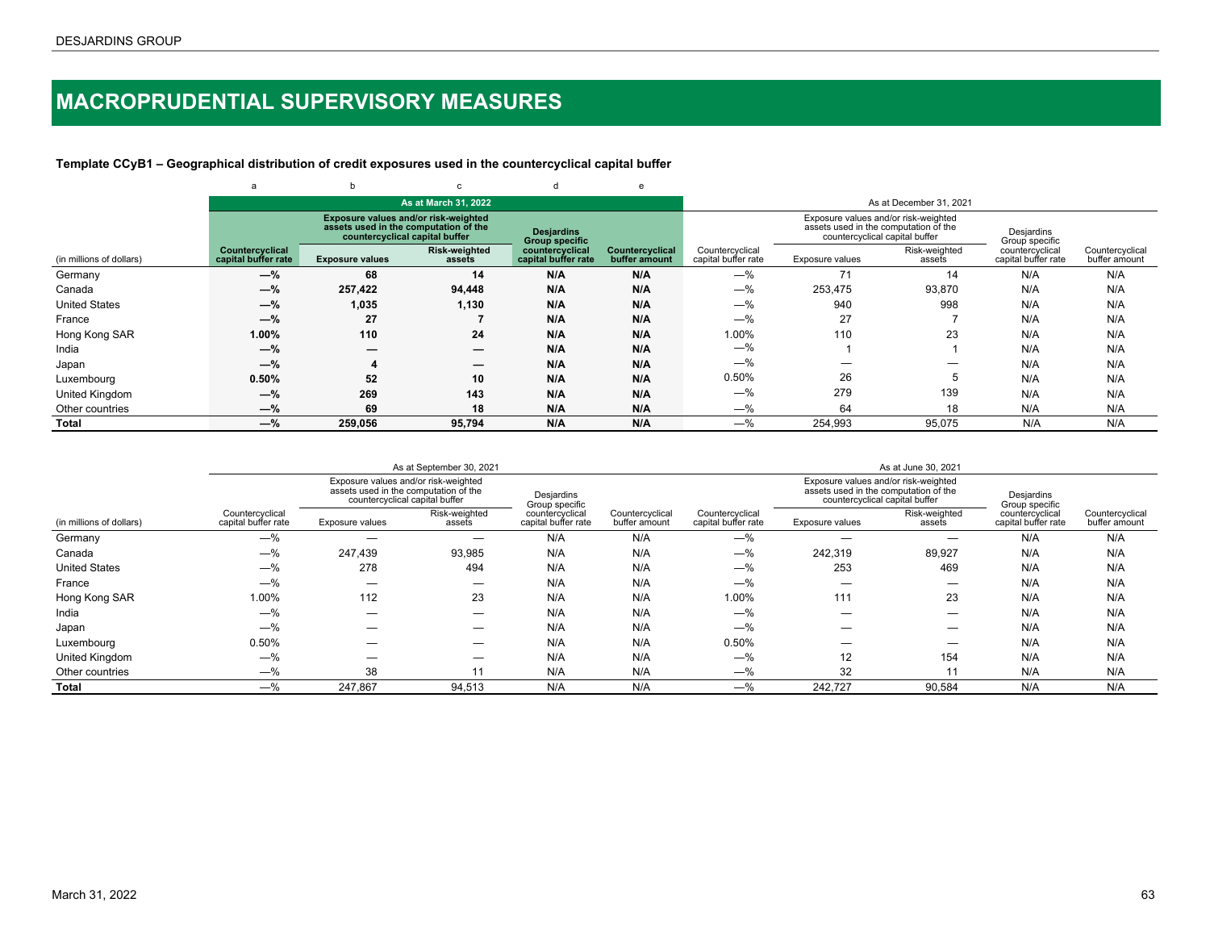# <span id="page-62-0"></span>**MACROPRUDENTIAL SUPERVISORY MEASURES**

## **Template CCyB1 – Geographical distribution of credit exposures used in the countercyclical capital buffer**

|                          | a                                      | b                                                                                                               | $\mathbf{C}$                   |                                            | e                                |                                        |                                                                                                                 |                         |                                        |                                  |
|--------------------------|----------------------------------------|-----------------------------------------------------------------------------------------------------------------|--------------------------------|--------------------------------------------|----------------------------------|----------------------------------------|-----------------------------------------------------------------------------------------------------------------|-------------------------|----------------------------------------|----------------------------------|
|                          |                                        |                                                                                                                 | As at March 31, 2022           |                                            |                                  |                                        |                                                                                                                 | As at December 31, 2021 |                                        |                                  |
|                          |                                        | Exposure values and/or risk-weighted<br>assets used in the computation of the<br>countercyclical capital buffer |                                | <b>Desjardins</b><br><b>Group specific</b> |                                  |                                        | Exposure values and/or risk-weighted<br>assets used in the computation of the<br>countercyclical capital buffer |                         | Desjardins<br>Group specific           |                                  |
| (in millions of dollars) | Countercyclical<br>capital buffer rate | <b>Exposure values</b>                                                                                          | <b>Risk-weighted</b><br>assets | countercyclical<br>capital buffer rate     | Countercyclical<br>buffer amount | Countercyclical<br>capital buffer rate | Exposure values                                                                                                 | Risk-weighted<br>assets | countercyclical<br>capital buffer rate | Countercyclical<br>buffer amount |
| Germany                  | $-\%$                                  | 68                                                                                                              | 14                             | N/A                                        | N/A                              | $-\%$                                  | 71                                                                                                              | 14                      | N/A                                    | N/A                              |
| Canada                   | $-\%$                                  | 257,422                                                                                                         | 94,448                         | N/A                                        | N/A                              | $-%$                                   | 253,475                                                                                                         | 93,870                  | N/A                                    | N/A                              |
| <b>United States</b>     | $-\%$                                  | 1,035                                                                                                           | 1,130                          | N/A                                        | N/A                              | $-%$                                   | 940                                                                                                             | 998                     | N/A                                    | N/A                              |
| France                   | $-\%$                                  | 27                                                                                                              |                                | N/A                                        | N/A                              | $-\%$                                  | 27                                                                                                              |                         | N/A                                    | N/A                              |
| Hong Kong SAR            | 1.00%                                  | 110                                                                                                             | 24                             | N/A                                        | N/A                              | 1.00%                                  | 110                                                                                                             | 23                      | N/A                                    | N/A                              |
| India                    | $-\%$                                  | _                                                                                                               | $\overline{\phantom{m}}$       | N/A                                        | N/A                              | $-\%$                                  |                                                                                                                 |                         | N/A                                    | N/A                              |
| Japan                    | $-\%$                                  |                                                                                                                 | $\overline{\phantom{m}}$       | N/A                                        | N/A                              | $-\%$                                  |                                                                                                                 | —                       | N/A                                    | N/A                              |
| Luxembourg               | 0.50%                                  | 52                                                                                                              | 10                             | N/A                                        | N/A                              | 0.50%                                  | 26                                                                                                              |                         | N/A                                    | N/A                              |
| United Kingdom           | $-\%$                                  | 269                                                                                                             | 143                            | N/A                                        | N/A                              | $-\%$                                  | 279                                                                                                             | 139                     | N/A                                    | N/A                              |
| Other countries          | $-\%$                                  | 69                                                                                                              | 18                             | N/A                                        | N/A                              | $-$ %                                  | 64                                                                                                              | 18                      | N/A                                    | N/A                              |
| Total                    | $-\%$                                  | 259.056                                                                                                         | 95,794                         | N/A                                        | N/A                              | $-$ %                                  | 254,993                                                                                                         | 95,075                  | N/A                                    | N/A                              |

|                          |                                        |                                                                                                                 | As at September 30, 2021 |                                        |                                  |                                        |                                                                                                                 | As at June 30, 2021     |                                        |                                  |
|--------------------------|----------------------------------------|-----------------------------------------------------------------------------------------------------------------|--------------------------|----------------------------------------|----------------------------------|----------------------------------------|-----------------------------------------------------------------------------------------------------------------|-------------------------|----------------------------------------|----------------------------------|
|                          |                                        | Exposure values and/or risk-weighted<br>assets used in the computation of the<br>countercyclical capital buffer |                          | Desjardins<br>Group specific           |                                  |                                        | Exposure values and/or risk-weighted<br>assets used in the computation of the<br>countercyclical capital buffer |                         | Desjardins<br>Group specific           |                                  |
| (in millions of dollars) | Countercyclical<br>capital buffer rate | Exposure values                                                                                                 | Risk-weighted<br>assets  | countercyclical<br>capital buffer rate | Countercyclical<br>buffer amount | Countercyclical<br>capital buffer rate | Exposure values                                                                                                 | Risk-weighted<br>assets | countercyclical<br>capital buffer rate | Countercyclical<br>buffer amount |
| Germany                  | $-$ %                                  |                                                                                                                 |                          | N/A                                    | N/A                              | $-\%$                                  |                                                                                                                 |                         | N/A                                    | N/A                              |
| Canada                   | $-%$                                   | 247,439                                                                                                         | 93,985                   | N/A                                    | N/A                              | $-\%$                                  | 242,319                                                                                                         | 89,927                  | N/A                                    | N/A                              |
| <b>United States</b>     | $-$ %                                  | 278                                                                                                             | 494                      | N/A                                    | N/A                              | $-$ %                                  | 253                                                                                                             | 469                     | N/A                                    | N/A                              |
| France                   | $-$ %                                  |                                                                                                                 |                          | N/A                                    | N/A                              | $-\%$                                  |                                                                                                                 |                         | N/A                                    | N/A                              |
| Hong Kong SAR            | 1.00%                                  | 112                                                                                                             | 23                       | N/A                                    | N/A                              | 1.00%                                  | 111                                                                                                             | 23                      | N/A                                    | N/A                              |
| India                    | $-$ %                                  |                                                                                                                 |                          | N/A                                    | N/A                              | $-$ %                                  |                                                                                                                 | _                       | N/A                                    | N/A                              |
| Japan                    | $-$ %                                  |                                                                                                                 |                          | N/A                                    | N/A                              | $-$ %                                  |                                                                                                                 | _                       | N/A                                    | N/A                              |
| Luxembourg               | 0.50%                                  |                                                                                                                 |                          | N/A                                    | N/A                              | 0.50%                                  |                                                                                                                 | _                       | N/A                                    | N/A                              |
| <b>United Kingdom</b>    | $-$ %                                  | --                                                                                                              | _                        | N/A                                    | N/A                              | $-\%$                                  | 12                                                                                                              | 154                     | N/A                                    | N/A                              |
| Other countries          | $-\%$                                  | 38                                                                                                              | 11                       | N/A                                    | N/A                              | $-\%$                                  | 32                                                                                                              | 11                      | N/A                                    | N/A                              |
| Total                    | $-\%$                                  | 247.867                                                                                                         | 94,513                   | N/A                                    | N/A                              | $-\%$                                  | 242.727                                                                                                         | 90,584                  | N/A                                    | N/A                              |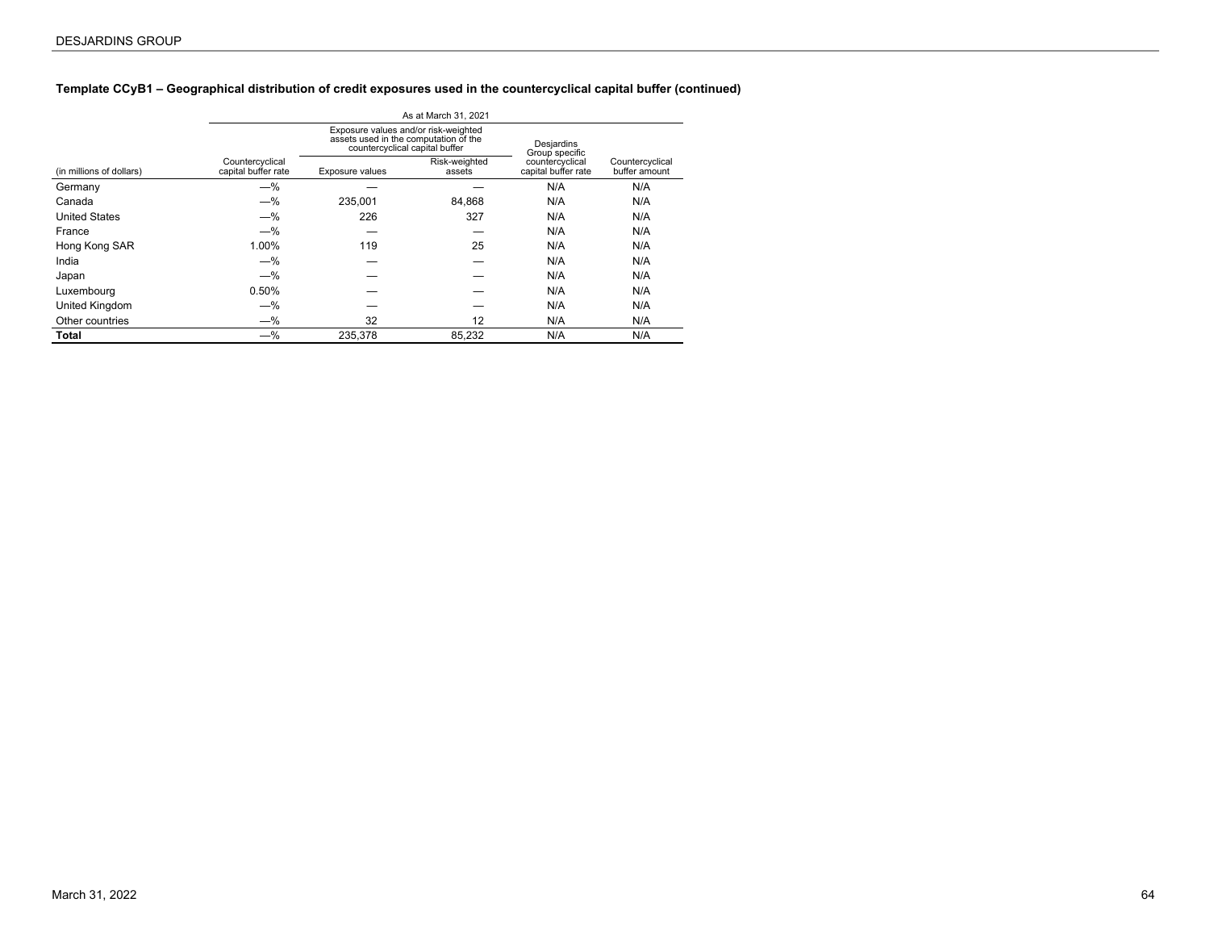## **Template CCyB1 – Geographical distribution of credit exposures used in the countercyclical capital buffer (continued)**

|                          |                                        |                                                                                                                 | As at March 31, 2021    |                                        |                                  |
|--------------------------|----------------------------------------|-----------------------------------------------------------------------------------------------------------------|-------------------------|----------------------------------------|----------------------------------|
|                          |                                        | Exposure values and/or risk-weighted<br>assets used in the computation of the<br>countercyclical capital buffer |                         | Desjardins<br>Group specific           |                                  |
| (in millions of dollars) | Countercyclical<br>capital buffer rate | Exposure values                                                                                                 | Risk-weighted<br>assets | countercyclical<br>capital buffer rate | Countercyclical<br>buffer amount |
| Germany                  | $-%$                                   |                                                                                                                 |                         | N/A                                    | N/A                              |
| Canada                   | $-%$                                   | 235.001                                                                                                         | 84.868                  | N/A                                    | N/A                              |
| <b>United States</b>     | $-%$                                   | 226                                                                                                             | 327                     | N/A                                    | N/A                              |
| France                   | $-%$                                   |                                                                                                                 |                         | N/A                                    | N/A                              |
| Hong Kong SAR            | 1.00%                                  | 119                                                                                                             | 25                      | N/A                                    | N/A                              |
| India                    | $-%$                                   |                                                                                                                 |                         | N/A                                    | N/A                              |
| Japan                    | $-%$                                   |                                                                                                                 |                         | N/A                                    | N/A                              |
| Luxembourg               | 0.50%                                  |                                                                                                                 |                         | N/A                                    | N/A                              |
| United Kingdom           | $-\%$                                  |                                                                                                                 |                         | N/A                                    | N/A                              |
| Other countries          | $-\%$                                  | 32                                                                                                              | 12                      | N/A                                    | N/A                              |
| Total                    | $-%$                                   | 235.378                                                                                                         | 85,232                  | N/A                                    | N/A                              |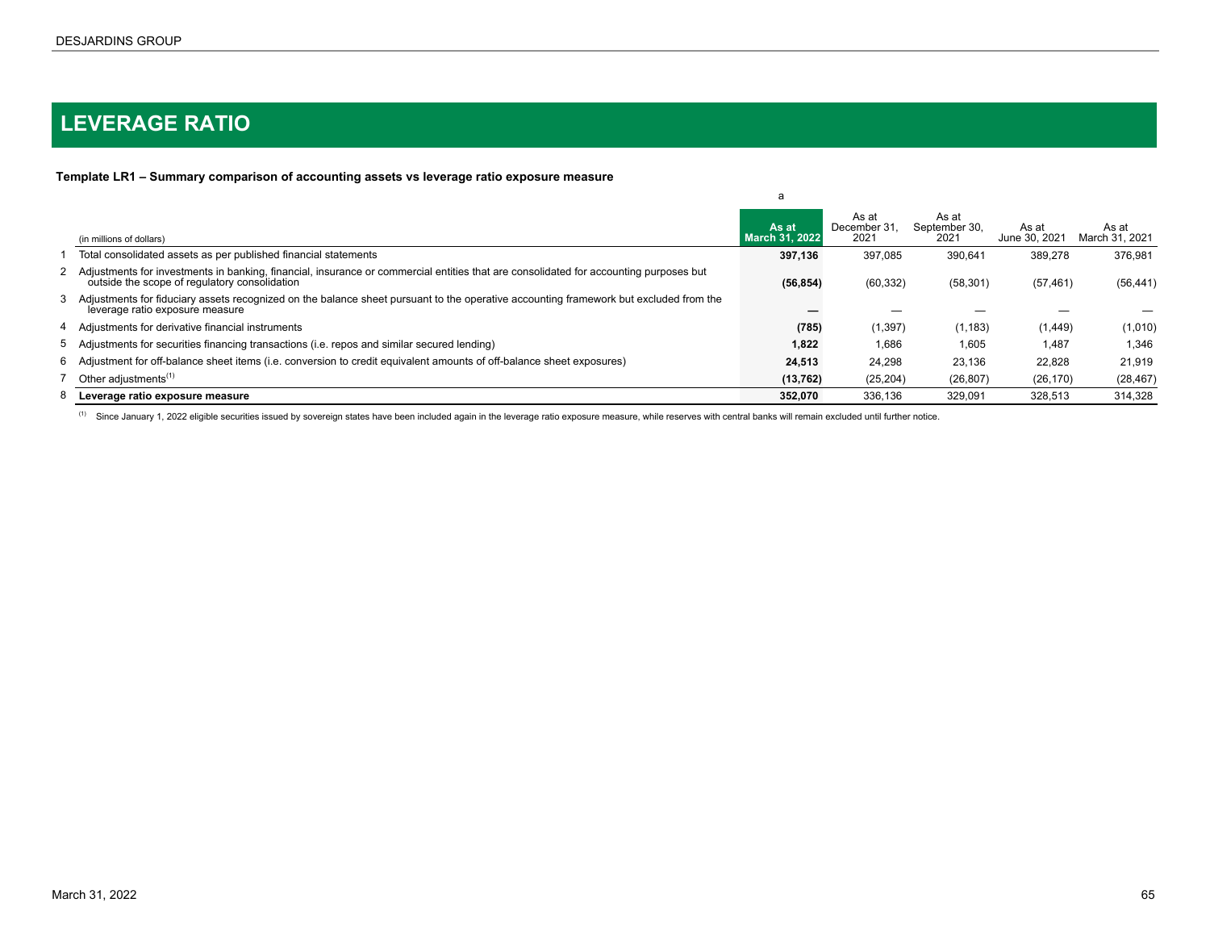# <span id="page-64-0"></span>**LEVERAGE RATIO**

# **Template LR1 – Summary comparison of accounting assets vs leverage ratio exposure measure**

|                                                                                                                                                                                          | a                              |                               |                                |                        |                         |
|------------------------------------------------------------------------------------------------------------------------------------------------------------------------------------------|--------------------------------|-------------------------------|--------------------------------|------------------------|-------------------------|
| (in millions of dollars)                                                                                                                                                                 | As at<br><b>March 31, 2022</b> | As at<br>December 31.<br>2021 | As at<br>September 30,<br>2021 | As at<br>June 30, 2021 | As at<br>March 31, 2021 |
| Total consolidated assets as per published financial statements                                                                                                                          | 397.136                        | 397.085                       | 390.641                        | 389.278                | 376.981                 |
| 2 Adjustments for investments in banking, financial, insurance or commercial entities that are consolidated for accounting purposes but<br>outside the scope of regulatory consolidation | (56, 854)                      | (60, 332)                     | (58, 301)                      | (57, 461)              | (56, 441)               |
| 3 Adjustments for fiduciary assets recognized on the balance sheet pursuant to the operative accounting framework but excluded from the<br>leverage ratio exposure measure               |                                |                               |                                |                        |                         |
| 4 Adjustments for derivative financial instruments                                                                                                                                       | (785)                          | (1, 397)                      | (1, 183)                       | (1, 449)               | (1,010)                 |
| 5 Adjustments for securities financing transactions (i.e. repos and similar secured lending)                                                                                             | 1,822                          | 1,686                         | 1,605                          | 1,487                  | 1,346                   |
| 6 Adjustment for off-balance sheet items (i.e. conversion to credit equivalent amounts of off-balance sheet exposures)                                                                   | 24,513                         | 24,298                        | 23,136                         | 22,828                 | 21,919                  |
| Other adjustments <sup>(1)</sup>                                                                                                                                                         | (13, 762)                      | (25, 204)                     | (26, 807)                      | (26, 170)              | (28, 467)               |
| 8 Leverage ratio exposure measure                                                                                                                                                        | 352.070                        | 336.136                       | 329.091                        | 328,513                | 314,328                 |

<sup>(1)</sup> Since January 1, 2022 eligible securities issued by sovereign states have been included again in the leverage ratio exposure measure, while reserves with central banks will remain excluded until further notice.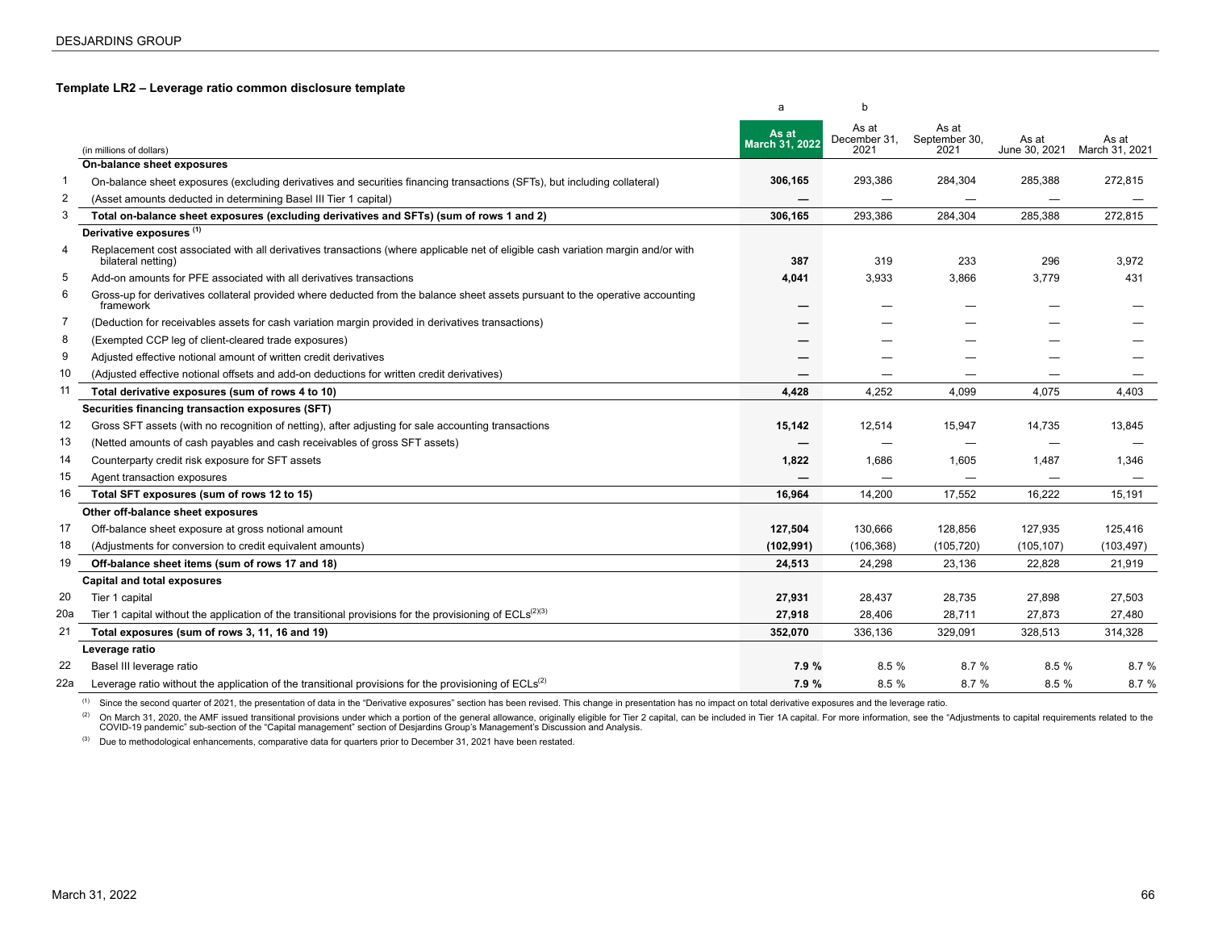### <span id="page-65-0"></span>**Template LR2 – Leverage ratio common disclosure template**

|                |                                                                                                                                                         | a                       | b                             |                                |                        |                         |
|----------------|---------------------------------------------------------------------------------------------------------------------------------------------------------|-------------------------|-------------------------------|--------------------------------|------------------------|-------------------------|
|                | (in millions of dollars)                                                                                                                                | As at<br>March 31, 2022 | As at<br>December 31,<br>2021 | As at<br>September 30,<br>2021 | As at<br>June 30, 2021 | As at<br>March 31, 2021 |
|                | On-balance sheet exposures                                                                                                                              |                         |                               |                                |                        |                         |
| $\mathbf{1}$   | On-balance sheet exposures (excluding derivatives and securities financing transactions (SFTs), but including collateral)                               | 306,165                 | 293,386                       | 284,304                        | 285,388                | 272,815                 |
| 2              | (Asset amounts deducted in determining Basel III Tier 1 capital)                                                                                        |                         |                               |                                |                        |                         |
| 3              | Total on-balance sheet exposures (excluding derivatives and SFTs) (sum of rows 1 and 2)                                                                 | 306,165                 | 293,386                       | 284,304                        | 285,388                | 272,815                 |
|                | Derivative exposures (1)                                                                                                                                |                         |                               |                                |                        |                         |
| 4              | Replacement cost associated with all derivatives transactions (where applicable net of eligible cash variation margin and/or with<br>bilateral netting) | 387                     | 319                           | 233                            | 296                    | 3,972                   |
| 5              | Add-on amounts for PFE associated with all derivatives transactions                                                                                     | 4,041                   | 3,933                         | 3,866                          | 3,779                  | 431                     |
| 6              | Gross-up for derivatives collateral provided where deducted from the balance sheet assets pursuant to the operative accounting<br>framework             |                         |                               |                                |                        |                         |
| $\overline{7}$ | (Deduction for receivables assets for cash variation margin provided in derivatives transactions)                                                       |                         |                               |                                |                        |                         |
| 8              | (Exempted CCP leg of client-cleared trade exposures)                                                                                                    |                         |                               |                                |                        |                         |
| 9              | Adjusted effective notional amount of written credit derivatives                                                                                        |                         |                               |                                |                        |                         |
| 10             | (Adjusted effective notional offsets and add-on deductions for written credit derivatives)                                                              |                         |                               | —                              |                        |                         |
| 11             | Total derivative exposures (sum of rows 4 to 10)                                                                                                        | 4,428                   | 4,252                         | 4,099                          | 4,075                  | 4,403                   |
|                | Securities financing transaction exposures (SFT)                                                                                                        |                         |                               |                                |                        |                         |
| 12             | Gross SFT assets (with no recognition of netting), after adjusting for sale accounting transactions                                                     | 15,142                  | 12,514                        | 15,947                         | 14,735                 | 13,845                  |
| 13             | (Netted amounts of cash payables and cash receivables of gross SFT assets)                                                                              |                         |                               |                                |                        |                         |
| 14             | Counterparty credit risk exposure for SFT assets                                                                                                        | 1,822                   | 1,686                         | 1,605                          | 1,487                  | 1,346                   |
| 15             | Agent transaction exposures                                                                                                                             |                         |                               | —                              |                        |                         |
| 16             | Total SFT exposures (sum of rows 12 to 15)                                                                                                              | 16,964                  | 14,200                        | 17,552                         | 16,222                 | 15,191                  |
|                | Other off-balance sheet exposures                                                                                                                       |                         |                               |                                |                        |                         |
| 17             | Off-balance sheet exposure at gross notional amount                                                                                                     | 127,504                 | 130,666                       | 128,856                        | 127,935                | 125,416                 |
| 18             | (Adjustments for conversion to credit equivalent amounts)                                                                                               | (102, 991)              | (106, 368)                    | (105, 720)                     | (105, 107)             | (103, 497)              |
| 19             | Off-balance sheet items (sum of rows 17 and 18)                                                                                                         | 24,513                  | 24,298                        | 23,136                         | 22,828                 | 21,919                  |
|                | <b>Capital and total exposures</b>                                                                                                                      |                         |                               |                                |                        |                         |
| 20             | Tier 1 capital                                                                                                                                          | 27,931                  | 28,437                        | 28,735                         | 27,898                 | 27,503                  |
| 20a            | Tier 1 capital without the application of the transitional provisions for the provisioning of $ECLs^{(2)(3)}$                                           | 27,918                  | 28,406                        | 28,711                         | 27,873                 | 27,480                  |
| 21             | Total exposures (sum of rows 3, 11, 16 and 19)                                                                                                          | 352,070                 | 336,136                       | 329,091                        | 328,513                | 314,328                 |
|                | Leverage ratio                                                                                                                                          |                         |                               |                                |                        |                         |
| 22             | Basel III leverage ratio                                                                                                                                | 7.9 %                   | 8.5%                          | 8.7%                           | 8.5 %                  | 8.7 %                   |
| 22a            | Leverage ratio without the application of the transitional provisions for the provisioning of $ECLs^{(2)}$                                              | 7.9 %                   | 8.5 %                         | 8.7 %                          | 8.5 %                  | 8.7 %                   |

(1) Since the second quarter of 2021, the presentation of data in the "Derivative exposures" section has been revised. This change in presentation has no impact on total derivative exposures and the leverage ratio.

(2) On March 31, 2020, the AMF issued transitional provisions under which a portion of the general allowance, originally eligible for Tier 2 capital, can be included in Tier 1A capital. For more information, see the "Adjus

(3) Due to methodological enhancements, comparative data for quarters prior to December 31, 2021 have been restated.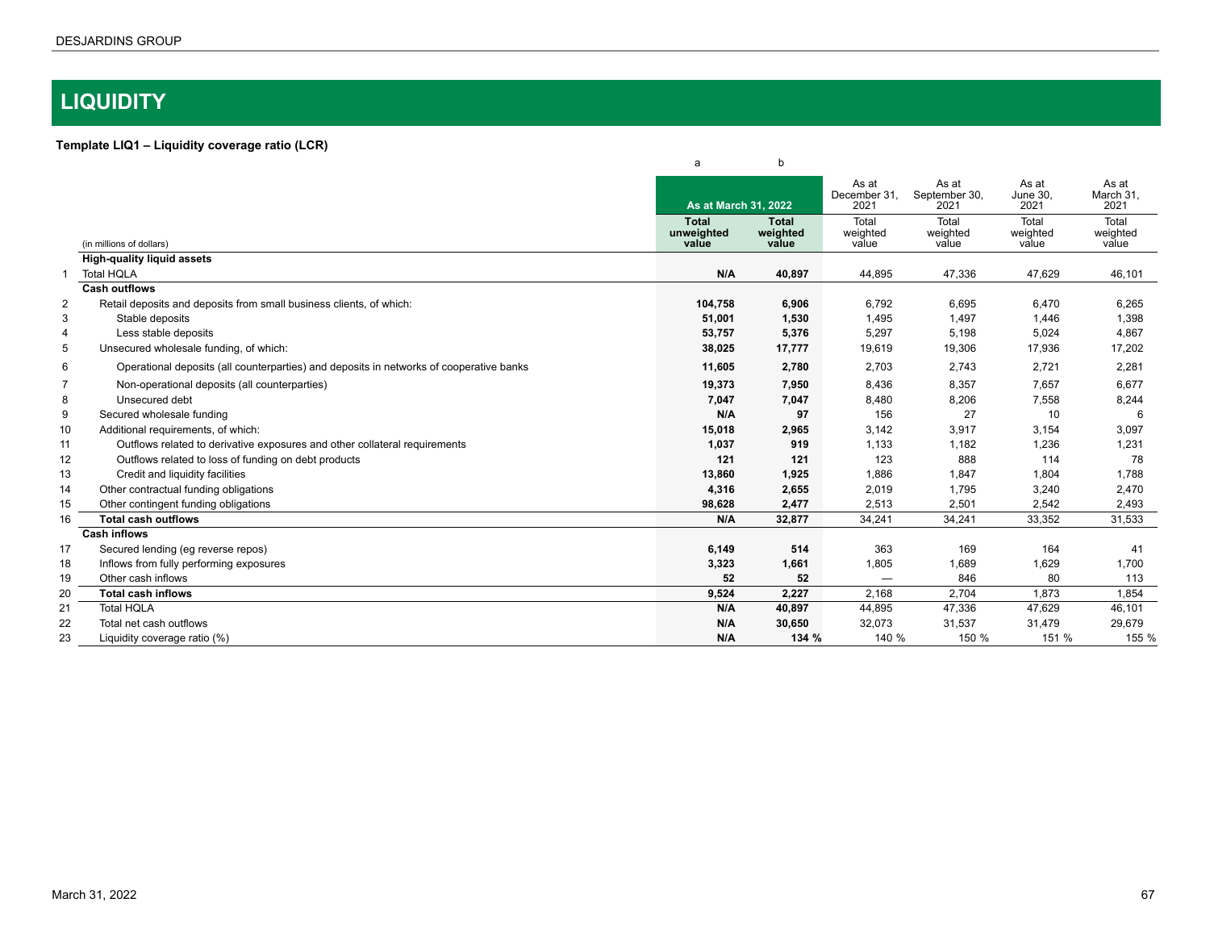# <span id="page-66-0"></span>**LIQUIDITY**

# **Template LIQ1 – Liquidity coverage ratio (LCR)**

|                |                                                                                         | a                                   | b                          |                               |                                |                            |                            |
|----------------|-----------------------------------------------------------------------------------------|-------------------------------------|----------------------------|-------------------------------|--------------------------------|----------------------------|----------------------------|
|                |                                                                                         | As at March 31, 2022                |                            | As at<br>December 31.<br>2021 | As at<br>September 30,<br>2021 | As at<br>June 30.<br>2021  | As at<br>March 31,<br>2021 |
|                | (in millions of dollars)                                                                | <b>Total</b><br>unweighted<br>value | Total<br>weighted<br>value | Total<br>weighted<br>value    | Total<br>weighted<br>value     | Total<br>weighted<br>value | Total<br>weighted<br>value |
|                | <b>High-quality liquid assets</b>                                                       |                                     |                            |                               |                                |                            |                            |
|                | <b>Total HQLA</b>                                                                       | N/A                                 | 40,897                     | 44,895                        | 47,336                         | 47,629                     | 46,101                     |
|                | <b>Cash outflows</b>                                                                    |                                     |                            |                               |                                |                            |                            |
| $\overline{2}$ | Retail deposits and deposits from small business clients, of which:                     | 104,758                             | 6,906                      | 6,792                         | 6,695                          | 6,470                      | 6,265                      |
| 3              | Stable deposits                                                                         | 51,001                              | 1,530                      | 1,495                         | 1,497                          | 1,446                      | 1,398                      |
| 4              | Less stable deposits                                                                    | 53,757                              | 5,376                      | 5,297                         | 5,198                          | 5,024                      | 4,867                      |
| 5              | Unsecured wholesale funding, of which:                                                  | 38,025                              | 17,777                     | 19,619                        | 19,306                         | 17,936                     | 17,202                     |
| 6              | Operational deposits (all counterparties) and deposits in networks of cooperative banks | 11,605                              | 2,780                      | 2,703                         | 2,743                          | 2,721                      | 2,281                      |
| 7              | Non-operational deposits (all counterparties)                                           | 19,373                              | 7,950                      | 8,436                         | 8,357                          | 7.657                      | 6.677                      |
| 8              | Unsecured debt                                                                          | 7,047                               | 7,047                      | 8,480                         | 8,206                          | 7,558                      | 8,244                      |
| 9              | Secured wholesale funding                                                               | N/A                                 | 97                         | 156                           | 27                             | 10                         | 6                          |
| 10             | Additional requirements, of which:                                                      | 15,018                              | 2,965                      | 3,142                         | 3,917                          | 3,154                      | 3,097                      |
| 11             | Outflows related to derivative exposures and other collateral requirements              | 1,037                               | 919                        | 1,133                         | 1,182                          | 1,236                      | 1,231                      |
| 12             | Outflows related to loss of funding on debt products                                    | 121                                 | 121                        | 123                           | 888                            | 114                        | 78                         |
| 13             | Credit and liquidity facilities                                                         | 13,860                              | 1,925                      | 1,886                         | 1,847                          | 1,804                      | 1,788                      |
| 14             | Other contractual funding obligations                                                   | 4,316                               | 2,655                      | 2,019                         | 1,795                          | 3,240                      | 2,470                      |
| 15             | Other contingent funding obligations                                                    | 98,628                              | 2,477                      | 2,513                         | 2,501                          | 2,542                      | 2,493                      |
| 16             | <b>Total cash outflows</b>                                                              | N/A                                 | 32,877                     | 34,241                        | 34,241                         | 33,352                     | 31,533                     |
|                | <b>Cash inflows</b>                                                                     |                                     |                            |                               |                                |                            |                            |
| 17             | Secured lending (eg reverse repos)                                                      | 6,149                               | 514                        | 363                           | 169                            | 164                        | 41                         |
| 18             | Inflows from fully performing exposures                                                 | 3,323                               | 1,661                      | 1,805                         | 1,689                          | 1,629                      | 1,700                      |
| 19             | Other cash inflows                                                                      | 52                                  | 52                         | $\overline{\phantom{0}}$      | 846                            | 80                         | 113                        |
| 20             | <b>Total cash inflows</b>                                                               | 9,524                               | 2,227                      | 2,168                         | 2,704                          | 1,873                      | 1,854                      |
| 21             | <b>Total HQLA</b>                                                                       | N/A                                 | 40,897                     | 44,895                        | 47,336                         | 47,629                     | 46,101                     |
| 22             | Total net cash outflows                                                                 | N/A                                 | 30,650                     | 32,073                        | 31,537                         | 31,479                     | 29,679                     |
| 23             | Liquidity coverage ratio (%)                                                            | N/A                                 | 134 %                      | 140 %                         | 150 %                          | 151 %                      | 155 %                      |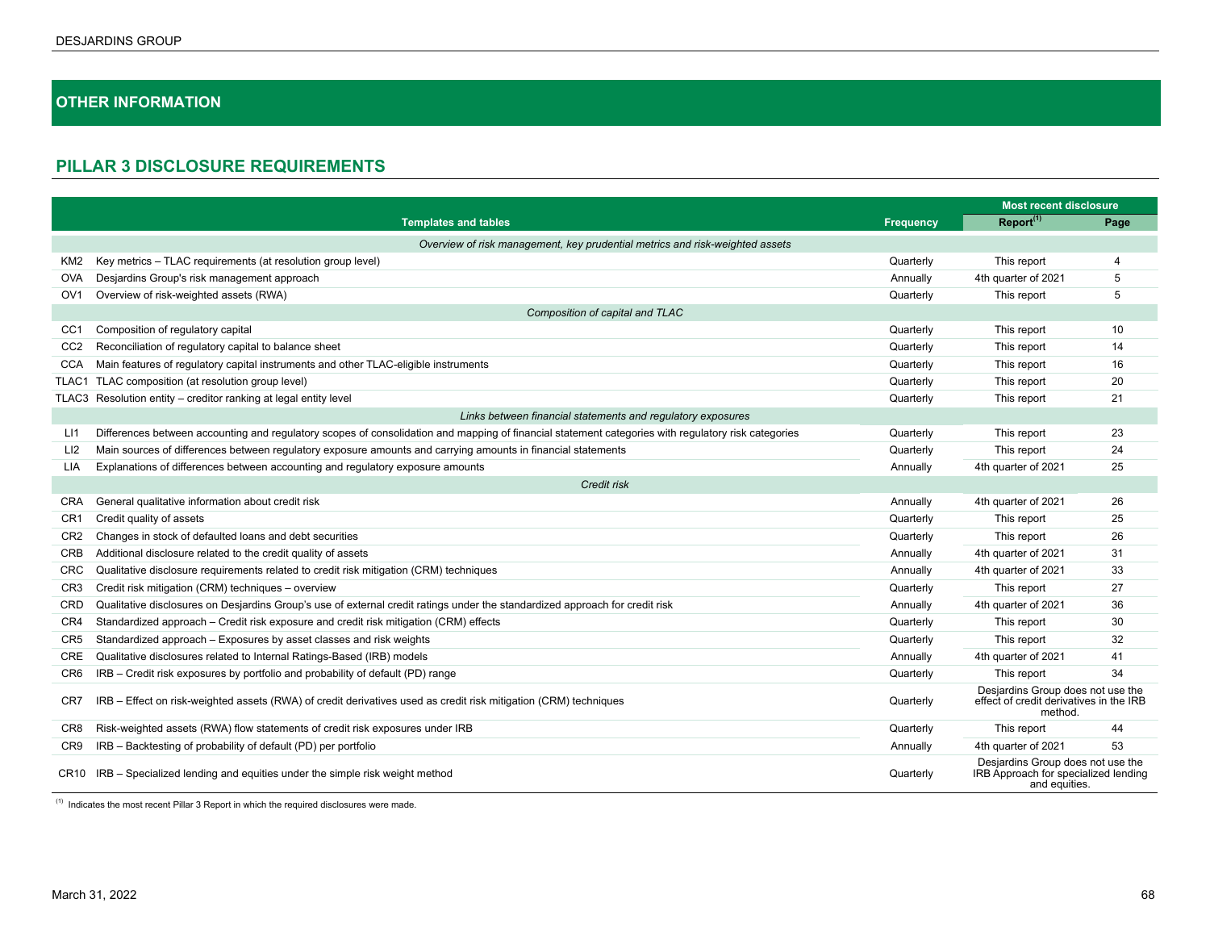# **OTHER INFORMATION**

# **PILLAR 3 DISCLOSURE REQUIREMENTS**

|                  |                                                                                                                                                     |                  | <b>Most recent disclosure</b>                                                              |      |  |  |  |  |
|------------------|-----------------------------------------------------------------------------------------------------------------------------------------------------|------------------|--------------------------------------------------------------------------------------------|------|--|--|--|--|
|                  | <b>Templates and tables</b>                                                                                                                         | <b>Frequency</b> | Report <sup>(1)</sup>                                                                      | Page |  |  |  |  |
|                  | Overview of risk management, key prudential metrics and risk-weighted assets                                                                        |                  |                                                                                            |      |  |  |  |  |
| KM2              | Key metrics - TLAC requirements (at resolution group level)                                                                                         | Quarterly        | This report                                                                                | 4    |  |  |  |  |
| <b>OVA</b>       | Desjardins Group's risk management approach                                                                                                         | Annually         | 4th quarter of 2021                                                                        | 5    |  |  |  |  |
| OV <sub>1</sub>  | Overview of risk-weighted assets (RWA)                                                                                                              | Quarterly        | This report                                                                                | 5    |  |  |  |  |
|                  | Composition of capital and TLAC                                                                                                                     |                  |                                                                                            |      |  |  |  |  |
| CC <sub>1</sub>  | Composition of regulatory capital                                                                                                                   | Quarterly        | This report                                                                                | 10   |  |  |  |  |
| CC <sub>2</sub>  | Reconciliation of regulatory capital to balance sheet                                                                                               | Quarterly        | This report                                                                                | 14   |  |  |  |  |
| <b>CCA</b>       | Main features of regulatory capital instruments and other TLAC-eligible instruments                                                                 | Quarterly        | This report                                                                                | 16   |  |  |  |  |
| TLAC1            | TLAC composition (at resolution group level)                                                                                                        | Quarterly        | This report                                                                                | 20   |  |  |  |  |
| TLAC3            | Resolution entity - creditor ranking at legal entity level                                                                                          | Quarterly        | This report                                                                                | 21   |  |  |  |  |
|                  | Links between financial statements and regulatory exposures                                                                                         |                  |                                                                                            |      |  |  |  |  |
| LI1              | Differences between accounting and regulatory scopes of consolidation and mapping of financial statement categories with regulatory risk categories | Quarterly        | This report                                                                                | 23   |  |  |  |  |
| LI <sub>2</sub>  | Main sources of differences between regulatory exposure amounts and carrying amounts in financial statements                                        | Quarterly        | This report                                                                                | 24   |  |  |  |  |
| <b>LIA</b>       | Explanations of differences between accounting and regulatory exposure amounts                                                                      | Annually         | 4th quarter of 2021                                                                        | 25   |  |  |  |  |
|                  | Credit risk                                                                                                                                         |                  |                                                                                            |      |  |  |  |  |
| <b>CRA</b>       | General qualitative information about credit risk                                                                                                   | Annually         | 4th quarter of 2021                                                                        | 26   |  |  |  |  |
| CR <sub>1</sub>  | Credit quality of assets                                                                                                                            | Quarterly        | This report                                                                                | 25   |  |  |  |  |
| CR <sub>2</sub>  | Changes in stock of defaulted loans and debt securities                                                                                             | Quarterly        | This report                                                                                | 26   |  |  |  |  |
| <b>CRB</b>       | Additional disclosure related to the credit quality of assets                                                                                       | Annually         | 4th quarter of 2021                                                                        | 31   |  |  |  |  |
| CRC              | Qualitative disclosure requirements related to credit risk mitigation (CRM) techniques                                                              | Annually         | 4th quarter of 2021                                                                        | 33   |  |  |  |  |
| CR <sub>3</sub>  | Credit risk mitigation (CRM) techniques - overview                                                                                                  | Quarterly        | This report                                                                                | 27   |  |  |  |  |
| CRD              | Qualitative disclosures on Desjardins Group's use of external credit ratings under the standardized approach for credit risk                        | Annually         | 4th quarter of 2021                                                                        | 36   |  |  |  |  |
| CR <sub>4</sub>  | Standardized approach - Credit risk exposure and credit risk mitigation (CRM) effects                                                               | Quarterly        | This report                                                                                | 30   |  |  |  |  |
| CR <sub>5</sub>  | Standardized approach - Exposures by asset classes and risk weights                                                                                 | Quarterly        | This report                                                                                | 32   |  |  |  |  |
| <b>CRE</b>       | Qualitative disclosures related to Internal Ratings-Based (IRB) models                                                                              | Annually         | 4th quarter of 2021                                                                        | 41   |  |  |  |  |
| CR <sub>6</sub>  | IRB - Credit risk exposures by portfolio and probability of default (PD) range                                                                      | Quarterly        | This report                                                                                | 34   |  |  |  |  |
| CR7              | IRB - Effect on risk-weighted assets (RWA) of credit derivatives used as credit risk mitigation (CRM) techniques                                    | Quarterly        | Desjardins Group does not use the<br>effect of credit derivatives in the IRB<br>method.    |      |  |  |  |  |
| CR8              | Risk-weighted assets (RWA) flow statements of credit risk exposures under IRB                                                                       | Quarterly        | This report                                                                                | 44   |  |  |  |  |
| CR <sub>9</sub>  | IRB - Backtesting of probability of default (PD) per portfolio                                                                                      | Annually         | 4th quarter of 2021                                                                        | 53   |  |  |  |  |
| CR <sub>10</sub> | IRB – Specialized lending and equities under the simple risk weight method                                                                          | Quarterly        | Desjardins Group does not use the<br>IRB Approach for specialized lending<br>and equities. |      |  |  |  |  |

 $(1)$  Indicates the most recent Pillar 3 Report in which the required disclosures were made.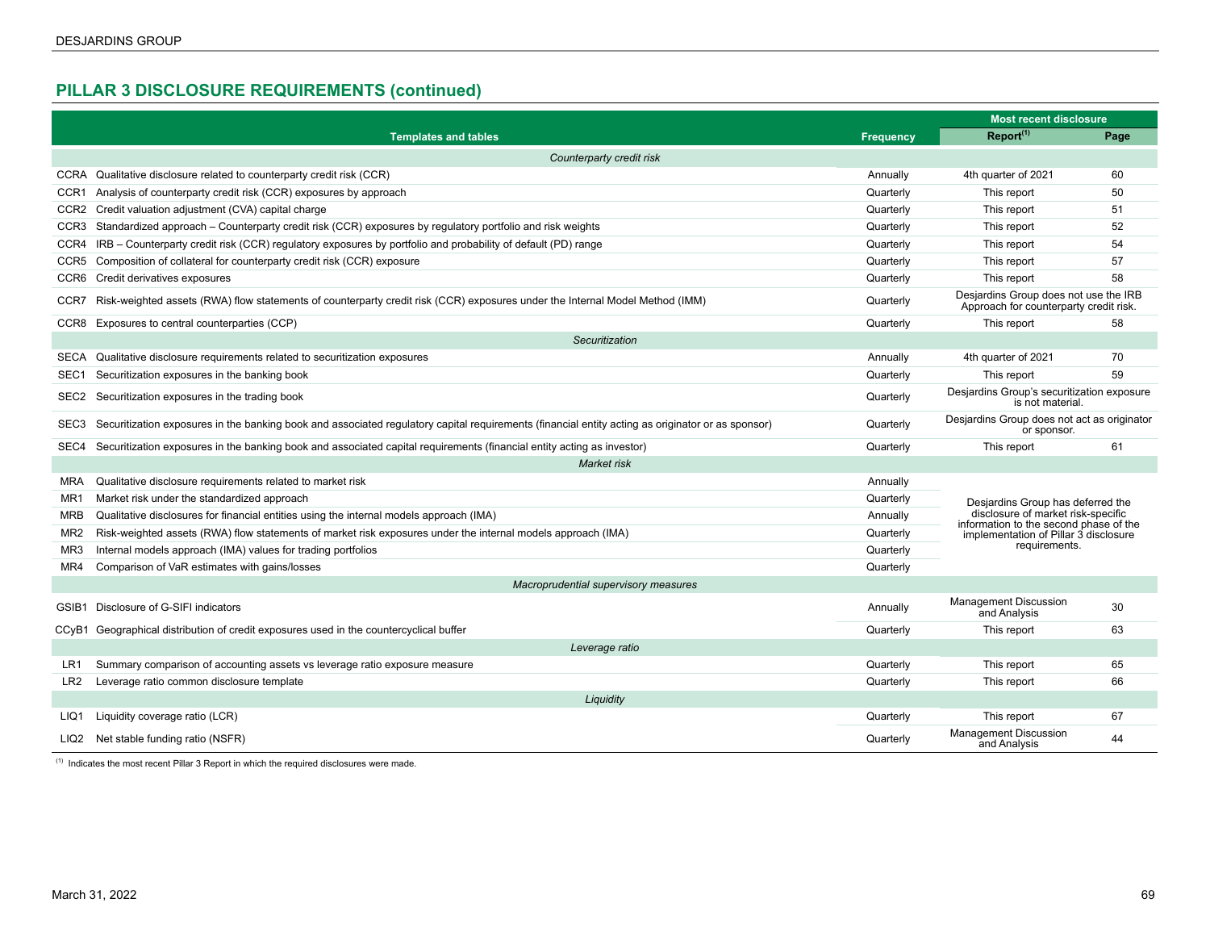# **PILLAR 3 DISCLOSURE REQUIREMENTS (continued)**

|                                      |                                                                                                                                                   |                  | <b>Most recent disclosure</b>                                                   |      |  |  |  |
|--------------------------------------|---------------------------------------------------------------------------------------------------------------------------------------------------|------------------|---------------------------------------------------------------------------------|------|--|--|--|
|                                      | <b>Templates and tables</b>                                                                                                                       | <b>Frequency</b> | Report <sup>(1)</sup>                                                           | Page |  |  |  |
| Counterparty credit risk             |                                                                                                                                                   |                  |                                                                                 |      |  |  |  |
|                                      | CCRA Qualitative disclosure related to counterparty credit risk (CCR)                                                                             | Annually         | 4th quarter of 2021                                                             | 60   |  |  |  |
|                                      | CCR1 Analysis of counterparty credit risk (CCR) exposures by approach                                                                             | Quarterly        | This report                                                                     | 50   |  |  |  |
|                                      | CCR2 Credit valuation adjustment (CVA) capital charge                                                                                             | Quarterly        | This report                                                                     | 51   |  |  |  |
| CCR3                                 | Standardized approach – Counterparty credit risk (CCR) exposures by regulatory portfolio and risk weights                                         | Quarterly        | This report                                                                     | 52   |  |  |  |
| CCR4                                 | IRB – Counterparty credit risk (CCR) regulatory exposures by portfolio and probability of default (PD) range                                      | Quarterly        | This report                                                                     | 54   |  |  |  |
| CCR5                                 | Composition of collateral for counterparty credit risk (CCR) exposure                                                                             | Quarterly        | This report                                                                     | 57   |  |  |  |
| CCR6                                 | Credit derivatives exposures                                                                                                                      | Quarterly        | This report                                                                     | 58   |  |  |  |
|                                      | CCR7 Risk-weighted assets (RWA) flow statements of counterparty credit risk (CCR) exposures under the Internal Model Method (IMM)                 | Quarterly        | Desjardins Group does not use the IRB<br>Approach for counterparty credit risk. |      |  |  |  |
|                                      | CCR8 Exposures to central counterparties (CCP)                                                                                                    | Quarterly        | This report                                                                     | 58   |  |  |  |
|                                      | Securitization                                                                                                                                    |                  |                                                                                 |      |  |  |  |
| SECA                                 | Qualitative disclosure requirements related to securitization exposures                                                                           | Annually         | 4th quarter of 2021                                                             | 70   |  |  |  |
| SEC1                                 | Securitization exposures in the banking book                                                                                                      | Quarterly        | This report                                                                     | 59   |  |  |  |
| SEC2                                 | Securitization exposures in the trading book                                                                                                      | Quarterly        | Desjardins Group's securitization exposure<br>is not material.                  |      |  |  |  |
| SEC <sub>3</sub>                     | Securitization exposures in the banking book and associated regulatory capital requirements (financial entity acting as originator or as sponsor) | Quarterly        | Desjardins Group does not act as originator<br>or sponsor.                      |      |  |  |  |
| SEC4                                 | Securitization exposures in the banking book and associated capital requirements (financial entity acting as investor)                            | Quarterly        | This report                                                                     | 61   |  |  |  |
|                                      | Market risk                                                                                                                                       |                  |                                                                                 |      |  |  |  |
| <b>MRA</b>                           | Qualitative disclosure requirements related to market risk                                                                                        | Annually         |                                                                                 |      |  |  |  |
| MR <sub>1</sub>                      | Market risk under the standardized approach                                                                                                       | Quarterly        | Desjardins Group has deferred the                                               |      |  |  |  |
| MRB                                  | Qualitative disclosures for financial entities using the internal models approach (IMA)                                                           | Annually         | disclosure of market risk-specific<br>information to the second phase of the    |      |  |  |  |
| MR <sub>2</sub>                      | Risk-weighted assets (RWA) flow statements of market risk exposures under the internal models approach (IMA)                                      | Quarterly        | implementation of Pillar 3 disclosure                                           |      |  |  |  |
| MR3                                  | Internal models approach (IMA) values for trading portfolios                                                                                      | Quarterly        | requirements.                                                                   |      |  |  |  |
| MR4                                  | Comparison of VaR estimates with gains/losses                                                                                                     | Quarterly        |                                                                                 |      |  |  |  |
| Macroprudential supervisory measures |                                                                                                                                                   |                  |                                                                                 |      |  |  |  |
| GSIB1                                | Disclosure of G-SIFI indicators                                                                                                                   | Annually         | <b>Management Discussion</b><br>and Analysis                                    | 30   |  |  |  |
| CCyB1                                | Geographical distribution of credit exposures used in the countercyclical buffer                                                                  | Quarterly        | This report                                                                     | 63   |  |  |  |
| Leverage ratio                       |                                                                                                                                                   |                  |                                                                                 |      |  |  |  |
| LR1                                  | Summary comparison of accounting assets vs leverage ratio exposure measure                                                                        | Quarterly        | This report                                                                     | 65   |  |  |  |
| LR <sub>2</sub>                      | Leverage ratio common disclosure template                                                                                                         | Quarterly        | This report                                                                     | 66   |  |  |  |
| Liquidity                            |                                                                                                                                                   |                  |                                                                                 |      |  |  |  |
| LIQ1                                 | Liquidity coverage ratio (LCR)                                                                                                                    | Quarterly        | This report                                                                     | 67   |  |  |  |
|                                      | LIQ2 Net stable funding ratio (NSFR)                                                                                                              | Quarterly        | <b>Management Discussion</b><br>and Analysis                                    | 44   |  |  |  |

 $(1)$  Indicates the most recent Pillar 3 Report in which the required disclosures were made.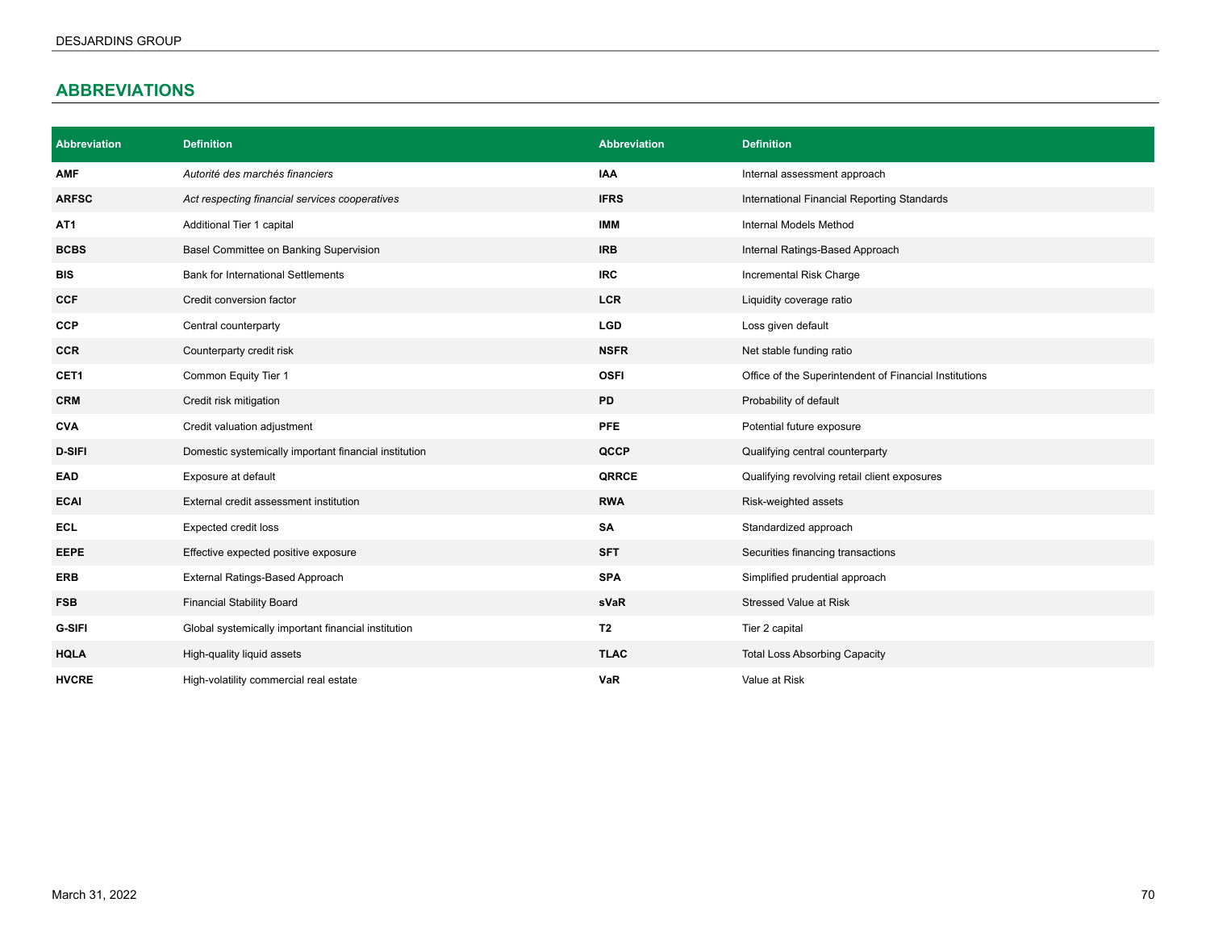# **ABBREVIATIONS**

| <b>Abbreviation</b> | <b>Definition</b>                                     | <b>Abbreviation</b> | <b>Definition</b>                                      |
|---------------------|-------------------------------------------------------|---------------------|--------------------------------------------------------|
| <b>AMF</b>          | Autorité des marchés financiers                       | IAA                 | Internal assessment approach                           |
| <b>ARFSC</b>        | Act respecting financial services cooperatives        | <b>IFRS</b>         | International Financial Reporting Standards            |
| AT <sub>1</sub>     | Additional Tier 1 capital                             | <b>IMM</b>          | Internal Models Method                                 |
| <b>BCBS</b>         | Basel Committee on Banking Supervision                | <b>IRB</b>          | Internal Ratings-Based Approach                        |
| <b>BIS</b>          | <b>Bank for International Settlements</b>             | <b>IRC</b>          | Incremental Risk Charge                                |
| <b>CCF</b>          | Credit conversion factor                              | <b>LCR</b>          | Liquidity coverage ratio                               |
| <b>CCP</b>          | Central counterparty                                  | <b>LGD</b>          | Loss given default                                     |
| <b>CCR</b>          | Counterparty credit risk                              | <b>NSFR</b>         | Net stable funding ratio                               |
| CET1                | Common Equity Tier 1                                  | <b>OSFI</b>         | Office of the Superintendent of Financial Institutions |
| <b>CRM</b>          | Credit risk mitigation                                | PD                  | Probability of default                                 |
| <b>CVA</b>          | Credit valuation adjustment                           | <b>PFE</b>          | Potential future exposure                              |
| <b>D-SIFI</b>       | Domestic systemically important financial institution | QCCP                | Qualifying central counterparty                        |
| <b>EAD</b>          | Exposure at default                                   | QRRCE               | Qualifying revolving retail client exposures           |
| <b>ECAI</b>         | External credit assessment institution                | <b>RWA</b>          | Risk-weighted assets                                   |
| <b>ECL</b>          | Expected credit loss                                  | SA                  | Standardized approach                                  |
| <b>EEPE</b>         | Effective expected positive exposure                  | <b>SFT</b>          | Securities financing transactions                      |
| <b>ERB</b>          | External Ratings-Based Approach                       | <b>SPA</b>          | Simplified prudential approach                         |
| <b>FSB</b>          | <b>Financial Stability Board</b>                      | sVaR                | <b>Stressed Value at Risk</b>                          |
| <b>G-SIFI</b>       | Global systemically important financial institution   | T <sub>2</sub>      | Tier 2 capital                                         |
| <b>HQLA</b>         | High-quality liquid assets                            | <b>TLAC</b>         | <b>Total Loss Absorbing Capacity</b>                   |
| <b>HVCRE</b>        | High-volatility commercial real estate                | VaR                 | Value at Risk                                          |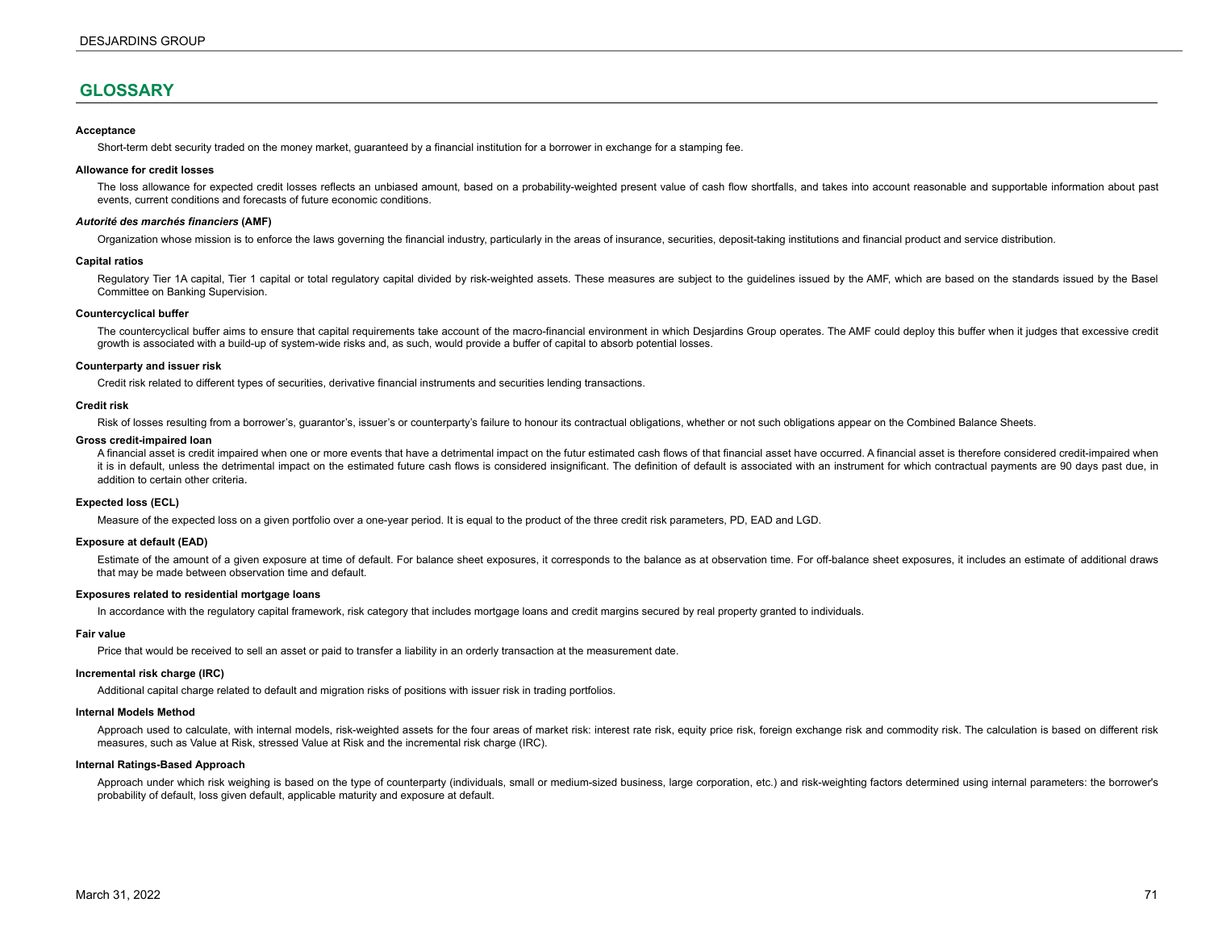# **GLOSSARY**

### **Acceptance**

Short-term debt security traded on the money market, guaranteed by a financial institution for a borrower in exchange for a stamping fee.

### **Allowance for credit losses**

The loss allowance for expected credit losses reflects an unbiased amount, based on a probability-weighted present value of cash flow shortfalls, and takes into account reasonable and supportable information about past events, current conditions and forecasts of future economic conditions.

### *Autorité des marchés financiers* **(AMF)**

Organization whose mission is to enforce the laws governing the financial industry, particularly in the areas of insurance, securities, deposit-taking institutions and financial product and service distribution.

### **Capital ratios**

Regulatory Tier 1A capital, Tier 1 capital or total regulatory capital divided by risk-weighted assets. These measures are subject to the guidelines issued by the AMF, which are based on the standards issued by the Basel Committee on Banking Supervision.

### **Countercyclical buffer**

The countercyclical buffer aims to ensure that capital requirements take account of the macro-financial environment in which Desjardins Group operates. The AMF could deploy this buffer when it judges that excessive credit growth is associated with a build-up of system-wide risks and, as such, would provide a buffer of capital to absorb potential losses.

### **Counterparty and issuer risk**

Credit risk related to different types of securities, derivative financial instruments and securities lending transactions.

### **Credit risk**

Risk of losses resulting from a borrower's, guarantor's, issuer's or counterparty's failure to honour its contractual obligations, whether or not such obligations appear on the Combined Balance Sheets.

#### **Gross credit-impaired loan**

A financial asset is credit impaired when one or more events that have a detrimental impact on the futur estimated cash flows of that financial asset have occurred. A financial asset is therefore considered credit-impaired it is in default, unless the detrimental impact on the estimated future cash flows is considered insignificant. The definition of default is associated with an instrument for which contractual payments are 90 days past due addition to certain other criteria.

### **Expected loss (ECL)**

Measure of the expected loss on a given portfolio over a one-year period. It is equal to the product of the three credit risk parameters, PD, EAD and LGD.

#### **Exposure at default (EAD)**

Estimate of the amount of a given exposure at time of default. For balance sheet exposures, it corresponds to the balance as at observation time. For off-balance sheet exposures, it includes an estimate of additional draws that may be made between observation time and default.

### **Exposures related to residential mortgage loans**

In accordance with the regulatory capital framework, risk category that includes mortgage loans and credit margins secured by real property granted to individuals.

### **Fair value**

Price that would be received to sell an asset or paid to transfer a liability in an orderly transaction at the measurement date.

### **Incremental risk charge (IRC)**

Additional capital charge related to default and migration risks of positions with issuer risk in trading portfolios.

### **Internal Models Method**

Approach used to calculate, with internal models, risk-weighted assets for the four areas of market risk: interest rate risk, equity price risk, foreign exchange risk and commodity risk. The calculation is based on differe measures, such as Value at Risk, stressed Value at Risk and the incremental risk charge (IRC).

### **Internal Ratings-Based Approach**

Approach under which risk weighing is based on the type of counterparty (individuals, small or medium-sized business, large corporation, etc.) and risk-weighting factors determined using internal parameters: the borrower's probability of default, loss given default, applicable maturity and exposure at default.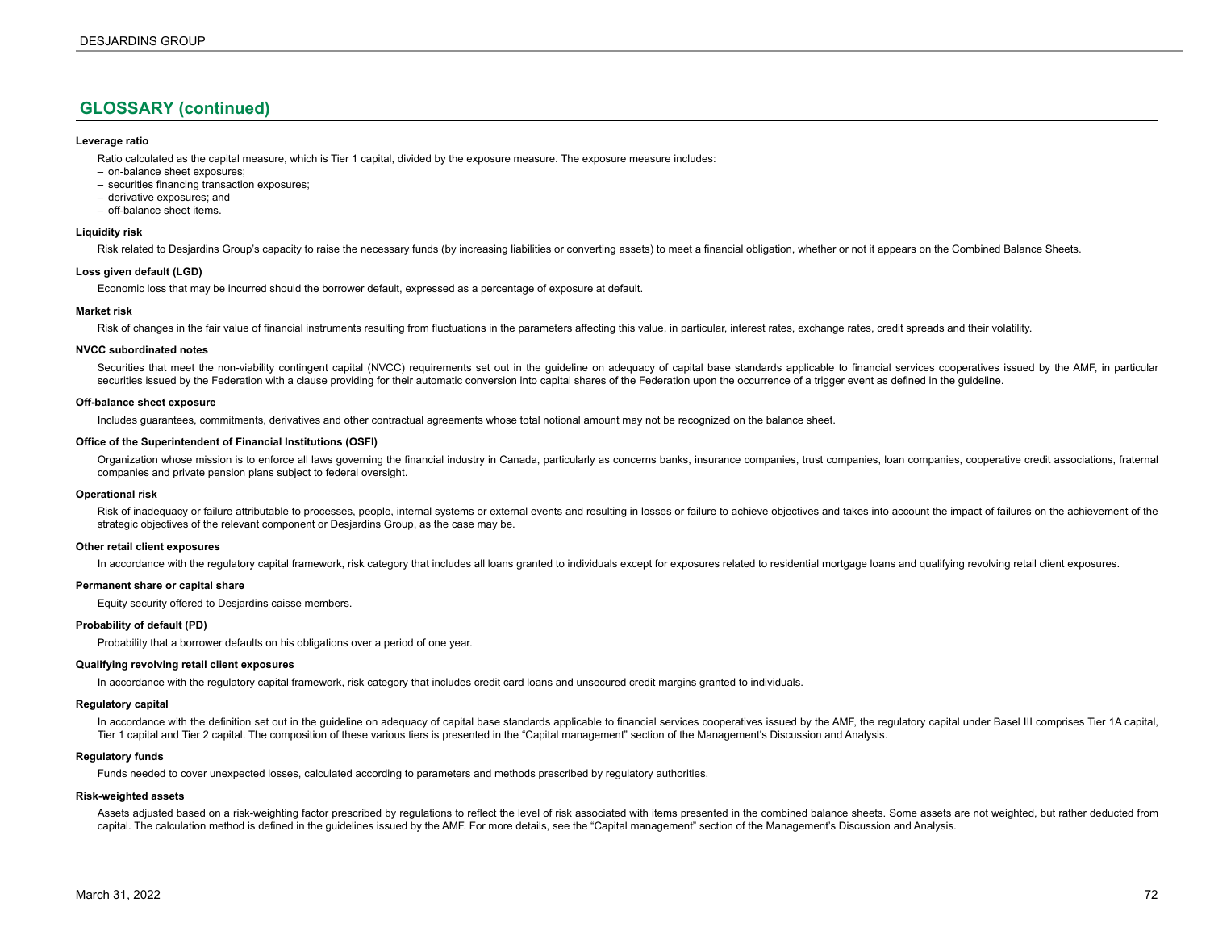# **GLOSSARY (continued)**

### **Leverage ratio**

Ratio calculated as the capital measure, which is Tier 1 capital, divided by the exposure measure. The exposure measure includes:

- on-balance sheet exposures;
- securities financing transaction exposures;
- derivative exposures; and
- off-balance sheet items.

### **Liquidity risk**

Risk related to Desjardins Group's capacity to raise the necessary funds (by increasing liabilities or converting assets) to meet a financial obligation, whether or not it appears on the Combined Balance Sheets.

### **Loss given default (LGD)**

Economic loss that may be incurred should the borrower default, expressed as a percentage of exposure at default.

### **Market risk**

Risk of changes in the fair value of financial instruments resulting from fluctuations in the parameters affecting this value, in particular, interest rates, exchange rates, credit spreads and their volatility.

### **NVCC subordinated notes**

Securities that meet the non-viability contingent capital (NVCC) requirements set out in the guideline on adequacy of capital base standards applicable to financial services cooperatives issued by the AMF, in particular securities issued by the Federation with a clause providing for their automatic conversion into capital shares of the Federation upon the occurrence of a trigger event as defined in the quideline.

### **Off-balance sheet exposure**

Includes guarantees, commitments, derivatives and other contractual agreements whose total notional amount may not be recognized on the balance sheet.

### **Office of the Superintendent of Financial Institutions (OSFI)**

Organization whose mission is to enforce all laws governing the financial industry in Canada, particularly as concerns banks, insurance companies, trust companies, loan companies, cooperative credit associations, fraternal companies and private pension plans subject to federal oversight.

### **Operational risk**

Risk of inadequacy or failure attributable to processes, people, internal systems or external events and resulting in losses or failure to achieve objectives and takes into account the impact of failures on the achievement strategic objectives of the relevant component or Desjardins Group, as the case may be.

### **Other retail client exposures**

In accordance with the regulatory capital framework, risk category that includes all loans granted to individuals except for exposures related to residential mortgage loans and qualifying revolving retail client exposures.

### **Permanent share or capital share**

Equity security offered to Desjardins caisse members.

### **Probability of default (PD)**

Probability that a borrower defaults on his obligations over a period of one year.

### **Qualifying revolving retail client exposures**

In accordance with the regulatory capital framework, risk category that includes credit card loans and unsecured credit margins granted to individuals.

### **Regulatory capital**

In accordance with the definition set out in the guideline on adequacy of capital base standards applicable to financial services cooperatives issued by the AMF, the regulatory capital under Basel III comprises Tier 1A cap Tier 1 capital and Tier 2 capital. The composition of these various tiers is presented in the "Capital management" section of the Management's Discussion and Analysis.

### **Regulatory funds**

Funds needed to cover unexpected losses, calculated according to parameters and methods prescribed by regulatory authorities.

### **Risk-weighted assets**

Assets adjusted based on a risk-weighting factor prescribed by regulations to reflect the level of risk associated with items presented in the combined balance sheets. Some assets are not weighted, but rather deducted from capital. The calculation method is defined in the guidelines issued by the AMF. For more details, see the "Capital management" section of the Management's Discussion and Analysis.